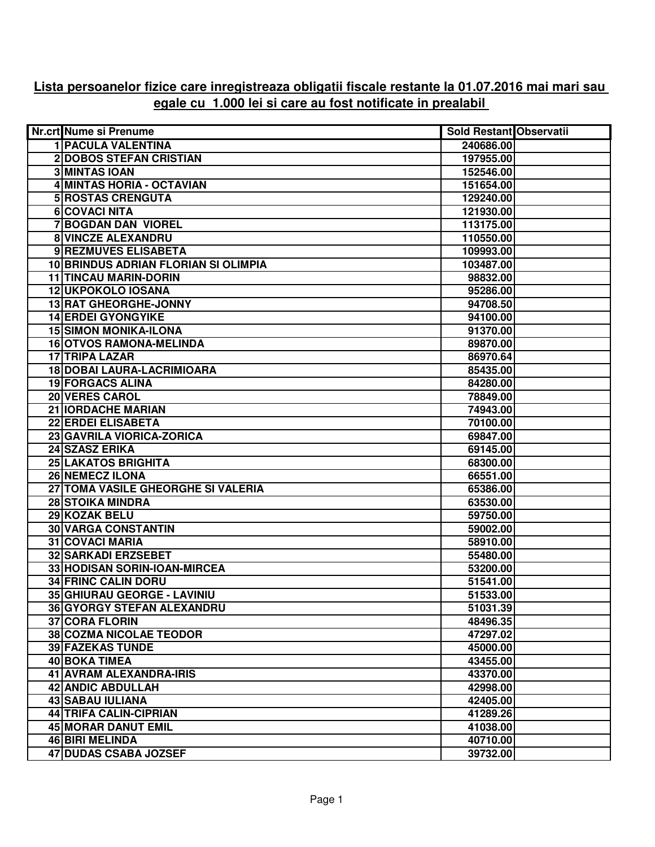## **Lista persoanelor fizice care inregistreaza obligatii fiscale restante la 01.07.2016 mai mari sau egale cu 1.000 lei si care au fost notificate in prealabil**

| Nr.crt Nume si Prenume               | <b>Sold Restant Observatii</b> |
|--------------------------------------|--------------------------------|
| <b>1 PACULA VALENTINA</b>            | 240686.00                      |
| <b>2DOBOS STEFAN CRISTIAN</b>        | 197955.00                      |
| <b>3 MINTAS IOAN</b>                 | 152546.00                      |
| 4 MINTAS HORIA - OCTAVIAN            | 151654.00                      |
| <b>5 ROSTAS CRENGUTA</b>             | 129240.00                      |
| 6 COVACI NITA                        | 121930.00                      |
| 7 BOGDAN DAN VIOREL                  | 113175.00                      |
| 8 VINCZE ALEXANDRU                   | 110550.00                      |
| 9 REZMUVES ELISABETA                 | 109993.00                      |
| 10 BRINDUS ADRIAN FLORIAN SI OLIMPIA | 103487.00                      |
| <b>11 TINCAU MARIN-DORIN</b>         | 98832.00                       |
| 12 UKPOKOLO IOSANA                   | 95286.00                       |
| 13 RAT GHEORGHE-JONNY                | 94708.50                       |
| <b>14 ERDEI GYONGYIKE</b>            | 94100.00                       |
| <b>15 SIMON MONIKA-ILONA</b>         | 91370.00                       |
| <b>16 OTVOS RAMONA-MELINDA</b>       | 89870.00                       |
| <b>17 TRIPA LAZAR</b>                | 86970.64                       |
| <b>18 DOBAI LAURA-LACRIMIOARA</b>    | 85435.00                       |
| <b>19 FORGACS ALINA</b>              | 84280.00                       |
| <b>20 VERES CAROL</b>                | 78849.00                       |
| <b>21 IORDACHE MARIAN</b>            | 74943.00                       |
| <b>22 ERDEI ELISABETA</b>            | 70100.00                       |
| 23 GAVRILA VIORICA-ZORICA            |                                |
|                                      | 69847.00                       |
| 24 SZASZ ERIKA                       | 69145.00                       |
| <b>25 LAKATOS BRIGHITA</b>           | 68300.00                       |
| <b>26 NEMECZ ILONA</b>               | 66551.00                       |
| 27 TOMA VASILE GHEORGHE SI VALERIA   | 65386.00                       |
| <b>28 STOIKA MINDRA</b>              | 63530.00                       |
| 29 KOZAK BELU                        | 59750.00                       |
| <b>30 VARGA CONSTANTIN</b>           | 59002.00                       |
| 31 COVACI MARIA                      | 58910.00                       |
| <b>32 SARKADI ERZSEBET</b>           | 55480.00                       |
| 33 HODISAN SORIN-IOAN-MIRCEA         | 53200.00                       |
| <b>34 FRINC CALIN DORU</b>           | 51541.00                       |
| 35 GHIURAU GEORGE - LAVINIU          | 51533.00                       |
| 36 GYORGY STEFAN ALEXANDRU           | 51031.39                       |
| <b>37 CORA FLORIN</b>                | 48496.35                       |
| <b>38 COZMA NICOLAE TEODOR</b>       | 47297.02                       |
| <b>39 FAZEKAS TUNDE</b>              | 45000.00                       |
| 40 BOKA TIMEA                        | 43455.00                       |
| 41 AVRAM ALEXANDRA-IRIS              | 43370.00                       |
| 42 ANDIC ABDULLAH                    | 42998.00                       |
| 43 SABAU IULIANA                     | 42405.00                       |
| 44 TRIFA CALIN-CIPRIAN               | 41289.26                       |
| <b>45 MORAR DANUT EMIL</b>           | 41038.00                       |
| <b>46 BIRI MELINDA</b>               | 40710.00                       |
| <b>47 DUDAS CSABA JOZSEF</b>         | 39732.00                       |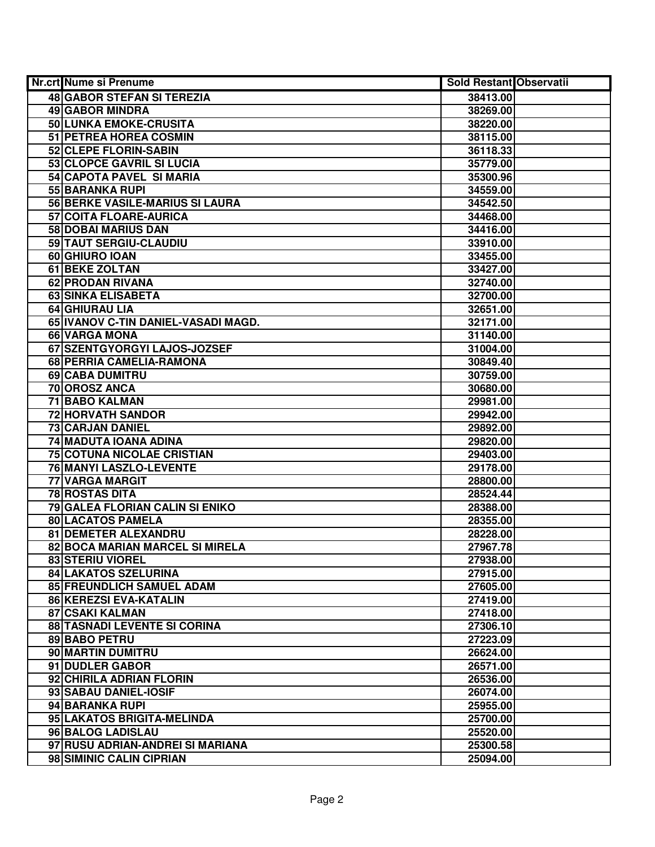| Nr.crt Nume si Prenume                 | <b>Sold Restant Observatii</b> |  |
|----------------------------------------|--------------------------------|--|
| <b>48 GABOR STEFAN SI TEREZIA</b>      | 38413.00                       |  |
| 49 GABOR MINDRA                        | 38269.00                       |  |
| 50 LUNKA EMOKE-CRUSITA                 | 38220.00                       |  |
| 51 PETREA HOREA COSMIN                 | 38115.00                       |  |
| 52 CLEPE FLORIN-SABIN                  | 36118.33                       |  |
| 53 CLOPCE GAVRIL SI LUCIA              | 35779.00                       |  |
| 54 CAPOTA PAVEL SI MARIA               | 35300.96                       |  |
| 55 BARANKA RUPI                        | 34559.00                       |  |
| 56 BERKE VASILE-MARIUS SI LAURA        | 34542.50                       |  |
| 57 COITA FLOARE-AURICA                 | 34468.00                       |  |
| <b>58 DOBAI MARIUS DAN</b>             | 34416.00                       |  |
| 59 TAUT SERGIU-CLAUDIU                 | 33910.00                       |  |
| 60 GHIURO IOAN                         | 33455.00                       |  |
| <b>61 BEKE ZOLTAN</b>                  | 33427.00                       |  |
| 62 PRODAN RIVANA                       | 32740.00                       |  |
| <b>63 SINKA ELISABETA</b>              | 32700.00                       |  |
| 64 GHIURAU LIA                         | 32651.00                       |  |
| 65 IVANOV C-TIN DANIEL-VASADI MAGD.    | 32171.00                       |  |
| 66 VARGA MONA                          | 31140.00                       |  |
| 67 SZENTGYORGYI LAJOS-JOZSEF           | 31004.00                       |  |
| 68 PERRIA CAMELIA-RAMONA               | 30849.40                       |  |
| 69 CABA DUMITRU                        | 30759.00                       |  |
| 70 OROSZ ANCA                          | 30680.00                       |  |
| 71 BABO KALMAN                         | 29981.00                       |  |
| <b>72 HORVATH SANDOR</b>               | 29942.00                       |  |
| 73 CARJAN DANIEL                       | 29892.00                       |  |
| 74 MADUTA IOANA ADINA                  | 29820.00                       |  |
| 75 COTUNA NICOLAE CRISTIAN             | 29403.00                       |  |
| 76 MANYI LASZLO-LEVENTE                | 29178.00                       |  |
| 77 VARGA MARGIT                        | 28800.00                       |  |
| <b>78 ROSTAS DITA</b>                  | 28524.44                       |  |
| <b>79 GALEA FLORIAN CALIN SI ENIKO</b> | 28388.00                       |  |
| 80 LACATOS PAMELA                      | 28355.00                       |  |
| <b>81 DEMETER ALEXANDRU</b>            | 28228.00                       |  |
| 82 BOCA MARIAN MARCEL SI MIRELA        | 27967.78                       |  |
| <b>83 STERIU VIOREL</b>                | 27938.00                       |  |
| <b>84 LAKATOS SZELURINA</b>            | 27915.00                       |  |
| 85 FREUNDLICH SAMUEL ADAM              | 27605.00                       |  |
| 86 KEREZSI EVA-KATALIN                 | 27419.00                       |  |
| 87 CSAKI KALMAN                        | 27418.00                       |  |
| 88 TASNADI LEVENTE SI CORINA           | 27306.10                       |  |
| 89 BABO PETRU                          | 27223.09                       |  |
| 90 MARTIN DUMITRU                      | 26624.00                       |  |
| 91 DUDLER GABOR                        | 26571.00                       |  |
| 92 CHIRILA ADRIAN FLORIN               | 26536.00                       |  |
| 93 SABAU DANIEL-IOSIF                  | 26074.00                       |  |
| 94 BARANKA RUPI                        | 25955.00                       |  |
| 95 LAKATOS BRIGITA-MELINDA             | 25700.00                       |  |
| 96 BALOG LADISLAU                      | 25520.00                       |  |
| 97 RUSU ADRIAN-ANDREI SI MARIANA       | 25300.58                       |  |
| 98 SIMINIC CALIN CIPRIAN               | 25094.00                       |  |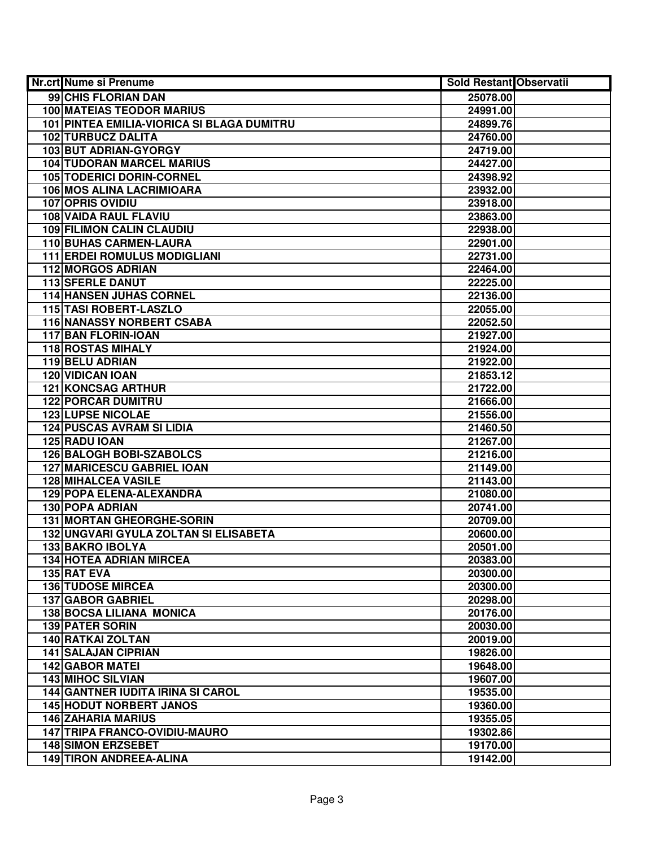| Nr.crt Nume si Prenume                     | <b>Sold Restant Observatii</b> |  |
|--------------------------------------------|--------------------------------|--|
| 99 CHIS FLORIAN DAN                        | 25078.00                       |  |
| <b>100 MATEIAS TEODOR MARIUS</b>           | 24991.00                       |  |
| 101 PINTEA EMILIA-VIORICA SI BLAGA DUMITRU | 24899.76                       |  |
| 102 TURBUCZ DALITA                         | 24760.00                       |  |
| 103 BUT ADRIAN-GYORGY                      | 24719.00                       |  |
| <b>104 TUDORAN MARCEL MARIUS</b>           | 24427.00                       |  |
| 105 TODERICI DORIN-CORNEL                  | 24398.92                       |  |
| 106 MOS ALINA LACRIMIOARA                  | 23932.00                       |  |
| <b>107 OPRIS OVIDIU</b>                    | 23918.00                       |  |
| <b>108 VAIDA RAUL FLAVIU</b>               | 23863.00                       |  |
| <b>109 FILIMON CALIN CLAUDIU</b>           | 22938.00                       |  |
| <b>110 BUHAS CARMEN-LAURA</b>              | 22901.00                       |  |
| <b>111 ERDEI ROMULUS MODIGLIANI</b>        | 22731.00                       |  |
| <b>112 MORGOS ADRIAN</b>                   | 22464.00                       |  |
| 113 SFERLE DANUT                           | 22225.00                       |  |
| 114 HANSEN JUHAS CORNEL                    | 22136.00                       |  |
| 115 TASI ROBERT-LASZLO                     | 22055.00                       |  |
| <b>116 NANASSY NORBERT CSABA</b>           | 22052.50                       |  |
| 117 BAN FLORIN-IOAN                        | 21927.00                       |  |
| <b>118 ROSTAS MIHALY</b>                   | 21924.00                       |  |
| 119 BELU ADRIAN                            | 21922.00                       |  |
| <b>120 VIDICAN IOAN</b>                    | 21853.12                       |  |
| <b>121 KONCSAG ARTHUR</b>                  | 21722.00                       |  |
| <b>122 PORCAR DUMITRU</b>                  | 21666.00                       |  |
| <b>123 LUPSE NICOLAE</b>                   | 21556.00                       |  |
| <b>124 PUSCAS AVRAM SI LIDIA</b>           | 21460.50                       |  |
| 125 RADU IOAN                              | 21267.00                       |  |
| <b>126 BALOGH BOBI-SZABOLCS</b>            | 21216.00                       |  |
| <b>127 MARICESCU GABRIEL IOAN</b>          | 21149.00                       |  |
| <b>128 MIHALCEA VASILE</b>                 | 21143.00                       |  |
| 129 POPA ELENA-ALEXANDRA                   | 21080.00                       |  |
| 130 POPA ADRIAN                            | 20741.00                       |  |
| 131 MORTAN GHEORGHE-SORIN                  | 20709.00                       |  |
| 132 UNGVARI GYULA ZOLTAN SI ELISABETA      | 20600.00                       |  |
| <b>133 BAKRO IBOLYA</b>                    | 20501.00                       |  |
| <b>134 HOTEA ADRIAN MIRCEA</b>             | 20383.00                       |  |
| 135 RAT EVA                                | 20300.00                       |  |
| <b>136 TUDOSE MIRCEA</b>                   | 20300.00                       |  |
| <b>137 GABOR GABRIEL</b>                   | 20298.00                       |  |
| <b>138 BOCSA LILIANA MONICA</b>            | 20176.00                       |  |
| <b>139 PATER SORIN</b>                     | 20030.00                       |  |
| <b>140 RATKAI ZOLTAN</b>                   | 20019.00                       |  |
| <b>141 SALAJAN CIPRIAN</b>                 | 19826.00                       |  |
| 142 GABOR MATEI                            | 19648.00                       |  |
| <b>143 MIHOC SILVIAN</b>                   | 19607.00                       |  |
| <b>144 GANTNER IUDITA IRINA SI CAROL</b>   | 19535.00                       |  |
| <b>145 HODUT NORBERT JANOS</b>             | 19360.00                       |  |
| <b>146 ZAHARIA MARIUS</b>                  | 19355.05                       |  |
| <b>147 TRIPA FRANCO-OVIDIU-MAURO</b>       | 19302.86                       |  |
| <b>148 SIMON ERZSEBET</b>                  | 19170.00                       |  |
| 149 TIRON ANDREEA-ALINA                    | 19142.00                       |  |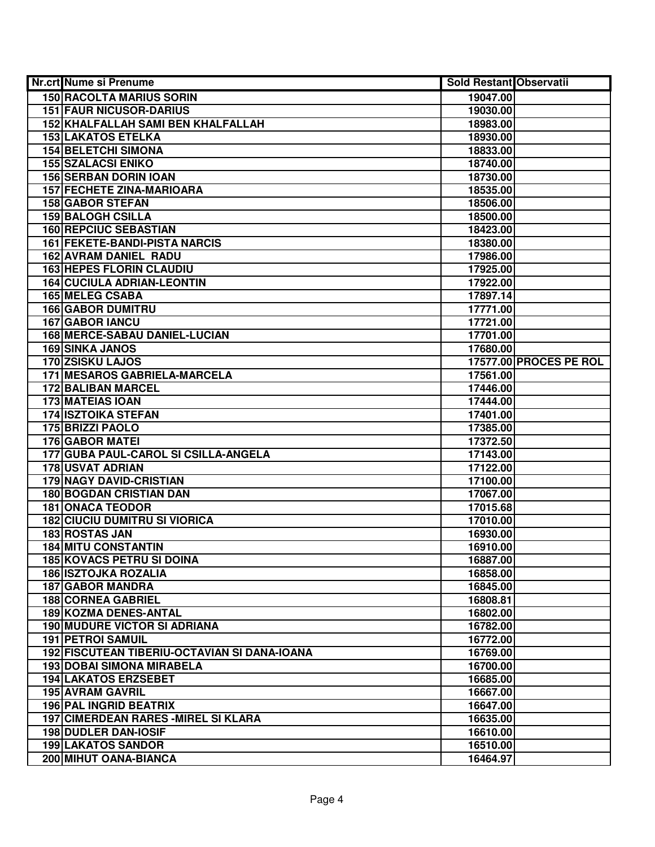| Nr.crt Nume si Prenume                       | <b>Sold Restant Observatii</b> |                               |
|----------------------------------------------|--------------------------------|-------------------------------|
| <b>150 RACOLTA MARIUS SORIN</b>              | 19047.00                       |                               |
| <b>151 FAUR NICUSOR-DARIUS</b>               | 19030.00                       |                               |
| 152 KHALFALLAH SAMI BEN KHALFALLAH           | 18983.00                       |                               |
| <b>153 LAKATOS ETELKA</b>                    | 18930.00                       |                               |
| <b>154 BELETCHI SIMONA</b>                   | 18833.00                       |                               |
| <b>155 SZALACSI ENIKO</b>                    | 18740.00                       |                               |
| <b>156 SERBAN DORIN IOAN</b>                 | 18730.00                       |                               |
| <b>157 FECHETE ZINA-MARIOARA</b>             | 18535.00                       |                               |
| <b>158 GABOR STEFAN</b>                      | 18506.00                       |                               |
| <b>159 BALOGH CSILLA</b>                     | 18500.00                       |                               |
| <b>160 REPCIUC SEBASTIAN</b>                 | 18423.00                       |                               |
| <b>161 FEKETE-BANDI-PISTA NARCIS</b>         | 18380.00                       |                               |
| <b>162 AVRAM DANIEL RADU</b>                 | 17986.00                       |                               |
| <b>163 HEPES FLORIN CLAUDIU</b>              | 17925.00                       |                               |
| <b>164 CUCIULA ADRIAN-LEONTIN</b>            | 17922.00                       |                               |
| <b>165 MELEG CSABA</b>                       | 17897.14                       |                               |
| <b>166 GABOR DUMITRU</b>                     | 17771.00                       |                               |
| <b>167 GABOR IANCU</b>                       | 17721.00                       |                               |
| 168 MERCE-SABAU DANIEL-LUCIAN                | 17701.00                       |                               |
| 169 SINKA JANOS                              | 17680.00                       |                               |
| 170 ZSISKU LAJOS                             |                                | <b>17577.00 PROCES PE ROL</b> |
| 171 MESAROS GABRIELA-MARCELA                 | 17561.00                       |                               |
| 172 BALIBAN MARCEL                           | 17446.00                       |                               |
| <b>173 MATEIAS IOAN</b>                      | 17444.00                       |                               |
| <b>174 ISZTOIKA STEFAN</b>                   | 17401.00                       |                               |
| 175 BRIZZI PAOLO                             | 17385.00                       |                               |
| <b>176 GABOR MATEI</b>                       | 17372.50                       |                               |
| 177 GUBA PAUL-CAROL SI CSILLA-ANGELA         | 17143.00                       |                               |
| 178 USVAT ADRIAN                             | 17122.00                       |                               |
| <b>179 NAGY DAVID-CRISTIAN</b>               | 17100.00                       |                               |
| <b>180 BOGDAN CRISTIAN DAN</b>               | 17067.00                       |                               |
| <b>181 ONACA TEODOR</b>                      | 17015.68                       |                               |
| <b>182 CIUCIU DUMITRU SI VIORICA</b>         | 17010.00                       |                               |
| 183 ROSTAS JAN                               | 16930.00                       |                               |
| <b>184 MITU CONSTANTIN</b>                   | 16910.00                       |                               |
| <b>185 KOVACS PETRU SI DOINA</b>             | 16887.00                       |                               |
| <b>186 ISZTOJKA ROZALIA</b>                  | 16858.00                       |                               |
| <b>187 GABOR MANDRA</b>                      | 16845.00                       |                               |
| <b>188 CORNEA GABRIEL</b>                    | 16808.81                       |                               |
| 189 KOZMA DENES-ANTAL                        | 16802.00                       |                               |
| <b>190 MUDURE VICTOR SI ADRIANA</b>          | 16782.00                       |                               |
| <b>191 PETROI SAMUIL</b>                     | 16772.00                       |                               |
| 192 FISCUTEAN TIBERIU-OCTAVIAN SI DANA-IOANA | 16769.00                       |                               |
| <b>193 DOBAI SIMONA MIRABELA</b>             | 16700.00                       |                               |
| <b>194 LAKATOS ERZSEBET</b>                  | 16685.00                       |                               |
| <b>195 AVRAM GAVRIL</b>                      | 16667.00                       |                               |
| 196 PAL INGRID BEATRIX                       | 16647.00                       |                               |
| <b>197 CIMERDEAN RARES - MIREL SI KLARA</b>  | 16635.00                       |                               |
| <b>198 DUDLER DAN-IOSIF</b>                  | 16610.00                       |                               |
| <b>199 LAKATOS SANDOR</b>                    | 16510.00                       |                               |
| 200 MIHUT OANA-BIANCA                        | 16464.97                       |                               |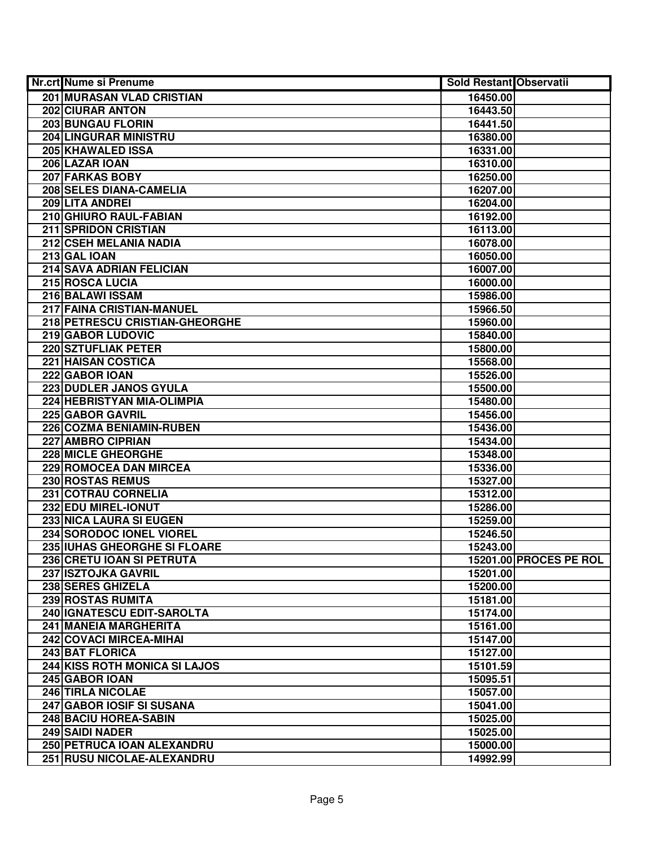| <b>Nr.crt Nume si Prenume</b>    | <b>Sold Restant Observatii</b> |                        |
|----------------------------------|--------------------------------|------------------------|
| <b>201 MURASAN VLAD CRISTIAN</b> | 16450.00                       |                        |
| 202 CIURAR ANTON                 | 16443.50                       |                        |
| 203 BUNGAU FLORIN                | 16441.50                       |                        |
| 204 LINGURAR MINISTRU            | 16380.00                       |                        |
| 205 KHAWALED ISSA                | 16331.00                       |                        |
| 206 LAZAR IOAN                   | 16310.00                       |                        |
| 207 FARKAS BOBY                  | 16250.00                       |                        |
| 208 SELES DIANA-CAMELIA          | 16207.00                       |                        |
| 209 LITA ANDREI                  | 16204.00                       |                        |
| 210 GHIURO RAUL-FABIAN           | 16192.00                       |                        |
| <b>211 SPRIDON CRISTIAN</b>      | 16113.00                       |                        |
| 212 CSEH MELANIA NADIA           | 16078.00                       |                        |
| 213 GAL IOAN                     | 16050.00                       |                        |
| 214 SAVA ADRIAN FELICIAN         | 16007.00                       |                        |
| 215 ROSCA LUCIA                  | 16000.00                       |                        |
| 216 BALAWI ISSAM                 | 15986.00                       |                        |
| 217 FAINA CRISTIAN-MANUEL        | 15966.50                       |                        |
| 218 PETRESCU CRISTIAN-GHEORGHE   | 15960.00                       |                        |
| 219 GABOR LUDOVIC                | 15840.00                       |                        |
| 220 SZTUFLIAK PETER              | 15800.00                       |                        |
| <b>221 HAISAN COSTICA</b>        | 15568.00                       |                        |
| 222 GABOR IOAN                   | 15526.00                       |                        |
| 223 DUDLER JANOS GYULA           | 15500.00                       |                        |
| 224 HEBRISTYAN MIA-OLIMPIA       | 15480.00                       |                        |
| 225 GABOR GAVRIL                 | 15456.00                       |                        |
| 226 COZMA BENIAMIN-RUBEN         | 15436.00                       |                        |
| 227 AMBRO CIPRIAN                | 15434.00                       |                        |
| <b>228 MICLE GHEORGHE</b>        | 15348.00                       |                        |
| 229 ROMOCEA DAN MIRCEA           | 15336.00                       |                        |
| 230 ROSTAS REMUS                 | 15327.00                       |                        |
| 231 COTRAU CORNELIA              | 15312.00                       |                        |
| 232 EDU MIREL-IONUT              | 15286.00                       |                        |
| <b>233 NICA LAURA SI EUGEN</b>   | 15259.00                       |                        |
| 234 SORODOC IONEL VIOREL         | 15246.50                       |                        |
| 235 IUHAS GHEORGHE SI FLOARE     | 15243.00                       |                        |
| 236 CRETU IOAN SI PETRUTA        |                                | 15201.00 PROCES PE ROL |
| 237 ISZTOJKA GAVRIL              | 15201.00                       |                        |
| 238 SERES GHIZELA                | 15200.00                       |                        |
| <b>239 ROSTAS RUMITA</b>         | 15181.00                       |                        |
| 240   IGNATESCU EDIT-SAROLTA     | 15174.00                       |                        |
| 241 MANEIA MARGHERITA            | 15161.00                       |                        |
| 242 COVACI MIRCEA-MIHAI          | 15147.00                       |                        |
| 243 BAT FLORICA                  | 15127.00                       |                        |
| 244 KISS ROTH MONICA SI LAJOS    | 15101.59                       |                        |
| 245 GABOR IOAN                   | 15095.51                       |                        |
| 246 TIRLA NICOLAE                | 15057.00                       |                        |
| 247 GABOR IOSIF SI SUSANA        | 15041.00                       |                        |
| 248 BACIU HOREA-SABIN            | 15025.00                       |                        |
| 249 SAIDI NADER                  | 15025.00                       |                        |
| 250 PETRUCA IOAN ALEXANDRU       | 15000.00                       |                        |
| 251 RUSU NICOLAE-ALEXANDRU       | 14992.99                       |                        |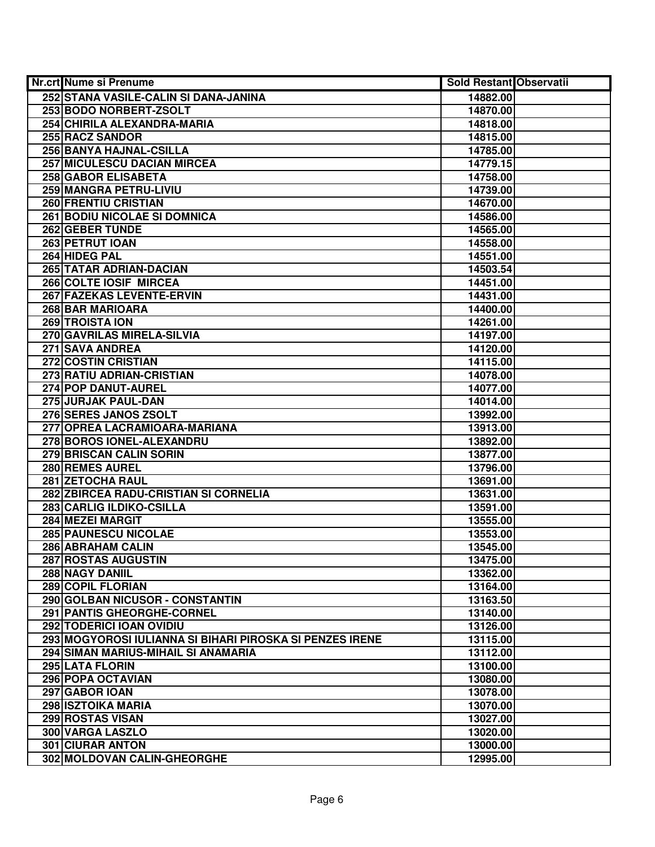| Nr.crt Nume si Prenume                                   | <b>Sold Restant Observatii</b> |  |
|----------------------------------------------------------|--------------------------------|--|
| 252 STANA VASILE-CALIN SI DANA-JANINA                    | 14882.00                       |  |
| 253 BODO NORBERT-ZSOLT                                   | 14870.00                       |  |
| 254 CHIRILA ALEXANDRA-MARIA                              | 14818.00                       |  |
| <b>255 RACZ SANDOR</b>                                   | 14815.00                       |  |
| 256 BANYA HAJNAL-CSILLA                                  | 14785.00                       |  |
| 257 MICULESCU DACIAN MIRCEA                              | 14779.15                       |  |
| 258 GABOR ELISABETA                                      | 14758.00                       |  |
| 259 MANGRA PETRU-LIVIU                                   | 14739.00                       |  |
| 260 FRENTIU CRISTIAN                                     | 14670.00                       |  |
| <b>261 BODIU NICOLAE SI DOMNICA</b>                      | 14586.00                       |  |
| 262 GEBER TUNDE                                          | 14565.00                       |  |
| 263 PETRUT IOAN                                          | 14558.00                       |  |
| 264 HIDEG PAL                                            | 14551.00                       |  |
| 265 TATAR ADRIAN-DACIAN                                  | 14503.54                       |  |
| 266 COLTE IOSIF MIRCEA                                   | 14451.00                       |  |
| 267 FAZEKAS LEVENTE-ERVIN                                | 14431.00                       |  |
| 268 BAR MARIOARA                                         | 14400.00                       |  |
| 269 TROISTA ION                                          | 14261.00                       |  |
| 270 GAVRILAS MIRELA-SILVIA                               | 14197.00                       |  |
| 271 SAVA ANDREA                                          | 14120.00                       |  |
| 272 COSTIN CRISTIAN                                      | 14115.00                       |  |
| 273 RATIU ADRIAN-CRISTIAN                                | 14078.00                       |  |
| 274 POP DANUT-AUREL                                      | 14077.00                       |  |
| 275 JURJAK PAUL-DAN                                      | 14014.00                       |  |
| 276 SERES JANOS ZSOLT                                    | 13992.00                       |  |
| 277 OPREA LACRAMIOARA-MARIANA                            | 13913.00                       |  |
| 278 BOROS IONEL-ALEXANDRU                                | 13892.00                       |  |
| 279 BRISCAN CALIN SORIN                                  | 13877.00                       |  |
| 280 REMES AUREL                                          | 13796.00                       |  |
| <b>281 ZETOCHA RAUL</b>                                  | 13691.00                       |  |
| 282 ZBIRCEA RADU-CRISTIAN SI CORNELIA                    | 13631.00                       |  |
| 283 CARLIG ILDIKO-CSILLA                                 | 13591.00                       |  |
| <b>284 MEZEI MARGIT</b>                                  | 13555.00                       |  |
| <b>285 PAUNESCU NICOLAE</b>                              | 13553.00                       |  |
| 286 ABRAHAM CALIN                                        | 13545.00                       |  |
| 287 ROSTAS AUGUSTIN                                      | 13475.00                       |  |
| 288 NAGY DANIIL                                          | 13362.00                       |  |
| 289 COPIL FLORIAN                                        | 13164.00                       |  |
| 290 GOLBAN NICUSOR - CONSTANTIN                          | 13163.50                       |  |
| 291 PANTIS GHEORGHE-CORNEL                               | 13140.00                       |  |
| 292 TODERICI IOAN OVIDIU                                 | 13126.00                       |  |
| 293 MOGYOROSI IULIANNA SI BIHARI PIROSKA SI PENZES IRENE | 13115.00                       |  |
| 294 SIMAN MARIUS-MIHAIL SI ANAMARIA                      | 13112.00                       |  |
| 295 LATA FLORIN                                          | 13100.00                       |  |
| 296 POPA OCTAVIAN                                        | 13080.00                       |  |
| 297 GABOR IOAN                                           | 13078.00                       |  |
| 298 ISZTOIKA MARIA                                       | 13070.00                       |  |
| 299 ROSTAS VISAN                                         | 13027.00                       |  |
| 300 VARGA LASZLO                                         | 13020.00                       |  |
| <b>301 CIURAR ANTON</b>                                  | 13000.00                       |  |
| 302 MOLDOVAN CALIN-GHEORGHE                              | 12995.00                       |  |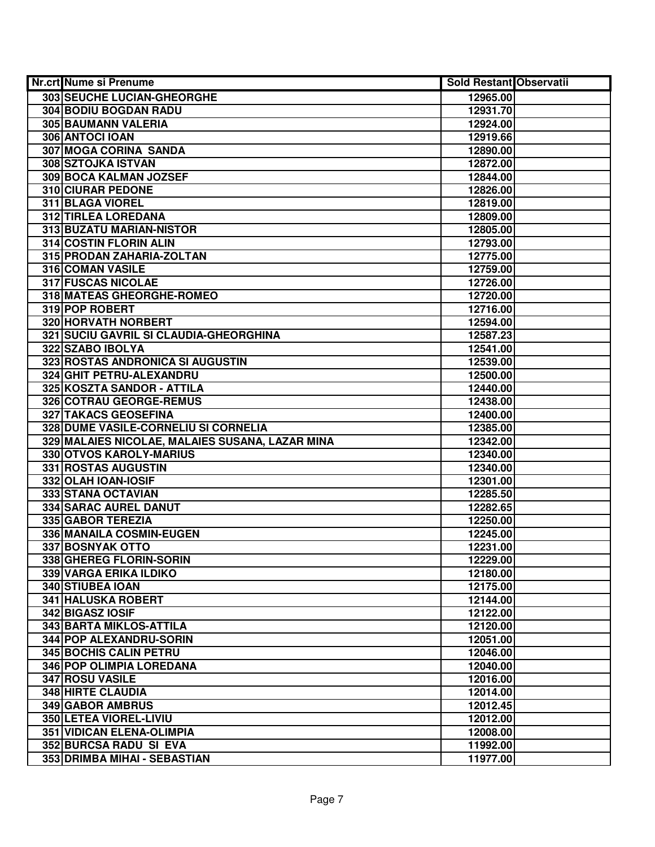| Nr.crt Nume si Prenume                          | <b>Sold Restant Observatii</b> |  |
|-------------------------------------------------|--------------------------------|--|
| 303 SEUCHE LUCIAN-GHEORGHE                      | 12965.00                       |  |
| 304 BODIU BOGDAN RADU                           | 12931.70                       |  |
| 305 BAUMANN VALERIA                             | 12924.00                       |  |
| 306 ANTOCI IOAN                                 | 12919.66                       |  |
| 307 MOGA CORINA SANDA                           | 12890.00                       |  |
| 308 SZTOJKA ISTVAN                              | 12872.00                       |  |
| 309 BOCA KALMAN JOZSEF                          | 12844.00                       |  |
| <b>310 CIURAR PEDONE</b>                        | 12826.00                       |  |
| <b>311 BLAGA VIOREL</b>                         | 12819.00                       |  |
| <b>312 TIRLEA LOREDANA</b>                      | 12809.00                       |  |
| 313 BUZATU MARIAN-NISTOR                        | 12805.00                       |  |
| 314 COSTIN FLORIN ALIN                          | 12793.00                       |  |
| 315 PRODAN ZAHARIA-ZOLTAN                       | 12775.00                       |  |
| 316 COMAN VASILE                                | 12759.00                       |  |
| 317 FUSCAS NICOLAE                              | 12726.00                       |  |
| 318 MATEAS GHEORGHE-ROMEO                       | 12720.00                       |  |
| 319 POP ROBERT                                  | 12716.00                       |  |
| 320 HORVATH NORBERT                             | 12594.00                       |  |
| 321 SUCIU GAVRIL SI CLAUDIA-GHEORGHINA          | 12587.23                       |  |
| 322 SZABO IBOLYA                                | 12541.00                       |  |
| 323 ROSTAS ANDRONICA SI AUGUSTIN                | 12539.00                       |  |
| 324 GHIT PETRU-ALEXANDRU                        | 12500.00                       |  |
| 325 KOSZTA SANDOR - ATTILA                      | 12440.00                       |  |
| 326 COTRAU GEORGE-REMUS                         | 12438.00                       |  |
| 327 TAKACS GEOSEFINA                            | 12400.00                       |  |
| 328 DUME VASILE-CORNELIU SI CORNELIA            | 12385.00                       |  |
| 329 MALAIES NICOLAE, MALAIES SUSANA, LAZAR MINA | 12342.00                       |  |
| 330 OTVOS KAROLY-MARIUS                         | 12340.00                       |  |
| 331 ROSTAS AUGUSTIN                             | 12340.00                       |  |
| 332 OLAH IOAN-IOSIF                             | 12301.00                       |  |
| 333 STANA OCTAVIAN                              | 12285.50                       |  |
| 334 SARAC AUREL DANUT                           | 12282.65                       |  |
| 335 GABOR TEREZIA                               | 12250.00                       |  |
| 336 MANAILA COSMIN-EUGEN                        | 12245.00                       |  |
| <b>337 BOSNYAK OTTO</b>                         | 12231.00                       |  |
| 338 GHEREG FLORIN-SORIN                         | 12229.00                       |  |
| 339 VARGA ERIKA ILDIKO                          | 12180.00                       |  |
| 340 STIUBEA IOAN                                | 12175.00                       |  |
| <b>341 HALUSKA ROBERT</b>                       | 12144.00                       |  |
| 342 BIGASZ IOSIF                                | 12122.00                       |  |
| 343 BARTA MIKLOS-ATTILA                         | 12120.00                       |  |
| 344 POP ALEXANDRU-SORIN                         | 12051.00                       |  |
| <b>345 BOCHIS CALIN PETRU</b>                   | 12046.00                       |  |
| 346 POP OLIMPIA LOREDANA                        | 12040.00                       |  |
| 347 ROSU VASILE                                 | 12016.00                       |  |
| <b>348 HIRTE CLAUDIA</b>                        | 12014.00                       |  |
| 349 GABOR AMBRUS                                | 12012.45                       |  |
| 350 LETEA VIOREL-LIVIU                          | 12012.00                       |  |
| 351 VIDICAN ELENA-OLIMPIA                       | 12008.00                       |  |
| 352 BURCSA RADU SI EVA                          | 11992.00                       |  |
| 353 DRIMBA MIHAI - SEBASTIAN                    | 11977.00                       |  |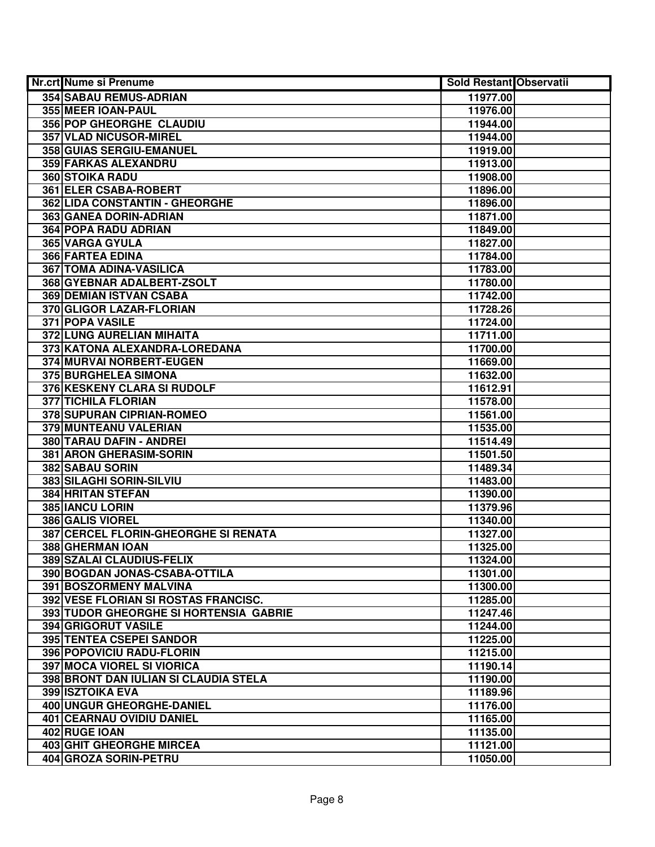| Nr.crt Nume si Prenume                 | <b>Sold Restant Observatii</b> |  |
|----------------------------------------|--------------------------------|--|
| 354 SABAU REMUS-ADRIAN                 | 11977.00                       |  |
| 355 MEER IOAN-PAUL                     | 11976.00                       |  |
| 356 POP GHEORGHE CLAUDIU               | 11944.00                       |  |
| 357 VLAD NICUSOR-MIREL                 | 11944.00                       |  |
| 358 GUIAS SERGIU-EMANUEL               | 11919.00                       |  |
| 359 FARKAS ALEXANDRU                   | 11913.00                       |  |
| 360 STOIKA RADU                        | 11908.00                       |  |
| <b>361 ELER CSABA-ROBERT</b>           | 11896.00                       |  |
| 362 LIDA CONSTANTIN - GHEORGHE         | 11896.00                       |  |
| 363 GANEA DORIN-ADRIAN                 | 11871.00                       |  |
| <b>364 POPA RADU ADRIAN</b>            | 11849.00                       |  |
| 365 VARGA GYULA                        | 11827.00                       |  |
| <b>366 FARTEA EDINA</b>                | 11784.00                       |  |
| 367 TOMA ADINA-VASILICA                | 11783.00                       |  |
| 368 GYEBNAR ADALBERT-ZSOLT             | 11780.00                       |  |
| <b>369 DEMIAN ISTVAN CSABA</b>         | 11742.00                       |  |
| 370 GLIGOR LAZAR-FLORIAN               | 11728.26                       |  |
| 371 POPA VASILE                        | 11724.00                       |  |
| 372 LUNG AURELIAN MIHAITA              | 11711.00                       |  |
| 373 KATONA ALEXANDRA-LOREDANA          | 11700.00                       |  |
| 374 MURVAI NORBERT-EUGEN               | 11669.00                       |  |
| 375 BURGHELEA SIMONA                   | 11632.00                       |  |
| 376 KESKENY CLARA SI RUDOLF            | 11612.91                       |  |
| <b>377 TICHILA FLORIAN</b>             | 11578.00                       |  |
| 378 SUPURAN CIPRIAN-ROMEO              | 11561.00                       |  |
| 379 MUNTEANU VALERIAN                  | 11535.00                       |  |
| 380 TARAU DAFIN - ANDREI               | 11514.49                       |  |
| 381 ARON GHERASIM-SORIN                | 11501.50                       |  |
| 382 SABAU SORIN                        | 11489.34                       |  |
| 383 SILAGHI SORIN-SILVIU               | 11483.00                       |  |
| <b>384 HRITAN STEFAN</b>               | 11390.00                       |  |
| 385 IANCU LORIN                        | 11379.96                       |  |
| <b>386 GALIS VIOREL</b>                | 11340.00                       |  |
| 387 CERCEL FLORIN-GHEORGHE SI RENATA   | 11327.00                       |  |
| 388 GHERMAN IOAN                       | 11325.00                       |  |
| 389 SZALAI CLAUDIUS-FELIX              | 11324.00                       |  |
| 390 BOGDAN JONAS-CSABA-OTTILA          | 11301.00                       |  |
| 391 BOSZORMENY MALVINA                 | 11300.00                       |  |
| 392 VESE FLORIAN SI ROSTAS FRANCISC.   | 11285.00                       |  |
| 393 TUDOR GHEORGHE SI HORTENSIA GABRIE | 11247.46                       |  |
| 394 GRIGORUT VASILE                    | 11244.00                       |  |
| <b>395 TENTEA CSEPEI SANDOR</b>        | 11225.00                       |  |
| <b>396 POPOVICIU RADU-FLORIN</b>       | 11215.00                       |  |
| <b>397 MOCA VIOREL SI VIORICA</b>      | 11190.14                       |  |
| 398 BRONT DAN IULIAN SI CLAUDIA STELA  | 11190.00                       |  |
| 399 ISZTOIKA EVA                       | 11189.96                       |  |
| 400 UNGUR GHEORGHE-DANIEL              | 11176.00                       |  |
| 401 CEARNAU OVIDIU DANIEL              | 11165.00                       |  |
| 402 RUGE IOAN                          | 11135.00                       |  |
| 403 GHIT GHEORGHE MIRCEA               | 11121.00                       |  |
| 404 GROZA SORIN-PETRU                  | 11050.00                       |  |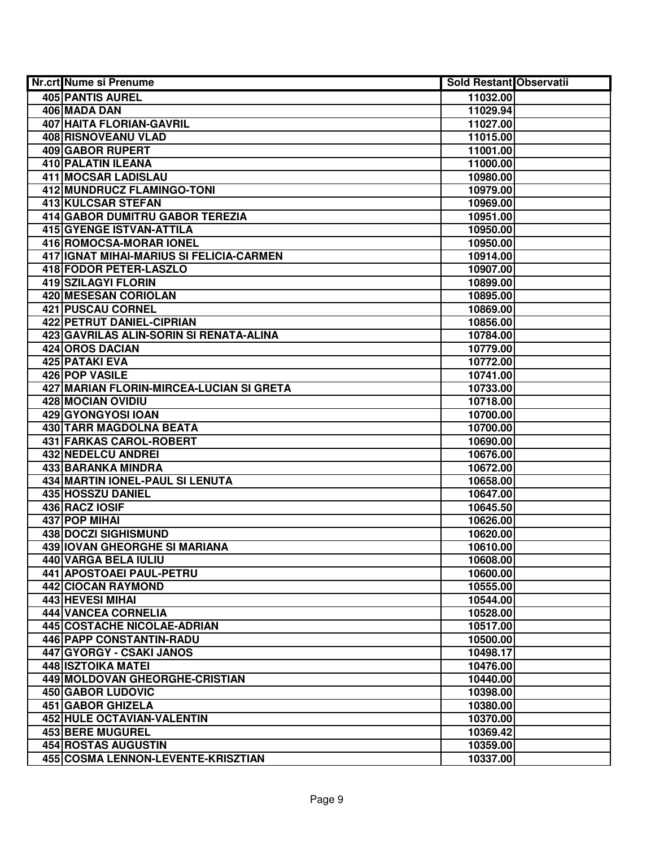| Nr.crt Nume si Prenume                   | <b>Sold Restant Observatii</b> |  |
|------------------------------------------|--------------------------------|--|
| <b>405 PANTIS AUREL</b>                  | 11032.00                       |  |
| 406 MADA DAN                             | 11029.94                       |  |
| <b>407 HAITA FLORIAN-GAVRIL</b>          | 11027.00                       |  |
| 408 RISNOVEANU VLAD                      | 11015.00                       |  |
| <b>409 GABOR RUPERT</b>                  | 11001.00                       |  |
| 410 PALATIN ILEANA                       | 11000.00                       |  |
| 411 MOCSAR LADISLAU                      | 10980.00                       |  |
| <b>412 MUNDRUCZ FLAMINGO-TONI</b>        | 10979.00                       |  |
| <b>413 KULCSAR STEFAN</b>                | 10969.00                       |  |
| 414 GABOR DUMITRU GABOR TEREZIA          | 10951.00                       |  |
| 415 GYENGE ISTVAN-ATTILA                 | 10950.00                       |  |
| 416 ROMOCSA-MORAR IONEL                  | 10950.00                       |  |
| 417 IGNAT MIHAI-MARIUS SI FELICIA-CARMEN | 10914.00                       |  |
| 418 FODOR PETER-LASZLO                   | 10907.00                       |  |
| 419 SZILAGYI FLORIN                      | 10899.00                       |  |
| 420 MESESAN CORIOLAN                     | 10895.00                       |  |
| 421 PUSCAU CORNEL                        | 10869.00                       |  |
| 422 PETRUT DANIEL-CIPRIAN                | 10856.00                       |  |
| 423 GAVRILAS ALIN-SORIN SI RENATA-ALINA  | 10784.00                       |  |
| 424 OROS DACIAN                          | 10779.00                       |  |
| 425 PATAKI EVA                           | 10772.00                       |  |
| 426 POP VASILE                           | 10741.00                       |  |
| 427 MARIAN FLORIN-MIRCEA-LUCIAN SI GRETA | 10733.00                       |  |
| 428 MOCIAN OVIDIU                        | 10718.00                       |  |
| 429 GYONGYOSI IOAN                       | 10700.00                       |  |
| 430 TARR MAGDOLNA BEATA                  | 10700.00                       |  |
| 431 FARKAS CAROL-ROBERT                  | 10690.00                       |  |
| 432 NEDELCU ANDREI                       | 10676.00                       |  |
| 433 BARANKA MINDRA                       | 10672.00                       |  |
| 434 MARTIN IONEL-PAUL SI LENUTA          | 10658.00                       |  |
| 435 HOSSZU DANIEL                        | 10647.00                       |  |
| 436 RACZ IOSIF                           | 10645.50                       |  |
| 437 POP MIHAI                            | 10626.00                       |  |
| <b>438 DOCZI SIGHISMUND</b>              | 10620.00                       |  |
| <b>439 IOVAN GHEORGHE SI MARIANA</b>     | 10610.00                       |  |
| 440 VARGA BELA IULIU                     | 10608.00                       |  |
| 441 APOSTOAEI PAUL-PETRU                 | 10600.00                       |  |
| 442 CIOCAN RAYMOND                       | 10555.00                       |  |
| <b>443 HEVESI MIHAI</b>                  | 10544.00                       |  |
| <b>444 VANCEA CORNELIA</b>               | 10528.00                       |  |
| 445 COSTACHE NICOLAE-ADRIAN              | 10517.00                       |  |
| 446 PAPP CONSTANTIN-RADU                 | 10500.00                       |  |
| 447 GYORGY - CSAKI JANOS                 | 10498.17                       |  |
| 448 ISZTOIKA MATEI                       | 10476.00                       |  |
| 449 MOLDOVAN GHEORGHE-CRISTIAN           | 10440.00                       |  |
| 450 GABOR LUDOVIC                        | 10398.00                       |  |
| 451 GABOR GHIZELA                        | 10380.00                       |  |
| 452 HULE OCTAVIAN-VALENTIN               | 10370.00                       |  |
| 453 BERE MUGUREL                         | 10369.42                       |  |
| 454 ROSTAS AUGUSTIN                      | 10359.00                       |  |
| 455 COSMA LENNON-LEVENTE-KRISZTIAN       | 10337.00                       |  |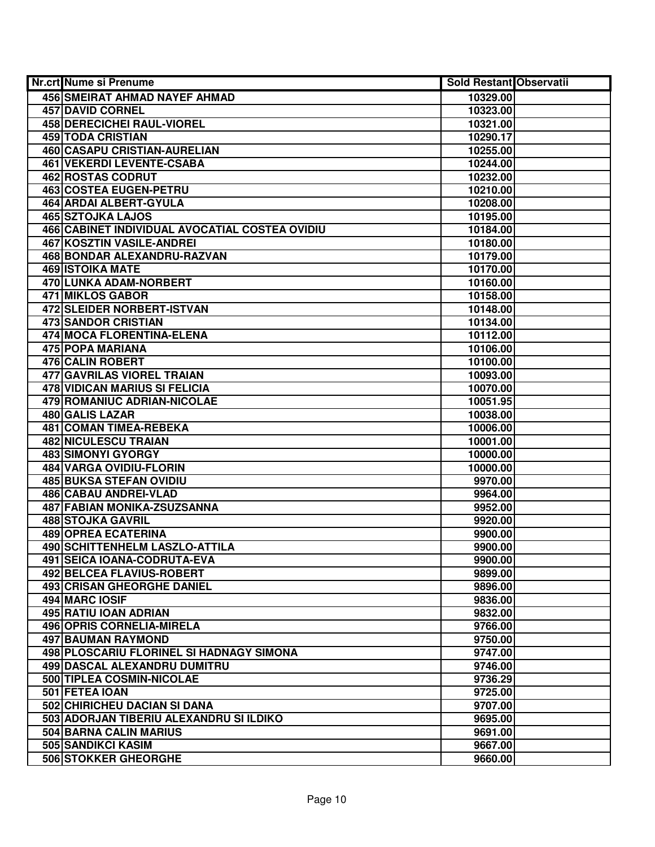| Nr.crt Nume si Prenume                         | <b>Sold Restant Observatii</b> |  |
|------------------------------------------------|--------------------------------|--|
| <b>456 SMEIRAT AHMAD NAYEF AHMAD</b>           | 10329.00                       |  |
| <b>457 DAVID CORNEL</b>                        | 10323.00                       |  |
| <b>458 DERECICHEI RAUL-VIOREL</b>              | 10321.00                       |  |
| <b>459 TODA CRISTIAN</b>                       | 10290.17                       |  |
| 460 CASAPU CRISTIAN-AURELIAN                   | 10255.00                       |  |
| 461 VEKERDI LEVENTE-CSABA                      | 10244.00                       |  |
| 462 ROSTAS CODRUT                              | 10232.00                       |  |
| 463 COSTEA EUGEN-PETRU                         | 10210.00                       |  |
| <b>464 ARDAI ALBERT-GYULA</b>                  | 10208.00                       |  |
| <b>465 SZTOJKA LAJOS</b>                       | 10195.00                       |  |
| 466 CABINET INDIVIDUAL AVOCATIAL COSTEA OVIDIU | 10184.00                       |  |
| 467 KOSZTIN VASILE-ANDREI                      | 10180.00                       |  |
| 468 BONDAR ALEXANDRU-RAZVAN                    | 10179.00                       |  |
| <b>469 ISTOIKA MATE</b>                        | 10170.00                       |  |
| 470 LUNKA ADAM-NORBERT                         | 10160.00                       |  |
| <b>471 MIKLOS GABOR</b>                        | 10158.00                       |  |
| 472 SLEIDER NORBERT-ISTVAN                     | 10148.00                       |  |
| <b>473 SANDOR CRISTIAN</b>                     | 10134.00                       |  |
| 474 MOCA FLORENTINA-ELENA                      | 10112.00                       |  |
| 475 POPA MARIANA                               | 10106.00                       |  |
| 476 CALIN ROBERT                               | 10100.00                       |  |
| 477 GAVRILAS VIOREL TRAIAN                     | 10093.00                       |  |
| 478 VIDICAN MARIUS SI FELICIA                  | 10070.00                       |  |
| 479 ROMANIUC ADRIAN-NICOLAE                    | 10051.95                       |  |
| 480 GALIS LAZAR                                | 10038.00                       |  |
| 481 COMAN TIMEA-REBEKA                         | 10006.00                       |  |
| 482 NICULESCU TRAIAN                           | 10001.00                       |  |
| 483 SIMONYI GYORGY                             | 10000.00                       |  |
| 484 VARGA OVIDIU-FLORIN                        | 10000.00                       |  |
| <b>485 BUKSA STEFAN OVIDIU</b>                 | 9970.00                        |  |
| 486 CABAU ANDREI-VLAD                          | 9964.00                        |  |
| 487 FABIAN MONIKA-ZSUZSANNA                    | 9952.00                        |  |
| <b>488 STOJKA GAVRIL</b>                       | 9920.00                        |  |
| <b>489 OPREA ECATERINA</b>                     | 9900.00                        |  |
| 490 SCHITTENHELM LASZLO-ATTILA                 | 9900.00                        |  |
| 491 SEICA IOANA-CODRUTA-EVA                    | 9900.00                        |  |
| <b>492 BELCEA FLAVIUS-ROBERT</b>               | 9899.00                        |  |
| <b>493 CRISAN GHEORGHE DANIEL</b>              | 9896.00                        |  |
| 494 MARC IOSIF                                 | 9836.00                        |  |
| 495 RATIU IOAN ADRIAN                          | 9832.00                        |  |
| 496 OPRIS CORNELIA-MIRELA                      | 9766.00                        |  |
| 497 BAUMAN RAYMOND                             | 9750.00                        |  |
| 498 PLOSCARIU FLORINEL SI HADNAGY SIMONA       | 9747.00                        |  |
| <b>499 DASCAL ALEXANDRU DUMITRU</b>            | 9746.00                        |  |
| 500 TIPLEA COSMIN-NICOLAE                      | 9736.29                        |  |
| 501 FETEA IOAN                                 | 9725.00                        |  |
| 502 CHIRICHEU DACIAN SI DANA                   | 9707.00                        |  |
| 503 ADORJAN TIBERIU ALEXANDRU SI ILDIKO        | 9695.00                        |  |
| 504 BARNA CALIN MARIUS                         | 9691.00                        |  |
| 505 SANDIKCI KASIM                             | 9667.00                        |  |
| 506 STOKKER GHEORGHE                           | 9660.00                        |  |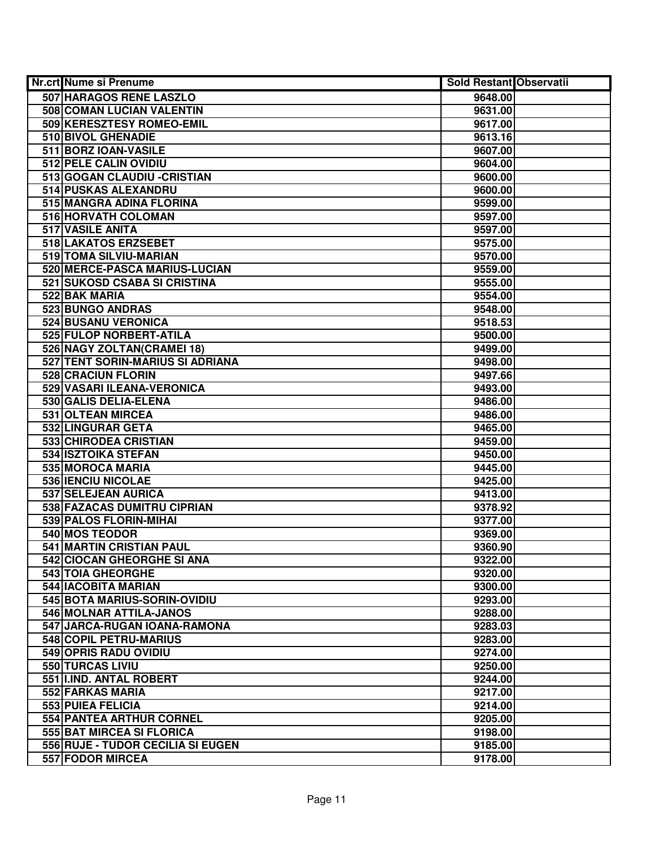| <b>Nr.crt Nume si Prenume</b>     | <b>Sold Restant Observatii</b> |  |
|-----------------------------------|--------------------------------|--|
| 507 HARAGOS RENE LASZLO           | 9648.00                        |  |
| 508 COMAN LUCIAN VALENTIN         | 9631.00                        |  |
| 509 KERESZTESY ROMEO-EMIL         | 9617.00                        |  |
| 510 BIVOL GHENADIE                | 9613.16                        |  |
| 511 BORZ IOAN-VASILE              | 9607.00                        |  |
| 512 PELE CALIN OVIDIU             | 9604.00                        |  |
| 513 GOGAN CLAUDIU - CRISTIAN      | 9600.00                        |  |
| 514 PUSKAS ALEXANDRU              | 9600.00                        |  |
| 515 MANGRA ADINA FLORINA          | 9599.00                        |  |
| 516 HORVATH COLOMAN               | 9597.00                        |  |
| 517 VASILE ANITA                  | 9597.00                        |  |
| 518 LAKATOS ERZSEBET              | 9575.00                        |  |
| 519 TOMA SILVIU-MARIAN            | 9570.00                        |  |
| 520 MERCE-PASCA MARIUS-LUCIAN     | 9559.00                        |  |
| 521 SUKOSD CSABA SI CRISTINA      | 9555.00                        |  |
| 522 BAK MARIA                     | 9554.00                        |  |
| 523 BUNGO ANDRAS                  | 9548.00                        |  |
| 524 BUSANU VERONICA               | 9518.53                        |  |
| 525 FULOP NORBERT-ATILA           | 9500.00                        |  |
| 526 NAGY ZOLTAN(CRAMEI 18)        | 9499.00                        |  |
| 527 TENT SORIN-MARIUS SI ADRIANA  | 9498.00                        |  |
| 528 CRACIUN FLORIN                | 9497.66                        |  |
| 529 VASARI ILEANA-VERONICA        | 9493.00                        |  |
| 530 GALIS DELIA-ELENA             | 9486.00                        |  |
| 531 OLTEAN MIRCEA                 | 9486.00                        |  |
| 532 LINGURAR GETA                 | 9465.00                        |  |
| 533 CHIRODEA CRISTIAN             | 9459.00                        |  |
| 534 ISZTOIKA STEFAN               | 9450.00                        |  |
| 535 MOROCA MARIA                  | 9445.00                        |  |
| 536 IENCIU NICOLAE                | 9425.00                        |  |
| 537 SELEJEAN AURICA               | 9413.00                        |  |
| 538 FAZACAS DUMITRU CIPRIAN       | 9378.92                        |  |
| 539 PALOS FLORIN-MIHAI            | 9377.00                        |  |
| <b>540 MOS TEODOR</b>             | 9369.00                        |  |
| 541 MARTIN CRISTIAN PAUL          | 9360.90                        |  |
| 542 CIOCAN GHEORGHE SI ANA        | 9322.00                        |  |
| 543 TOIA GHEORGHE                 | 9320.00                        |  |
| <b>544 IACOBITA MARIAN</b>        | 9300.00                        |  |
| 545 BOTA MARIUS-SORIN-OVIDIU      | 9293.00                        |  |
| 546 MOLNAR ATTILA-JANOS           | 9288.00                        |  |
| 547 JARCA-RUGAN IOANA-RAMONA      | 9283.03                        |  |
| 548 COPIL PETRU-MARIUS            | 9283.00                        |  |
| 549 OPRIS RADU OVIDIU             | 9274.00                        |  |
| 550 TURCAS LIVIU                  | 9250.00                        |  |
| 551 II.IND. ANTAL ROBERT          | 9244.00                        |  |
| 552 FARKAS MARIA                  | 9217.00                        |  |
| 553 PUIEA FELICIA                 | 9214.00                        |  |
| 554 PANTEA ARTHUR CORNEL          | 9205.00                        |  |
| 555 BAT MIRCEA SI FLORICA         | 9198.00                        |  |
| 556 RUJE - TUDOR CECILIA SI EUGEN | 9185.00                        |  |
| <b>557 FODOR MIRCEA</b>           | 9178.00                        |  |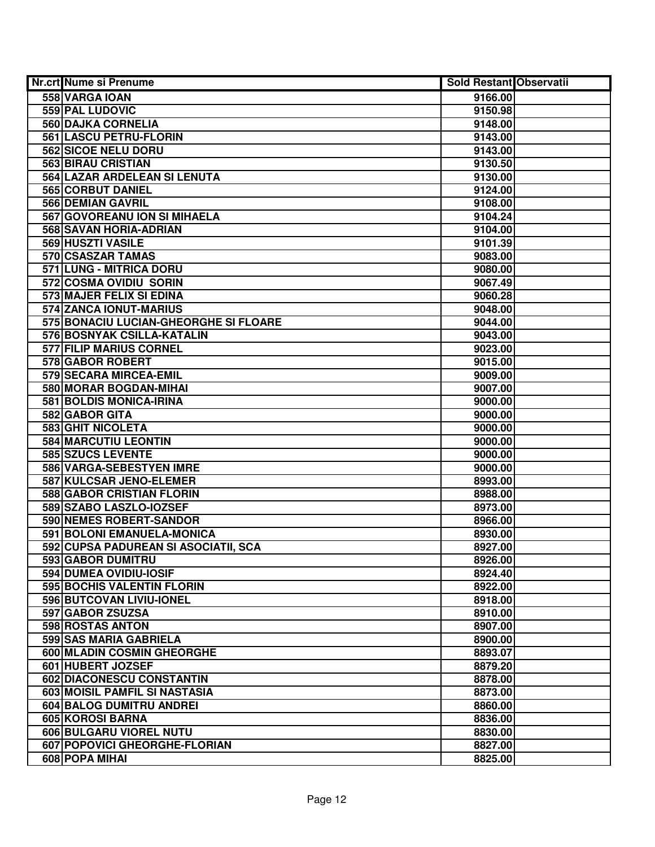| Nr.crt Nume si Prenume                    | <b>Sold Restant Observatii</b> |  |
|-------------------------------------------|--------------------------------|--|
| 558 VARGA IOAN                            | 9166.00                        |  |
| 559 PAL LUDOVIC                           | 9150.98                        |  |
| <b>560 DAJKA CORNELIA</b>                 | 9148.00                        |  |
| 561 LASCU PETRU-FLORIN                    | 9143.00                        |  |
| 562 SICOE NELU DORU                       | 9143.00                        |  |
| 563 BIRAU CRISTIAN                        | 9130.50                        |  |
| 564 LAZAR ARDELEAN SI LENUTA              | 9130.00                        |  |
| 565 CORBUT DANIEL                         | 9124.00                        |  |
| <b>566 DEMIAN GAVRIL</b>                  | 9108.00                        |  |
| 567 GOVOREANU ION SI MIHAELA              | 9104.24                        |  |
| 568 SAVAN HORIA-ADRIAN                    | 9104.00                        |  |
| <b>569 HUSZTI VASILE</b>                  | 9101.39                        |  |
| 570 CSASZAR TAMAS                         | 9083.00                        |  |
| 571 LUNG - MITRICA DORU                   | 9080.00                        |  |
| 572 COSMA OVIDIU SORIN                    | 9067.49                        |  |
| 573 MAJER FELIX SI EDINA                  | 9060.28                        |  |
| 574 ZANCA IONUT-MARIUS                    | 9048.00                        |  |
| 575 BONACIU LUCIAN-GHEORGHE SI FLOARE     | 9044.00                        |  |
| 576 BOSNYAK CSILLA-KATALIN                | 9043.00                        |  |
| <b>577 FILIP MARIUS CORNEL</b>            | 9023.00                        |  |
| 578 GABOR ROBERT                          | 9015.00                        |  |
| 579 SECARA MIRCEA-EMIL                    | 9009.00                        |  |
| 580 MORAR BOGDAN-MIHAI                    | 9007.00                        |  |
| 581 BOLDIS MONICA-IRINA                   | 9000.00                        |  |
| 582 GABOR GITA                            | 9000.00                        |  |
| 583 GHIT NICOLETA                         | 9000.00                        |  |
| 584 MARCUTIU LEONTIN<br>585 SZUCS LEVENTE | 9000.00                        |  |
| 586 VARGA-SEBESTYEN IMRE                  | 9000.00<br>9000.00             |  |
| 587 KULCSAR JENO-ELEMER                   | 8993.00                        |  |
| 588 GABOR CRISTIAN FLORIN                 | 8988.00                        |  |
| 589 SZABO LASZLO-IOZSEF                   | 8973.00                        |  |
| 590 NEMES ROBERT-SANDOR                   | 8966.00                        |  |
| 591 BOLONI EMANUELA-MONICA                | 8930.00                        |  |
| 592 CUPSA PADUREAN SI ASOCIATII, SCA      | 8927.00                        |  |
| 593 GABOR DUMITRU                         | 8926.00                        |  |
| 594 DUMEA OVIDIU-IOSIF                    | 8924.40                        |  |
| 595 BOCHIS VALENTIN FLORIN                | 8922.00                        |  |
| 596 BUTCOVAN LIVIU-IONEL                  | 8918.00                        |  |
| 597 GABOR ZSUZSA                          | 8910.00                        |  |
| 598 ROSTAS ANTON                          | 8907.00                        |  |
| 599 SAS MARIA GABRIELA                    | 8900.00                        |  |
| 600 MLADIN COSMIN GHEORGHE                | 8893.07                        |  |
| 601 HUBERT JOZSEF                         | 8879.20                        |  |
| 602 DIACONESCU CONSTANTIN                 | 8878.00                        |  |
| 603 MOISIL PAMFIL SI NASTASIA             | 8873.00                        |  |
| 604 BALOG DUMITRU ANDREI                  | 8860.00                        |  |
| 605 KOROSI BARNA                          | 8836.00                        |  |
| 606 BULGARU VIOREL NUTU                   | 8830.00                        |  |
| 607 POPOVICI GHEORGHE-FLORIAN             | 8827.00                        |  |
| 608 POPA MIHAI                            | 8825.00                        |  |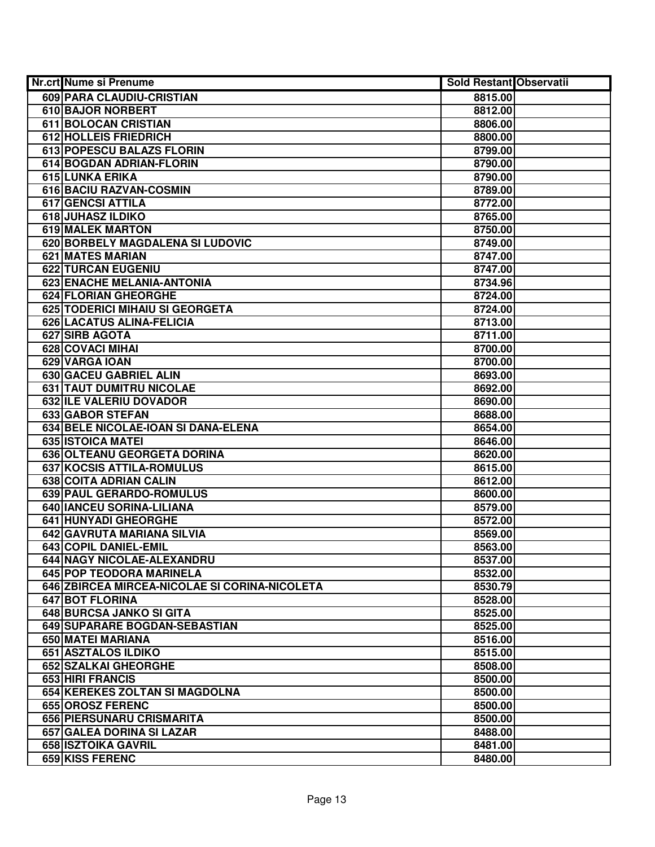| 609 PARA CLAUDIU-CRISTIAN<br>8815.00<br>610 BAJOR NORBERT<br>8812.00<br>611 BOLOCAN CRISTIAN<br>8806.00<br>612 HOLLEIS FRIEDRICH<br>8800.00<br>613 POPESCU BALAZS FLORIN<br>8799.00<br>614 BOGDAN ADRIAN-FLORIN<br>8790.00<br>615 LUNKA ERIKA<br>8790.00<br>616 BACIU RAZVAN-COSMIN<br>8789.00<br><b>617 GENCSI ATTILA</b><br>8772.00<br><b>618 JUHASZ ILDIKO</b><br>8765.00<br><b>619 MALEK MARTON</b><br>8750.00<br>620 BORBELY MAGDALENA SI LUDOVIC<br>8749.00<br>621 MATES MARIAN<br>8747.00<br>622 TURCAN EUGENIU<br>8747.00<br>623 ENACHE MELANIA-ANTONIA<br>8734.96<br>624 FLORIAN GHEORGHE<br>8724.00<br>625 TODERICI MIHAIU SI GEORGETA<br>8724.00<br>626 LACATUS ALINA-FELICIA<br>8713.00<br>627 SIRB AGOTA<br>8711.00<br>628 COVACI MIHAI<br>8700.00<br>629 VARGA IOAN<br>8700.00<br>630 GACEU GABRIEL ALIN<br>8693.00<br>631 TAUT DUMITRU NICOLAE<br>8692.00<br>632 ILE VALERIU DOVADOR<br>8690.00<br>633 GABOR STEFAN<br>8688.00<br>634 BELE NICOLAE-IOAN SI DANA-ELENA<br>8654.00<br>635 ISTOICA MATEI<br>8646.00<br>636 OLTEANU GEORGETA DORINA<br>8620.00<br>637 KOCSIS ATTILA-ROMULUS<br>8615.00<br>638 COITA ADRIAN CALIN<br>8612.00<br>639 PAUL GERARDO-ROMULUS<br>8600.00<br>640 IANCEU SORINA-LILIANA<br>8579.00<br>641 HUNYADI GHEORGHE<br>8572.00<br>642 GAVRUTA MARIANA SILVIA<br>8569.00<br>643 COPIL DANIEL-EMIL<br>8563.00<br>644 NAGY NICOLAE-ALEXANDRU<br>8537.00 |
|------------------------------------------------------------------------------------------------------------------------------------------------------------------------------------------------------------------------------------------------------------------------------------------------------------------------------------------------------------------------------------------------------------------------------------------------------------------------------------------------------------------------------------------------------------------------------------------------------------------------------------------------------------------------------------------------------------------------------------------------------------------------------------------------------------------------------------------------------------------------------------------------------------------------------------------------------------------------------------------------------------------------------------------------------------------------------------------------------------------------------------------------------------------------------------------------------------------------------------------------------------------------------------------------------------------------------------------------------------------------------------------------|
|                                                                                                                                                                                                                                                                                                                                                                                                                                                                                                                                                                                                                                                                                                                                                                                                                                                                                                                                                                                                                                                                                                                                                                                                                                                                                                                                                                                                |
|                                                                                                                                                                                                                                                                                                                                                                                                                                                                                                                                                                                                                                                                                                                                                                                                                                                                                                                                                                                                                                                                                                                                                                                                                                                                                                                                                                                                |
|                                                                                                                                                                                                                                                                                                                                                                                                                                                                                                                                                                                                                                                                                                                                                                                                                                                                                                                                                                                                                                                                                                                                                                                                                                                                                                                                                                                                |
|                                                                                                                                                                                                                                                                                                                                                                                                                                                                                                                                                                                                                                                                                                                                                                                                                                                                                                                                                                                                                                                                                                                                                                                                                                                                                                                                                                                                |
|                                                                                                                                                                                                                                                                                                                                                                                                                                                                                                                                                                                                                                                                                                                                                                                                                                                                                                                                                                                                                                                                                                                                                                                                                                                                                                                                                                                                |
|                                                                                                                                                                                                                                                                                                                                                                                                                                                                                                                                                                                                                                                                                                                                                                                                                                                                                                                                                                                                                                                                                                                                                                                                                                                                                                                                                                                                |
|                                                                                                                                                                                                                                                                                                                                                                                                                                                                                                                                                                                                                                                                                                                                                                                                                                                                                                                                                                                                                                                                                                                                                                                                                                                                                                                                                                                                |
|                                                                                                                                                                                                                                                                                                                                                                                                                                                                                                                                                                                                                                                                                                                                                                                                                                                                                                                                                                                                                                                                                                                                                                                                                                                                                                                                                                                                |
|                                                                                                                                                                                                                                                                                                                                                                                                                                                                                                                                                                                                                                                                                                                                                                                                                                                                                                                                                                                                                                                                                                                                                                                                                                                                                                                                                                                                |
|                                                                                                                                                                                                                                                                                                                                                                                                                                                                                                                                                                                                                                                                                                                                                                                                                                                                                                                                                                                                                                                                                                                                                                                                                                                                                                                                                                                                |
|                                                                                                                                                                                                                                                                                                                                                                                                                                                                                                                                                                                                                                                                                                                                                                                                                                                                                                                                                                                                                                                                                                                                                                                                                                                                                                                                                                                                |
|                                                                                                                                                                                                                                                                                                                                                                                                                                                                                                                                                                                                                                                                                                                                                                                                                                                                                                                                                                                                                                                                                                                                                                                                                                                                                                                                                                                                |
|                                                                                                                                                                                                                                                                                                                                                                                                                                                                                                                                                                                                                                                                                                                                                                                                                                                                                                                                                                                                                                                                                                                                                                                                                                                                                                                                                                                                |
|                                                                                                                                                                                                                                                                                                                                                                                                                                                                                                                                                                                                                                                                                                                                                                                                                                                                                                                                                                                                                                                                                                                                                                                                                                                                                                                                                                                                |
|                                                                                                                                                                                                                                                                                                                                                                                                                                                                                                                                                                                                                                                                                                                                                                                                                                                                                                                                                                                                                                                                                                                                                                                                                                                                                                                                                                                                |
|                                                                                                                                                                                                                                                                                                                                                                                                                                                                                                                                                                                                                                                                                                                                                                                                                                                                                                                                                                                                                                                                                                                                                                                                                                                                                                                                                                                                |
|                                                                                                                                                                                                                                                                                                                                                                                                                                                                                                                                                                                                                                                                                                                                                                                                                                                                                                                                                                                                                                                                                                                                                                                                                                                                                                                                                                                                |
|                                                                                                                                                                                                                                                                                                                                                                                                                                                                                                                                                                                                                                                                                                                                                                                                                                                                                                                                                                                                                                                                                                                                                                                                                                                                                                                                                                                                |
|                                                                                                                                                                                                                                                                                                                                                                                                                                                                                                                                                                                                                                                                                                                                                                                                                                                                                                                                                                                                                                                                                                                                                                                                                                                                                                                                                                                                |
|                                                                                                                                                                                                                                                                                                                                                                                                                                                                                                                                                                                                                                                                                                                                                                                                                                                                                                                                                                                                                                                                                                                                                                                                                                                                                                                                                                                                |
|                                                                                                                                                                                                                                                                                                                                                                                                                                                                                                                                                                                                                                                                                                                                                                                                                                                                                                                                                                                                                                                                                                                                                                                                                                                                                                                                                                                                |
|                                                                                                                                                                                                                                                                                                                                                                                                                                                                                                                                                                                                                                                                                                                                                                                                                                                                                                                                                                                                                                                                                                                                                                                                                                                                                                                                                                                                |
|                                                                                                                                                                                                                                                                                                                                                                                                                                                                                                                                                                                                                                                                                                                                                                                                                                                                                                                                                                                                                                                                                                                                                                                                                                                                                                                                                                                                |
|                                                                                                                                                                                                                                                                                                                                                                                                                                                                                                                                                                                                                                                                                                                                                                                                                                                                                                                                                                                                                                                                                                                                                                                                                                                                                                                                                                                                |
|                                                                                                                                                                                                                                                                                                                                                                                                                                                                                                                                                                                                                                                                                                                                                                                                                                                                                                                                                                                                                                                                                                                                                                                                                                                                                                                                                                                                |
|                                                                                                                                                                                                                                                                                                                                                                                                                                                                                                                                                                                                                                                                                                                                                                                                                                                                                                                                                                                                                                                                                                                                                                                                                                                                                                                                                                                                |
|                                                                                                                                                                                                                                                                                                                                                                                                                                                                                                                                                                                                                                                                                                                                                                                                                                                                                                                                                                                                                                                                                                                                                                                                                                                                                                                                                                                                |
|                                                                                                                                                                                                                                                                                                                                                                                                                                                                                                                                                                                                                                                                                                                                                                                                                                                                                                                                                                                                                                                                                                                                                                                                                                                                                                                                                                                                |
|                                                                                                                                                                                                                                                                                                                                                                                                                                                                                                                                                                                                                                                                                                                                                                                                                                                                                                                                                                                                                                                                                                                                                                                                                                                                                                                                                                                                |
|                                                                                                                                                                                                                                                                                                                                                                                                                                                                                                                                                                                                                                                                                                                                                                                                                                                                                                                                                                                                                                                                                                                                                                                                                                                                                                                                                                                                |
|                                                                                                                                                                                                                                                                                                                                                                                                                                                                                                                                                                                                                                                                                                                                                                                                                                                                                                                                                                                                                                                                                                                                                                                                                                                                                                                                                                                                |
|                                                                                                                                                                                                                                                                                                                                                                                                                                                                                                                                                                                                                                                                                                                                                                                                                                                                                                                                                                                                                                                                                                                                                                                                                                                                                                                                                                                                |
|                                                                                                                                                                                                                                                                                                                                                                                                                                                                                                                                                                                                                                                                                                                                                                                                                                                                                                                                                                                                                                                                                                                                                                                                                                                                                                                                                                                                |
|                                                                                                                                                                                                                                                                                                                                                                                                                                                                                                                                                                                                                                                                                                                                                                                                                                                                                                                                                                                                                                                                                                                                                                                                                                                                                                                                                                                                |
|                                                                                                                                                                                                                                                                                                                                                                                                                                                                                                                                                                                                                                                                                                                                                                                                                                                                                                                                                                                                                                                                                                                                                                                                                                                                                                                                                                                                |
|                                                                                                                                                                                                                                                                                                                                                                                                                                                                                                                                                                                                                                                                                                                                                                                                                                                                                                                                                                                                                                                                                                                                                                                                                                                                                                                                                                                                |
| 645 POP TEODORA MARINELA<br>8532.00                                                                                                                                                                                                                                                                                                                                                                                                                                                                                                                                                                                                                                                                                                                                                                                                                                                                                                                                                                                                                                                                                                                                                                                                                                                                                                                                                            |
| 646 ZBIRCEA MIRCEA-NICOLAE SI CORINA-NICOLETA<br>8530.79                                                                                                                                                                                                                                                                                                                                                                                                                                                                                                                                                                                                                                                                                                                                                                                                                                                                                                                                                                                                                                                                                                                                                                                                                                                                                                                                       |
| 647 BOT FLORINA<br>8528.00                                                                                                                                                                                                                                                                                                                                                                                                                                                                                                                                                                                                                                                                                                                                                                                                                                                                                                                                                                                                                                                                                                                                                                                                                                                                                                                                                                     |
| 648 BURCSA JANKO SI GITA<br>8525.00                                                                                                                                                                                                                                                                                                                                                                                                                                                                                                                                                                                                                                                                                                                                                                                                                                                                                                                                                                                                                                                                                                                                                                                                                                                                                                                                                            |
| 649 SUPARARE BOGDAN-SEBASTIAN<br>8525.00                                                                                                                                                                                                                                                                                                                                                                                                                                                                                                                                                                                                                                                                                                                                                                                                                                                                                                                                                                                                                                                                                                                                                                                                                                                                                                                                                       |
| 650 MATEI MARIANA<br>8516.00                                                                                                                                                                                                                                                                                                                                                                                                                                                                                                                                                                                                                                                                                                                                                                                                                                                                                                                                                                                                                                                                                                                                                                                                                                                                                                                                                                   |
| 651 ASZTALOS ILDIKO<br>8515.00                                                                                                                                                                                                                                                                                                                                                                                                                                                                                                                                                                                                                                                                                                                                                                                                                                                                                                                                                                                                                                                                                                                                                                                                                                                                                                                                                                 |
| 652 SZALKAI GHEORGHE<br>8508.00                                                                                                                                                                                                                                                                                                                                                                                                                                                                                                                                                                                                                                                                                                                                                                                                                                                                                                                                                                                                                                                                                                                                                                                                                                                                                                                                                                |
| 653 HIRI FRANCIS<br>8500.00                                                                                                                                                                                                                                                                                                                                                                                                                                                                                                                                                                                                                                                                                                                                                                                                                                                                                                                                                                                                                                                                                                                                                                                                                                                                                                                                                                    |
| 654 KEREKES ZOLTAN SI MAGDOLNA<br>8500.00                                                                                                                                                                                                                                                                                                                                                                                                                                                                                                                                                                                                                                                                                                                                                                                                                                                                                                                                                                                                                                                                                                                                                                                                                                                                                                                                                      |
| 655 OROSZ FERENC<br>8500.00                                                                                                                                                                                                                                                                                                                                                                                                                                                                                                                                                                                                                                                                                                                                                                                                                                                                                                                                                                                                                                                                                                                                                                                                                                                                                                                                                                    |
| 656 PIERSUNARU CRISMARITA<br>8500.00                                                                                                                                                                                                                                                                                                                                                                                                                                                                                                                                                                                                                                                                                                                                                                                                                                                                                                                                                                                                                                                                                                                                                                                                                                                                                                                                                           |
| 657 GALEA DORINA SI LAZAR<br>8488.00                                                                                                                                                                                                                                                                                                                                                                                                                                                                                                                                                                                                                                                                                                                                                                                                                                                                                                                                                                                                                                                                                                                                                                                                                                                                                                                                                           |
| 658 ISZTOIKA GAVRIL<br>8481.00                                                                                                                                                                                                                                                                                                                                                                                                                                                                                                                                                                                                                                                                                                                                                                                                                                                                                                                                                                                                                                                                                                                                                                                                                                                                                                                                                                 |
| 659 KISS FERENC<br>8480.00                                                                                                                                                                                                                                                                                                                                                                                                                                                                                                                                                                                                                                                                                                                                                                                                                                                                                                                                                                                                                                                                                                                                                                                                                                                                                                                                                                     |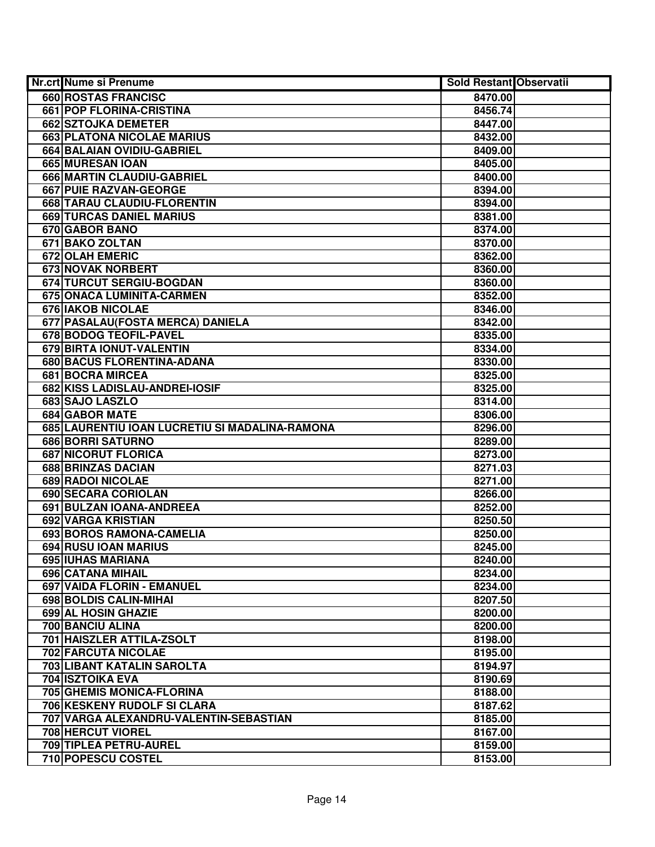| <b>Nr.crt Nume si Prenume</b>                  | <b>Sold Restant Observatii</b> |  |
|------------------------------------------------|--------------------------------|--|
| <b>660 ROSTAS FRANCISC</b>                     | 8470.00                        |  |
| 661 POP FLORINA-CRISTINA                       | 8456.74                        |  |
| 662 SZTOJKA DEMETER                            | 8447.00                        |  |
| 663 PLATONA NICOLAE MARIUS                     | 8432.00                        |  |
| 664 BALAIAN OVIDIU-GABRIEL                     | 8409.00                        |  |
| 665 MURESAN IOAN                               | 8405.00                        |  |
| 666 MARTIN CLAUDIU-GABRIEL                     | 8400.00                        |  |
| 667 PUIE RAZVAN-GEORGE                         | 8394.00                        |  |
| 668 TARAU CLAUDIU-FLORENTIN                    | 8394.00                        |  |
| <b>669 TURCAS DANIEL MARIUS</b>                | 8381.00                        |  |
| 670 GABOR BANO                                 | 8374.00                        |  |
| 671 BAKO ZOLTAN                                | 8370.00                        |  |
| 672 OLAH EMERIC                                | 8362.00                        |  |
| 673 NOVAK NORBERT                              | 8360.00                        |  |
| 674 TURCUT SERGIU-BOGDAN                       | 8360.00                        |  |
| 675 ONACA LUMINITA-CARMEN                      | 8352.00                        |  |
| 676 IAKOB NICOLAE                              | 8346.00                        |  |
| 677 PASALAU (FOSTA MERCA) DANIELA              | 8342.00                        |  |
| 678 BODOG TEOFIL-PAVEL                         | 8335.00                        |  |
| 679 BIRTA IONUT-VALENTIN                       | 8334.00                        |  |
| 680 BACUS FLORENTINA-ADANA                     | 8330.00                        |  |
| <b>681 BOCRA MIRCEA</b>                        | 8325.00                        |  |
| 682 KISS LADISLAU-ANDREI-IOSIF                 | 8325.00                        |  |
| 683 SAJO LASZLO                                | 8314.00                        |  |
| 684 GABOR MATE                                 | 8306.00                        |  |
| 685 LAURENTIU IOAN LUCRETIU SI MADALINA-RAMONA | 8296.00                        |  |
| 686 BORRI SATURNO                              | 8289.00                        |  |
| <b>687 NICORUT FLORICA</b>                     | 8273.00                        |  |
| 688 BRINZAS DACIAN                             | 8271.03                        |  |
| 689 RADOI NICOLAE                              | 8271.00                        |  |
| 690 SECARA CORIOLAN                            | 8266.00                        |  |
| 691 BULZAN IOANA-ANDREEA                       | 8252.00                        |  |
| 692 VARGA KRISTIAN                             | 8250.50                        |  |
| 693 BOROS RAMONA-CAMELIA                       | 8250.00                        |  |
| <b>694 RUSU IOAN MARIUS</b>                    | 8245.00                        |  |
| <b>695 IUHAS MARIANA</b>                       | 8240.00                        |  |
| <b>696 CATANA MIHAIL</b>                       | 8234.00                        |  |
| 697 VAIDA FLORIN - EMANUEL                     | 8234.00                        |  |
| 698 BOLDIS CALIN-MIHAI                         | 8207.50                        |  |
| 699 AL HOSIN GHAZIE                            | 8200.00                        |  |
| 700 BANCIU ALINA                               | 8200.00                        |  |
| 701 HAISZLER ATTILA-ZSOLT                      | 8198.00                        |  |
| <b>702 FARCUTA NICOLAE</b>                     | 8195.00                        |  |
| 703 LIBANT KATALIN SAROLTA                     | 8194.97                        |  |
| <b>704 ISZTOIKA EVA</b>                        | 8190.69                        |  |
| 705 GHEMIS MONICA-FLORINA                      | 8188.00                        |  |
| 706 KESKENY RUDOLF SI CLARA                    | 8187.62                        |  |
| 707 VARGA ALEXANDRU-VALENTIN-SEBASTIAN         | 8185.00                        |  |
| 708 HERCUT VIOREL                              | 8167.00                        |  |
| 709 TIPLEA PETRU-AUREL                         | 8159.00                        |  |
| 710 POPESCU COSTEL                             | 8153.00                        |  |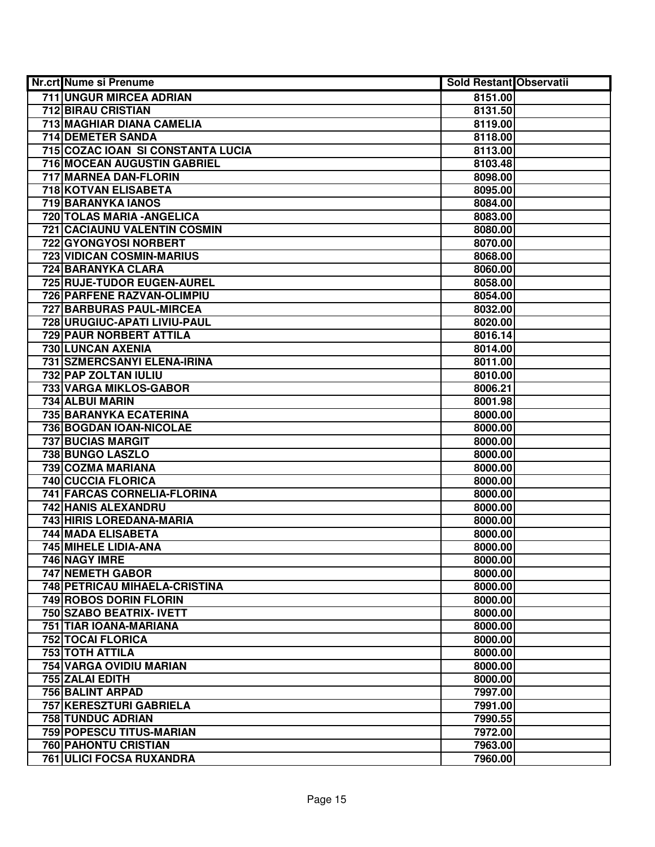| Nr.crt Nume si Prenume              | <b>Sold Restant Observatii</b> |  |
|-------------------------------------|--------------------------------|--|
| <b>711 UNGUR MIRCEA ADRIAN</b>      | 8151.00                        |  |
| <b>712 BIRAU CRISTIAN</b>           | 8131.50                        |  |
| 713 MAGHIAR DIANA CAMELIA           | 8119.00                        |  |
| 714 DEMETER SANDA                   | 8118.00                        |  |
| 715 COZAC IOAN SI CONSTANTA LUCIA   | 8113.00                        |  |
| <b>716 MOCEAN AUGUSTIN GABRIEL</b>  | 8103.48                        |  |
| 717 MARNEA DAN-FLORIN               | 8098.00                        |  |
| 718 KOTVAN ELISABETA                | 8095.00                        |  |
| <b>719 BARANYKA IANOS</b>           | 8084.00                        |  |
| 720 TOLAS MARIA - ANGELICA          | 8083.00                        |  |
| <b>721 CACIAUNU VALENTIN COSMIN</b> | 8080.00                        |  |
| 722 GYONGYOSI NORBERT               | 8070.00                        |  |
| 723 VIDICAN COSMIN-MARIUS           | 8068.00                        |  |
| <b>724 BARANYKA CLARA</b>           | 8060.00                        |  |
| 725 RUJE-TUDOR EUGEN-AUREL          | 8058.00                        |  |
| 726 PARFENE RAZVAN-OLIMPIU          | 8054.00                        |  |
| 727 BARBURAS PAUL-MIRCEA            | 8032.00                        |  |
| 728 URUGIUC-APATI LIVIU-PAUL        | 8020.00                        |  |
| 729 PAUR NORBERT ATTILA             | 8016.14                        |  |
| 730 LUNCAN AXENIA                   | 8014.00                        |  |
| 731 SZMERCSANYI ELENA-IRINA         | 8011.00                        |  |
| 732 PAP ZOLTAN IULIU                | 8010.00                        |  |
| 733 VARGA MIKLOS-GABOR              | 8006.21                        |  |
| 734 ALBUI MARIN                     | 8001.98                        |  |
| 735 BARANYKA ECATERINA              | 8000.00                        |  |
| 736 BOGDAN IOAN-NICOLAE             | 8000.00                        |  |
| <b>737 BUCIAS MARGIT</b>            | 8000.00                        |  |
| 738 BUNGO LASZLO                    | 8000.00                        |  |
| 739 COZMA MARIANA                   | 8000.00                        |  |
| 740 CUCCIA FLORICA                  | 8000.00                        |  |
| 741 FARCAS CORNELIA-FLORINA         | 8000.00                        |  |
| 742 HANIS ALEXANDRU                 | 8000.00                        |  |
| 743 HIRIS LOREDANA-MARIA            | 8000.00                        |  |
| 744 MADA ELISABETA                  | 8000.00                        |  |
| 745 MIHELE LIDIA-ANA                | 8000.00                        |  |
| 746 NAGY IMRE                       | 8000.00                        |  |
| <b>747 NEMETH GABOR</b>             | 8000.00                        |  |
| 748 PETRICAU MIHAELA-CRISTINA       | 8000.00                        |  |
| <b>749 ROBOS DORIN FLORIN</b>       | 8000.00                        |  |
| 750 SZABO BEATRIX- IVETT            | 8000.00                        |  |
| 751 TIAR IOANA-MARIANA              | 8000.00                        |  |
| <b>752 TOCAI FLORICA</b>            | 8000.00                        |  |
| 753 TOTH ATTILA                     | 8000.00                        |  |
| 754 VARGA OVIDIU MARIAN             | 8000.00                        |  |
| 755 ZALAI EDITH                     | 8000.00                        |  |
| 756 BALINT ARPAD                    | 7997.00                        |  |
| 757 KERESZTURI GABRIELA             | 7991.00                        |  |
| 758 TUNDUC ADRIAN                   | 7990.55                        |  |
| 759 POPESCU TITUS-MARIAN            | 7972.00                        |  |
| <b>760 PAHONTU CRISTIAN</b>         | 7963.00                        |  |
| 761 ULICI FOCSA RUXANDRA            | 7960.00                        |  |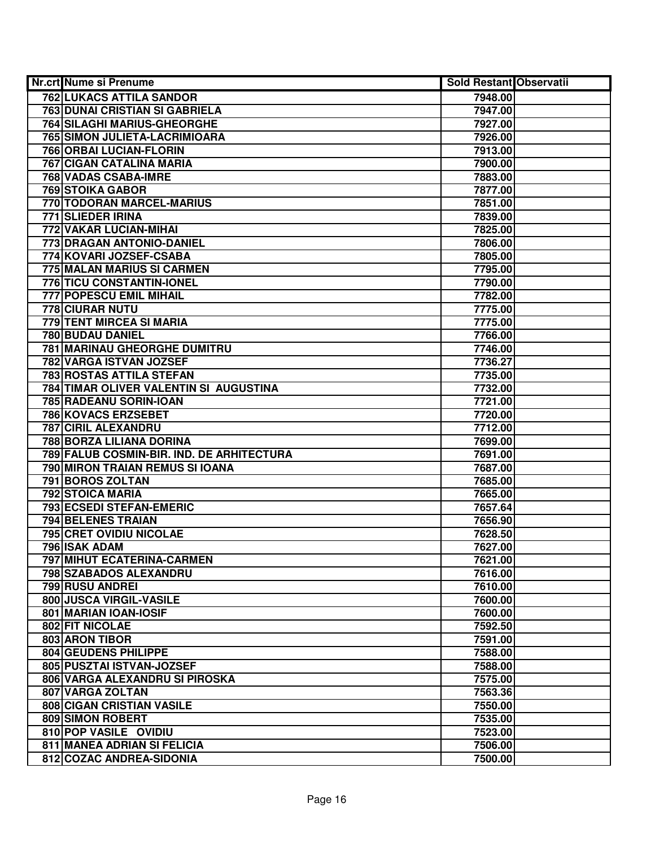| <b>Nr.crt Nume si Prenume</b>             | <b>Sold Restant Observatii</b> |  |
|-------------------------------------------|--------------------------------|--|
| <b>762 LUKACS ATTILA SANDOR</b>           | 7948.00                        |  |
| <b>763 DUNAI CRISTIAN SI GABRIELA</b>     | 7947.00                        |  |
| <b>764 SILAGHI MARIUS-GHEORGHE</b>        | 7927.00                        |  |
| 765 SIMON JULIETA-LACRIMIOARA             | 7926.00                        |  |
| 766 ORBAI LUCIAN-FLORIN                   | 7913.00                        |  |
| 767 CIGAN CATALINA MARIA                  | 7900.00                        |  |
| 768 VADAS CSABA-IMRE                      | 7883.00                        |  |
| <b>769 STOIKA GABOR</b>                   | 7877.00                        |  |
| 770 TODORAN MARCEL-MARIUS                 | 7851.00                        |  |
| 771 SLIEDER IRINA                         | 7839.00                        |  |
| 772 VAKAR LUCIAN-MIHAI                    | 7825.00                        |  |
| 773 DRAGAN ANTONIO-DANIEL                 | 7806.00                        |  |
| 774 KOVARI JOZSEF-CSABA                   | 7805.00                        |  |
| 775 MALAN MARIUS SI CARMEN                | 7795.00                        |  |
| 776 TICU CONSTANTIN-IONEL                 | 7790.00                        |  |
| 777 POPESCU EMIL MIHAIL                   | 7782.00                        |  |
| 778 CIURAR NUTU                           | 7775.00                        |  |
| 779 TENT MIRCEA SI MARIA                  | 7775.00                        |  |
| 780 BUDAU DANIEL                          | 7766.00                        |  |
| 781 MARINAU GHEORGHE DUMITRU              | 7746.00                        |  |
| 782 VARGA ISTVAN JOZSEF                   | 7736.27                        |  |
| 783 ROSTAS ATTILA STEFAN                  | 7735.00                        |  |
| 784 TIMAR OLIVER VALENTIN SI AUGUSTINA    | 7732.00                        |  |
| 785 RADEANU SORIN-IOAN                    | 7721.00                        |  |
| 786 KOVACS ERZSEBET                       | 7720.00                        |  |
| 787 CIRIL ALEXANDRU                       | 7712.00                        |  |
| 788 BORZA LILIANA DORINA                  | 7699.00                        |  |
| 789 FALUB COSMIN-BIR. IND. DE ARHITECTURA | 7691.00                        |  |
| 790 MIRON TRAIAN REMUS SI IOANA           | 7687.00                        |  |
| 791 BOROS ZOLTAN                          | 7685.00                        |  |
| <b>792 STOICA MARIA</b>                   | 7665.00                        |  |
| 793 ECSEDI STEFAN-EMERIC                  | 7657.64                        |  |
| <b>794 BELENES TRAIAN</b>                 | 7656.90                        |  |
| <b>795 CRET OVIDIU NICOLAE</b>            | 7628.50                        |  |
| <b>796 ISAK ADAM</b>                      | 7627.00                        |  |
| <b>797 MIHUT ECATERINA-CARMEN</b>         | 7621.00                        |  |
| 798 SZABADOS ALEXANDRU                    | 7616.00                        |  |
| 799 RUSU ANDREI                           | 7610.00                        |  |
| 800 JUSCA VIRGIL-VASILE                   | 7600.00                        |  |
| 801 MARIAN IOAN-IOSIF                     | 7600.00                        |  |
| 802 FIT NICOLAE                           | 7592.50                        |  |
| 803 ARON TIBOR                            | 7591.00                        |  |
| 804 GEUDENS PHILIPPE                      | 7588.00                        |  |
| 805 PUSZTAI ISTVAN-JOZSEF                 | 7588.00                        |  |
| 806 VARGA ALEXANDRU SI PIROSKA            | 7575.00                        |  |
| 807 VARGA ZOLTAN                          | 7563.36                        |  |
| 808 CIGAN CRISTIAN VASILE                 | 7550.00                        |  |
| 809 SIMON ROBERT                          | 7535.00                        |  |
| 810 POP VASILE OVIDIU                     | 7523.00                        |  |
| 811 MANEA ADRIAN SI FELICIA               | 7506.00                        |  |
| 812 COZAC ANDREA-SIDONIA                  | 7500.00                        |  |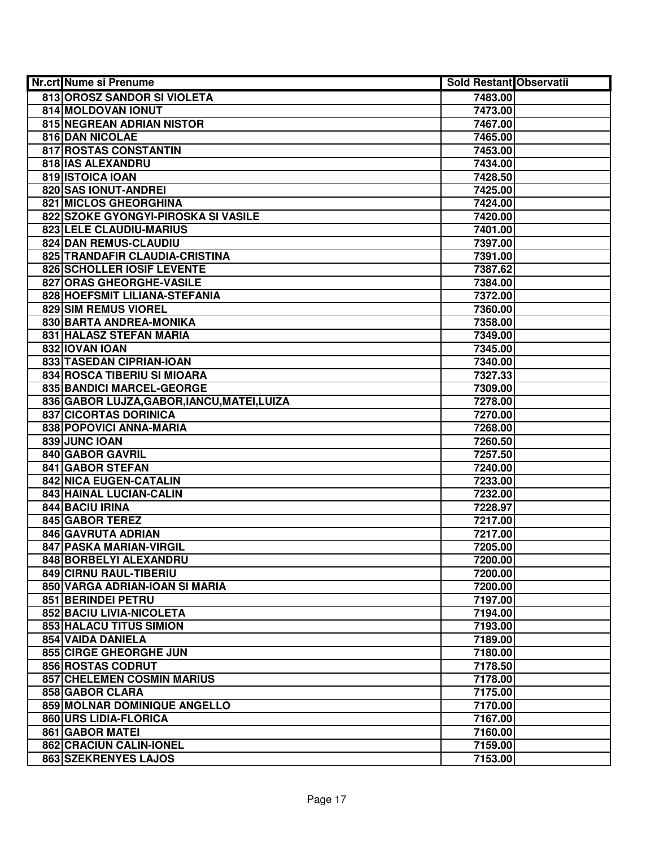| Nr.crt Nume si Prenume                      | <b>Sold Restant Observatii</b> |  |
|---------------------------------------------|--------------------------------|--|
| 813 OROSZ SANDOR SI VIOLETA                 | 7483.00                        |  |
| 814 MOLDOVAN IONUT                          | 7473.00                        |  |
| 815 NEGREAN ADRIAN NISTOR                   | 7467.00                        |  |
| 816 DAN NICOLAE                             | 7465.00                        |  |
| 817 ROSTAS CONSTANTIN                       | 7453.00                        |  |
| 818 IAS ALEXANDRU                           | 7434.00                        |  |
| 819 ISTOICA IOAN                            | 7428.50                        |  |
| 820 SAS IONUT-ANDREI                        | 7425.00                        |  |
| <b>821 MICLOS GHEORGHINA</b>                | 7424.00                        |  |
| 822 SZOKE GYONGYI-PIROSKA SI VASILE         | 7420.00                        |  |
| 823 LELE CLAUDIU-MARIUS                     | 7401.00                        |  |
| 824 DAN REMUS-CLAUDIU                       | 7397.00                        |  |
| 825 TRANDAFIR CLAUDIA-CRISTINA              | 7391.00                        |  |
| 826 SCHOLLER IOSIF LEVENTE                  | 7387.62                        |  |
| 827 ORAS GHEORGHE-VASILE                    | 7384.00                        |  |
| 828 HOEFSMIT LILIANA-STEFANIA               | 7372.00                        |  |
| 829 SIM REMUS VIOREL                        | 7360.00                        |  |
| 830 BARTA ANDREA-MONIKA                     | 7358.00                        |  |
| 831 HALASZ STEFAN MARIA                     | 7349.00                        |  |
| 832 IOVAN IOAN                              | 7345.00                        |  |
| 833 TASEDAN CIPRIAN-IOAN                    | 7340.00                        |  |
| 834 ROSCA TIBERIU SI MIOARA                 | 7327.33                        |  |
| 835 BANDICI MARCEL-GEORGE                   | 7309.00                        |  |
| 836 GABOR LUJZA, GABOR, IANCU, MATEI, LUIZA | 7278.00                        |  |
| <b>837 CICORTAS DORINICA</b>                | 7270.00                        |  |
| 838 POPOVICI ANNA-MARIA                     | 7268.00                        |  |
| 839 JUNC IOAN                               | 7260.50                        |  |
| 840 GABOR GAVRIL                            | 7257.50                        |  |
| 841 GABOR STEFAN                            | 7240.00                        |  |
| 842 NICA EUGEN-CATALIN                      | 7233.00                        |  |
| 843 HAINAL LUCIAN-CALIN                     | 7232.00                        |  |
| 844 BACIU IRINA                             | 7228.97                        |  |
| 845 GABOR TEREZ                             | 7217.00                        |  |
| 846 GAVRUTA ADRIAN                          | 7217.00                        |  |
| 847 PASKA MARIAN-VIRGIL                     | 7205.00                        |  |
| 848 BORBELYI ALEXANDRU                      | 7200.00                        |  |
| 849 CIRNU RAUL-TIBERIU                      | 7200.00                        |  |
| 850 VARGA ADRIAN-IOAN SI MARIA              | 7200.00                        |  |
| 851 BERINDEI PETRU                          | 7197.00                        |  |
| 852 BACIU LIVIA-NICOLETA                    | 7194.00                        |  |
| 853 HALACU TITUS SIMION                     | 7193.00                        |  |
| 854 VAIDA DANIELA                           | 7189.00                        |  |
| 855 CIRGE GHEORGHE JUN                      | 7180.00                        |  |
| 856 ROSTAS CODRUT                           | 7178.50                        |  |
| 857 CHELEMEN COSMIN MARIUS                  | 7178.00                        |  |
| 858 GABOR CLARA                             | 7175.00                        |  |
| 859 MOLNAR DOMINIQUE ANGELLO                | 7170.00                        |  |
| 860 URS LIDIA-FLORICA                       | 7167.00                        |  |
| 861 GABOR MATEI                             | 7160.00                        |  |
| 862 CRACIUN CALIN-IONEL                     | 7159.00                        |  |
| 863 SZEKRENYES LAJOS                        | 7153.00                        |  |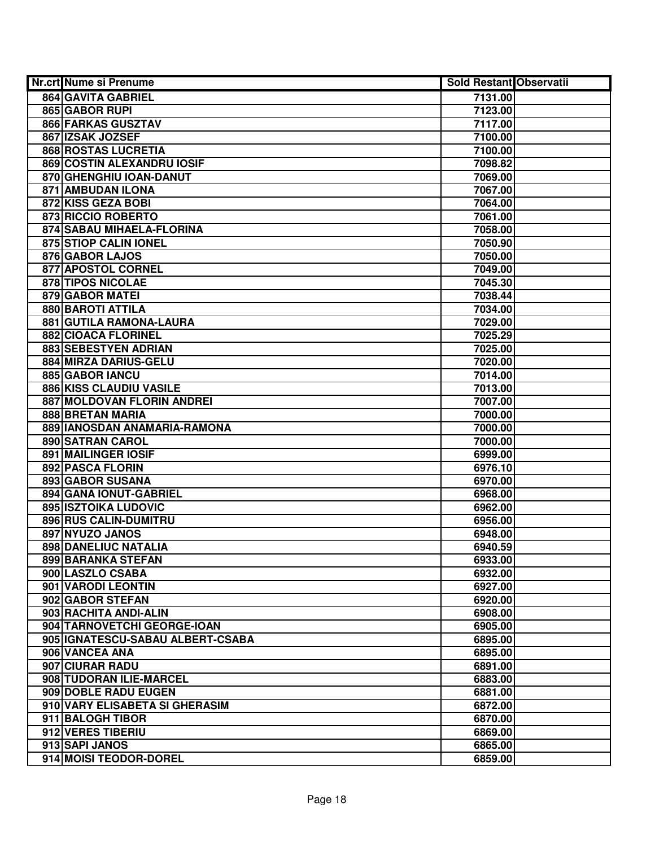| Nr.crt Nume si Prenume           | <b>Sold Restant Observatii</b> |  |
|----------------------------------|--------------------------------|--|
| 864 GAVITA GABRIEL               | 7131.00                        |  |
| 865 GABOR RUPI                   | 7123.00                        |  |
| 866 FARKAS GUSZTAV               | 7117.00                        |  |
| 867 IZSAK JOZSEF                 | 7100.00                        |  |
| <b>868 ROSTAS LUCRETIA</b>       | 7100.00                        |  |
| 869 COSTIN ALEXANDRU IOSIF       | 7098.82                        |  |
| 870 GHENGHIU IOAN-DANUT          | 7069.00                        |  |
| 871 AMBUDAN ILONA                | 7067.00                        |  |
| 872 KISS GEZA BOBI               | 7064.00                        |  |
| 873 RICCIO ROBERTO               | 7061.00                        |  |
| 874 SABAU MIHAELA-FLORINA        | 7058.00                        |  |
| 875 STIOP CALIN IONEL            | 7050.90                        |  |
| 876 GABOR LAJOS                  | 7050.00                        |  |
| 877 APOSTOL CORNEL               | 7049.00                        |  |
| 878 TIPOS NICOLAE                | 7045.30                        |  |
| 879 GABOR MATEI                  | 7038.44                        |  |
| 880 BAROTI ATTILA                | 7034.00                        |  |
| 881 GUTILA RAMONA-LAURA          | 7029.00                        |  |
| 882 CIOACA FLORINEL              | 7025.29                        |  |
| 883 SEBESTYEN ADRIAN             | 7025.00                        |  |
| 884 MIRZA DARIUS-GELU            | 7020.00                        |  |
| 885 GABOR IANCU                  | 7014.00                        |  |
| 886 KISS CLAUDIU VASILE          | 7013.00                        |  |
| 887 MOLDOVAN FLORIN ANDREI       | 7007.00                        |  |
| 888 BRETAN MARIA                 | 7000.00                        |  |
| 889 IANOSDAN ANAMARIA-RAMONA     | 7000.00                        |  |
| 890 SATRAN CAROL                 | 7000.00                        |  |
| 891 MAILINGER IOSIF              | 6999.00                        |  |
| 892 PASCA FLORIN                 | 6976.10                        |  |
| 893 GABOR SUSANA                 | 6970.00                        |  |
| 894 GANA IONUT-GABRIEL           | 6968.00                        |  |
| <b>895 ISZTOIKA LUDOVIC</b>      | 6962.00                        |  |
| 896 RUS CALIN-DUMITRU            | 6956.00                        |  |
| 897 NYUZO JANOS                  | 6948.00                        |  |
| 898 DANELIUC NATALIA             | 6940.59                        |  |
| 899 BARANKA STEFAN               | 6933.00                        |  |
| 900 LASZLO CSABA                 | 6932.00                        |  |
| 901 VARODI LEONTIN               | 6927.00                        |  |
| 902 GABOR STEFAN                 | 6920.00                        |  |
| 903 RACHITA ANDI-ALIN            | 6908.00                        |  |
| 904 TARNOVETCHI GEORGE-IOAN      | 6905.00                        |  |
| 905 IGNATESCU-SABAU ALBERT-CSABA | 6895.00                        |  |
| 906 VANCEA ANA                   | 6895.00                        |  |
| 907 CIURAR RADU                  | 6891.00                        |  |
| 908 TUDORAN ILIE-MARCEL          | 6883.00                        |  |
| 909 DOBLE RADU EUGEN             | 6881.00                        |  |
| 910 VARY ELISABETA SI GHERASIM   | 6872.00                        |  |
| 911 BALOGH TIBOR                 | 6870.00                        |  |
| 912 VERES TIBERIU                | 6869.00                        |  |
| 913 SAPI JANOS                   | 6865.00                        |  |
| 914 MOISI TEODOR-DOREL           | 6859.00                        |  |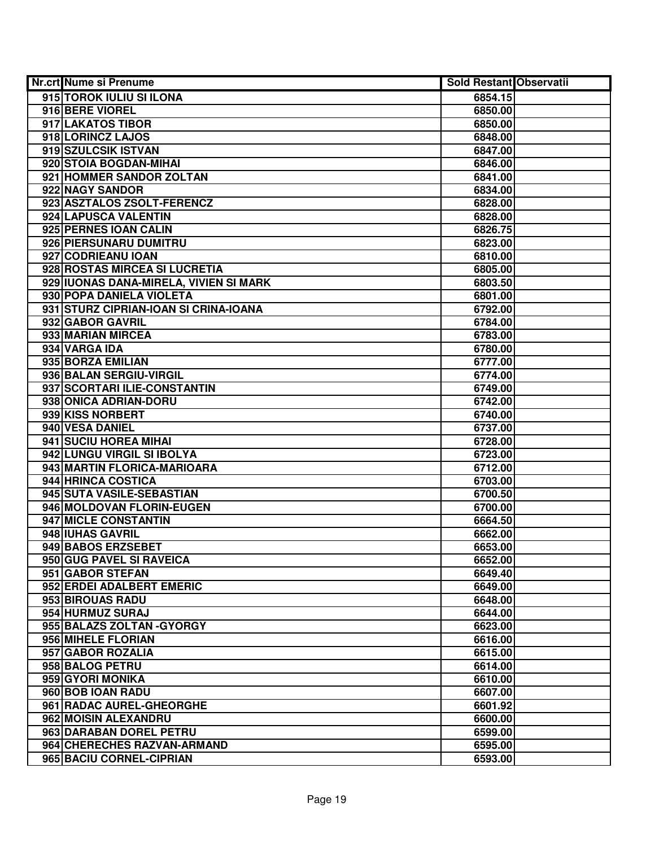| Nr.crt Nume si Prenume                 | <b>Sold Restant Observatii</b> |  |
|----------------------------------------|--------------------------------|--|
| 915 TOROK IULIU SI ILONA               | 6854.15                        |  |
| 916 BERE VIOREL                        | 6850.00                        |  |
| 917 LAKATOS TIBOR                      | 6850.00                        |  |
| 918 LORINCZ LAJOS                      | 6848.00                        |  |
| 919 SZULCSIK ISTVAN                    | 6847.00                        |  |
| 920 STOIA BOGDAN-MIHAI                 | 6846.00                        |  |
| 921 HOMMER SANDOR ZOLTAN               | 6841.00                        |  |
| 922 NAGY SANDOR                        | 6834.00                        |  |
| 923 ASZTALOS ZSOLT-FERENCZ             | 6828.00                        |  |
| 924 LAPUSCA VALENTIN                   | 6828.00                        |  |
| 925 PERNES IOAN CALIN                  | 6826.75                        |  |
| 926 PIERSUNARU DUMITRU                 | 6823.00                        |  |
| 927 CODRIEANU IOAN                     | 6810.00                        |  |
| 928 ROSTAS MIRCEA SI LUCRETIA          | 6805.00                        |  |
| 929 IUONAS DANA-MIRELA, VIVIEN SI MARK | 6803.50                        |  |
| 930 POPA DANIELA VIOLETA               | 6801.00                        |  |
| 931 STURZ CIPRIAN-IOAN SI CRINA-IOANA  | 6792.00                        |  |
| 932 GABOR GAVRIL                       | 6784.00                        |  |
| 933 MARIAN MIRCEA                      | 6783.00                        |  |
| 934 VARGA IDA                          | 6780.00                        |  |
| 935 BORZA EMILIAN                      | 6777.00                        |  |
| 936 BALAN SERGIU-VIRGIL                | 6774.00                        |  |
| 937 SCORTARI ILIE-CONSTANTIN           | 6749.00                        |  |
| 938 ONICA ADRIAN-DORU                  | 6742.00                        |  |
| 939 KISS NORBERT                       | 6740.00                        |  |
| 940 VESA DANIEL                        | 6737.00                        |  |
| 941 SUCIU HOREA MIHAI                  | 6728.00                        |  |
| 942 LUNGU VIRGIL SI IBOLYA             | 6723.00                        |  |
| 943 MARTIN FLORICA-MARIOARA            | 6712.00                        |  |
| 944 HRINCA COSTICA                     | 6703.00                        |  |
| 945 SUTA VASILE-SEBASTIAN              | 6700.50                        |  |
| 946 MOLDOVAN FLORIN-EUGEN              | 6700.00                        |  |
| 947 MICLE CONSTANTIN                   | 6664.50                        |  |
| 948 IUHAS GAVRIL                       | 6662.00                        |  |
| 949 BABOS ERZSEBET                     | 6653.00                        |  |
| 950 GUG PAVEL SI RAVEICA               | 6652.00                        |  |
| 951 GABOR STEFAN                       | 6649.40                        |  |
| 952 ERDEI ADALBERT EMERIC              | 6649.00                        |  |
| 953 BIROUAS RADU                       | 6648.00                        |  |
| 954 HURMUZ SURAJ                       | 6644.00                        |  |
| 955 BALAZS ZOLTAN - GYORGY             | 6623.00                        |  |
| 956 MIHELE FLORIAN                     | 6616.00                        |  |
| 957 GABOR ROZALIA                      | 6615.00                        |  |
| 958 BALOG PETRU                        | 6614.00                        |  |
| 959 GYORI MONIKA                       | 6610.00                        |  |
| 960 BOB IOAN RADU                      | 6607.00                        |  |
| 961 RADAC AUREL-GHEORGHE               | 6601.92                        |  |
| 962 MOISIN ALEXANDRU                   | 6600.00                        |  |
| 963 DARABAN DOREL PETRU                | 6599.00                        |  |
| 964 CHERECHES RAZVAN-ARMAND            | 6595.00                        |  |
| 965 BACIU CORNEL-CIPRIAN               | 6593.00                        |  |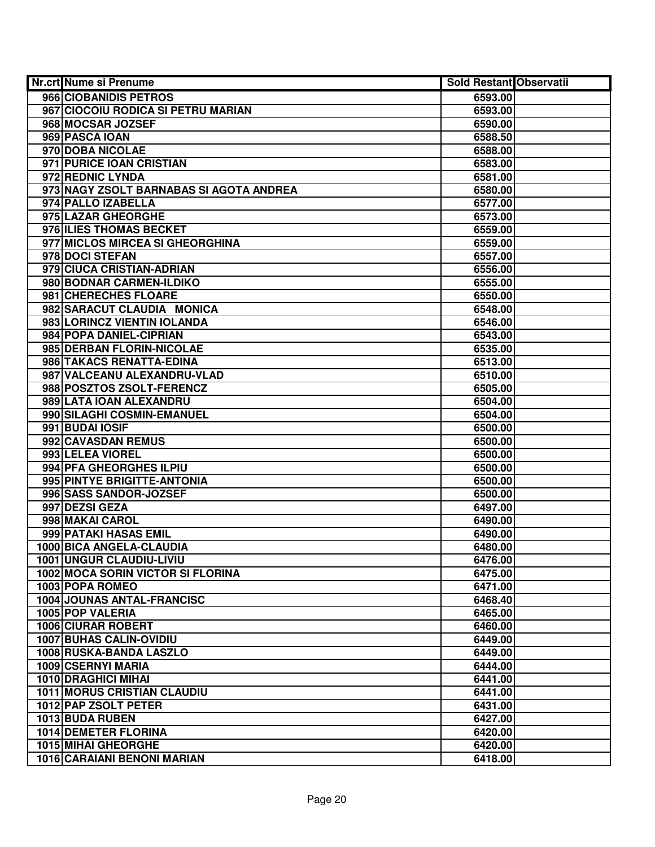| Nr.crt Nume si Prenume                    | Sold Restant Observatii |  |
|-------------------------------------------|-------------------------|--|
| 966 CIOBANIDIS PETROS                     | 6593.00                 |  |
| 967 CIOCOIU RODICA SI PETRU MARIAN        | 6593.00                 |  |
| 968 MOCSAR JOZSEF                         | 6590.00                 |  |
| 969 PASCA IOAN                            | 6588.50                 |  |
| 970 DOBA NICOLAE                          | 6588.00                 |  |
| 971 PURICE IOAN CRISTIAN                  | 6583.00                 |  |
| 972 REDNIC LYNDA                          | 6581.00                 |  |
| 973 NAGY ZSOLT BARNABAS SI AGOTA ANDREA   | 6580.00                 |  |
| 974 PALLO IZABELLA                        | 6577.00                 |  |
| 975 LAZAR GHEORGHE                        | 6573.00                 |  |
| 976 ILIES THOMAS BECKET                   | 6559.00                 |  |
| 977 MICLOS MIRCEA SI GHEORGHINA           | 6559.00                 |  |
| 978 DOCI STEFAN                           | 6557.00                 |  |
| 979 CIUCA CRISTIAN-ADRIAN                 | 6556.00                 |  |
| 980 BODNAR CARMEN-ILDIKO                  | 6555.00                 |  |
| 981 CHERECHES FLOARE                      | 6550.00                 |  |
| 982 SARACUT CLAUDIA MONICA                | 6548.00                 |  |
| 983 LORINCZ VIENTIN IOLANDA               | 6546.00                 |  |
| 984 POPA DANIEL-CIPRIAN                   | 6543.00                 |  |
| 985 DERBAN FLORIN-NICOLAE                 | 6535.00                 |  |
| 986 TAKACS RENATTA-EDINA                  | 6513.00                 |  |
| 987 VALCEANU ALEXANDRU-VLAD               | 6510.00                 |  |
| 988 POSZTOS ZSOLT-FERENCZ                 | 6505.00                 |  |
| 989 LATA IOAN ALEXANDRU                   | 6504.00                 |  |
| 990 SILAGHI COSMIN-EMANUEL                | 6504.00                 |  |
| 991 BUDAI IOSIF                           | 6500.00                 |  |
| 992 CAVASDAN REMUS                        | 6500.00                 |  |
| 993 LELEA VIOREL                          | 6500.00                 |  |
| 994 PFA GHEORGHES ILPIU                   | 6500.00                 |  |
| 995 PINTYE BRIGITTE-ANTONIA               | 6500.00                 |  |
| 996 SASS SANDOR-JOZSEF                    | 6500.00                 |  |
| 997 DEZSI GEZA                            | 6497.00                 |  |
| 998 MAKAI CAROL                           | 6490.00                 |  |
| 999 PATAKI HASAS EMIL                     | 6490.00                 |  |
| 1000 BICA ANGELA-CLAUDIA                  | 6480.00                 |  |
| 1001 UNGUR CLAUDIU-LIVIU                  | 6476.00                 |  |
| <b>1002 MOCA SORIN VICTOR SI FLORINA</b>  | 6475.00                 |  |
| 1003 POPA ROMEO                           | 6471.00                 |  |
| 1004 JOUNAS ANTAL-FRANCISC                | 6468.40                 |  |
| 1005 POP VALERIA                          | 6465.00                 |  |
| <b>1006 CIURAR ROBERT</b>                 | 6460.00                 |  |
| 1007 BUHAS CALIN-OVIDIU                   | 6449.00<br>6449.00      |  |
| 1008 RUSKA-BANDA LASZLO                   | 6444.00                 |  |
| 1009 CSERNYI MARIA<br>1010 DRAGHICI MIHAI |                         |  |
| <b>1011 MORUS CRISTIAN CLAUDIU</b>        | 6441.00                 |  |
| 1012 PAP ZSOLT PETER                      | 6441.00<br>6431.00      |  |
| 1013 BUDA RUBEN                           | 6427.00                 |  |
| <b>1014 DEMETER FLORINA</b>               | 6420.00                 |  |
| <b>1015 MIHAI GHEORGHE</b>                |                         |  |
| 1016 CARAIANI BENONI MARIAN               | 6420.00                 |  |
|                                           | 6418.00                 |  |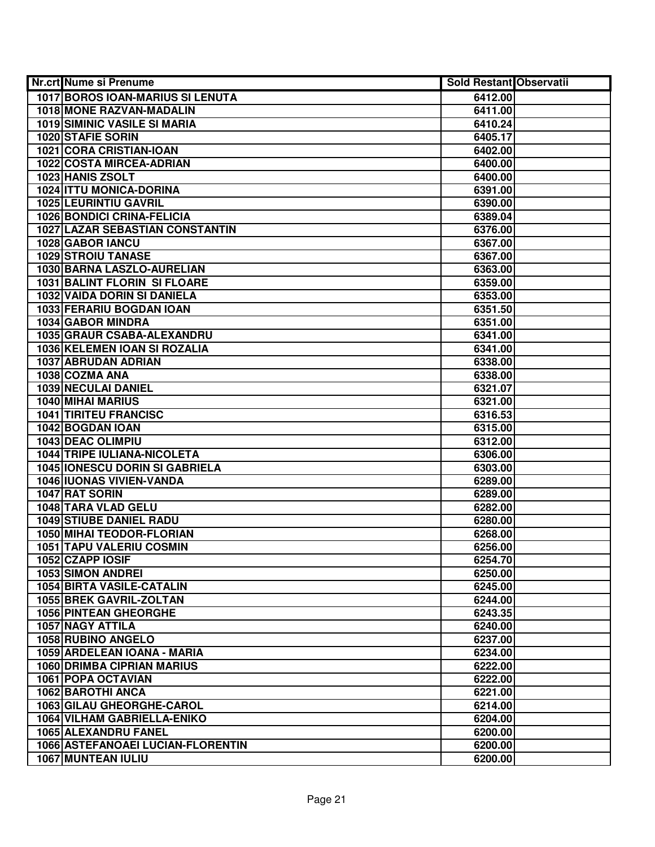| Nr.crt Nume si Prenume                  | <b>Sold Restant Observatii</b> |  |
|-----------------------------------------|--------------------------------|--|
| <b>1017 BOROS IOAN-MARIUS SI LENUTA</b> | 6412.00                        |  |
| 1018 MONE RAZVAN-MADALIN                | 6411.00                        |  |
| <b>1019 SIMINIC VASILE SI MARIA</b>     | 6410.24                        |  |
| 1020 STAFIE SORIN                       | 6405.17                        |  |
| 1021 CORA CRISTIAN-IOAN                 | 6402.00                        |  |
| 1022 COSTA MIRCEA-ADRIAN                | 6400.00                        |  |
| 1023 HANIS ZSOLT                        | 6400.00                        |  |
| 1024 ITTU MONICA-DORINA                 | 6391.00                        |  |
| <b>1025 LEURINTIU GAVRIL</b>            | 6390.00                        |  |
| <b>1026 BONDICI CRINA-FELICIA</b>       | 6389.04                        |  |
| <b>1027 LAZAR SEBASTIAN CONSTANTIN</b>  | 6376.00                        |  |
| 1028 GABOR IANCU                        | 6367.00                        |  |
| <b>1029 STROIU TANASE</b>               | 6367.00                        |  |
| 1030 BARNA LASZLO-AURELIAN              | 6363.00                        |  |
| 1031 BALINT FLORIN SI FLOARE            | 6359.00                        |  |
| 1032 VAIDA DORIN SI DANIELA             | 6353.00                        |  |
| 1033 FERARIU BOGDAN IOAN                | 6351.50                        |  |
| 1034 GABOR MINDRA                       | 6351.00                        |  |
| 1035 GRAUR CSABA-ALEXANDRU              | 6341.00                        |  |
| 1036 KELEMEN IOAN SI ROZALIA            | 6341.00                        |  |
| 1037 ABRUDAN ADRIAN                     | 6338.00                        |  |
| 1038 COZMA ANA                          | 6338.00                        |  |
| 1039 NECULAI DANIEL                     | 6321.07                        |  |
| 1040 MIHAI MARIUS                       | 6321.00                        |  |
| <b>1041 TIRITEU FRANCISC</b>            | 6316.53                        |  |
| 1042 BOGDAN IOAN                        | 6315.00                        |  |
| 1043 DEAC OLIMPIU                       | 6312.00                        |  |
| 1044 TRIPE IULIANA-NICOLETA             | 6306.00                        |  |
| <b>1045 IONESCU DORIN SI GABRIELA</b>   | 6303.00                        |  |
| 1046 IUONAS VIVIEN-VANDA                | 6289.00                        |  |
| 1047 RAT SORIN                          | 6289.00                        |  |
| 1048 TARA VLAD GELU                     | 6282.00                        |  |
| <b>1049 STIUBE DANIEL RADU</b>          | 6280.00                        |  |
| <b>1050 MIHAI TEODOR-FLORIAN</b>        | 6268.00                        |  |
| <b>1051 TAPU VALERIU COSMIN</b>         | 6256.00                        |  |
| 1052 CZAPP IOSIF                        | 6254.70                        |  |
| <b>1053 SIMON ANDREI</b>                | 6250.00                        |  |
| <b>1054 BIRTA VASILE-CATALIN</b>        | 6245.00                        |  |
| 1055 BREK GAVRIL-ZOLTAN                 | 6244.00                        |  |
| <b>1056 PINTEAN GHEORGHE</b>            | 6243.35                        |  |
| 1057 NAGY ATTILA                        | 6240.00                        |  |
| 1058 RUBINO ANGELO                      | 6237.00                        |  |
| 1059 ARDELEAN IOANA - MARIA             | 6234.00                        |  |
| <b>1060 DRIMBA CIPRIAN MARIUS</b>       | 6222.00                        |  |
| 1061 POPA OCTAVIAN                      | 6222.00                        |  |
| 1062 BAROTHI ANCA                       | 6221.00                        |  |
| 1063 GILAU GHEORGHE-CAROL               | 6214.00                        |  |
| 1064 VILHAM GABRIELLA-ENIKO             | 6204.00                        |  |
| 1065 ALEXANDRU FANEL                    | 6200.00                        |  |
| 1066 ASTEFANOAEI LUCIAN-FLORENTIN       | 6200.00                        |  |
| 1067 MUNTEAN IULIU                      | 6200.00                        |  |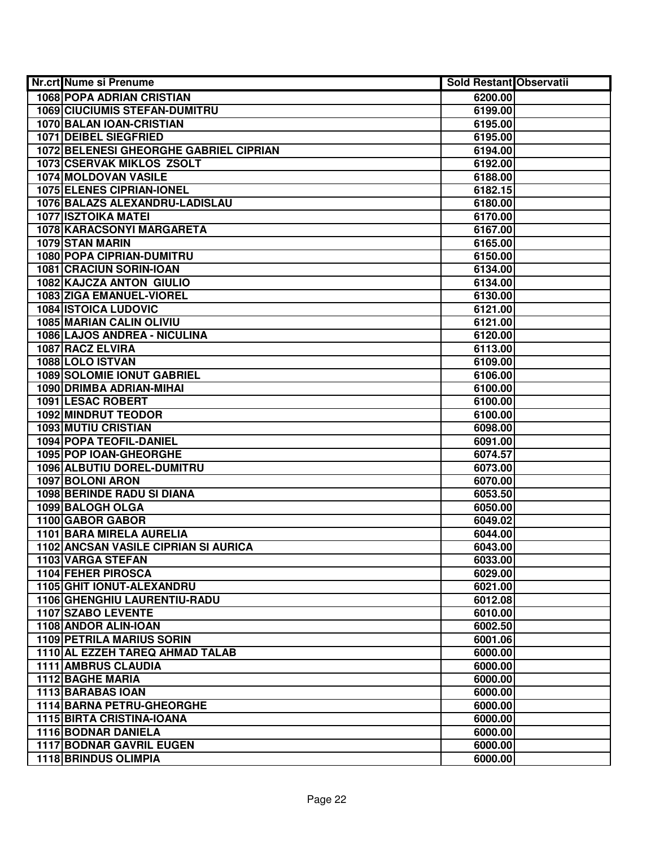| <b>Nr.crt Nume si Prenume</b>                      | <b>Sold Restant Observatii</b> |  |
|----------------------------------------------------|--------------------------------|--|
| <b>1068 POPA ADRIAN CRISTIAN</b>                   | 6200.00                        |  |
| <b>1069 CIUCIUMIS STEFAN-DUMITRU</b>               | 6199.00                        |  |
| 1070 BALAN IOAN-CRISTIAN                           | 6195.00                        |  |
| 1071 DEIBEL SIEGFRIED                              | 6195.00                        |  |
| 1072 BELENESI GHEORGHE GABRIEL CIPRIAN             | 6194.00                        |  |
| 1073 CSERVAK MIKLOS ZSOLT                          | 6192.00                        |  |
| 1074 MOLDOVAN VASILE                               | 6188.00                        |  |
| <b>1075 ELENES CIPRIAN-IONEL</b>                   | 6182.15                        |  |
| 1076 BALAZS ALEXANDRU-LADISLAU                     | 6180.00                        |  |
| <b>1077 ISZTOIKA MATEI</b>                         | 6170.00                        |  |
| 1078 KARACSONYI MARGARETA                          | 6167.00                        |  |
| 1079 STAN MARIN                                    | 6165.00                        |  |
| <b>1080 POPA CIPRIAN-DUMITRU</b>                   | 6150.00                        |  |
| 1081 CRACIUN SORIN-IOAN                            | 6134.00                        |  |
| 1082 KAJCZA ANTON GIULIO                           | 6134.00                        |  |
| 1083 ZIGA EMANUEL-VIOREL                           | 6130.00                        |  |
| <b>1084 ISTOICA LUDOVIC</b>                        | 6121.00                        |  |
| 1085 MARIAN CALIN OLIVIU                           | 6121.00                        |  |
| 1086 LAJOS ANDREA - NICULINA                       | 6120.00                        |  |
| 1087 RACZ ELVIRA                                   | 6113.00                        |  |
| 1088 LOLO ISTVAN                                   | 6109.00                        |  |
| <b>1089 SOLOMIE IONUT GABRIEL</b>                  | 6106.00                        |  |
| 1090 DRIMBA ADRIAN-MIHAI                           | 6100.00                        |  |
| 1091 LESAC ROBERT                                  | 6100.00                        |  |
| 1092 MINDRUT TEODOR                                | 6100.00                        |  |
| <b>1093 MUTIU CRISTIAN</b>                         | 6098.00                        |  |
| 1094 POPA TEOFIL-DANIEL                            | 6091.00                        |  |
| 1095 POP IOAN-GHEORGHE                             | 6074.57                        |  |
| 1096 ALBUTIU DOREL-DUMITRU                         | 6073.00                        |  |
| 1097 BOLONI ARON                                   | 6070.00                        |  |
| <b>1098 BERINDE RADU SI DIANA</b>                  | 6053.50                        |  |
| 1099 BALOGH OLGA                                   | 6050.00                        |  |
| 1100 GABOR GABOR                                   | 6049.02                        |  |
| 1101 BARA MIRELA AURELIA                           | 6044.00                        |  |
| 1102 ANCSAN VASILE CIPRIAN SI AURICA               | 6043.00                        |  |
| 1103 VARGA STEFAN                                  | 6033.00                        |  |
| <b>1104 FEHER PIROSCA</b>                          | 6029.00                        |  |
| 1105 GHIT IONUT-ALEXANDRU                          | 6021.00                        |  |
| 1106 GHENGHIU LAURENTIU-RADU<br>1107 SZABO LEVENTE | 6012.08                        |  |
| 1108 ANDOR ALIN-IOAN                               | 6010.00<br>6002.50             |  |
| <b>1109 PETRILA MARIUS SORIN</b>                   |                                |  |
| 1110 AL EZZEH TAREQ AHMAD TALAB                    | 6001.06<br>6000.00             |  |
| 1111 AMBRUS CLAUDIA                                |                                |  |
| 1112 BAGHE MARIA                                   | 6000.00<br>6000.00             |  |
| 1113 BARABAS IOAN                                  | 6000.00                        |  |
| 1114 BARNA PETRU-GHEORGHE                          | 6000.00                        |  |
| 1115 BIRTA CRISTINA-IOANA                          | 6000.00                        |  |
| 1116 BODNAR DANIELA                                | 6000.00                        |  |
| <b>1117 BODNAR GAVRIL EUGEN</b>                    | 6000.00                        |  |
| <b>1118 BRINDUS OLIMPIA</b>                        | 6000.00                        |  |
|                                                    |                                |  |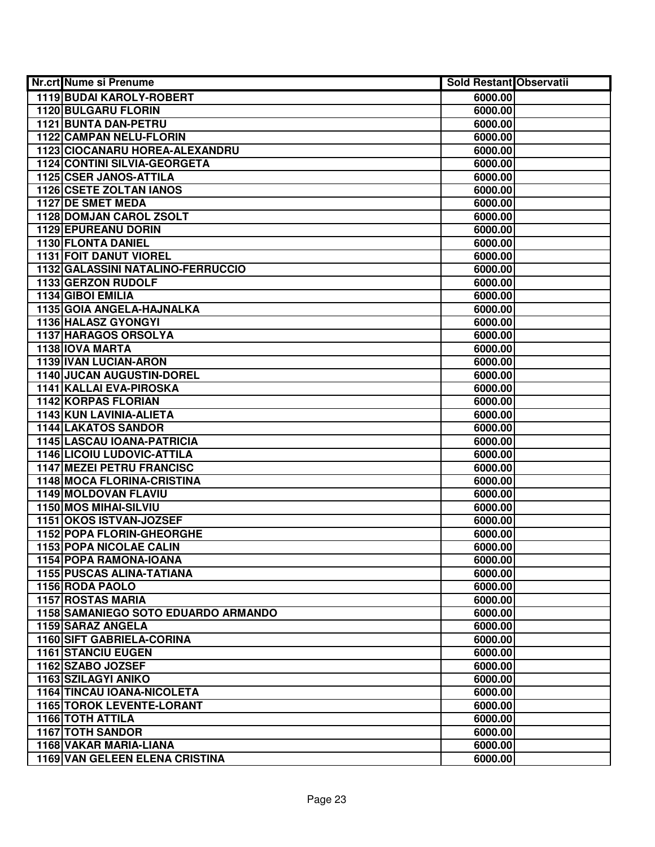| Nr.crt Nume si Prenume                | Sold Restant Observatii |  |
|---------------------------------------|-------------------------|--|
| 1119 BUDAI KAROLY-ROBERT              | 6000.00                 |  |
| <b>1120 BULGARU FLORIN</b>            | 6000.00                 |  |
| 1121 BUNTA DAN-PETRU                  | 6000.00                 |  |
| 1122 CAMPAN NELU-FLORIN               | 6000.00                 |  |
| 1123 CIOCANARU HOREA-ALEXANDRU        | 6000.00                 |  |
| 1124 CONTINI SILVIA-GEORGETA          | 6000.00                 |  |
| 1125 CSER JANOS-ATTILA                | 6000.00                 |  |
| 1126 CSETE ZOLTAN IANOS               | 6000.00                 |  |
| 1127 DE SMET MEDA                     | 6000.00                 |  |
| 1128 DOMJAN CAROL ZSOLT               | 6000.00                 |  |
| <b>1129 EPUREANU DORIN</b>            | 6000.00                 |  |
| 1130 FLONTA DANIEL                    | 6000.00                 |  |
| <b>1131 FOIT DANUT VIOREL</b>         | 6000.00                 |  |
| 1132 GALASSINI NATALINO-FERRUCCIO     | 6000.00                 |  |
| 1133 GERZON RUDOLF                    | 6000.00                 |  |
| 1134 GIBOI EMILIA                     | 6000.00                 |  |
| 1135 GOIA ANGELA-HAJNALKA             | 6000.00                 |  |
| 1136 HALASZ GYONGYI                   | 6000.00                 |  |
| 1137 HARAGOS ORSOLYA                  | 6000.00                 |  |
| 1138 IOVA MARTA                       | 6000.00                 |  |
| 1139 IVAN LUCIAN-ARON                 | 6000.00                 |  |
| 1140 JUCAN AUGUSTIN-DOREL             | 6000.00                 |  |
| 1141 KALLAI EVA-PIROSKA               | 6000.00                 |  |
| <b>1142 KORPAS FLORIAN</b>            | 6000.00                 |  |
| 1143 KUN LAVINIA-ALIETA               | 6000.00                 |  |
| <b>1144 LAKATOS SANDOR</b>            | 6000.00                 |  |
| 1145 LASCAU IOANA-PATRICIA            | 6000.00                 |  |
| <b>1146 LICOIU LUDOVIC-ATTILA</b>     | 6000.00                 |  |
| <b>1147 MEZEI PETRU FRANCISC</b>      | 6000.00                 |  |
| 1148 MOCA FLORINA-CRISTINA            | 6000.00                 |  |
| 1149 MOLDOVAN FLAVIU                  | 6000.00                 |  |
| 1150 MOS MIHAI-SILVIU                 | 6000.00                 |  |
| 1151 OKOS ISTVAN-JOZSEF               | 6000.00                 |  |
| 1152 POPA FLORIN-GHEORGHE             | 6000.00                 |  |
| <b>1153 POPA NICOLAE CALIN</b>        | 6000.00                 |  |
| 1154 POPA RAMONA-IOANA                | 6000.00                 |  |
| <b>1155 PUSCAS ALINA-TATIANA</b>      | 6000.00                 |  |
| 1156 RODA PAOLO                       | 6000.00                 |  |
| <b>1157 ROSTAS MARIA</b>              | 6000.00                 |  |
| 1158 SAMANIEGO SOTO EDUARDO ARMANDO   | 6000.00                 |  |
| 1159 SARAZ ANGELA                     | 6000.00                 |  |
| <b>1160 SIFT GABRIELA-CORINA</b>      | 6000.00                 |  |
| <b>1161 STANCIU EUGEN</b>             | 6000.00                 |  |
| 1162 SZABO JOZSEF                     | 6000.00                 |  |
| 1163 SZILAGYI ANIKO                   | 6000.00                 |  |
| 1164 TINCAU IOANA-NICOLETA            | 6000.00                 |  |
| <b>1165 TOROK LEVENTE-LORANT</b>      | 6000.00                 |  |
| 1166 TOTH ATTILA                      | 6000.00                 |  |
| <b>1167 TOTH SANDOR</b>               | 6000.00                 |  |
| 1168 VAKAR MARIA-LIANA                | 6000.00                 |  |
| <b>1169 VAN GELEEN ELENA CRISTINA</b> | 6000.00                 |  |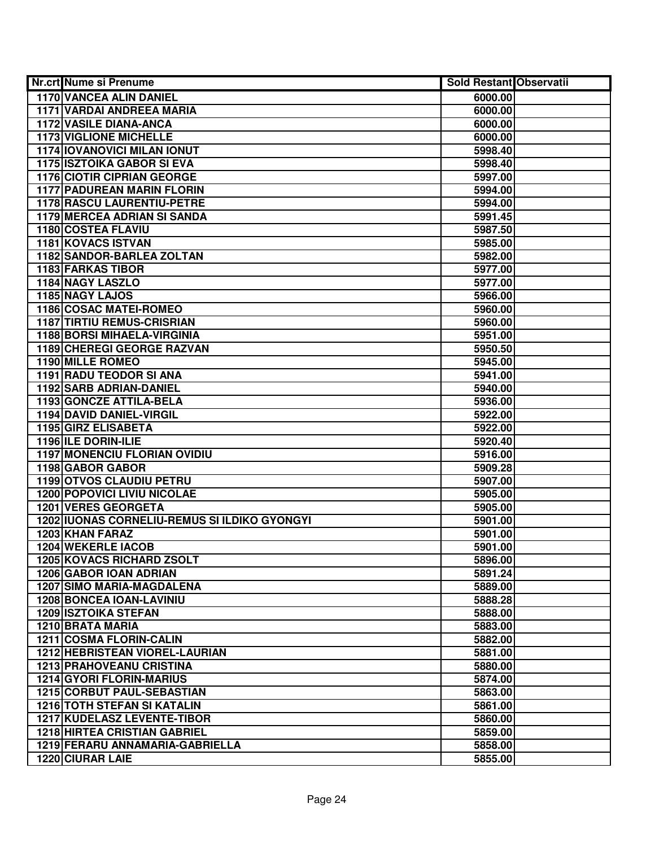| Nr.crt Nume si Prenume                                  | <b>Sold Restant Observatii</b> |  |
|---------------------------------------------------------|--------------------------------|--|
| <b>1170 VANCEA ALIN DANIEL</b>                          | 6000.00                        |  |
| <b>1171 VARDAI ANDREEA MARIA</b>                        | 6000.00                        |  |
| 1172 VASILE DIANA-ANCA                                  | 6000.00                        |  |
| <b>1173 VIGLIONE MICHELLE</b>                           | 6000.00                        |  |
| <b>1174 IOVANOVICI MILAN IONUT</b>                      | 5998.40                        |  |
| <b>1175 ISZTOIKA GABOR SI EVA</b>                       | 5998.40                        |  |
| <b>1176 CIOTIR CIPRIAN GEORGE</b>                       | 5997.00                        |  |
| <b>1177 PADUREAN MARIN FLORIN</b>                       | 5994.00                        |  |
| <b>1178 RASCU LAURENTIU-PETRE</b>                       | 5994.00                        |  |
| <b>1179 MERCEA ADRIAN SI SANDA</b>                      | 5991.45                        |  |
| <b>1180 COSTEA FLAVIU</b>                               | 5987.50                        |  |
| <b>1181 KOVACS ISTVAN</b>                               | 5985.00                        |  |
| <b>1182 SANDOR-BARLEA ZOLTAN</b>                        | 5982.00                        |  |
| 1183 FARKAS TIBOR                                       | 5977.00                        |  |
| 1184 NAGY LASZLO                                        | 5977.00                        |  |
| 1185 NAGY LAJOS                                         | 5966.00                        |  |
| 1186 COSAC MATEI-ROMEO                                  | 5960.00                        |  |
| <b>1187 TIRTIU REMUS-CRISRIAN</b>                       | 5960.00                        |  |
| 1188 BORSI MIHAELA-VIRGINIA                             | 5951.00                        |  |
| 1189 CHEREGI GEORGE RAZVAN                              | 5950.50                        |  |
| 1190 MILLE ROMEO                                        | 5945.00                        |  |
| 1191 RADU TEODOR SI ANA                                 | 5941.00                        |  |
| 1192 SARB ADRIAN-DANIEL                                 | 5940.00                        |  |
| 1193 GONCZE ATTILA-BELA                                 | 5936.00                        |  |
| 1194 DAVID DANIEL-VIRGIL                                | 5922.00                        |  |
| 1195 GIRZ ELISABETA                                     | 5922.00                        |  |
| 1196 ILE DORIN-ILIE                                     | 5920.40                        |  |
| <b>1197 MONENCIU FLORIAN OVIDIU</b>                     | 5916.00                        |  |
| 1198 GABOR GABOR                                        | 5909.28                        |  |
| 1199 OTVOS CLAUDIU PETRU<br>1200 POPOVICI LIVIU NICOLAE | 5907.00                        |  |
| 1201 VERES GEORGETA                                     | 5905.00                        |  |
| 1202 IUONAS CORNELIU-REMUS SI ILDIKO GYONGYI            | 5905.00<br>5901.00             |  |
| 1203 KHAN FARAZ                                         | 5901.00                        |  |
| <b>1204 WEKERLE IACOB</b>                               | 5901.00                        |  |
| <b>1205 KOVACS RICHARD ZSOLT</b>                        | 5896.00                        |  |
| <b>1206 GABOR IOAN ADRIAN</b>                           | 5891.24                        |  |
| <b>1207 SIMO MARIA-MAGDALENA</b>                        | 5889.00                        |  |
| 1208 BONCEA IOAN-LAVINIU                                | 5888.28                        |  |
| <b>1209 ISZTOIKA STEFAN</b>                             | 5888.00                        |  |
| <b>1210 BRATA MARIA</b>                                 | 5883.00                        |  |
| 1211 COSMA FLORIN-CALIN                                 | 5882.00                        |  |
| 1212 HEBRISTEAN VIOREL-LAURIAN                          | 5881.00                        |  |
| <b>1213 PRAHOVEANU CRISTINA</b>                         | 5880.00                        |  |
| 1214 GYORI FLORIN-MARIUS                                | 5874.00                        |  |
| 1215 CORBUT PAUL-SEBASTIAN                              | 5863.00                        |  |
| <b>1216 TOTH STEFAN SI KATALIN</b>                      | 5861.00                        |  |
| 1217 KUDELASZ LEVENTE-TIBOR                             | 5860.00                        |  |
| <b>1218 HIRTEA CRISTIAN GABRIEL</b>                     | 5859.00                        |  |
| 1219 FERARU ANNAMARIA-GABRIELLA                         | 5858.00                        |  |
| 1220 CIURAR LAIE                                        | 5855.00                        |  |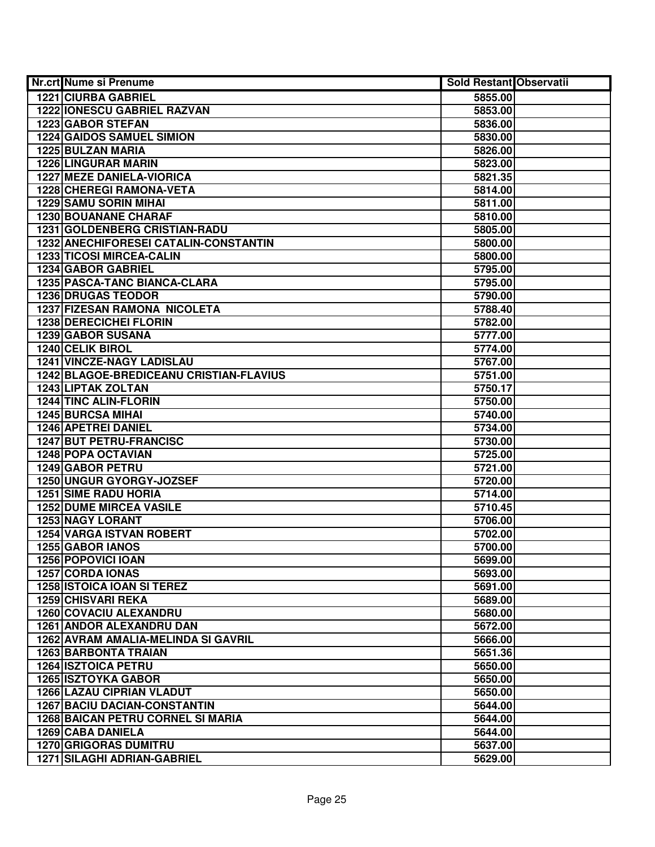| Nr.crt Nume si Prenume                   | <b>Sold Restant Observatii</b> |  |
|------------------------------------------|--------------------------------|--|
| <b>1221 CIURBA GABRIEL</b>               | 5855.00                        |  |
| 1222 IONESCU GABRIEL RAZVAN              | 5853.00                        |  |
| 1223 GABOR STEFAN                        | 5836.00                        |  |
| <b>1224 GAIDOS SAMUEL SIMION</b>         | 5830.00                        |  |
| 1225 BULZAN MARIA                        | 5826.00                        |  |
| 1226 LINGURAR MARIN                      | 5823.00                        |  |
| <b>1227 MEZE DANIELA-VIORICA</b>         | 5821.35                        |  |
| 1228 CHEREGI RAMONA-VETA                 | 5814.00                        |  |
| <b>1229 SAMU SORIN MIHAI</b>             | 5811.00                        |  |
| <b>1230 BOUANANE CHARAF</b>              | 5810.00                        |  |
| <b>1231 GOLDENBERG CRISTIAN-RADU</b>     | 5805.00                        |  |
| 1232 ANECHIFORESEI CATALIN-CONSTANTIN    | 5800.00                        |  |
| 1233 TICOSI MIRCEA-CALIN                 | 5800.00                        |  |
| 1234 GABOR GABRIEL                       | 5795.00                        |  |
| 1235 PASCA-TANC BIANCA-CLARA             | 5795.00                        |  |
| <b>1236 DRUGAS TEODOR</b>                | 5790.00                        |  |
| 1237 FIZESAN RAMONA NICOLETA             | 5788.40                        |  |
| 1238 DERECICHEI FLORIN                   | 5782.00                        |  |
| 1239 GABOR SUSANA                        | 5777.00                        |  |
| 1240 CELIK BIROL                         | 5774.00                        |  |
| 1241 VINCZE-NAGY LADISLAU                | 5767.00                        |  |
| 1242 BLAGOE-BREDICEANU CRISTIAN-FLAVIUS  | 5751.00                        |  |
| 1243 LIPTAK ZOLTAN                       | 5750.17                        |  |
| 1244 TINC ALIN-FLORIN                    | 5750.00                        |  |
| <b>1245 BURCSA MIHAI</b>                 | 5740.00                        |  |
| <b>1246 APETREI DANIEL</b>               | 5734.00                        |  |
| 1247 BUT PETRU-FRANCISC                  | 5730.00                        |  |
| <b>1248 POPA OCTAVIAN</b>                | 5725.00                        |  |
| 1249 GABOR PETRU                         | 5721.00                        |  |
| 1250 UNGUR GYORGY-JOZSEF                 | 5720.00                        |  |
| <b>1251 SIME RADU HORIA</b>              | 5714.00                        |  |
| <b>1252 DUME MIRCEA VASILE</b>           | 5710.45                        |  |
| <b>1253 NAGY LORANT</b>                  | 5706.00                        |  |
| <b>1254 VARGA ISTVAN ROBERT</b>          | 5702.00                        |  |
| <b>1255 GABOR IANOS</b>                  | 5700.00                        |  |
| 1256 POPOVICI IOAN                       | 5699.00                        |  |
| <b>1257 CORDA IONAS</b>                  | 5693.00                        |  |
| <b>1258 ISTOICA IOAN SI TEREZ</b>        | 5691.00                        |  |
| <b>1259 CHISVARI REKA</b>                | 5689.00                        |  |
| 1260 COVACIU ALEXANDRU                   | 5680.00                        |  |
| 1261 ANDOR ALEXANDRU DAN                 | 5672.00                        |  |
| 1262 AVRAM AMALIA-MELINDA SI GAVRIL      | 5666.00                        |  |
| <b>1263 BARBONTA TRAIAN</b>              | 5651.36                        |  |
| <b>1264 ISZTOICA PETRU</b>               | 5650.00                        |  |
| <b>1265 ISZTOYKA GABOR</b>               | 5650.00                        |  |
| <b>1266 LAZAU CIPRIAN VLADUT</b>         | 5650.00                        |  |
| <b>1267 BACIU DACIAN-CONSTANTIN</b>      | 5644.00                        |  |
| <b>1268 BAICAN PETRU CORNEL SI MARIA</b> | 5644.00                        |  |
| 1269 CABA DANIELA                        | 5644.00                        |  |
| <b>1270 GRIGORAS DUMITRU</b>             | 5637.00                        |  |
| <b>1271 SILAGHI ADRIAN-GABRIEL</b>       | 5629.00                        |  |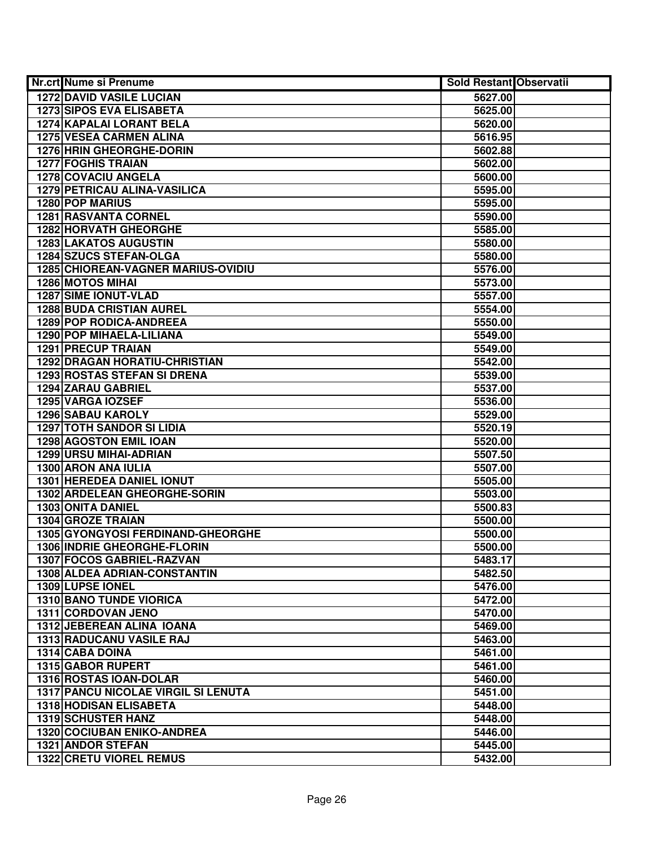| Nr.crt Nume si Prenume                     | <b>Sold Restant Observatii</b> |  |
|--------------------------------------------|--------------------------------|--|
| <b>1272 DAVID VASILE LUCIAN</b>            | 5627.00                        |  |
| <b>1273 SIPOS EVA ELISABETA</b>            | 5625.00                        |  |
| 1274 KAPALAI LORANT BELA                   | 5620.00                        |  |
| <b>1275 VESEA CARMEN ALINA</b>             | 5616.95                        |  |
| 1276 HRIN GHEORGHE-DORIN                   | 5602.88                        |  |
| <b>1277 FOGHIS TRAIAN</b>                  | 5602.00                        |  |
| 1278 COVACIU ANGELA                        | 5600.00                        |  |
| 1279 PETRICAU ALINA-VASILICA               | 5595.00                        |  |
| 1280 POP MARIUS                            | 5595.00                        |  |
| <b>1281 RASVANTA CORNEL</b>                | 5590.00                        |  |
| <b>1282 HORVATH GHEORGHE</b>               | 5585.00                        |  |
| <b>1283 LAKATOS AUGUSTIN</b>               | 5580.00                        |  |
| 1284 SZUCS STEFAN-OLGA                     | 5580.00                        |  |
| <b>1285 CHIOREAN-VAGNER MARIUS-OVIDIU</b>  | 5576.00                        |  |
| <b>1286 MOTOS MIHAI</b>                    | 5573.00                        |  |
| <b>1287 SIME IONUT-VLAD</b>                | 5557.00                        |  |
| <b>1288 BUDA CRISTIAN AUREL</b>            | 5554.00                        |  |
| 1289 POP RODICA-ANDREEA                    | 5550.00                        |  |
| 1290 POP MIHAELA-LILIANA                   | 5549.00                        |  |
| <b>1291 PRECUP TRAIAN</b>                  | 5549.00                        |  |
| <b>1292 DRAGAN HORATIU-CHRISTIAN</b>       | 5542.00                        |  |
| <b>1293 ROSTAS STEFAN SI DRENA</b>         | 5539.00                        |  |
| 1294 ZARAU GABRIEL                         | 5537.00                        |  |
| 1295 VARGA IOZSEF                          | 5536.00                        |  |
| 1296 SABAU KAROLY                          | 5529.00                        |  |
| <b>1297 TOTH SANDOR SI LIDIA</b>           | 5520.19                        |  |
| 1298 AGOSTON EMIL IOAN                     | 5520.00                        |  |
| 1299 URSU MIHAI-ADRIAN                     | 5507.50                        |  |
| 1300 ARON ANA IULIA                        | 5507.00                        |  |
| 1301 HEREDEA DANIEL IONUT                  | 5505.00                        |  |
| 1302 ARDELEAN GHEORGHE-SORIN               | 5503.00                        |  |
| 1303 ONITA DANIEL                          | 5500.83                        |  |
| <b>1304 GROZE TRAIAN</b>                   | 5500.00                        |  |
| 1305 GYONGYOSI FERDINAND-GHEORGHE          | 5500.00                        |  |
| 1306 INDRIE GHEORGHE-FLORIN                | 5500.00                        |  |
| <b>1307 FOCOS GABRIEL-RAZVAN</b>           | 5483.17                        |  |
| <b>1308 ALDEA ADRIAN-CONSTANTIN</b>        | 5482.50                        |  |
| 1309 LUPSE IONEL                           | 5476.00                        |  |
| <b>1310 BANO TUNDE VIORICA</b>             | 5472.00                        |  |
| 1311 CORDOVAN JENO                         | 5470.00                        |  |
| 1312 JEBEREAN ALINA IOANA                  | 5469.00                        |  |
| 1313 RADUCANU VASILE RAJ                   | 5463.00                        |  |
| <b>1314 CABA DOINA</b>                     | 5461.00                        |  |
| 1315 GABOR RUPERT                          | 5461.00                        |  |
| 1316 ROSTAS IOAN-DOLAR                     | 5460.00                        |  |
| <b>1317 PANCU NICOLAE VIRGIL SI LENUTA</b> | 5451.00                        |  |
| 1318 HODISAN ELISABETA                     | 5448.00                        |  |
| <b>1319 SCHUSTER HANZ</b>                  | 5448.00                        |  |
| <b>1320 COCIUBAN ENIKO-ANDREA</b>          | 5446.00                        |  |
| 1321 ANDOR STEFAN                          | 5445.00                        |  |
| <b>1322 CRETU VIOREL REMUS</b>             | 5432.00                        |  |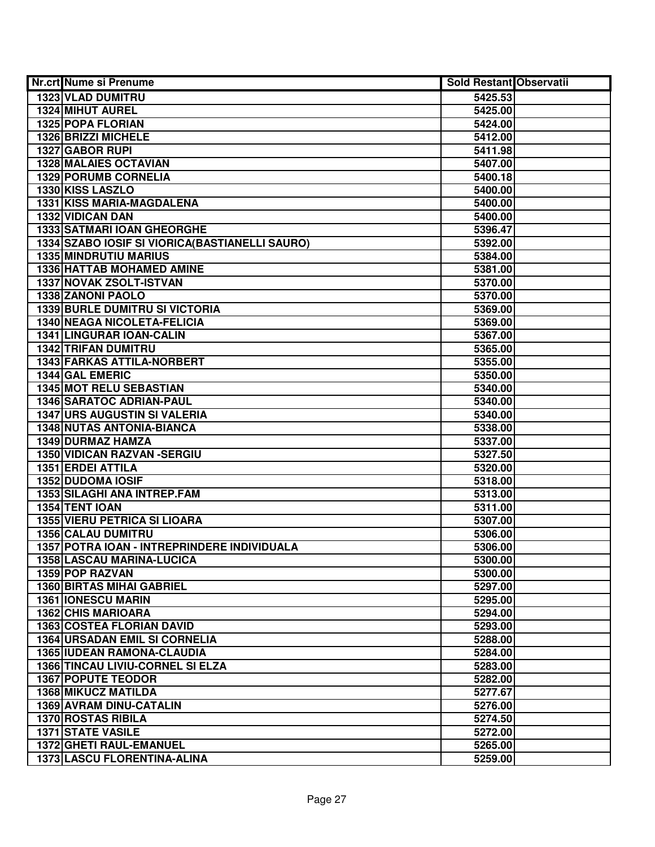| <b>Nr.crt Nume si Prenume</b>                  | Sold Restant Observatii |  |
|------------------------------------------------|-------------------------|--|
| <b>1323 VLAD DUMITRU</b>                       | 5425.53                 |  |
| 1324 MIHUT AUREL                               | 5425.00                 |  |
| 1325 POPA FLORIAN                              | 5424.00                 |  |
| 1326 BRIZZI MICHELE                            | 5412.00                 |  |
| 1327 GABOR RUPI                                | 5411.98                 |  |
| 1328 MALAIES OCTAVIAN                          | 5407.00                 |  |
| 1329 PORUMB CORNELIA                           | 5400.18                 |  |
| 1330 KISS LASZLO                               | 5400.00                 |  |
| 1331 KISS MARIA-MAGDALENA                      | 5400.00                 |  |
| 1332 VIDICAN DAN                               | 5400.00                 |  |
| <b>1333 SATMARI IOAN GHEORGHE</b>              | 5396.47                 |  |
| 1334 SZABO IOSIF SI VIORICA(BASTIANELLI SAURO) | 5392.00                 |  |
| 1335 MINDRUTIU MARIUS                          | 5384.00                 |  |
| 1336 HATTAB MOHAMED AMINE                      | 5381.00                 |  |
| 1337 NOVAK ZSOLT-ISTVAN                        | 5370.00                 |  |
| 1338 ZANONI PAOLO                              | 5370.00                 |  |
| <b>1339 BURLE DUMITRU SI VICTORIA</b>          | 5369.00                 |  |
| 1340 NEAGA NICOLETA-FELICIA                    | 5369.00                 |  |
| <b>1341 LINGURAR IOAN-CALIN</b>                | 5367.00                 |  |
| <b>1342 TRIFAN DUMITRU</b>                     | 5365.00                 |  |
| 1343 FARKAS ATTILA-NORBERT                     | 5355.00                 |  |
| 1344 GAL EMERIC                                | 5350.00                 |  |
| 1345 MOT RELU SEBASTIAN                        | 5340.00                 |  |
| <b>1346 SARATOC ADRIAN-PAUL</b>                | 5340.00                 |  |
| <b>1347 URS AUGUSTIN SI VALERIA</b>            | 5340.00                 |  |
| 1348 NUTAS ANTONIA-BIANCA                      | 5338.00                 |  |
| 1349 DURMAZ HAMZA                              | 5337.00                 |  |
| 1350 VIDICAN RAZVAN - SERGIU                   | 5327.50                 |  |
| 1351 ERDEI ATTILA                              | 5320.00                 |  |
| 1352 DUDOMA IOSIF                              | 5318.00                 |  |
| 1353 SILAGHI ANA INTREP.FAM                    | 5313.00                 |  |
| 1354 TENT IOAN                                 | 5311.00                 |  |
| <b>1355 VIERU PETRICA SI LIOARA</b>            | 5307.00                 |  |
| 1356 CALAU DUMITRU                             | 5306.00                 |  |
| 1357 POTRA IOAN - INTREPRINDERE INDIVIDUALA    | 5306.00                 |  |
| 1358 LASCAU MARINA-LUCICA                      | 5300.00                 |  |
| <b>1359 POP RAZVAN</b>                         | 5300.00                 |  |
| <b>1360 BIRTAS MIHAI GABRIEL</b>               | 5297.00                 |  |
| <b>1361 IONESCU MARIN</b>                      | 5295.00                 |  |
| <b>1362 CHIS MARIOARA</b>                      | 5294.00                 |  |
| <b>1363 COSTEA FLORIAN DAVID</b>               | 5293.00                 |  |
| <b>1364 URSADAN EMIL SI CORNELIA</b>           | 5288.00                 |  |
| 1365 IUDEAN RAMONA-CLAUDIA                     | 5284.00                 |  |
| 1366 TINCAU LIVIU-CORNEL SI ELZA               | 5283.00                 |  |
| <b>1367 POPUTE TEODOR</b>                      | 5282.00                 |  |
| <b>1368 MIKUCZ MATILDA</b>                     | 5277.67                 |  |
| 1369 AVRAM DINU-CATALIN                        | 5276.00                 |  |
| 1370 ROSTAS RIBILA                             | 5274.50                 |  |
| <b>1371 STATE VASILE</b>                       | 5272.00                 |  |
| 1372 GHETI RAUL-EMANUEL                        | 5265.00                 |  |
| 1373 LASCU FLORENTINA-ALINA                    | 5259.00                 |  |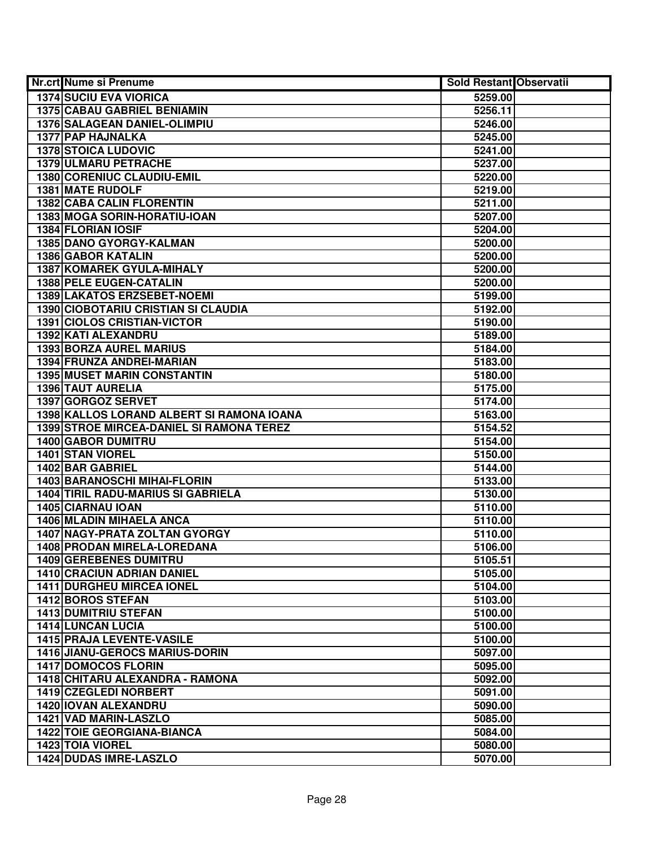| Nr.crt Nume si Prenume                    | Sold Restant Observatii |  |
|-------------------------------------------|-------------------------|--|
| <b>1374 SUCIU EVA VIORICA</b>             | 5259.00                 |  |
| <b>1375 CABAU GABRIEL BENIAMIN</b>        | 5256.11                 |  |
| 1376 SALAGEAN DANIEL-OLIMPIU              | 5246.00                 |  |
| 1377 PAP HAJNALKA                         | 5245.00                 |  |
| <b>1378 STOICA LUDOVIC</b>                | 5241.00                 |  |
| 1379 ULMARU PETRACHE                      | 5237.00                 |  |
| 1380 CORENIUC CLAUDIU-EMIL                | 5220.00                 |  |
| 1381 MATE RUDOLF                          | 5219.00                 |  |
| <b>1382 CABA CALIN FLORENTIN</b>          | 5211.00                 |  |
| 1383 MOGA SORIN-HORATIU-IOAN              | 5207.00                 |  |
| <b>1384 FLORIAN IOSIF</b>                 | 5204.00                 |  |
| <b>1385 DANO GYORGY-KALMAN</b>            | 5200.00                 |  |
| <b>1386 GABOR KATALIN</b>                 | 5200.00                 |  |
| 1387 KOMAREK GYULA-MIHALY                 | 5200.00                 |  |
| 1388 PELE EUGEN-CATALIN                   | 5200.00                 |  |
| 1389 LAKATOS ERZSEBET-NOEMI               | 5199.00                 |  |
| 1390 CIOBOTARIU CRISTIAN SI CLAUDIA       | 5192.00                 |  |
| 1391 CIOLOS CRISTIAN-VICTOR               | 5190.00                 |  |
| 1392 KATI ALEXANDRU                       | 5189.00                 |  |
| <b>1393 BORZA AUREL MARIUS</b>            | 5184.00                 |  |
| 1394 FRUNZA ANDREI-MARIAN                 | 5183.00                 |  |
| <b>1395 MUSET MARIN CONSTANTIN</b>        | 5180.00                 |  |
| 1396 TAUT AURELIA                         | 5175.00                 |  |
| 1397 GORGOZ SERVET                        | 5174.00                 |  |
| 1398 KALLOS LORAND ALBERT SI RAMONA IOANA | 5163.00                 |  |
| 1399 STROE MIRCEA-DANIEL SI RAMONA TEREZ  | 5154.52                 |  |
| 1400 GABOR DUMITRU                        | 5154.00                 |  |
| 1401 STAN VIOREL                          | 5150.00                 |  |
| 1402 BAR GABRIEL                          | 5144.00                 |  |
| 1403 BARANOSCHI MIHAI-FLORIN              | 5133.00                 |  |
| <b>1404 TIRIL RADU-MARIUS SI GABRIELA</b> | 5130.00                 |  |
| 1405 CIARNAU IOAN                         | 5110.00                 |  |
| 1406 MLADIN MIHAELA ANCA                  | 5110.00                 |  |
| 1407 NAGY-PRATA ZOLTAN GYORGY             | 5110.00                 |  |
| 1408 PRODAN MIRELA-LOREDANA               | 5106.00                 |  |
| <b>1409 GEREBENES DUMITRU</b>             | 5105.51                 |  |
| <b>1410 CRACIUN ADRIAN DANIEL</b>         | 5105.00                 |  |
| <b>1411 DURGHEU MIRCEA IONEL</b>          | 5104.00                 |  |
| <b>1412 BOROS STEFAN</b>                  | 5103.00                 |  |
| <b>1413 DUMITRIU STEFAN</b>               | 5100.00                 |  |
| <b>1414 LUNCAN LUCIA</b>                  | 5100.00                 |  |
| 1415 PRAJA LEVENTE-VASILE                 | 5100.00                 |  |
| <b>1416 JIANU-GEROCS MARIUS-DORIN</b>     | 5097.00                 |  |
| <b>1417 DOMOCOS FLORIN</b>                | 5095.00                 |  |
| 1418 CHITARU ALEXANDRA - RAMONA           | 5092.00                 |  |
| 1419 CZEGLEDI NORBERT                     | 5091.00                 |  |
| 1420 IOVAN ALEXANDRU                      | 5090.00                 |  |
| 1421 VAD MARIN-LASZLO                     | 5085.00                 |  |
| <b>1422 TOIE GEORGIANA-BIANCA</b>         | 5084.00                 |  |
| 1423 TOIA VIOREL                          | 5080.00                 |  |
| 1424 DUDAS IMRE-LASZLO                    | 5070.00                 |  |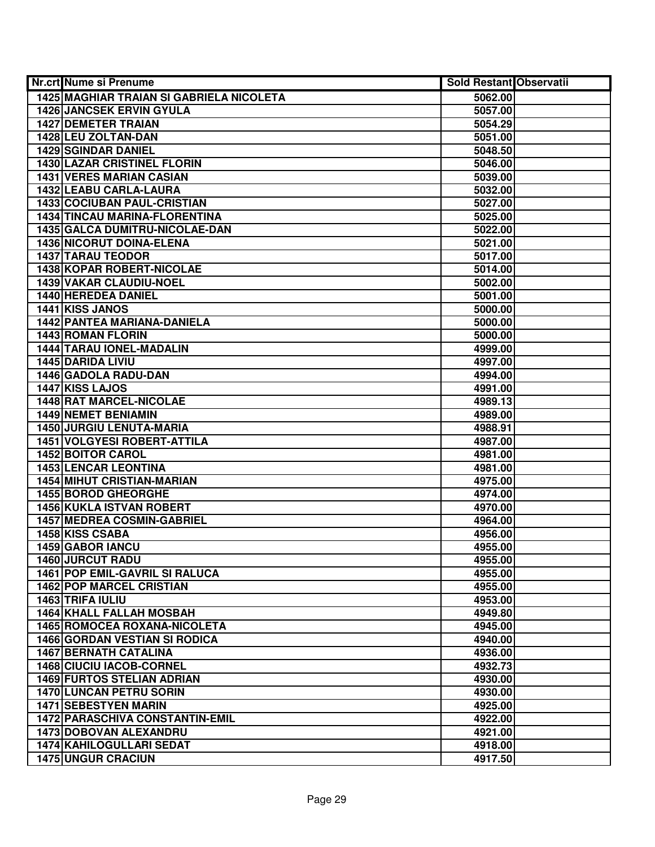| Nr.crt Nume si Prenume                          | Sold Restant Observatii |  |
|-------------------------------------------------|-------------------------|--|
| <b>1425 MAGHIAR TRAIAN SI GABRIELA NICOLETA</b> | 5062.00                 |  |
| <b>1426 JANCSEK ERVIN GYULA</b>                 | 5057.00                 |  |
| <b>1427 DEMETER TRAIAN</b>                      | 5054.29                 |  |
| 1428 LEU ZOLTAN-DAN                             | 5051.00                 |  |
| <b>1429 SGINDAR DANIEL</b>                      | 5048.50                 |  |
| <b>1430 LAZAR CRISTINEL FLORIN</b>              | 5046.00                 |  |
| <b>1431 VERES MARIAN CASIAN</b>                 | 5039.00                 |  |
| 1432 LEABU CARLA-LAURA                          | 5032.00                 |  |
| <b>1433 COCIUBAN PAUL-CRISTIAN</b>              | 5027.00                 |  |
| 1434 TINCAU MARINA-FLORENTINA                   | 5025.00                 |  |
| 1435 GALCA DUMITRU-NICOLAE-DAN                  | 5022.00                 |  |
| <b>1436 NICORUT DOINA-ELENA</b>                 | 5021.00                 |  |
| <b>1437 TARAU TEODOR</b>                        | 5017.00                 |  |
| <b>1438 KOPAR ROBERT-NICOLAE</b>                | 5014.00                 |  |
| 1439 VAKAR CLAUDIU-NOEL                         | 5002.00                 |  |
| 1440 HEREDEA DANIEL                             | 5001.00                 |  |
| 1441 KISS JANOS                                 | 5000.00                 |  |
| 1442 PANTEA MARIANA-DANIELA                     | 5000.00                 |  |
| 1443 ROMAN FLORIN                               | 5000.00                 |  |
| <b>1444 TARAU IONEL-MADALIN</b>                 | 4999.00                 |  |
| 1445 DARIDA LIVIU                               | 4997.00                 |  |
| 1446 GADOLA RADU-DAN                            | 4994.00                 |  |
| 1447 KISS LAJOS                                 | 4991.00                 |  |
| 1448 RAT MARCEL-NICOLAE                         | 4989.13                 |  |
| <b>1449 NEMET BENIAMIN</b>                      | 4989.00                 |  |
| <b>1450 JURGIU LENUTA-MARIA</b>                 | 4988.91                 |  |
| <b>1451 VOLGYESI ROBERT-ATTILA</b>              | 4987.00                 |  |
| 1452 BOITOR CAROL                               | 4981.00                 |  |
| 1453 LENCAR LEONTINA                            | 4981.00                 |  |
| <b>1454 MIHUT CRISTIAN-MARIAN</b>               | 4975.00                 |  |
| 1455 BOROD GHEORGHE                             | 4974.00                 |  |
| <b>1456 KUKLA ISTVAN ROBERT</b>                 | 4970.00                 |  |
| <b>1457 MEDREA COSMIN-GABRIEL</b>               | 4964.00                 |  |
| 1458 KISS CSABA                                 | 4956.00                 |  |
| <b>1459 GABOR IANCU</b>                         | 4955.00                 |  |
| 1460 JURCUT RADU                                | 4955.00                 |  |
| <b>1461 POP EMIL-GAVRIL SI RALUCA</b>           | 4955.00                 |  |
| <b>1462 POP MARCEL CRISTIAN</b>                 | 4955.00                 |  |
| 1463 TRIFA IULIU                                | 4953.00                 |  |
| <b>1464 KHALL FALLAH MOSBAH</b>                 | 4949.80                 |  |
| 1465 ROMOCEA ROXANA-NICOLETA                    | 4945.00                 |  |
| <b>1466 GORDAN VESTIAN SI RODICA</b>            | 4940.00                 |  |
| <b>1467 BERNATH CATALINA</b>                    | 4936.00                 |  |
| 1468 CIUCIU IACOB-CORNEL                        | 4932.73                 |  |
| <b>1469 FURTOS STELIAN ADRIAN</b>               | 4930.00                 |  |
| 1470 LUNCAN PETRU SORIN                         | 4930.00                 |  |
| <b>1471 SEBESTYEN MARIN</b>                     | 4925.00                 |  |
| <b>1472 PARASCHIVA CONSTANTIN-EMIL</b>          | 4922.00                 |  |
| 1473 DOBOVAN ALEXANDRU                          | 4921.00                 |  |
| 1474 KAHILOGULLARI SEDAT                        | 4918.00                 |  |
| <b>1475 UNGUR CRACIUN</b>                       | 4917.50                 |  |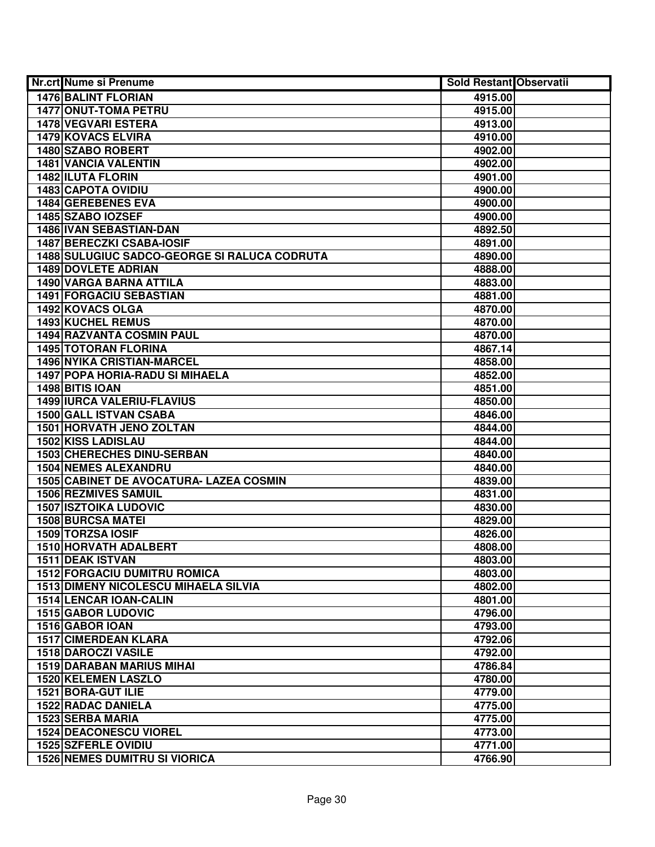| Nr.crt Nume si Prenume                                  | Sold Restant Observatii |  |
|---------------------------------------------------------|-------------------------|--|
| <b>1476 BALINT FLORIAN</b>                              | 4915.00                 |  |
| <b>1477 ONUT-TOMA PETRU</b>                             | 4915.00                 |  |
| <b>1478 VEGVARI ESTERA</b>                              | 4913.00                 |  |
| 1479 KOVACS ELVIRA                                      | 4910.00                 |  |
| 1480 SZABO ROBERT                                       | 4902.00                 |  |
| 1481 VANCIA VALENTIN                                    | 4902.00                 |  |
| 1482 ILUTA FLORIN                                       | 4901.00                 |  |
| <b>1483 CAPOTA OVIDIU</b>                               | 4900.00                 |  |
| 1484 GEREBENES EVA                                      | 4900.00                 |  |
| 1485 SZABO IOZSEF                                       | 4900.00                 |  |
| 1486 IVAN SEBASTIAN-DAN                                 | 4892.50                 |  |
| <b>1487 BERECZKI CSABA-IOSIF</b>                        | 4891.00                 |  |
| <b>1488 SULUGIUC SADCO-GEORGE SI RALUCA CODRUTA</b>     | 4890.00                 |  |
| <b>1489 DOVLETE ADRIAN</b>                              | 4888.00                 |  |
| 1490 VARGA BARNA ATTILA                                 | 4883.00                 |  |
| 1491 FORGACIU SEBASTIAN                                 | 4881.00                 |  |
| 1492 KOVACS OLGA                                        | 4870.00                 |  |
| 1493 KUCHEL REMUS                                       | 4870.00                 |  |
| <b>1494 RAZVANTA COSMIN PAUL</b>                        | 4870.00                 |  |
| <b>1495 TOTORAN FLORINA</b>                             | 4867.14                 |  |
| <b>1496 NYIKA CRISTIAN-MARCEL</b>                       | 4858.00                 |  |
| 1497 POPA HORIA-RADU SI MIHAELA                         | 4852.00                 |  |
| 1498 BITIS IOAN                                         | 4851.00                 |  |
| 1499 IURCA VALERIU-FLAVIUS                              | 4850.00                 |  |
| <b>1500 GALL ISTVAN CSABA</b>                           | 4846.00                 |  |
| <b>1501 HORVATH JENO ZOLTAN</b>                         | 4844.00                 |  |
| <b>1502 KISS LADISLAU</b>                               | 4844.00                 |  |
| 1503 CHERECHES DINU-SERBAN                              | 4840.00                 |  |
| <b>1504 NEMES ALEXANDRU</b>                             | 4840.00                 |  |
| 1505 CABINET DE AVOCATURA- LAZEA COSMIN                 | 4839.00                 |  |
| <b>1506 REZMIVES SAMUIL</b>                             | 4831.00                 |  |
| <b>1507 ISZTOIKA LUDOVIC</b>                            | 4830.00                 |  |
| <b>1508 BURCSA MATEI</b>                                | 4829.00                 |  |
| 1509 TORZSA IOSIF                                       | 4826.00                 |  |
| 1510 HORVATH ADALBERT                                   | 4808.00                 |  |
| 1511 DEAK ISTVAN<br><b>1512 FORGACIU DUMITRU ROMICA</b> | 4803.00                 |  |
| <b>1513 DIMENY NICOLESCU MIHAELA SILVIA</b>             | 4803.00                 |  |
| <b>1514 LENCAR IOAN-CALIN</b>                           | 4802.00<br>4801.00      |  |
| 1515 GABOR LUDOVIC                                      | 4796.00                 |  |
| 1516 GABOR IOAN                                         | 4793.00                 |  |
| <b>1517 CIMERDEAN KLARA</b>                             | 4792.06                 |  |
| 1518 DAROCZI VASILE                                     | 4792.00                 |  |
| <b>1519 DARABAN MARIUS MIHAI</b>                        | 4786.84                 |  |
| 1520 KELEMEN LASZLO                                     | 4780.00                 |  |
| 1521 BORA-GUT ILIE                                      | 4779.00                 |  |
| <b>1522 RADAC DANIELA</b>                               | 4775.00                 |  |
| 1523 SERBA MARIA                                        | 4775.00                 |  |
| <b>1524 DEACONESCU VIOREL</b>                           | 4773.00                 |  |
| 1525 SZFERLE OVIDIU                                     | 4771.00                 |  |
| <b>1526 NEMES DUMITRU SI VIORICA</b>                    | 4766.90                 |  |
|                                                         |                         |  |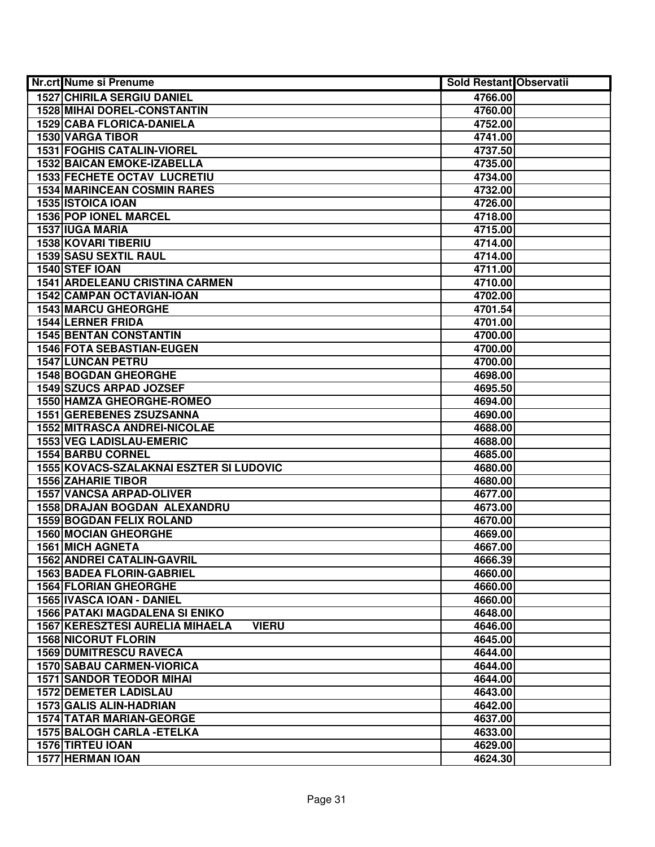| Nr.crt Nume si Prenume                                                          | <b>Sold Restant Observatii</b> |  |
|---------------------------------------------------------------------------------|--------------------------------|--|
| <b>1527 CHIRILA SERGIU DANIEL</b>                                               | 4766.00                        |  |
| <b>1528 MIHAI DOREL-CONSTANTIN</b>                                              | 4760.00                        |  |
| 1529 CABA FLORICA-DANIELA                                                       | 4752.00                        |  |
| 1530 VARGA TIBOR                                                                | 4741.00                        |  |
| <b>1531 FOGHIS CATALIN-VIOREL</b>                                               | 4737.50                        |  |
| <b>1532 BAICAN EMOKE-IZABELLA</b>                                               | 4735.00                        |  |
| <b>1533 FECHETE OCTAV LUCRETIU</b>                                              | 4734.00                        |  |
| <b>1534 MARINCEAN COSMIN RARES</b>                                              | 4732.00                        |  |
| 1535 ISTOICA IOAN                                                               | 4726.00                        |  |
| <b>1536 POP IONEL MARCEL</b>                                                    | 4718.00                        |  |
| <b>1537 IUGA MARIA</b>                                                          | 4715.00                        |  |
| <b>1538 KOVARI TIBERIU</b>                                                      | 4714.00                        |  |
| 1539 SASU SEXTIL RAUL                                                           | 4714.00                        |  |
| 1540 STEF IOAN                                                                  | 4711.00                        |  |
| <b>1541 ARDELEANU CRISTINA CARMEN</b>                                           | 4710.00                        |  |
| 1542 CAMPAN OCTAVIAN-IOAN                                                       | 4702.00                        |  |
| 1543 MARCU GHEORGHE                                                             | 4701.54                        |  |
| <b>1544 LERNER FRIDA</b>                                                        | 4701.00                        |  |
| <b>1545 BENTAN CONSTANTIN</b>                                                   | 4700.00                        |  |
| 1546 FOTA SEBASTIAN-EUGEN                                                       | 4700.00                        |  |
| <b>1547 LUNCAN PETRU</b>                                                        | 4700.00                        |  |
| <b>1548 BOGDAN GHEORGHE</b>                                                     | 4698.00                        |  |
| 1549 SZUCS ARPAD JOZSEF                                                         | 4695.50                        |  |
| 1550 HAMZA GHEORGHE-ROMEO                                                       | 4694.00                        |  |
| <b>1551 GEREBENES ZSUZSANNA</b>                                                 | 4690.00                        |  |
| <b>1552 MITRASCA ANDREI-NICOLAE</b>                                             | 4688.00                        |  |
| <b>1553 VEG LADISLAU-EMERIC</b>                                                 | 4688.00                        |  |
| <b>1554 BARBU CORNEL</b>                                                        | 4685.00                        |  |
| 1555 KOVACS-SZALAKNAI ESZTER SI LUDOVIC                                         | 4680.00                        |  |
| <b>1556 ZAHARIE TIBOR</b>                                                       | 4680.00                        |  |
| <b>1557 VANCSA ARPAD-OLIVER</b>                                                 | 4677.00                        |  |
| 1558 DRAJAN BOGDAN ALEXANDRU                                                    | 4673.00                        |  |
| <b>1559 BOGDAN FELIX ROLAND</b>                                                 | 4670.00                        |  |
| <b>1560 MOCIAN GHEORGHE</b>                                                     | 4669.00                        |  |
| <b>1561 MICH AGNETA</b>                                                         | 4667.00                        |  |
| <b>1562 ANDREI CATALIN-GAVRIL</b>                                               | 4666.39                        |  |
| 1563 BADEA FLORIN-GABRIEL                                                       | 4660.00                        |  |
| <b>1564 FLORIAN GHEORGHE</b>                                                    | 4660.00                        |  |
| 1565 IVASCA IOAN - DANIEL                                                       | 4660.00                        |  |
| <b>1566 PATAKI MAGDALENA SI ENIKO</b><br><b>1567 KERESZTESI AURELIA MIHAELA</b> | 4648.00                        |  |
| <b>VIERU</b><br><b>1568 NICORUT FLORIN</b>                                      | 4646.00                        |  |
| <b>1569 DUMITRESCU RAVECA</b>                                                   | 4645.00                        |  |
|                                                                                 | 4644.00                        |  |
| <b>1570 SABAU CARMEN-VIORICA</b><br><b>1571 SANDOR TEODOR MIHAI</b>             | 4644.00                        |  |
| <b>1572 DEMETER LADISLAU</b>                                                    | 4644.00<br>4643.00             |  |
| 1573 GALIS ALIN-HADRIAN                                                         | 4642.00                        |  |
| <b>1574 TATAR MARIAN-GEORGE</b>                                                 | 4637.00                        |  |
| 1575 BALOGH CARLA - ETELKA                                                      | 4633.00                        |  |
| 1576 TIRTEU IOAN                                                                | 4629.00                        |  |
|                                                                                 |                                |  |
| 1577 HERMAN IOAN                                                                | 4624.30                        |  |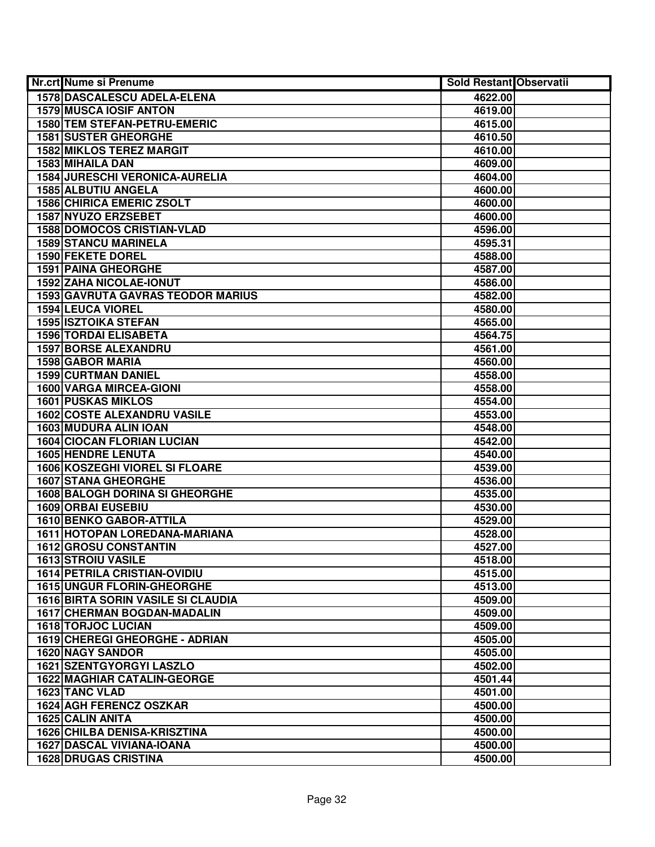| Nr.crt Nume si Prenume                    | <b>Sold Restant Observatii</b> |  |
|-------------------------------------------|--------------------------------|--|
| 1578 DASCALESCU ADELA-ELENA               | 4622.00                        |  |
| <b>1579 MUSCA IOSIF ANTON</b>             | 4619.00                        |  |
| 1580 TEM STEFAN-PETRU-EMERIC              | 4615.00                        |  |
| <b>1581 SUSTER GHEORGHE</b>               | 4610.50                        |  |
| <b>1582 MIKLOS TEREZ MARGIT</b>           | 4610.00                        |  |
| 1583 MIHAILA DAN                          | 4609.00                        |  |
| <b>1584 JURESCHI VERONICA-AURELIA</b>     | 4604.00                        |  |
| 1585 ALBUTIU ANGELA                       | 4600.00                        |  |
| <b>1586 CHIRICA EMERIC ZSOLT</b>          | 4600.00                        |  |
| 1587 NYUZO ERZSEBET                       | 4600.00                        |  |
| <b>1588 DOMOCOS CRISTIAN-VLAD</b>         | 4596.00                        |  |
| <b>1589 STANCU MARINELA</b>               | 4595.31                        |  |
| <b>1590 FEKETE DOREL</b>                  | 4588.00                        |  |
| <b>1591 PAINA GHEORGHE</b>                | 4587.00                        |  |
| 1592 ZAHA NICOLAE-IONUT                   | 4586.00                        |  |
| <b>1593 GAVRUTA GAVRAS TEODOR MARIUS</b>  | 4582.00                        |  |
| <b>1594 LEUCA VIOREL</b>                  | 4580.00                        |  |
| <b>1595 ISZTOIKA STEFAN</b>               | 4565.00                        |  |
| 1596 TORDAI ELISABETA                     | 4564.75                        |  |
| <b>1597 BORSE ALEXANDRU</b>               | 4561.00                        |  |
| <b>1598 GABOR MARIA</b>                   | 4560.00                        |  |
| <b>1599 CURTMAN DANIEL</b>                | 4558.00                        |  |
| 1600 VARGA MIRCEA-GIONI                   | 4558.00                        |  |
| <b>1601 PUSKAS MIKLOS</b>                 | 4554.00                        |  |
| <b>1602 COSTE ALEXANDRU VASILE</b>        | 4553.00                        |  |
| 1603 MUDURA ALIN IOAN                     | 4548.00                        |  |
| <b>1604 CIOCAN FLORIAN LUCIAN</b>         | 4542.00                        |  |
| <b>1605 HENDRE LENUTA</b>                 | 4540.00                        |  |
| 1606 KOSZEGHI VIOREL SI FLOARE            | 4539.00                        |  |
| <b>1607 STANA GHEORGHE</b>                | 4536.00                        |  |
| <b>1608 BALOGH DORINA SI GHEORGHE</b>     | 4535.00                        |  |
| <b>1609 ORBAI EUSEBIU</b>                 | 4530.00                        |  |
| 1610 BENKO GABOR-ATTILA                   | 4529.00                        |  |
| 1611 HOTOPAN LOREDANA-MARIANA             | 4528.00                        |  |
| 1612 GROSU CONSTANTIN                     | 4527.00                        |  |
| <b>1613 STROIU VASILE</b>                 | 4518.00                        |  |
| <b>1614 PETRILA CRISTIAN-OVIDIU</b>       | 4515.00                        |  |
| <b>1615 UNGUR FLORIN-GHEORGHE</b>         | 4513.00                        |  |
| <b>1616 BIRTA SORIN VASILE SI CLAUDIA</b> | 4509.00                        |  |
| <b>1617 CHERMAN BOGDAN-MADALIN</b>        | 4509.00                        |  |
| <b>1618 TORJOC LUCIAN</b>                 | 4509.00                        |  |
| 1619 CHEREGI GHEORGHE - ADRIAN            | 4505.00                        |  |
| <b>1620 NAGY SANDOR</b>                   | 4505.00                        |  |
| 1621 SZENTGYORGYI LASZLO                  | 4502.00                        |  |
| <b>1622 MAGHIAR CATALIN-GEORGE</b>        | 4501.44                        |  |
| 1623 TANC VLAD                            | 4501.00                        |  |
| 1624 AGH FERENCZ OSZKAR                   | 4500.00                        |  |
| 1625 CALIN ANITA                          | 4500.00                        |  |
| <b>1626 CHILBA DENISA-KRISZTINA</b>       | 4500.00                        |  |
| 1627 DASCAL VIVIANA-IOANA                 | 4500.00                        |  |
| <b>1628 DRUGAS CRISTINA</b>               | 4500.00                        |  |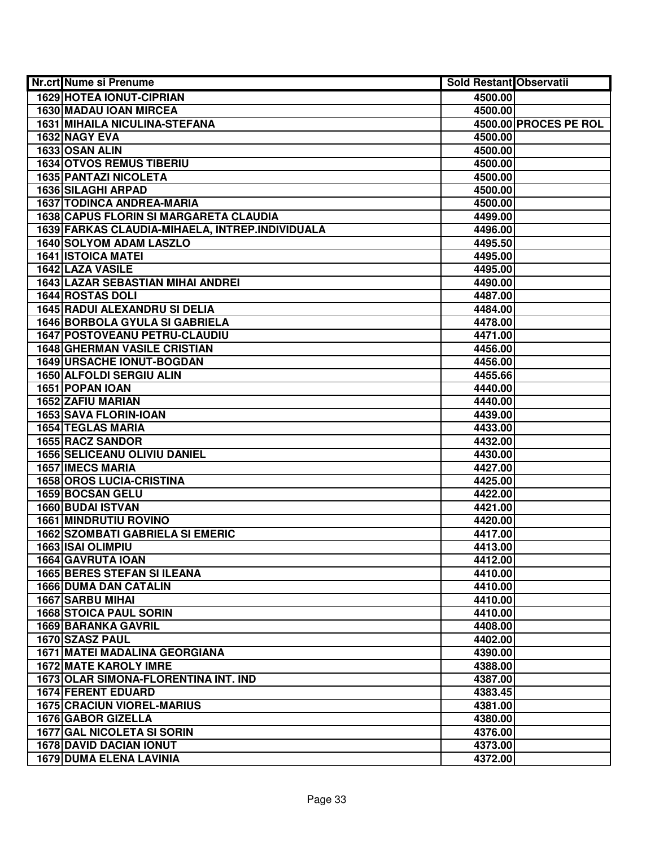| Nr.crt Nume si Prenume                          | <b>Sold Restant Observatii</b> |                       |
|-------------------------------------------------|--------------------------------|-----------------------|
| <b>1629 HOTEA IONUT-CIPRIAN</b>                 | 4500.00                        |                       |
| 1630 MADAU IOAN MIRCEA                          | 4500.00                        |                       |
| <b>1631 MIHAILA NICULINA-STEFANA</b>            |                                | 4500.00 PROCES PE ROL |
| 1632 NAGY EVA                                   | 4500.00                        |                       |
| 1633 OSAN ALIN                                  | 4500.00                        |                       |
| <b>1634 OTVOS REMUS TIBERIU</b>                 | 4500.00                        |                       |
| 1635 PANTAZI NICOLETA                           | 4500.00                        |                       |
| <b>1636 SILAGHI ARPAD</b>                       | 4500.00                        |                       |
| <b>1637 TODINCA ANDREA-MARIA</b>                | 4500.00                        |                       |
| <b>1638 CAPUS FLORIN SI MARGARETA CLAUDIA</b>   | 4499.00                        |                       |
| 1639 FARKAS CLAUDIA-MIHAELA, INTREP.INDIVIDUALA | 4496.00                        |                       |
| <b>1640 SOLYOM ADAM LASZLO</b>                  | 4495.50                        |                       |
| <b>1641 ISTOICA MATEI</b>                       | 4495.00                        |                       |
| 1642 LAZA VASILE                                | 4495.00                        |                       |
| <b>1643 LAZAR SEBASTIAN MIHAI ANDREI</b>        | 4490.00                        |                       |
| 1644 ROSTAS DOLI                                | 4487.00                        |                       |
| <b>1645 RADUI ALEXANDRU SI DELIA</b>            | 4484.00                        |                       |
| <b>1646 BORBOLA GYULA SI GABRIELA</b>           | 4478.00                        |                       |
| 1647 POSTOVEANU PETRU-CLAUDIU                   | 4471.00                        |                       |
| <b>1648 GHERMAN VASILE CRISTIAN</b>             | 4456.00                        |                       |
| <b>1649 URSACHE IONUT-BOGDAN</b>                | 4456.00                        |                       |
| 1650 ALFOLDI SERGIU ALIN                        | 4455.66                        |                       |
| 1651 POPAN IOAN                                 | 4440.00                        |                       |
| 1652 ZAFIU MARIAN                               | 4440.00                        |                       |
| <b>1653 SAVA FLORIN-IOAN</b>                    | 4439.00                        |                       |
| <b>1654 TEGLAS MARIA</b>                        | 4433.00                        |                       |
| 1655 RACZ SANDOR                                | 4432.00                        |                       |
| <b>1656 SELICEANU OLIVIU DANIEL</b>             | 4430.00                        |                       |
| <b>1657 IMECS MARIA</b>                         | 4427.00                        |                       |
| <b>1658 OROS LUCIA-CRISTINA</b>                 | 4425.00                        |                       |
| 1659 BOCSAN GELU                                | 4422.00                        |                       |
| 1660 BUDAI ISTVAN                               | 4421.00                        |                       |
| <b>1661 MINDRUTIU ROVINO</b>                    | 4420.00                        |                       |
| <b>1662 SZOMBATI GABRIELA SI EMERIC</b>         | 4417.00                        |                       |
| <b>1663 ISAI OLIMPIU</b>                        | 4413.00                        |                       |
| 1664 GAVRUTA IOAN                               | 4412.00                        |                       |
| <b>1665 BERES STEFAN SI ILEANA</b>              | 4410.00                        |                       |
| <b>1666 DUMA DAN CATALIN</b>                    | 4410.00                        |                       |
| 1667 SARBU MIHAI                                | 4410.00                        |                       |
| <b>1668 STOICA PAUL SORIN</b>                   | 4410.00                        |                       |
| <b>1669 BARANKA GAVRIL</b>                      | 4408.00                        |                       |
| 1670 SZASZ PAUL                                 | 4402.00                        |                       |
| <b>1671 MATEI MADALINA GEORGIANA</b>            | 4390.00                        |                       |
| <b>1672 MATE KAROLY IMRE</b>                    | 4388.00                        |                       |
| 1673 OLAR SIMONA-FLORENTINA INT. IND            | 4387.00                        |                       |
| <b>1674 FERENT EDUARD</b>                       | 4383.45                        |                       |
| <b>1675 CRACIUN VIOREL-MARIUS</b>               | 4381.00                        |                       |
| 1676 GABOR GIZELLA                              | 4380.00                        |                       |
| <b>1677 GAL NICOLETA SI SORIN</b>               | 4376.00                        |                       |
| <b>1678 DAVID DACIAN IONUT</b>                  | 4373.00                        |                       |
| <b>1679 DUMA ELENA LAVINIA</b>                  | 4372.00                        |                       |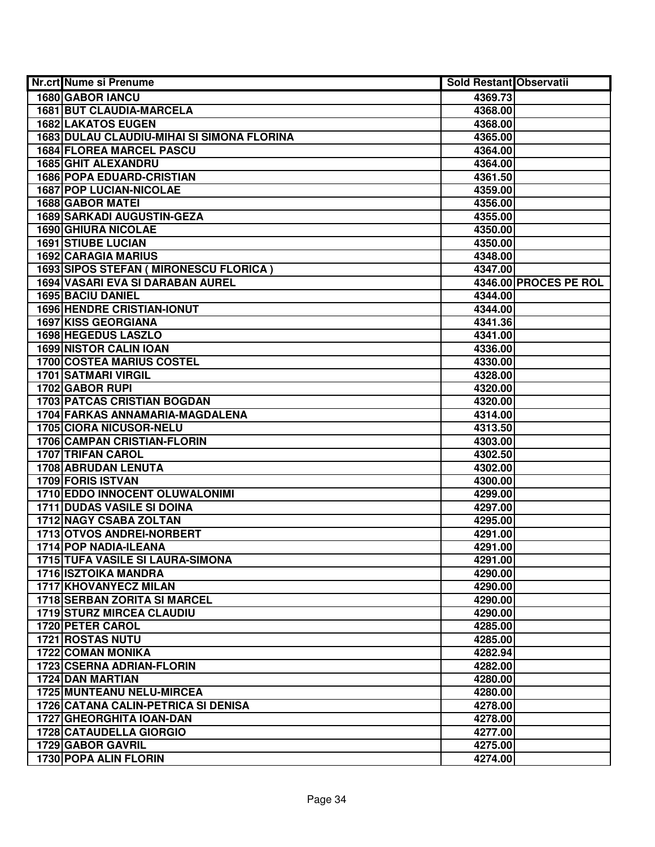| Nr.crt Nume si Prenume                       | Sold Restant Observatii |                       |
|----------------------------------------------|-------------------------|-----------------------|
| <b>1680 GABOR IANCU</b>                      | 4369.73                 |                       |
| <b>1681 BUT CLAUDIA-MARCELA</b>              | 4368.00                 |                       |
| <b>1682 LAKATOS EUGEN</b>                    | 4368.00                 |                       |
| 1683 DULAU CLAUDIU-MIHAI SI SIMONA FLORINA   | 4365.00                 |                       |
| <b>1684 FLOREA MARCEL PASCU</b>              | 4364.00                 |                       |
| 1685 GHIT ALEXANDRU                          | 4364.00                 |                       |
| <b>1686 POPA EDUARD-CRISTIAN</b>             | 4361.50                 |                       |
| <b>1687 POP LUCIAN-NICOLAE</b>               | 4359.00                 |                       |
| <b>1688 GABOR MATEI</b>                      | 4356.00                 |                       |
| <b>1689 SARKADI AUGUSTIN-GEZA</b>            | 4355.00                 |                       |
| <b>1690 GHIURA NICOLAE</b>                   | 4350.00                 |                       |
| <b>1691 STIUBE LUCIAN</b>                    | 4350.00                 |                       |
| <b>1692 CARAGIA MARIUS</b>                   | 4348.00                 |                       |
| 1693 SIPOS STEFAN ( MIRONESCU FLORICA )      | 4347.00                 |                       |
| 1694 VASARI EVA SI DARABAN AUREL             |                         | 4346.00 PROCES PE ROL |
| 1695 BACIU DANIEL                            | 4344.00                 |                       |
| <b>1696 HENDRE CRISTIAN-IONUT</b>            | 4344.00                 |                       |
| 1697 KISS GEORGIANA                          | 4341.36                 |                       |
| 1698 HEGEDUS LASZLO                          | 4341.00                 |                       |
| <b>1699 NISTOR CALIN IOAN</b>                | 4336.00                 |                       |
| <b>1700 COSTEA MARIUS COSTEL</b>             | 4330.00                 |                       |
| <b>1701 SATMARI VIRGIL</b>                   | 4328.00                 |                       |
| 1702 GABOR RUPI                              | 4320.00                 |                       |
| <b>1703 PATCAS CRISTIAN BOGDAN</b>           | 4320.00                 |                       |
| 1704 FARKAS ANNAMARIA-MAGDALENA              | 4314.00                 |                       |
| 1705 CIORA NICUSOR-NELU                      | 4313.50                 |                       |
| 1706 CAMPAN CRISTIAN-FLORIN                  | 4303.00                 |                       |
| 1707 TRIFAN CAROL                            | 4302.50                 |                       |
| <b>1708 ABRUDAN LENUTA</b>                   | 4302.00                 |                       |
| 1709 FORIS ISTVAN                            | 4300.00                 |                       |
| 1710 EDDO INNOCENT OLUWALONIMI               | 4299.00                 |                       |
| <b>1711 DUDAS VASILE SI DOINA</b>            | 4297.00                 |                       |
| <b>1712 NAGY CSABA ZOLTAN</b>                | 4295.00                 |                       |
| 1713 OTVOS ANDREI-NORBERT                    | 4291.00                 |                       |
| 1714 POP NADIA-ILEANA                        | 4291.00                 |                       |
| <b>1715 TUFA VASILE SI LAURA-SIMONA</b>      | 4291.00                 |                       |
| <b>1716 ISZTOIKA MANDRA</b>                  | 4290.00                 |                       |
| <b>1717 KHOVANYECZ MILAN</b>                 | 4290.00                 |                       |
| <b>1718 SERBAN ZORITA SI MARCEL</b>          | 4290.00                 |                       |
| <b>1719 STURZ MIRCEA CLAUDIU</b>             | 4290.00                 |                       |
| 1720 PETER CAROL                             | 4285.00                 |                       |
| <b>1721 ROSTAS NUTU</b>                      | 4285.00                 |                       |
| <b>1722 COMAN MONIKA</b>                     | 4282.94                 |                       |
| 1723 CSERNA ADRIAN-FLORIN                    | 4282.00                 |                       |
| 1724 DAN MARTIAN                             | 4280.00                 |                       |
| <b>1725 MUNTEANU NELU-MIRCEA</b>             | 4280.00                 |                       |
| <b>1726 CATANA CALIN-PETRICA SI DENISA</b>   | 4278.00                 |                       |
| 1727 GHEORGHITA IOAN-DAN                     | 4278.00                 |                       |
| 1728 CATAUDELLA GIORGIO<br>1729 GABOR GAVRIL | 4277.00<br>4275.00      |                       |
| 1730 POPA ALIN FLORIN                        | 4274.00                 |                       |
|                                              |                         |                       |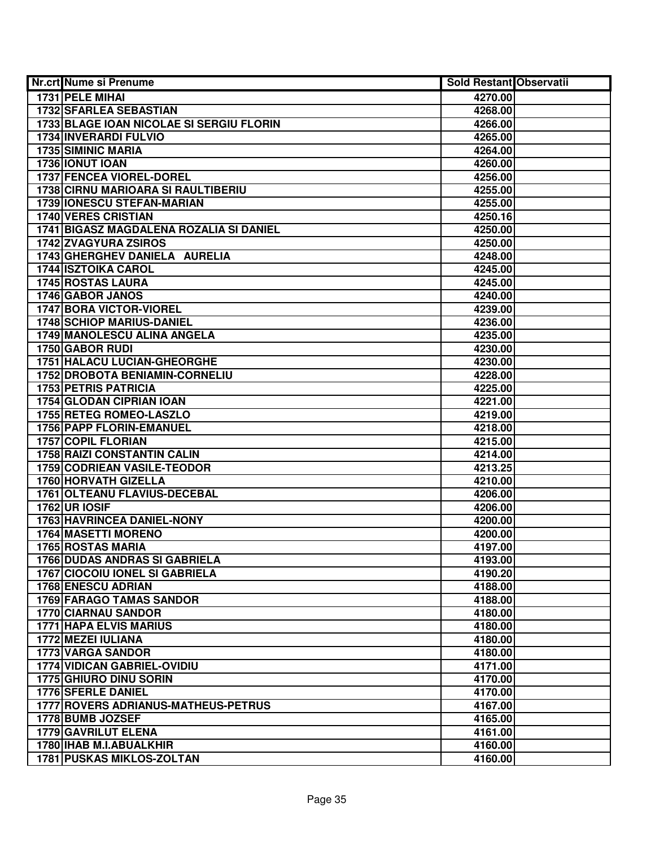| Nr.crt Nume si Prenume                           | Sold Restant Observatii |  |
|--------------------------------------------------|-------------------------|--|
| 1731 PELE MIHAL                                  | 4270.00                 |  |
| <b>1732 SFARLEA SEBASTIAN</b>                    | 4268.00                 |  |
| 1733 BLAGE IOAN NICOLAE SI SERGIU FLORIN         | 4266.00                 |  |
| 1734 INVERARDI FULVIO                            | 4265.00                 |  |
| 1735 SIMINIC MARIA                               | 4264.00                 |  |
| 1736 IONUT IOAN                                  | 4260.00                 |  |
| 1737 FENCEA VIOREL-DOREL                         | 4256.00                 |  |
| 1738 CIRNU MARIOARA SI RAULTIBERIU               | 4255.00                 |  |
| 1739   IONESCU STEFAN-MARIAN                     | 4255.00                 |  |
| <b>1740 VERES CRISTIAN</b>                       | 4250.16                 |  |
| 1741 BIGASZ MAGDALENA ROZALIA SI DANIEL          | 4250.00                 |  |
| <b>1742 ZVAGYURA ZSIROS</b>                      | 4250.00                 |  |
| 1743 GHERGHEV DANIELA AURELIA                    | 4248.00                 |  |
| <b>1744 ISZTOIKA CAROL</b>                       | 4245.00                 |  |
| 1745 ROSTAS LAURA                                | 4245.00                 |  |
| 1746 GABOR JANOS                                 | 4240.00                 |  |
| 1747 BORA VICTOR-VIOREL                          | 4239.00                 |  |
| <b>1748 SCHIOP MARIUS-DANIEL</b>                 | 4236.00                 |  |
| 1749 MANOLESCU ALINA ANGELA                      | 4235.00                 |  |
| 1750 GABOR RUDI                                  | 4230.00                 |  |
| <b>1751 HALACU LUCIAN-GHEORGHE</b>               | 4230.00                 |  |
| 1752 DROBOTA BENIAMIN-CORNELIU                   | 4228.00                 |  |
| <b>1753 PETRIS PATRICIA</b>                      | 4225.00                 |  |
| 1754 GLODAN CIPRIAN IOAN                         | 4221.00                 |  |
| 1755 RETEG ROMEO-LASZLO                          | 4219.00                 |  |
| 1756 PAPP FLORIN-EMANUEL                         | 4218.00                 |  |
| <b>1757 COPIL FLORIAN</b>                        | 4215.00                 |  |
| <b>1758 RAIZI CONSTANTIN CALIN</b>               | 4214.00                 |  |
| 1759 CODRIEAN VASILE-TEODOR                      | 4213.25                 |  |
| 1760 HORVATH GIZELLA                             | 4210.00                 |  |
| 1761 OLTEANU FLAVIUS-DECEBAL                     | 4206.00                 |  |
| <b>1762 UR IOSIF</b>                             | 4206.00                 |  |
| 1763 HAVRINCEA DANIEL-NONY                       | 4200.00                 |  |
| <b>1764 MASETTI MORENO</b>                       | 4200.00                 |  |
| <b>1765 ROSTAS MARIA</b>                         | 4197.00                 |  |
| <b>1766 DUDAS ANDRAS SI GABRIELA</b>             | 4193.00                 |  |
| <b>1767 CIOCOIU IONEL SI GABRIELA</b>            | 4190.20                 |  |
| <b>1768 ENESCU ADRIAN</b>                        | 4188.00                 |  |
| <b>1769 FARAGO TAMAS SANDOR</b>                  | 4188.00                 |  |
| 1770 CIARNAU SANDOR                              | 4180.00                 |  |
| 1771 HAPA ELVIS MARIUS                           | 4180.00                 |  |
| 1772 MEZEI IULIANA                               | 4180.00                 |  |
| 1773 VARGA SANDOR<br>1774 VIDICAN GABRIEL-OVIDIU | 4180.00                 |  |
| 1775 GHIURO DINU SORIN                           | 4171.00<br>4170.00      |  |
| 1776 SFERLE DANIEL                               | 4170.00                 |  |
| 1777 ROVERS ADRIANUS-MATHEUS-PETRUS              | 4167.00                 |  |
| 1778 BUMB JOZSEF                                 | 4165.00                 |  |
| 1779 GAVRILUT ELENA                              | 4161.00                 |  |
| 1780 IHAB M.I.ABUALKHIR                          | 4160.00                 |  |
| <b>1781 PUSKAS MIKLOS-ZOLTAN</b>                 | 4160.00                 |  |
|                                                  |                         |  |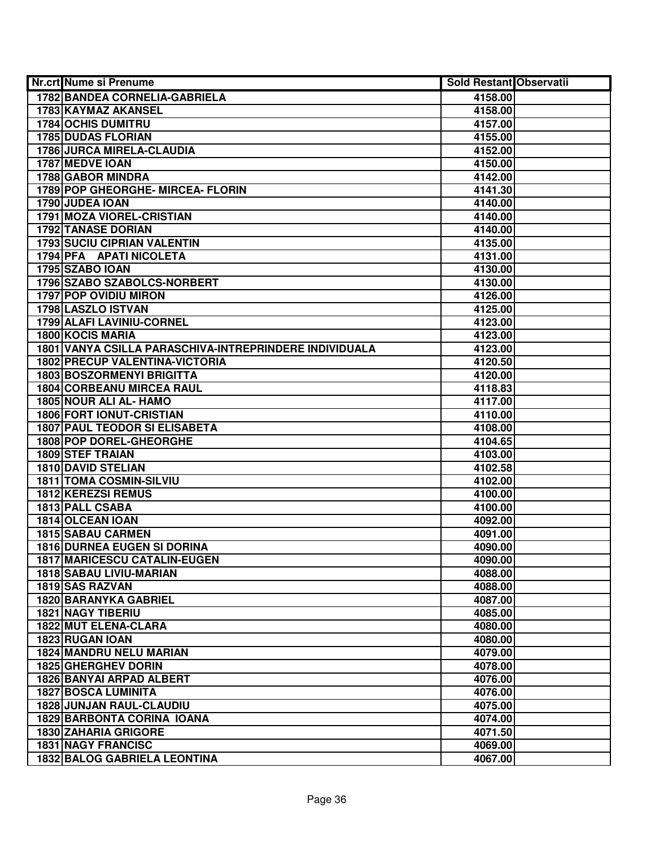| Nr.crt Nume si Prenume                                 | Sold Restant Observatii |  |
|--------------------------------------------------------|-------------------------|--|
| 1782 BANDEA CORNELIA-GABRIELA                          | 4158.00                 |  |
| 1783 KAYMAZ AKANSEL                                    | 4158.00                 |  |
| <b>1784 OCHIS DUMITRU</b>                              | 4157.00                 |  |
| <b>1785 DUDAS FLORIAN</b>                              | 4155.00                 |  |
| 1786 JURCA MIRELA-CLAUDIA                              | 4152.00                 |  |
| 1787 MEDVE IOAN                                        | 4150.00                 |  |
| 1788 GABOR MINDRA                                      | 4142.00                 |  |
| 1789 POP GHEORGHE- MIRCEA- FLORIN                      | 4141.30                 |  |
| 1790 JUDEA IOAN                                        | 4140.00                 |  |
| <b>1791 MOZA VIOREL-CRISTIAN</b>                       | 4140.00                 |  |
| <b>1792 TANASE DORIAN</b>                              | 4140.00                 |  |
| <b>1793 SUCIU CIPRIAN VALENTIN</b>                     | 4135.00                 |  |
| 1794 PFA APATI NICOLETA                                | 4131.00                 |  |
| <b>1795 SZABO IOAN</b>                                 | 4130.00                 |  |
| 1796 SZABO SZABOLCS-NORBERT                            | 4130.00                 |  |
| <b>1797 POP OVIDIU MIRON</b>                           | 4126.00                 |  |
| 1798 LASZLO ISTVAN                                     | 4125.00                 |  |
| 1799 ALAFI LAVINIU-CORNEL                              | 4123.00                 |  |
| <b>1800 KOCIS MARIA</b>                                | 4123.00                 |  |
| 1801 VANYA CSILLA PARASCHIVA-INTREPRINDERE INDIVIDUALA | 4123.00                 |  |
| 1802 PRECUP VALENTINA-VICTORIA                         | 4120.50                 |  |
| <b>1803 BOSZORMENYI BRIGITTA</b>                       | 4120.00                 |  |
| <b>1804 CORBEANU MIRCEA RAUL</b>                       | 4118.83                 |  |
| 1805 NOUR ALI AL- HAMO                                 | 4117.00                 |  |
| <b>1806 FORT IONUT-CRISTIAN</b>                        | 4110.00                 |  |
| <b>1807 PAUL TEODOR SI ELISABETA</b>                   | 4108.00                 |  |
| <b>1808 POP DOREL-GHEORGHE</b>                         | 4104.65                 |  |
| 1809 STEF TRAIAN                                       | 4103.00                 |  |
| 1810 DAVID STELIAN                                     | 4102.58                 |  |
| 1811 TOMA COSMIN-SILVIU                                | 4102.00                 |  |
| 1812 KEREZSI REMUS                                     | 4100.00                 |  |
| 1813 PALL CSABA                                        | 4100.00                 |  |
| 1814 OLCEAN IOAN                                       | 4092.00                 |  |
| <b>1815 SABAU CARMEN</b>                               | 4091.00                 |  |
| <b>1816 DURNEA EUGEN SI DORINA</b>                     | 4090.00                 |  |
| <b>1817 MARICESCU CATALIN-EUGEN</b>                    | 4090.00                 |  |
| 1818 SABAU LIVIU-MARIAN                                | 4088.00                 |  |
| 1819 SAS RAZVAN                                        | 4088.00                 |  |
| <b>1820 BARANYKA GABRIEL</b>                           | 4087.00                 |  |
| <b>1821 NAGY TIBERIU</b>                               | 4085.00                 |  |
| 1822 MUT ELENA-CLARA                                   | 4080.00                 |  |
| 1823 RUGAN IOAN                                        | 4080.00                 |  |
| <b>1824 MANDRU NELU MARIAN</b>                         | 4079.00                 |  |
| <b>1825 GHERGHEV DORIN</b>                             | 4078.00                 |  |
| 1826 BANYAI ARPAD ALBERT                               | 4076.00                 |  |
| <b>1827 BOSCA LUMINITA</b>                             | 4076.00                 |  |
| 1828 JUNJAN RAUL-CLAUDIU                               | 4075.00                 |  |
| <b>1829 BARBONTA CORINA IOANA</b>                      | 4074.00                 |  |
| <b>1830 ZAHARIA GRIGORE</b>                            | 4071.50                 |  |
| <b>1831 NAGY FRANCISC</b>                              | 4069.00                 |  |
| <b>1832 BALOG GABRIELA LEONTINA</b>                    | 4067.00                 |  |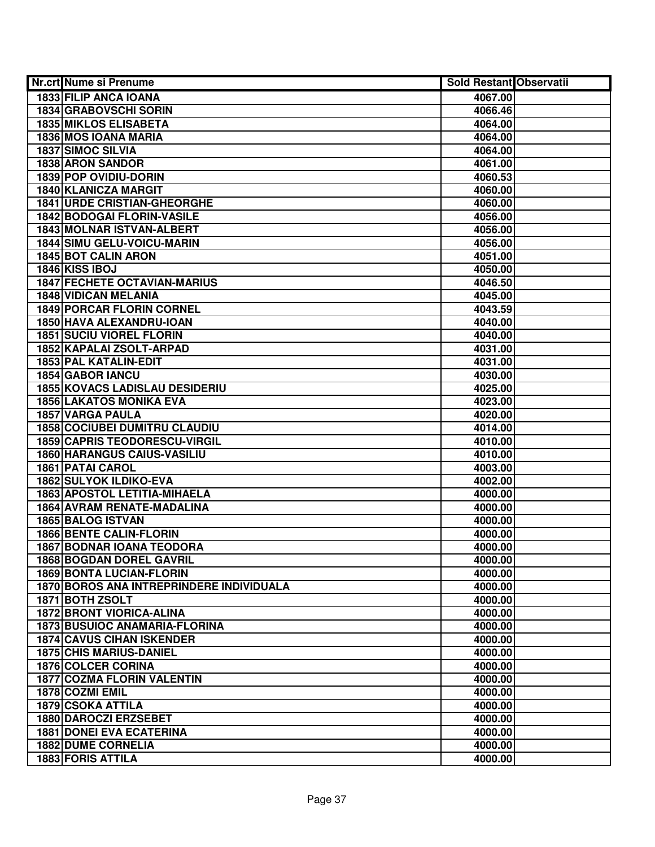| <b>Nr.crt Nume si Prenume</b>            | <b>Sold Restant Observatii</b> |  |
|------------------------------------------|--------------------------------|--|
| <b>1833 FILIP ANCA IOANA</b>             | 4067.00                        |  |
| 1834 GRABOVSCHI SORIN                    | 4066.46                        |  |
| <b>1835 MIKLOS ELISABETA</b>             | 4064.00                        |  |
| 1836 MOS IOANA MARIA                     | 4064.00                        |  |
| 1837 SIMOC SILVIA                        | 4064.00                        |  |
| <b>1838 ARON SANDOR</b>                  | 4061.00                        |  |
| 1839 POP OVIDIU-DORIN                    | 4060.53                        |  |
| 1840 KLANICZA MARGIT                     | 4060.00                        |  |
| <b>1841 URDE CRISTIAN-GHEORGHE</b>       | 4060.00                        |  |
| <b>1842 BODOGAI FLORIN-VASILE</b>        | 4056.00                        |  |
| <b>1843 MOLNAR ISTVAN-ALBERT</b>         | 4056.00                        |  |
| 1844 SIMU GELU-VOICU-MARIN               | 4056.00                        |  |
| <b>1845 BOT CALIN ARON</b>               | 4051.00                        |  |
| 1846 KISS IBOJ                           | 4050.00                        |  |
| <b>1847 FECHETE OCTAVIAN-MARIUS</b>      | 4046.50                        |  |
| <b>1848 VIDICAN MELANIA</b>              | 4045.00                        |  |
| 1849 PORCAR FLORIN CORNEL                | 4043.59                        |  |
| <b>1850 HAVA ALEXANDRU-IOAN</b>          | 4040.00                        |  |
| <b>1851 SUCIU VIOREL FLORIN</b>          | 4040.00                        |  |
| 1852 KAPALAI ZSOLT-ARPAD                 | 4031.00                        |  |
| 1853 PAL KATALIN-EDIT                    | 4031.00                        |  |
| 1854 GABOR IANCU                         | 4030.00                        |  |
| <b>1855 KOVACS LADISLAU DESIDERIU</b>    | 4025.00                        |  |
| <b>1856 LAKATOS MONIKA EVA</b>           | 4023.00                        |  |
| 1857 VARGA PAULA                         | 4020.00                        |  |
| <b>1858 COCIUBEI DUMITRU CLAUDIU</b>     | 4014.00                        |  |
| <b>1859 CAPRIS TEODORESCU-VIRGIL</b>     | 4010.00                        |  |
| <b>1860 HARANGUS CAIUS-VASILIU</b>       | 4010.00                        |  |
| 1861 PATAI CAROL                         | 4003.00                        |  |
| 1862 SULYOK ILDIKO-EVA                   | 4002.00                        |  |
| 1863 APOSTOL LETITIA-MIHAELA             | 4000.00                        |  |
| 1864 AVRAM RENATE-MADALINA               | 4000.00                        |  |
| 1865 BALOG ISTVAN                        | 4000.00                        |  |
| <b>1866 BENTE CALIN-FLORIN</b>           | 4000.00                        |  |
| <b>1867 BODNAR IOANA TEODORA</b>         | 4000.00                        |  |
| <b>1868 BOGDAN DOREL GAVRIL</b>          | 4000.00                        |  |
| <b>1869 BONTA LUCIAN-FLORIN</b>          | 4000.00                        |  |
| 1870 BOROS ANA INTREPRINDERE INDIVIDUALA | 4000.00                        |  |
| 1871 BOTH ZSOLT                          | 4000.00                        |  |
| <b>1872 BRONT VIORICA-ALINA</b>          | 4000.00                        |  |
| 1873 BUSUIOC ANAMARIA-FLORINA            | 4000.00                        |  |
| <b>1874 CAVUS CIHAN ISKENDER</b>         | 4000.00                        |  |
| <b>1875 CHIS MARIUS-DANIEL</b>           | 4000.00                        |  |
| <b>1876 COLCER CORINA</b>                | 4000.00                        |  |
| <b>1877 COZMA FLORIN VALENTIN</b>        | 4000.00                        |  |
| 1878 COZMI EMIL                          | 4000.00                        |  |
| 1879 CSOKA ATTILA                        | 4000.00                        |  |
| 1880 DAROCZI ERZSEBET                    | 4000.00                        |  |
| <b>1881 DONEI EVA ECATERINA</b>          | 4000.00                        |  |
| <b>1882 DUME CORNELIA</b>                | 4000.00                        |  |
| 1883 FORIS ATTILA                        | 4000.00                        |  |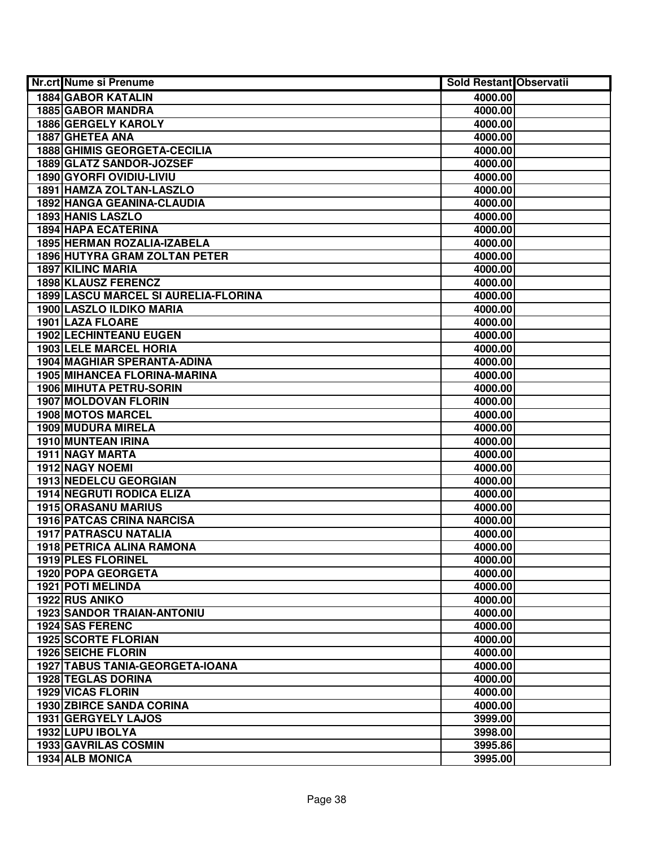| <b>Nr.crt Nume si Prenume</b>        | <b>Sold Restant Observatii</b> |  |
|--------------------------------------|--------------------------------|--|
| <b>1884 GABOR KATALIN</b>            | 4000.00                        |  |
| 1885 GABOR MANDRA                    | 4000.00                        |  |
| 1886 GERGELY KAROLY                  | 4000.00                        |  |
| 1887 GHETEA ANA                      | 4000.00                        |  |
| <b>1888 GHIMIS GEORGETA-CECILIA</b>  | 4000.00                        |  |
| 1889 GLATZ SANDOR-JOZSEF             | 4000.00                        |  |
| 1890 GYORFI OVIDIU-LIVIU             | 4000.00                        |  |
| 1891 HAMZA ZOLTAN-LASZLO             | 4000.00                        |  |
| <b>1892 HANGA GEANINA-CLAUDIA</b>    | 4000.00                        |  |
| 1893 HANIS LASZLO                    | 4000.00                        |  |
| <b>1894 HAPA ECATERINA</b>           | 4000.00                        |  |
| 1895 HERMAN ROZALIA-IZABELA          | 4000.00                        |  |
| <b>1896 HUTYRA GRAM ZOLTAN PETER</b> | 4000.00                        |  |
| <b>1897 KILINC MARIA</b>             | 4000.00                        |  |
| <b>1898 KLAUSZ FERENCZ</b>           | 4000.00                        |  |
| 1899 LASCU MARCEL SI AURELIA-FLORINA | 4000.00                        |  |
| 1900 LASZLO ILDIKO MARIA             | 4000.00                        |  |
| 1901 LAZA FLOARE                     | 4000.00                        |  |
| 1902 LECHINTEANU EUGEN               | 4000.00                        |  |
| <b>1903 LELE MARCEL HORIA</b>        | 4000.00                        |  |
| 1904 MAGHIAR SPERANTA-ADINA          | 4000.00                        |  |
| 1905 MIHANCEA FLORINA-MARINA         | 4000.00                        |  |
| 1906 MIHUTA PETRU-SORIN              | 4000.00                        |  |
| 1907 MOLDOVAN FLORIN                 | 4000.00                        |  |
| <b>1908 MOTOS MARCEL</b>             | 4000.00                        |  |
| 1909 MUDURA MIRELA                   | 4000.00                        |  |
| 1910 MUNTEAN IRINA                   | 4000.00                        |  |
| 1911 NAGY MARTA                      | 4000.00                        |  |
| 1912 NAGY NOEMI                      | 4000.00                        |  |
| 1913 NEDELCU GEORGIAN                | 4000.00                        |  |
| <b>1914 NEGRUTI RODICA ELIZA</b>     | 4000.00                        |  |
| <b>1915 ORASANU MARIUS</b>           | 4000.00                        |  |
| <b>1916 PATCAS CRINA NARCISA</b>     | 4000.00                        |  |
| <b>1917 PATRASCU NATALIA</b>         | 4000.00                        |  |
| <b>1918 PETRICA ALINA RAMONA</b>     | 4000.00                        |  |
| 1919 PLES FLORINEL                   | 4000.00                        |  |
| 1920 POPA GEORGETA                   | 4000.00                        |  |
| 1921 POTI MELINDA                    | 4000.00                        |  |
| 1922 RUS ANIKO                       | 4000.00                        |  |
| <b>1923 SANDOR TRAIAN-ANTONIU</b>    | 4000.00                        |  |
| 1924 SAS FERENC                      | 4000.00                        |  |
| <b>1925 SCORTE FLORIAN</b>           | 4000.00                        |  |
| <b>1926 SEICHE FLORIN</b>            | 4000.00                        |  |
| 1927 TABUS TANIA-GEORGETA-IOANA      | 4000.00                        |  |
| 1928 TEGLAS DORINA                   | 4000.00                        |  |
| <b>1929 VICAS FLORIN</b>             | 4000.00                        |  |
| <b>1930 ZBIRCE SANDA CORINA</b>      | 4000.00                        |  |
| 1931 GERGYELY LAJOS                  | 3999.00                        |  |
| 1932 LUPU IBOLYA                     | 3998.00                        |  |
| <b>1933 GAVRILAS COSMIN</b>          | 3995.86                        |  |
| 1934 ALB MONICA                      | 3995.00                        |  |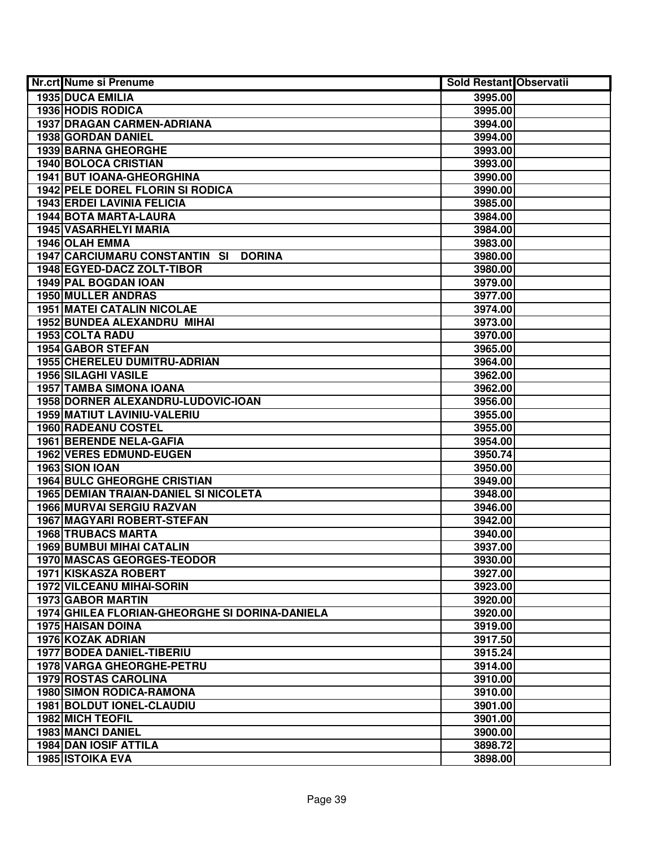| Nr.crt Nume si Prenume                         | <b>Sold Restant Observatii</b> |  |
|------------------------------------------------|--------------------------------|--|
| <b>1935 DUCA EMILIA</b>                        | 3995.00                        |  |
| <b>1936 HODIS RODICA</b>                       | 3995.00                        |  |
| 1937 DRAGAN CARMEN-ADRIANA                     | 3994.00                        |  |
| 1938 GORDAN DANIEL                             | 3994.00                        |  |
| 1939 BARNA GHEORGHE                            | 3993.00                        |  |
| 1940 BOLOCA CRISTIAN                           | 3993.00                        |  |
| 1941 BUT IOANA-GHEORGHINA                      | 3990.00                        |  |
| 1942 PELE DOREL FLORIN SI RODICA               | 3990.00                        |  |
| <b>1943 ERDEI LAVINIA FELICIA</b>              | 3985.00                        |  |
| 1944 BOTA MARTA-LAURA                          | 3984.00                        |  |
| <b>1945 VASARHELYI MARIA</b>                   | 3984.00                        |  |
| 1946 OLAH EMMA                                 | 3983.00                        |  |
| 1947 CARCIUMARU CONSTANTIN SI<br><b>DORINA</b> | 3980.00                        |  |
| 1948 EGYED-DACZ ZOLT-TIBOR                     | 3980.00                        |  |
| 1949 PAL BOGDAN IOAN                           | 3979.00                        |  |
| 1950 MULLER ANDRAS                             | 3977.00                        |  |
| <b>1951 MATEI CATALIN NICOLAE</b>              | 3974.00                        |  |
| 1952 BUNDEA ALEXANDRU MIHAI                    | 3973.00                        |  |
| 1953 COLTA RADU                                | 3970.00                        |  |
| 1954 GABOR STEFAN                              | 3965.00                        |  |
| 1955 CHERELEU DUMITRU-ADRIAN                   | 3964.00                        |  |
| 1956 SILAGHI VASILE                            | 3962.00                        |  |
| 1957 TAMBA SIMONA IOANA                        | 3962.00                        |  |
| 1958 DORNER ALEXANDRU-LUDOVIC-IOAN             | 3956.00                        |  |
| 1959 MATIUT LAVINIU-VALERIU                    | 3955.00                        |  |
| 1960 RADEANU COSTEL                            | 3955.00                        |  |
| 1961 BERENDE NELA-GAFIA                        | 3954.00                        |  |
| 1962 VERES EDMUND-EUGEN                        | 3950.74                        |  |
| 1963 SION IOAN                                 | 3950.00                        |  |
| <b>1964 BULC GHEORGHE CRISTIAN</b>             | 3949.00                        |  |
| <b>1965 DEMIAN TRAIAN-DANIEL SI NICOLETA</b>   | 3948.00                        |  |
| 1966 MURVAI SERGIU RAZVAN                      | 3946.00                        |  |
| 1967 MAGYARI ROBERT-STEFAN                     | 3942.00                        |  |
| <b>1968 TRUBACS MARTA</b>                      | 3940.00                        |  |
| <b>1969 BUMBUI MIHAI CATALIN</b>               | 3937.00                        |  |
| 1970 MASCAS GEORGES-TEODOR                     | 3930.00                        |  |
| 1971 KISKASZA ROBERT                           | 3927.00                        |  |
| <b>1972 VILCEANU MIHAI-SORIN</b>               | 3923.00                        |  |
| <b>1973 GABOR MARTIN</b>                       | 3920.00                        |  |
| 1974 GHILEA FLORIAN-GHEORGHE SI DORINA-DANIELA | 3920.00                        |  |
| <b>1975 HAISAN DOINA</b>                       | 3919.00                        |  |
| 1976 KOZAK ADRIAN                              | 3917.50                        |  |
| <b>1977 BODEA DANIEL-TIBERIU</b>               | 3915.24                        |  |
| 1978 VARGA GHEORGHE-PETRU                      | 3914.00                        |  |
| <b>1979 ROSTAS CAROLINA</b>                    | 3910.00                        |  |
| <b>1980 SIMON RODICA-RAMONA</b>                | 3910.00                        |  |
| 1981 BOLDUT IONEL-CLAUDIU                      | 3901.00                        |  |
| <b>1982 MICH TEOFIL</b>                        | 3901.00                        |  |
| 1983 MANCI DANIEL                              | 3900.00                        |  |
| <b>1984 DAN IOSIF ATTILA</b>                   | 3898.72                        |  |
| <b>1985 ISTOIKA EVA</b>                        | 3898.00                        |  |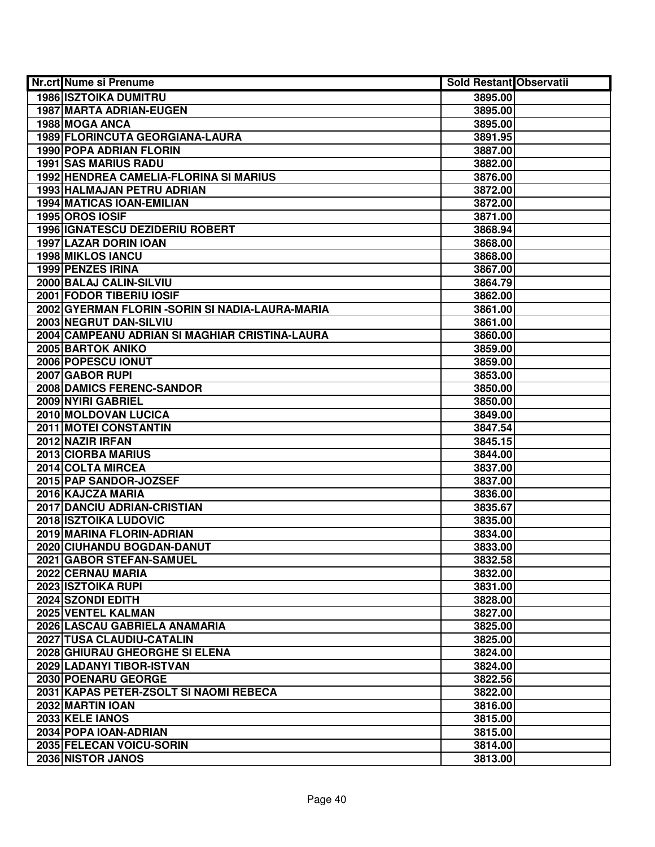| <b>Nr.crt Nume si Prenume</b>                    | Sold Restant Observatii |  |
|--------------------------------------------------|-------------------------|--|
| <b>1986 ISZTOIKA DUMITRU</b>                     | 3895.00                 |  |
| 1987 MARTA ADRIAN-EUGEN                          | 3895.00                 |  |
| 1988 MOGA ANCA                                   | 3895.00                 |  |
| 1989 FLORINCUTA GEORGIANA-LAURA                  | 3891.95                 |  |
| 1990 POPA ADRIAN FLORIN                          | 3887.00                 |  |
| <b>1991 SAS MARIUS RADU</b>                      | 3882.00                 |  |
| 1992 HENDREA CAMELIA-FLORINA SI MARIUS           | 3876.00                 |  |
| <b>1993 HALMAJAN PETRU ADRIAN</b>                | 3872.00                 |  |
| <b>1994 MATICAS IOAN-EMILIAN</b>                 | 3872.00                 |  |
| 1995 OROS IOSIF                                  | 3871.00                 |  |
| <b>1996 IGNATESCU DEZIDERIU ROBERT</b>           | 3868.94                 |  |
| 1997 LAZAR DORIN IOAN                            | 3868.00                 |  |
| 1998 MIKLOS IANCU                                | 3868.00                 |  |
| <b>1999 PENZES IRINA</b>                         | 3867.00                 |  |
| 2000 BALAJ CALIN-SILVIU                          | 3864.79                 |  |
| 2001 FODOR TIBERIU IOSIF                         | 3862.00                 |  |
| 2002 GYERMAN FLORIN - SORIN SI NADIA-LAURA-MARIA | 3861.00                 |  |
| 2003 NEGRUT DAN-SILVIU                           | 3861.00                 |  |
| 2004 CAMPEANU ADRIAN SI MAGHIAR CRISTINA-LAURA   | 3860.00                 |  |
| 2005 BARTOK ANIKO                                | 3859.00                 |  |
| 2006 POPESCU IONUT                               | 3859.00                 |  |
| 2007 GABOR RUPI                                  | 3853.00                 |  |
| 2008 DAMICS FERENC-SANDOR                        | 3850.00                 |  |
| 2009 NYIRI GABRIEL                               | 3850.00                 |  |
| 2010 MOLDOVAN LUCICA                             | 3849.00                 |  |
| <b>2011 MOTEI CONSTANTIN</b>                     | 3847.54                 |  |
| 2012 NAZIR IRFAN                                 | 3845.15                 |  |
| 2013 CIORBA MARIUS                               | 3844.00                 |  |
| 2014 COLTA MIRCEA                                | 3837.00                 |  |
| 2015 PAP SANDOR-JOZSEF                           | 3837.00                 |  |
| 2016 KAJCZA MARIA                                | 3836.00                 |  |
| 2017 DANCIU ADRIAN-CRISTIAN                      | 3835.67                 |  |
| 2018 ISZTOIKA LUDOVIC                            | 3835.00                 |  |
| 2019 MARINA FLORIN-ADRIAN                        | 3834.00                 |  |
| 2020 CIUHANDU BOGDAN-DANUT                       | 3833.00                 |  |
| 2021 GABOR STEFAN-SAMUEL                         | 3832.58                 |  |
| 2022 CERNAU MARIA                                | 3832.00                 |  |
| 2023 ISZTOIKA RUPI                               | 3831.00                 |  |
| 2024 SZONDI EDITH                                | 3828.00                 |  |
| 2025 VENTEL KALMAN                               | 3827.00                 |  |
| 2026 LASCAU GABRIELA ANAMARIA                    | 3825.00                 |  |
| 2027 TUSA CLAUDIU-CATALIN                        | 3825.00                 |  |
| 2028 GHIURAU GHEORGHE SI ELENA                   | 3824.00                 |  |
| 2029 LADANYI TIBOR-ISTVAN                        | 3824.00                 |  |
| 2030 POENARU GEORGE                              | 3822.56                 |  |
| 2031 KAPAS PETER-ZSOLT SI NAOMI REBECA           | 3822.00                 |  |
| 2032 MARTIN IOAN                                 | 3816.00                 |  |
| 2033 KELE IANOS                                  | 3815.00                 |  |
| 2034 POPA IOAN-ADRIAN                            | 3815.00                 |  |
| 2035 FELECAN VOICU-SORIN                         | 3814.00                 |  |
| 2036 NISTOR JANOS                                | 3813.00                 |  |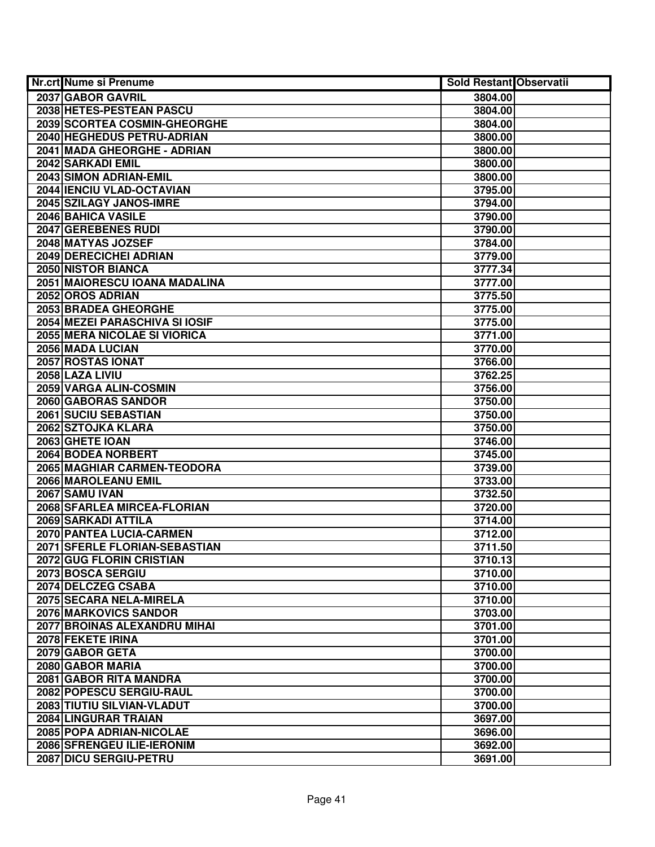| <b>Nr.crt Nume si Prenume</b>         | <b>Sold Restant Observatii</b> |  |
|---------------------------------------|--------------------------------|--|
| 2037 GABOR GAVRIL                     | 3804.00                        |  |
| 2038 HETES-PESTEAN PASCU              | 3804.00                        |  |
| 2039 SCORTEA COSMIN-GHEORGHE          | 3804.00                        |  |
| 2040 HEGHEDUS PETRU-ADRIAN            | 3800.00                        |  |
| 2041 MADA GHEORGHE - ADRIAN           | 3800.00                        |  |
| 2042 SARKADI EMIL                     | 3800.00                        |  |
| 2043 SIMON ADRIAN-EMIL                | 3800.00                        |  |
| 2044 IENCIU VLAD-OCTAVIAN             | 3795.00                        |  |
| 2045 SZILAGY JANOS-IMRE               | 3794.00                        |  |
| 2046 BAHICA VASILE                    | 3790.00                        |  |
| 2047 GEREBENES RUDI                   | 3790.00                        |  |
| 2048 MATYAS JOZSEF                    | 3784.00                        |  |
| 2049 DERECICHEI ADRIAN                | 3779.00                        |  |
| 2050 NISTOR BIANCA                    | 3777.34                        |  |
| 2051 MAIORESCU IOANA MADALINA         | 3777.00                        |  |
| 2052 OROS ADRIAN                      | 3775.50                        |  |
| 2053 BRADEA GHEORGHE                  | 3775.00                        |  |
| <b>2054 MEZEI PARASCHIVA SI IOSIF</b> | 3775.00                        |  |
| 2055 MERA NICOLAE SI VIORICA          | 3771.00                        |  |
| 2056 MADA LUCIAN                      | 3770.00                        |  |
| 2057 ROSTAS IONAT                     | 3766.00                        |  |
| 2058 LAZA LIVIU                       | 3762.25                        |  |
| 2059 VARGA ALIN-COSMIN                | 3756.00                        |  |
| 2060 GABORAS SANDOR                   | 3750.00                        |  |
| 2061 SUCIU SEBASTIAN                  | 3750.00                        |  |
| 2062 SZTOJKA KLARA                    | 3750.00                        |  |
| 2063 GHETE IOAN                       | 3746.00                        |  |
| 2064 BODEA NORBERT                    | 3745.00                        |  |
| 2065 MAGHIAR CARMEN-TEODORA           | 3739.00                        |  |
| 2066 MAROLEANU EMIL                   | 3733.00                        |  |
| <b>2067 SAMU IVAN</b>                 | 3732.50                        |  |
| 2068 SFARLEA MIRCEA-FLORIAN           | 3720.00                        |  |
| 2069 SARKADI ATTILA                   | 3714.00                        |  |
| 2070 PANTEA LUCIA-CARMEN              | 3712.00                        |  |
| 2071 SFERLE FLORIAN-SEBASTIAN         | 3711.50                        |  |
| 2072 GUG FLORIN CRISTIAN              | 3710.13                        |  |
| 2073 BOSCA SERGIU                     | 3710.00                        |  |
| 2074 DELCZEG CSABA                    | 3710.00                        |  |
| 2075 SECARA NELA-MIRELA               | 3710.00                        |  |
| 2076 MARKOVICS SANDOR                 | 3703.00                        |  |
| 2077 BROINAS ALEXANDRU MIHAI          | 3701.00                        |  |
| 2078 FEKETE IRINA                     | 3701.00                        |  |
| 2079 GABOR GETA                       | 3700.00                        |  |
| 2080 GABOR MARIA                      | 3700.00                        |  |
| 2081 GABOR RITA MANDRA                | 3700.00                        |  |
| 2082 POPESCU SERGIU-RAUL              | 3700.00                        |  |
| 2083 TIUTIU SILVIAN-VLADUT            | 3700.00                        |  |
| 2084 LINGURAR TRAIAN                  | 3697.00                        |  |
| 2085 POPA ADRIAN-NICOLAE              | 3696.00                        |  |
| 2086 SFRENGEU ILIE-IERONIM            | 3692.00                        |  |
| 2087 DICU SERGIU-PETRU                | 3691.00                        |  |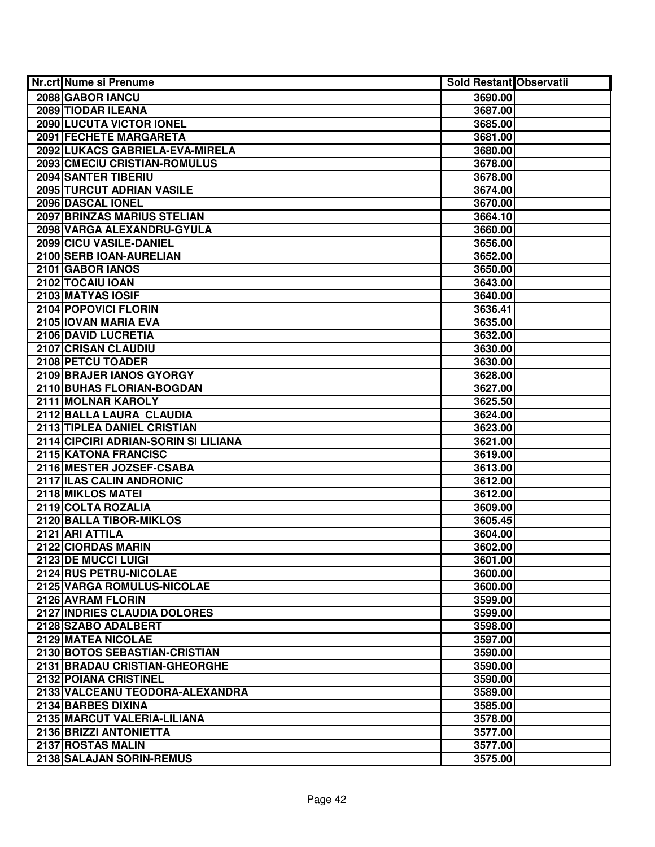| <b>Nr.crt Nume si Prenume</b>        | <b>Sold Restant Observatii</b> |  |
|--------------------------------------|--------------------------------|--|
| 2088 GABOR IANCU                     | 3690.00                        |  |
| 2089 TIODAR ILEANA                   | 3687.00                        |  |
| 2090 LUCUTA VICTOR IONEL             | 3685.00                        |  |
| 2091 FECHETE MARGARETA               | 3681.00                        |  |
| 2092 LUKACS GABRIELA-EVA-MIRELA      | 3680.00                        |  |
| 2093 CMECIU CRISTIAN-ROMULUS         | 3678.00                        |  |
| 2094 SANTER TIBERIU                  | 3678.00                        |  |
| 2095 TURCUT ADRIAN VASILE            | 3674.00                        |  |
| 2096 DASCAL IONEL                    | 3670.00                        |  |
| <b>2097 BRINZAS MARIUS STELIAN</b>   | 3664.10                        |  |
| 2098 VARGA ALEXANDRU-GYULA           | 3660.00                        |  |
| 2099 CICU VASILE-DANIEL              | 3656.00                        |  |
| 2100 SERB IOAN-AURELIAN              | 3652.00                        |  |
| 2101 GABOR IANOS                     | 3650.00                        |  |
| 2102 TOCAIU IOAN                     | 3643.00                        |  |
| 2103 MATYAS IOSIF                    | 3640.00                        |  |
| 2104 POPOVICI FLORIN                 | 3636.41                        |  |
| 2105 IOVAN MARIA EVA                 | 3635.00                        |  |
| 2106 DAVID LUCRETIA                  | 3632.00                        |  |
| 2107 CRISAN CLAUDIU                  | 3630.00                        |  |
| 2108 PETCU TOADER                    | 3630.00                        |  |
| 2109 BRAJER IANOS GYORGY             | 3628.00                        |  |
| 2110 BUHAS FLORIAN-BOGDAN            | 3627.00                        |  |
| 2111 MOLNAR KAROLY                   | 3625.50                        |  |
| 2112 BALLA LAURA CLAUDIA             | 3624.00                        |  |
| 2113 TIPLEA DANIEL CRISTIAN          | 3623.00                        |  |
| 2114 CIPCIRI ADRIAN-SORIN SI LILIANA | 3621.00                        |  |
| 2115 KATONA FRANCISC                 | 3619.00                        |  |
| 2116 MESTER JOZSEF-CSABA             | 3613.00                        |  |
| 2117 ILAS CALIN ANDRONIC             | 3612.00                        |  |
| 2118 MIKLOS MATEI                    | 3612.00                        |  |
| 2119 COLTA ROZALIA                   | 3609.00                        |  |
| 2120 BALLA TIBOR-MIKLOS              | 3605.45                        |  |
| 2121 ARI ATTILA                      | 3604.00                        |  |
| 2122 CIORDAS MARIN                   | 3602.00                        |  |
| 2123 DE MUCCI LUIGI                  | 3601.00                        |  |
| 2124 RUS PETRU-NICOLAE               | 3600.00                        |  |
| 2125 VARGA ROMULUS-NICOLAE           | 3600.00                        |  |
| 2126 AVRAM FLORIN                    | 3599.00                        |  |
| 2127 INDRIES CLAUDIA DOLORES         | 3599.00                        |  |
| 2128 SZABO ADALBERT                  | 3598.00                        |  |
| 2129 MATEA NICOLAE                   | 3597.00                        |  |
| 2130 BOTOS SEBASTIAN-CRISTIAN        | 3590.00                        |  |
| 2131 BRADAU CRISTIAN-GHEORGHE        | 3590.00                        |  |
| 2132 POIANA CRISTINEL                | 3590.00                        |  |
| 2133 VALCEANU TEODORA-ALEXANDRA      | 3589.00                        |  |
| 2134 BARBES DIXINA                   | 3585.00                        |  |
| 2135 MARCUT VALERIA-LILIANA          | 3578.00                        |  |
| 2136 BRIZZI ANTONIETTA               | 3577.00                        |  |
| 2137 ROSTAS MALIN                    | 3577.00                        |  |
| 2138 SALAJAN SORIN-REMUS             | 3575.00                        |  |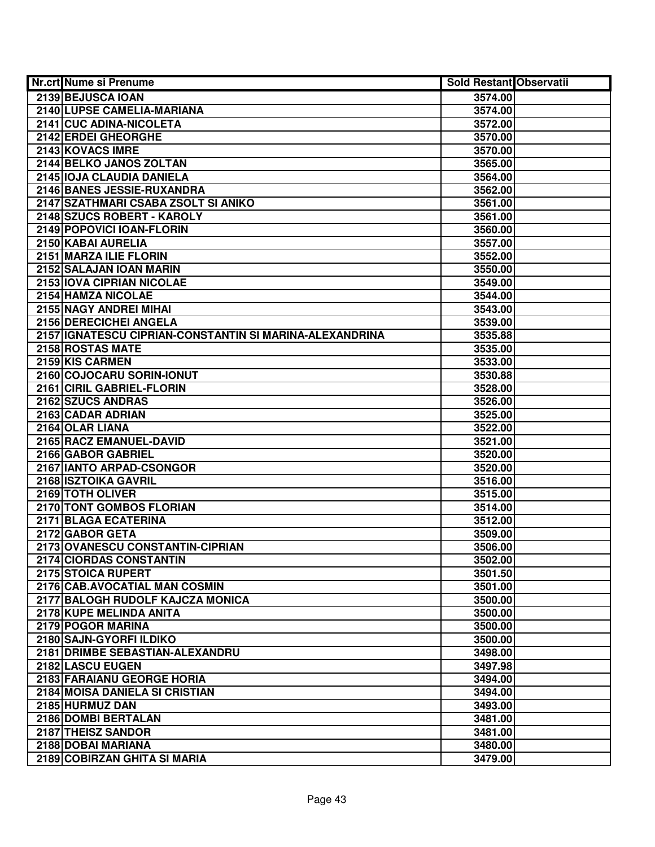| <b>Nr.crt Nume si Prenume</b>                              | <b>Sold Restant Observatii</b> |  |
|------------------------------------------------------------|--------------------------------|--|
| 2139 BEJUSCA IOAN                                          | 3574.00                        |  |
| 2140 LUPSE CAMELIA-MARIANA                                 | 3574.00                        |  |
| 2141 CUC ADINA-NICOLETA                                    | 3572.00                        |  |
| 2142 ERDEI GHEORGHE                                        | 3570.00                        |  |
| 2143 KOVACS IMRE                                           | 3570.00                        |  |
| 2144 BELKO JANOS ZOLTAN                                    | 3565.00                        |  |
| 2145 IOJA CLAUDIA DANIELA                                  | 3564.00                        |  |
| 2146 BANES JESSIE-RUXANDRA                                 | 3562.00                        |  |
| 2147 SZATHMARI CSABA ZSOLT SI ANIKO                        | 3561.00                        |  |
| 2148 SZUCS ROBERT - KAROLY                                 | 3561.00                        |  |
| 2149 POPOVICI IOAN-FLORIN                                  | 3560.00                        |  |
| 2150 KABAI AURELIA                                         | 3557.00                        |  |
| 2151 MARZA ILIE FLORIN                                     | 3552.00                        |  |
| 2152 SALAJAN IOAN MARIN                                    | 3550.00                        |  |
| 2153 IOVA CIPRIAN NICOLAE                                  | 3549.00                        |  |
| 2154 HAMZA NICOLAE                                         | 3544.00                        |  |
| 2155 NAGY ANDREI MIHAI                                     | 3543.00                        |  |
| 2156 DERECICHEI ANGELA                                     | 3539.00                        |  |
| 2157 IGNATESCU CIPRIAN-CONSTANTIN SI MARINA-ALEXANDRINA    | 3535.88                        |  |
| 2158 ROSTAS MATE                                           | 3535.00                        |  |
| 2159 KIS CARMEN                                            | 3533.00                        |  |
| 2160 COJOCARU SORIN-IONUT                                  | 3530.88                        |  |
| 2161 CIRIL GABRIEL-FLORIN                                  | 3528.00                        |  |
| 2162 SZUCS ANDRAS                                          | 3526.00                        |  |
| 2163 CADAR ADRIAN                                          | 3525.00                        |  |
| 2164 OLAR LIANA                                            | 3522.00                        |  |
| 2165 RACZ EMANUEL-DAVID                                    | 3521.00                        |  |
| 2166 GABOR GABRIEL                                         | 3520.00                        |  |
| 2167 IANTO ARPAD-CSONGOR                                   | 3520.00                        |  |
| 2168 ISZTOIKA GAVRIL                                       | 3516.00                        |  |
| 2169 TOTH OLIVER                                           | 3515.00                        |  |
| 2170 TONT GOMBOS FLORIAN                                   | 3514.00                        |  |
| 2171 BLAGA ECATERINA                                       | 3512.00                        |  |
| 2172 GABOR GETA                                            | 3509.00                        |  |
| 2173 OVANESCU CONSTANTIN-CIPRIAN                           | 3506.00                        |  |
| 2174 CIORDAS CONSTANTIN                                    | 3502.00                        |  |
| 2175 STOICA RUPERT                                         | 3501.50                        |  |
| 2176 CAB.AVOCATIAL MAN COSMIN                              | 3501.00                        |  |
| 2177 BALOGH RUDOLF KAJCZA MONICA                           | 3500.00                        |  |
| 2178 KUPE MELINDA ANITA                                    | 3500.00                        |  |
| 2179 POGOR MARINA                                          | 3500.00                        |  |
| 2180 SAJN-GYORFI ILDIKO<br>2181 DRIMBE SEBASTIAN-ALEXANDRU | 3500.00                        |  |
| 2182 LASCU EUGEN                                           | 3498.00                        |  |
| 2183 FARAIANU GEORGE HORIA                                 | 3497.98                        |  |
| 2184 MOISA DANIELA SI CRISTIAN                             | 3494.00<br>3494.00             |  |
| 2185 HURMUZ DAN                                            | 3493.00                        |  |
| 2186 DOMBI BERTALAN                                        |                                |  |
| 2187 THEISZ SANDOR                                         | 3481.00<br>3481.00             |  |
| 2188 DOBAI MARIANA                                         | 3480.00                        |  |
| 2189 COBIRZAN GHITA SI MARIA                               | 3479.00                        |  |
|                                                            |                                |  |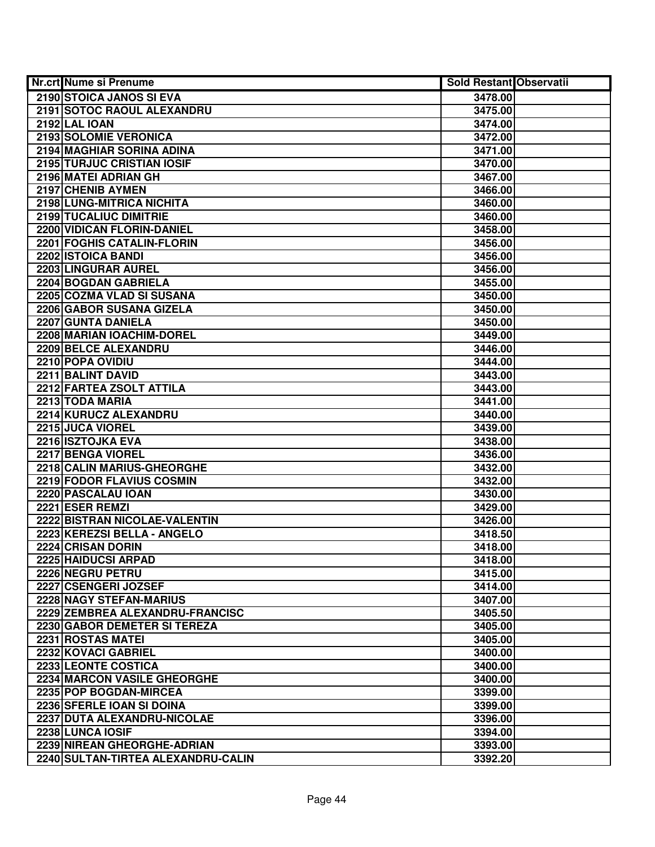| <b>Nr.crt Nume si Prenume</b>      | <b>Sold Restant Observatii</b> |  |
|------------------------------------|--------------------------------|--|
| 2190 STOICA JANOS SI EVA           | 3478.00                        |  |
| 2191 SOTOC RAOUL ALEXANDRU         | 3475.00                        |  |
| <b>2192 LAL IOAN</b>               | 3474.00                        |  |
| 2193 SOLOMIE VERONICA              | 3472.00                        |  |
| 2194 MAGHIAR SORINA ADINA          | 3471.00                        |  |
| <b>2195 TURJUC CRISTIAN IOSIF</b>  | 3470.00                        |  |
| 2196 MATEI ADRIAN GH               | 3467.00                        |  |
| 2197 CHENIB AYMEN                  | 3466.00                        |  |
| 2198 LUNG-MITRICA NICHITA          | 3460.00                        |  |
| 2199 TUCALIUC DIMITRIE             | 3460.00                        |  |
| <b>2200 VIDICAN FLORIN-DANIEL</b>  | 3458.00                        |  |
| 2201 FOGHIS CATALIN-FLORIN         | 3456.00                        |  |
| 2202 ISTOICA BANDI                 | 3456.00                        |  |
| 2203 LINGURAR AUREL                | 3456.00                        |  |
| 2204 BOGDAN GABRIELA               | 3455.00                        |  |
| 2205 COZMA VLAD SI SUSANA          | 3450.00                        |  |
| 2206 GABOR SUSANA GIZELA           | 3450.00                        |  |
| 2207 GUNTA DANIELA                 | 3450.00                        |  |
| 2208 MARIAN IOACHIM-DOREL          | 3449.00                        |  |
| 2209 BELCE ALEXANDRU               | 3446.00                        |  |
| 2210 POPA OVIDIU                   | 3444.00                        |  |
| 2211 BALINT DAVID                  | 3443.00                        |  |
| 2212 FARTEA ZSOLT ATTILA           | 3443.00                        |  |
| 2213 TODA MARIA                    | 3441.00                        |  |
| 2214 KURUCZ ALEXANDRU              | 3440.00                        |  |
| 2215 JUCA VIOREL                   | 3439.00                        |  |
| 2216 ISZTOJKA EVA                  | 3438.00                        |  |
| 2217 BENGA VIOREL                  | 3436.00                        |  |
| 2218 CALIN MARIUS-GHEORGHE         | 3432.00                        |  |
| 2219 FODOR FLAVIUS COSMIN          | 3432.00                        |  |
| 2220 PASCALAU IOAN                 | 3430.00                        |  |
| 2221 ESER REMZI                    | 3429.00                        |  |
| 2222 BISTRAN NICOLAE-VALENTIN      | 3426.00                        |  |
| 2223 KEREZSI BELLA - ANGELO        | 3418.50                        |  |
| 2224 CRISAN DORIN                  | 3418.00                        |  |
| 2225 HAIDUCSI ARPAD                | 3418.00                        |  |
| 2226 NEGRU PETRU                   | 3415.00                        |  |
| 2227 CSENGERI JOZSEF               | 3414.00                        |  |
| 2228 NAGY STEFAN-MARIUS            | 3407.00                        |  |
| 2229 ZEMBREA ALEXANDRU-FRANCISC    | 3405.50                        |  |
| 2230 GABOR DEMETER SI TEREZA       | 3405.00                        |  |
| 2231 ROSTAS MATEL                  | 3405.00                        |  |
| 2232 KOVACI GABRIEL                | 3400.00                        |  |
| 2233 LEONTE COSTICA                | 3400.00                        |  |
| <b>2234 MARCON VASILE GHEORGHE</b> | 3400.00                        |  |
| 2235 POP BOGDAN-MIRCEA             | 3399.00                        |  |
| 2236 SFERLE IOAN SI DOINA          | 3399.00                        |  |
| 2237 DUTA ALEXANDRU-NICOLAE        | 3396.00                        |  |
| 2238 LUNCA IOSIF                   | 3394.00                        |  |
| 2239 NIREAN GHEORGHE-ADRIAN        | 3393.00                        |  |
| 2240 SULTAN-TIRTEA ALEXANDRU-CALIN | 3392.20                        |  |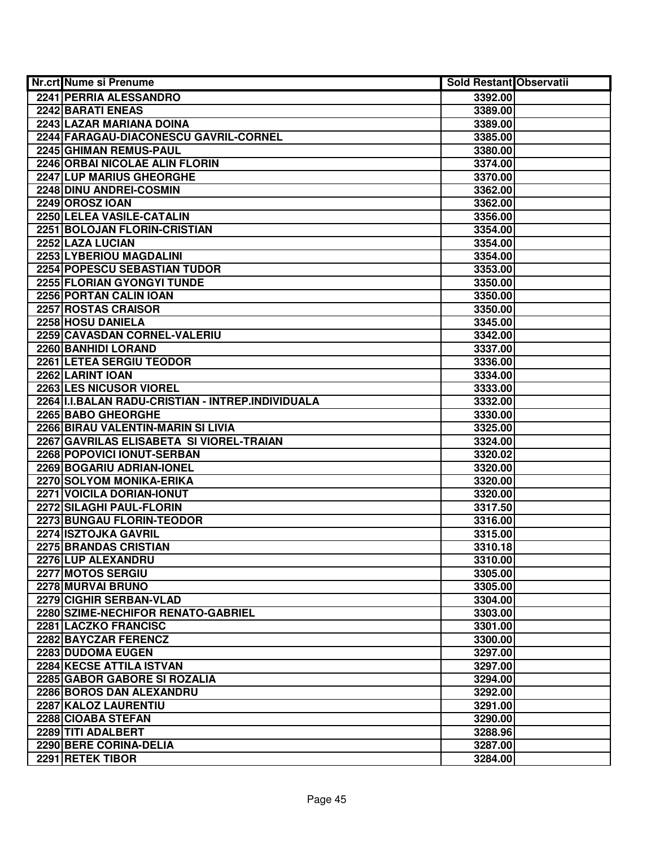| <b>Nr.crt Nume si Prenume</b>                       | Sold Restant Observatii |  |
|-----------------------------------------------------|-------------------------|--|
| 2241 PERRIA ALESSANDRO                              | 3392.00                 |  |
| 2242 BARATI ENEAS                                   | 3389.00                 |  |
| 2243 LAZAR MARIANA DOINA                            | 3389.00                 |  |
| 2244 FARAGAU-DIACONESCU GAVRIL-CORNEL               | 3385.00                 |  |
| 2245 GHIMAN REMUS-PAUL                              | 3380.00                 |  |
| 2246 ORBAI NICOLAE ALIN FLORIN                      | 3374.00                 |  |
| 2247 LUP MARIUS GHEORGHE                            | 3370.00                 |  |
| 2248 DINU ANDREI-COSMIN                             | 3362.00                 |  |
| <b>2249 OROSZ IOAN</b>                              | 3362.00                 |  |
| 2250 LELEA VASILE-CATALIN                           | 3356.00                 |  |
| 2251 BOLOJAN FLORIN-CRISTIAN                        | 3354.00                 |  |
| 2252 LAZA LUCIAN                                    | 3354.00                 |  |
| 2253 LYBERIOU MAGDALINI                             | 3354.00                 |  |
| 2254 POPESCU SEBASTIAN TUDOR                        | 3353.00                 |  |
| 2255 FLORIAN GYONGYI TUNDE                          | 3350.00                 |  |
| 2256 PORTAN CALIN IOAN                              | 3350.00                 |  |
| 2257 ROSTAS CRAISOR                                 | 3350.00                 |  |
| 2258 HOSU DANIELA                                   | 3345.00                 |  |
| 2259 CAVASDAN CORNEL-VALERIU                        | 3342.00                 |  |
| 2260 BANHIDI LORAND                                 | 3337.00                 |  |
| 2261 LETEA SERGIU TEODOR                            | 3336.00                 |  |
| 2262 LARINT IOAN                                    | 3334.00                 |  |
| 2263 LES NICUSOR VIOREL                             | 3333.00                 |  |
| 2264   I.I.BALAN RADU-CRISTIAN - INTREP.INDIVIDUALA | 3332.00                 |  |
| 2265 BABO GHEORGHE                                  | 3330.00                 |  |
| 2266 BIRAU VALENTIN-MARIN SI LIVIA                  | 3325.00                 |  |
| 2267 GAVRILAS ELISABETA SI VIOREL-TRAIAN            | 3324.00                 |  |
| 2268 POPOVICI IONUT-SERBAN                          | 3320.02                 |  |
| 2269 BOGARIU ADRIAN-IONEL                           | 3320.00                 |  |
| 2270 SOLYOM MONIKA-ERIKA                            | 3320.00                 |  |
| 2271 VOICILA DORIAN-IONUT                           | 3320.00                 |  |
| 2272 SILAGHI PAUL-FLORIN                            | 3317.50                 |  |
| 2273 BUNGAU FLORIN-TEODOR                           | 3316.00                 |  |
| 2274 ISZTOJKA GAVRIL                                | 3315.00                 |  |
| 2275 BRANDAS CRISTIAN                               | 3310.18                 |  |
| 2276 LUP ALEXANDRU                                  | 3310.00                 |  |
| 2277 MOTOS SERGIU                                   | 3305.00                 |  |
| 2278 MURVAI BRUNO                                   | 3305.00                 |  |
| 2279 CIGHIR SERBAN-VLAD                             | 3304.00                 |  |
| 2280 SZIME-NECHIFOR RENATO-GABRIEL                  | 3303.00                 |  |
| 2281 LACZKO FRANCISC                                | 3301.00                 |  |
| 2282 BAYCZAR FERENCZ                                | 3300.00                 |  |
| 2283 DUDOMA EUGEN                                   | 3297.00                 |  |
| 2284 KECSE ATTILA ISTVAN                            | 3297.00                 |  |
| 2285 GABOR GABORE SI ROZALIA                        | 3294.00                 |  |
| 2286 BOROS DAN ALEXANDRU                            | 3292.00                 |  |
| 2287 KALOZ LAURENTIU                                | 3291.00                 |  |
| 2288 CIOABA STEFAN                                  | 3290.00                 |  |
| 2289 TITI ADALBERT                                  | 3288.96                 |  |
| 2290 BERE CORINA-DELIA                              | 3287.00                 |  |
| 2291 RETEK TIBOR                                    | 3284.00                 |  |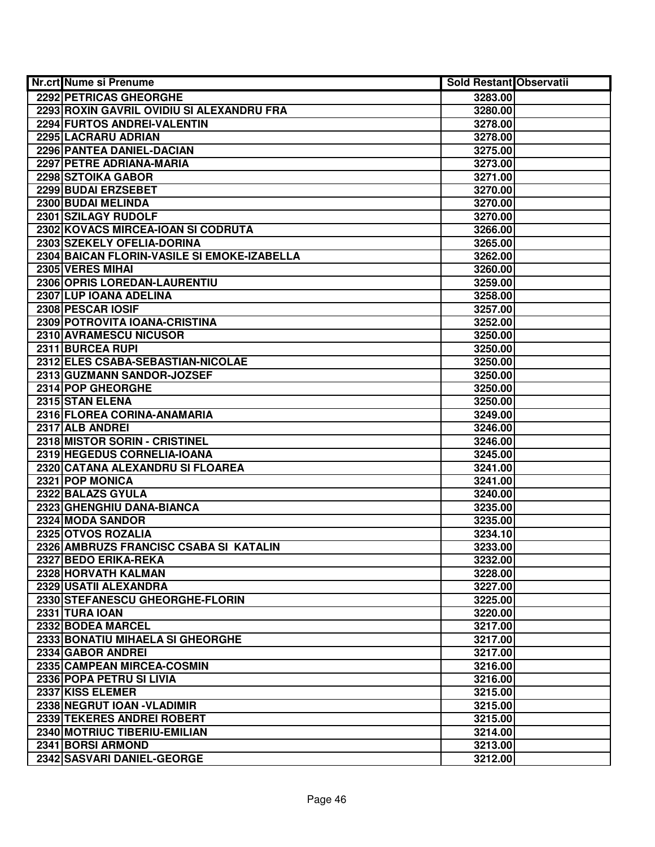| <b>Nr.crt Nume si Prenume</b>               | <b>Sold Restant Observatii</b> |  |
|---------------------------------------------|--------------------------------|--|
| 2292 PETRICAS GHEORGHE                      | 3283.00                        |  |
| 2293 ROXIN GAVRIL OVIDIU SI ALEXANDRU FRA   | 3280.00                        |  |
| 2294 FURTOS ANDREI-VALENTIN                 | 3278.00                        |  |
| 2295 LACRARU ADRIAN                         | 3278.00                        |  |
| 2296 PANTEA DANIEL-DACIAN                   | 3275.00                        |  |
| 2297 PETRE ADRIANA-MARIA                    | 3273.00                        |  |
| 2298 SZTOIKA GABOR                          | 3271.00                        |  |
| 2299 BUDAI ERZSEBET                         | 3270.00                        |  |
| 2300 BUDAI MELINDA                          | 3270.00                        |  |
| 2301 SZILAGY RUDOLF                         | 3270.00                        |  |
| 2302 KOVACS MIRCEA-IOAN SI CODRUTA          | 3266.00                        |  |
| 2303 SZEKELY OFELIA-DORINA                  | 3265.00                        |  |
| 2304 BAICAN FLORIN-VASILE SI EMOKE-IZABELLA | 3262.00                        |  |
| 2305 VERES MIHAI                            | 3260.00                        |  |
| 2306 OPRIS LOREDAN-LAURENTIU                | 3259.00                        |  |
| 2307 LUP IOANA ADELINA                      | 3258.00                        |  |
| 2308 PESCAR IOSIF                           | 3257.00                        |  |
| 2309 POTROVITA IOANA-CRISTINA               | 3252.00                        |  |
| 2310 AVRAMESCU NICUSOR                      | 3250.00                        |  |
| 2311 BURCEA RUPI                            | 3250.00                        |  |
| 2312 ELES CSABA-SEBASTIAN-NICOLAE           | 3250.00                        |  |
| 2313 GUZMANN SANDOR-JOZSEF                  | 3250.00                        |  |
| 2314 POP GHEORGHE                           | 3250.00                        |  |
| 2315 STAN ELENA                             | 3250.00                        |  |
| 2316 FLOREA CORINA-ANAMARIA                 | 3249.00                        |  |
| 2317 ALB ANDREI                             | 3246.00                        |  |
| 2318 MISTOR SORIN - CRISTINEL               | 3246.00                        |  |
| 2319 HEGEDUS CORNELIA-IOANA                 | 3245.00                        |  |
| 2320 CATANA ALEXANDRU SI FLOAREA            | 3241.00                        |  |
| 2321 POP MONICA                             | 3241.00                        |  |
| 2322 BALAZS GYULA                           | 3240.00                        |  |
| 2323 GHENGHIU DANA-BIANCA                   | 3235.00                        |  |
| 2324 MODA SANDOR                            | 3235.00                        |  |
| 2325 OTVOS ROZALIA                          | 3234.10                        |  |
| 2326 AMBRUZS FRANCISC CSABA SI KATALIN      | 3233.00                        |  |
| 2327 BEDO ERIKA-REKA                        | 3232.00                        |  |
| 2328 HORVATH KALMAN                         | 3228.00                        |  |
| 2329 USATII ALEXANDRA                       | 3227.00                        |  |
| 2330 STEFANESCU GHEORGHE-FLORIN             | 3225.00                        |  |
| 2331 TURA IOAN                              | 3220.00                        |  |
| 2332 BODEA MARCEL                           | 3217.00                        |  |
| 2333 BONATIU MIHAELA SI GHEORGHE            | 3217.00                        |  |
| 2334 GABOR ANDREI                           | 3217.00                        |  |
| 2335 CAMPEAN MIRCEA-COSMIN                  | 3216.00                        |  |
| 2336 POPA PETRU SI LIVIA                    | 3216.00                        |  |
| 2337 KISS ELEMER                            | 3215.00                        |  |
| 2338 NEGRUT IOAN - VLADIMIR                 | 3215.00                        |  |
| 2339 TEKERES ANDREI ROBERT                  | 3215.00                        |  |
| 2340 MOTRIUC TIBERIU-EMILIAN                | 3214.00                        |  |
| 2341 BORSI ARMOND                           | 3213.00                        |  |
| 2342 SASVARI DANIEL-GEORGE                  | 3212.00                        |  |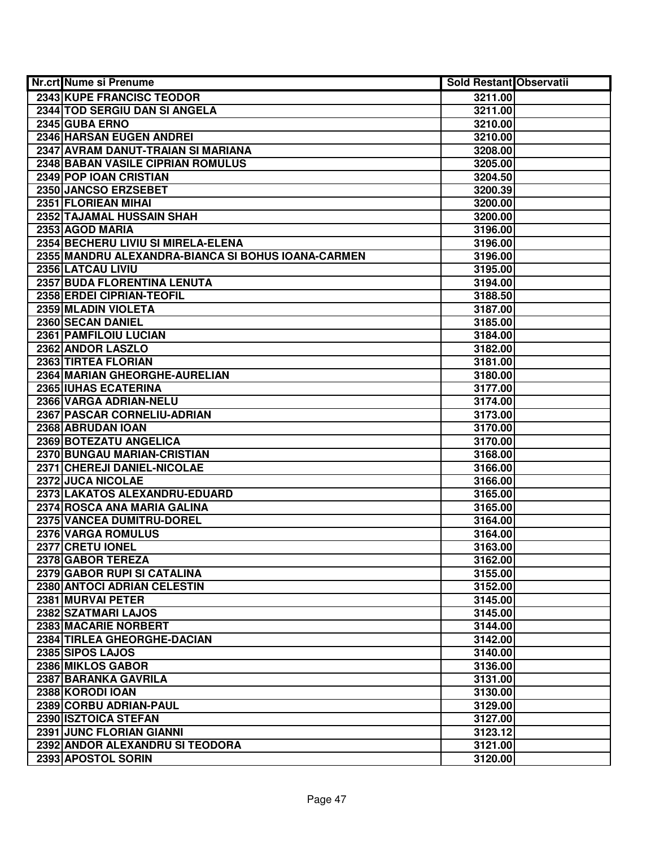| <b>Nr.crt Nume si Prenume</b>                      | Sold Restant Observatii |  |
|----------------------------------------------------|-------------------------|--|
| 2343 KUPE FRANCISC TEODOR                          | 3211.00                 |  |
| 2344 TOD SERGIU DAN SI ANGELA                      | 3211.00                 |  |
| 2345 GUBA ERNO                                     | 3210.00                 |  |
| 2346 HARSAN EUGEN ANDREI                           | 3210.00                 |  |
| 2347 AVRAM DANUT-TRAIAN SI MARIANA                 | 3208.00                 |  |
| 2348 BABAN VASILE CIPRIAN ROMULUS                  | 3205.00                 |  |
| 2349 POP IOAN CRISTIAN                             | 3204.50                 |  |
| 2350 JANCSO ERZSEBET                               | 3200.39                 |  |
| 2351 FLORIEAN MIHAI                                | 3200.00                 |  |
| 2352 TAJAMAL HUSSAIN SHAH                          | 3200.00                 |  |
| 2353 AGOD MARIA                                    | 3196.00                 |  |
| 2354 BECHERU LIVIU SI MIRELA-ELENA                 | 3196.00                 |  |
| 2355 MANDRU ALEXANDRA-BIANCA SI BOHUS IOANA-CARMEN | 3196.00                 |  |
| 2356 LATCAU LIVIU                                  | 3195.00                 |  |
| 2357 BUDA FLORENTINA LENUTA                        | 3194.00                 |  |
| 2358 ERDEI CIPRIAN-TEOFIL                          | 3188.50                 |  |
| 2359 MLADIN VIOLETA                                | 3187.00                 |  |
| 2360 SECAN DANIEL                                  | 3185.00                 |  |
| 2361 PAMFILOIU LUCIAN                              | 3184.00                 |  |
| 2362 ANDOR LASZLO                                  | 3182.00                 |  |
| 2363 TIRTEA FLORIAN                                | 3181.00                 |  |
| 2364 MARIAN GHEORGHE-AURELIAN                      | 3180.00                 |  |
| 2365 IUHAS ECATERINA                               | 3177.00                 |  |
| 2366 VARGA ADRIAN-NELU                             | 3174.00                 |  |
| 2367 PASCAR CORNELIU-ADRIAN                        | 3173.00                 |  |
| 2368 ABRUDAN IOAN                                  | 3170.00                 |  |
| 2369 BOTEZATU ANGELICA                             | 3170.00                 |  |
| 2370 BUNGAU MARIAN-CRISTIAN                        | 3168.00                 |  |
| 2371 CHEREJI DANIEL-NICOLAE                        | 3166.00                 |  |
| 2372 JUCA NICOLAE                                  | 3166.00                 |  |
| 2373 LAKATOS ALEXANDRU-EDUARD                      | 3165.00                 |  |
| 2374 ROSCA ANA MARIA GALINA                        | 3165.00                 |  |
| 2375 VANCEA DUMITRU-DOREL                          | 3164.00                 |  |
| 2376 VARGA ROMULUS                                 | 3164.00                 |  |
| 2377 CRETU IONEL                                   | 3163.00                 |  |
| 2378 GABOR TEREZA                                  | 3162.00                 |  |
| 2379 GABOR RUPI SI CATALINA                        | 3155.00                 |  |
| 2380 ANTOCI ADRIAN CELESTIN                        | 3152.00                 |  |
| 2381 MURVAI PETER                                  | 3145.00                 |  |
| 2382 SZATMARI LAJOS                                | 3145.00                 |  |
| 2383 MACARIE NORBERT                               | 3144.00                 |  |
| 2384 TIRLEA GHEORGHE-DACIAN                        | 3142.00                 |  |
| 2385 SIPOS LAJOS                                   | 3140.00                 |  |
| 2386 MIKLOS GABOR                                  | 3136.00                 |  |
| 2387 BARANKA GAVRILA                               | 3131.00                 |  |
| 2388 KORODI IOAN                                   | 3130.00                 |  |
| 2389 CORBU ADRIAN-PAUL                             | 3129.00                 |  |
| 2390 ISZTOICA STEFAN                               | 3127.00                 |  |
| 2391 JUNC FLORIAN GIANNI                           | 3123.12                 |  |
| 2392 ANDOR ALEXANDRU SI TEODORA                    | 3121.00                 |  |
| 2393 APOSTOL SORIN                                 | 3120.00                 |  |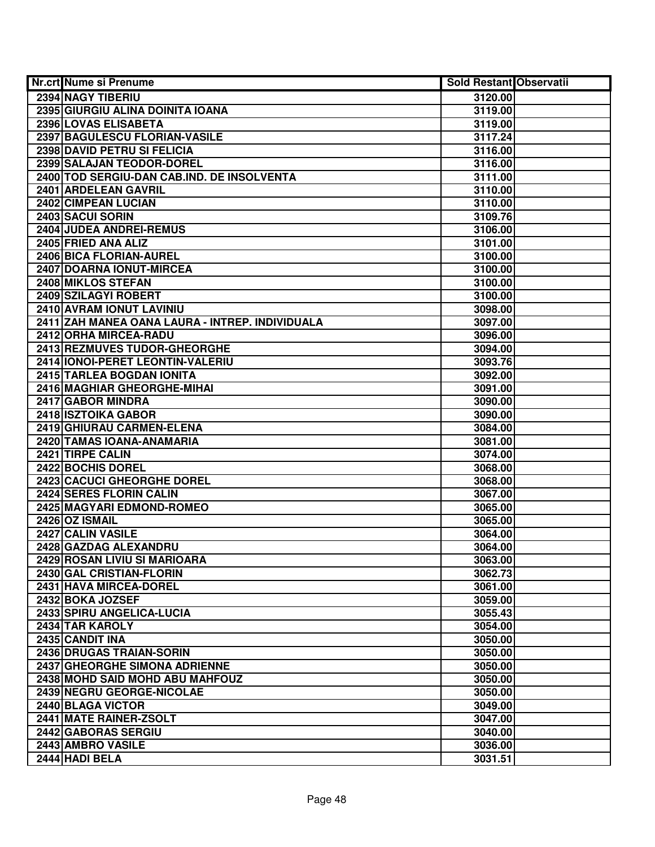| <b>Nr.crt Nume si Prenume</b>                   | Sold Restant Observatii |  |
|-------------------------------------------------|-------------------------|--|
| 2394 NAGY TIBERIU                               | 3120.00                 |  |
| 2395 GIURGIU ALINA DOINITA IOANA                | 3119.00                 |  |
| 2396 LOVAS ELISABETA                            | 3119.00                 |  |
| 2397 BAGULESCU FLORIAN-VASILE                   | 3117.24                 |  |
| 2398 DAVID PETRU SI FELICIA                     | 3116.00                 |  |
| 2399 SALAJAN TEODOR-DOREL                       | 3116.00                 |  |
| 2400 TOD SERGIU-DAN CAB.IND. DE INSOLVENTA      | 3111.00                 |  |
| 2401 ARDELEAN GAVRIL                            | 3110.00                 |  |
| 2402 CIMPEAN LUCIAN                             | 3110.00                 |  |
| 2403 SACUI SORIN                                | 3109.76                 |  |
| 2404 JUDEA ANDREI-REMUS                         | 3106.00                 |  |
| 2405 FRIED ANA ALIZ                             | 3101.00                 |  |
| 2406 BICA FLORIAN-AUREL                         | 3100.00                 |  |
| 2407 DOARNA IONUT-MIRCEA                        | 3100.00                 |  |
| 2408 MIKLOS STEFAN                              | 3100.00                 |  |
| 2409 SZILAGYI ROBERT                            | 3100.00                 |  |
| 2410 AVRAM IONUT LAVINIU                        | 3098.00                 |  |
| 2411 ZAH MANEA OANA LAURA - INTREP. INDIVIDUALA | 3097.00                 |  |
| 2412 ORHA MIRCEA-RADU                           | 3096.00                 |  |
| 2413 REZMUVES TUDOR-GHEORGHE                    | 3094.00                 |  |
| 2414 IONOI-PERET LEONTIN-VALERIU                | 3093.76                 |  |
| 2415 TARLEA BOGDAN IONITA                       | 3092.00                 |  |
| 2416 MAGHIAR GHEORGHE-MIHAI                     | 3091.00                 |  |
| 2417 GABOR MINDRA                               | 3090.00                 |  |
| 2418 ISZTOIKA GABOR                             | 3090.00                 |  |
| 2419 GHIURAU CARMEN-ELENA                       | 3084.00                 |  |
| 2420 TAMAS IOANA-ANAMARIA                       | 3081.00                 |  |
| 2421 TIRPE CALIN                                | 3074.00                 |  |
| 2422 BOCHIS DOREL                               | 3068.00                 |  |
| 2423 CACUCI GHEORGHE DOREL                      | 3068.00                 |  |
| 2424 SERES FLORIN CALIN                         | 3067.00                 |  |
| 2425 MAGYARI EDMOND-ROMEO                       | 3065.00                 |  |
| 2426 OZ ISMAIL                                  | 3065.00                 |  |
| 2427 CALIN VASILE                               | 3064.00                 |  |
| 2428 GAZDAG ALEXANDRU                           | 3064.00                 |  |
| 2429 ROSAN LIVIU SI MARIOARA                    | 3063.00                 |  |
| 2430 GAL CRISTIAN-FLORIN                        | 3062.73                 |  |
| 2431 HAVA MIRCEA-DOREL                          | 3061.00                 |  |
| 2432 BOKA JOZSEF                                | 3059.00                 |  |
| 2433 SPIRU ANGELICA-LUCIA                       | 3055.43                 |  |
| 2434 TAR KAROLY                                 | 3054.00                 |  |
| 2435 CANDIT INA                                 | 3050.00                 |  |
| 2436 DRUGAS TRAIAN-SORIN                        | 3050.00                 |  |
| 2437 GHEORGHE SIMONA ADRIENNE                   | 3050.00                 |  |
| 2438 MOHD SAID MOHD ABU MAHFOUZ                 | 3050.00                 |  |
| 2439 NEGRU GEORGE-NICOLAE                       | 3050.00                 |  |
| 2440 BLAGA VICTOR                               | 3049.00                 |  |
| 2441 MATE RAINER-ZSOLT                          | 3047.00                 |  |
| 2442 GABORAS SERGIU                             | 3040.00                 |  |
| 2443 AMBRO VASILE                               | 3036.00                 |  |
| 2444 HADI BELA                                  | 3031.51                 |  |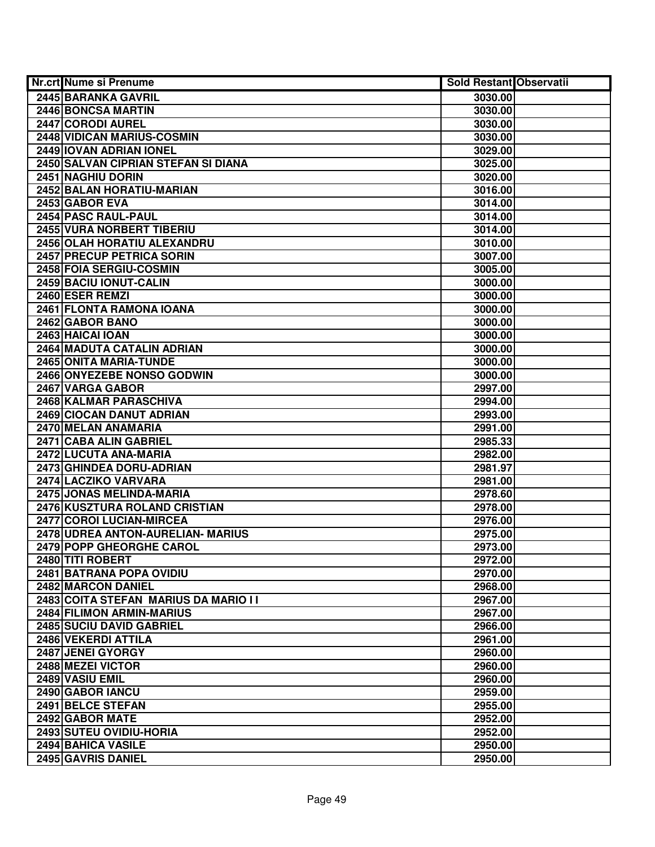| <b>Nr.crt Nume si Prenume</b>        | Sold Restant Observatii |  |
|--------------------------------------|-------------------------|--|
| 2445 BARANKA GAVRIL                  | 3030.00                 |  |
| <b>2446 BONCSA MARTIN</b>            | 3030.00                 |  |
| 2447 CORODI AUREL                    | 3030.00                 |  |
| 2448 VIDICAN MARIUS-COSMIN           | 3030.00                 |  |
| 2449 IOVAN ADRIAN IONEL              | 3029.00                 |  |
| 2450 SALVAN CIPRIAN STEFAN SI DIANA  | 3025.00                 |  |
| 2451 NAGHIU DORIN                    | 3020.00                 |  |
| <b>2452 BALAN HORATIU-MARIAN</b>     | 3016.00                 |  |
| 2453 GABOR EVA                       | 3014.00                 |  |
| 2454 PASC RAUL-PAUL                  | 3014.00                 |  |
| <b>2455 VURA NORBERT TIBERIU</b>     | 3014.00                 |  |
| 2456 OLAH HORATIU ALEXANDRU          | 3010.00                 |  |
| <b>2457 PRECUP PETRICA SORIN</b>     | 3007.00                 |  |
| 2458 FOIA SERGIU-COSMIN              | 3005.00                 |  |
| 2459 BACIU IONUT-CALIN               | 3000.00                 |  |
| 2460 ESER REMZI                      | 3000.00                 |  |
| 2461 FLONTA RAMONA IOANA             | 3000.00                 |  |
| 2462 GABOR BANO                      | 3000.00                 |  |
| 2463 HAICAI IOAN                     | 3000.00                 |  |
| 2464 MADUTA CATALIN ADRIAN           | 3000.00                 |  |
| 2465 ONITA MARIA-TUNDE               | 3000.00                 |  |
| 2466 ONYEZEBE NONSO GODWIN           | 3000.00                 |  |
| 2467 VARGA GABOR                     | 2997.00                 |  |
| 2468 KALMAR PARASCHIVA               | 2994.00                 |  |
| 2469 CIOCAN DANUT ADRIAN             | 2993.00                 |  |
| 2470 MELAN ANAMARIA                  | 2991.00                 |  |
| 2471 CABA ALIN GABRIEL               | 2985.33                 |  |
| 2472 LUCUTA ANA-MARIA                | 2982.00                 |  |
| 2473 GHINDEA DORU-ADRIAN             | 2981.97                 |  |
| 2474 LACZIKO VARVARA                 | 2981.00                 |  |
| 2475 JONAS MELINDA-MARIA             | 2978.60                 |  |
| 2476 KUSZTURA ROLAND CRISTIAN        | 2978.00                 |  |
| 2477 COROI LUCIAN-MIRCEA             | 2976.00                 |  |
| 2478 UDREA ANTON-AURELIAN- MARIUS    | 2975.00                 |  |
| <b>2479 POPP GHEORGHE CAROL</b>      | 2973.00                 |  |
| 2480 TITI ROBERT                     | 2972.00                 |  |
| 2481 BATRANA POPA OVIDIU             | 2970.00                 |  |
| <b>2482 MARCON DANIEL</b>            | 2968.00                 |  |
| 2483 COITA STEFAN MARIUS DA MARIO II | 2967.00                 |  |
| 2484 FILIMON ARMIN-MARIUS            | 2967.00                 |  |
| 2485 SUCIU DAVID GABRIEL             | 2966.00                 |  |
| 2486 VEKERDI ATTILA                  | 2961.00                 |  |
| 2487 JENEI GYORGY                    | 2960.00                 |  |
| 2488 MEZEI VICTOR                    | 2960.00                 |  |
| 2489 VASIU EMIL                      | 2960.00                 |  |
| 2490 GABOR IANCU                     | 2959.00                 |  |
| 2491 BELCE STEFAN                    | 2955.00                 |  |
| 2492 GABOR MATE                      | 2952.00                 |  |
| 2493 SUTEU OVIDIU-HORIA              | 2952.00                 |  |
| 2494 BAHICA VASILE                   | 2950.00                 |  |
| 2495 GAVRIS DANIEL                   | 2950.00                 |  |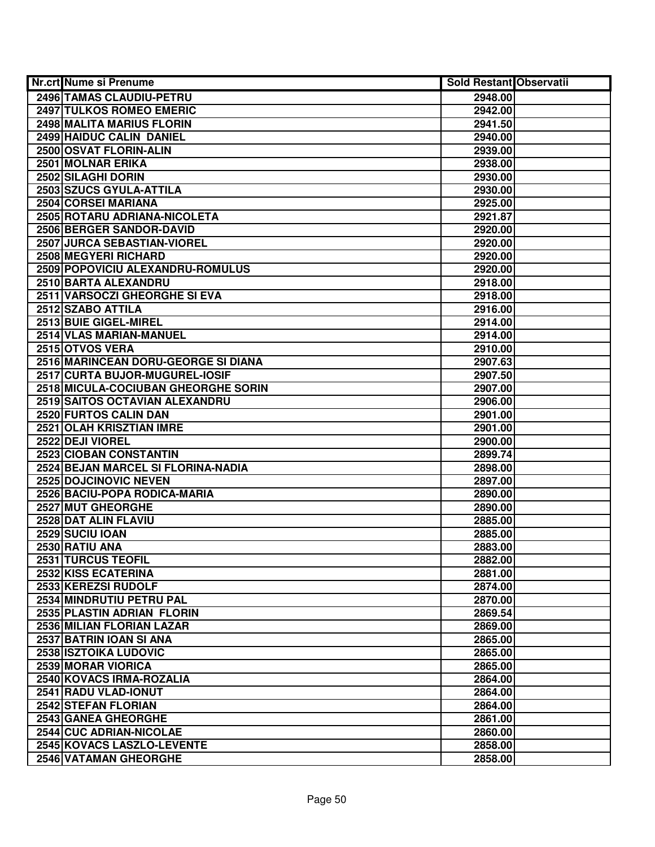| <b>Nr.crt Nume si Prenume</b>       | <b>Sold Restant Observatii</b> |  |
|-------------------------------------|--------------------------------|--|
| 2496 TAMAS CLAUDIU-PETRU            | 2948.00                        |  |
| <b>2497 TULKOS ROMEO EMERIC</b>     | 2942.00                        |  |
| 2498 MALITA MARIUS FLORIN           | 2941.50                        |  |
| 2499 HAIDUC CALIN DANIEL            | 2940.00                        |  |
| 2500 OSVAT FLORIN-ALIN              | 2939.00                        |  |
| 2501 MOLNAR ERIKA                   | 2938.00                        |  |
| 2502 SILAGHI DORIN                  | 2930.00                        |  |
| 2503 SZUCS GYULA-ATTILA             | 2930.00                        |  |
| 2504 CORSEI MARIANA                 | 2925.00                        |  |
| 2505 ROTARU ADRIANA-NICOLETA        | 2921.87                        |  |
| <b>2506 BERGER SANDOR-DAVID</b>     | 2920.00                        |  |
| 2507 JURCA SEBASTIAN-VIOREL         | 2920.00                        |  |
| 2508 MEGYERI RICHARD                | 2920.00                        |  |
| 2509 POPOVICIU ALEXANDRU-ROMULUS    | 2920.00                        |  |
| 2510 BARTA ALEXANDRU                | 2918.00                        |  |
| 2511 VARSOCZI GHEORGHE SI EVA       | 2918.00                        |  |
| 2512 SZABO ATTILA                   | 2916.00                        |  |
| 2513 BUIE GIGEL-MIREL               | 2914.00                        |  |
| 2514 VLAS MARIAN-MANUEL             | 2914.00                        |  |
| 2515 OTVOS VERA                     | 2910.00                        |  |
| 2516 MARINCEAN DORU-GEORGE SI DIANA | 2907.63                        |  |
| 2517 CURTA BUJOR-MUGUREL-IOSIF      | 2907.50                        |  |
| 2518 MICULA-COCIUBAN GHEORGHE SORIN | 2907.00                        |  |
| 2519 SAITOS OCTAVIAN ALEXANDRU      | 2906.00                        |  |
| 2520 FURTOS CALIN DAN               | 2901.00                        |  |
| 2521 OLAH KRISZTIAN IMRE            | 2901.00                        |  |
| 2522 DEJI VIOREL                    | 2900.00                        |  |
| 2523 CIOBAN CONSTANTIN              | 2899.74                        |  |
| 2524 BEJAN MARCEL SI FLORINA-NADIA  | 2898.00                        |  |
| 2525 DOJCINOVIC NEVEN               | 2897.00                        |  |
| 2526 BACIU-POPA RODICA-MARIA        | 2890.00                        |  |
| 2527 MUT GHEORGHE                   | 2890.00                        |  |
| 2528 DAT ALIN FLAVIU                | 2885.00                        |  |
| 2529 SUCIU IOAN                     | 2885.00                        |  |
| 2530 RATIU ANA                      | 2883.00                        |  |
| 2531 TURCUS TEOFIL                  | 2882.00                        |  |
| 2532 KISS ECATERINA                 | 2881.00                        |  |
| 2533 KEREZSI RUDOLF                 | 2874.00                        |  |
| 2534 MINDRUTIU PETRU PAL            | 2870.00                        |  |
| 2535 PLASTIN ADRIAN FLORIN          | 2869.54                        |  |
| 2536 MILIAN FLORIAN LAZAR           | 2869.00                        |  |
| 2537 BATRIN JOAN SI ANA             | 2865.00                        |  |
| 2538 ISZTOIKA LUDOVIC               | 2865.00                        |  |
| 2539 MORAR VIORICA                  | 2865.00                        |  |
| 2540 KOVACS IRMA-ROZALIA            | 2864.00                        |  |
| 2541 RADU VLAD-IONUT                | 2864.00                        |  |
| 2542 STEFAN FLORIAN                 | 2864.00                        |  |
| 2543 GANEA GHEORGHE                 | 2861.00                        |  |
| 2544 CUC ADRIAN-NICOLAE             | 2860.00                        |  |
| 2545 KOVACS LASZLO-LEVENTE          | 2858.00                        |  |
| 2546 VATAMAN GHEORGHE               | 2858.00                        |  |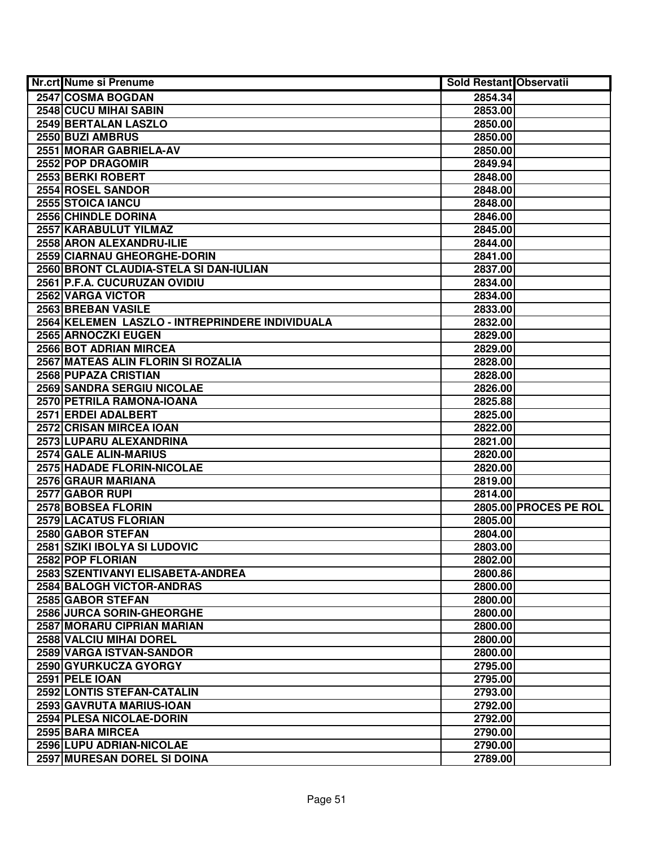| Nr.crt Nume si Prenume                          | <b>Sold Restant Observatii</b> |                       |
|-------------------------------------------------|--------------------------------|-----------------------|
| 2547 COSMA BOGDAN                               | 2854.34                        |                       |
| 2548 CUCU MIHAI SABIN                           | 2853.00                        |                       |
| 2549 BERTALAN LASZLO                            | 2850.00                        |                       |
| 2550 BUZI AMBRUS                                | 2850.00                        |                       |
| 2551 MORAR GABRIELA-AV                          | 2850.00                        |                       |
| 2552 POP DRAGOMIR                               | 2849.94                        |                       |
| 2553 BERKI ROBERT                               | 2848.00                        |                       |
| 2554 ROSEL SANDOR                               | 2848.00                        |                       |
| 2555 STOICA IANCU                               | 2848.00                        |                       |
| 2556 CHINDLE DORINA                             | 2846.00                        |                       |
| 2557 KARABULUT YILMAZ                           | 2845.00                        |                       |
| 2558 ARON ALEXANDRU-ILIE                        | 2844.00                        |                       |
| 2559 CIARNAU GHEORGHE-DORIN                     | 2841.00                        |                       |
| 2560 BRONT CLAUDIA-STELA SI DAN-IULIAN          | 2837.00                        |                       |
| 2561 P.F.A. CUCURUZAN OVIDIU                    | 2834.00                        |                       |
| 2562 VARGA VICTOR                               | 2834.00                        |                       |
| 2563 BREBAN VASILE                              | 2833.00                        |                       |
| 2564 KELEMEN LASZLO - INTREPRINDERE INDIVIDUALA | 2832.00                        |                       |
| 2565 ARNOCZKI EUGEN                             | 2829.00                        |                       |
| 2566 BOT ADRIAN MIRCEA                          | 2829.00                        |                       |
| 2567 MATEAS ALIN FLORIN SI ROZALIA              | 2828.00                        |                       |
| 2568 PUPAZA CRISTIAN                            | 2828.00                        |                       |
| 2569 SANDRA SERGIU NICOLAE                      | 2826.00                        |                       |
| 2570 PETRILA RAMONA-IOANA                       | 2825.88                        |                       |
| 2571 ERDEI ADALBERT                             | 2825.00                        |                       |
| 2572 CRISAN MIRCEA IOAN                         | 2822.00                        |                       |
| 2573 LUPARU ALEXANDRINA                         | 2821.00                        |                       |
| 2574 GALE ALIN-MARIUS                           | 2820.00                        |                       |
| 2575 HADADE FLORIN-NICOLAE                      | 2820.00                        |                       |
| 2576 GRAUR MARIANA                              | 2819.00                        |                       |
| 2577 GABOR RUPI                                 | 2814.00                        |                       |
| 2578 BOBSEA FLORIN                              |                                | 2805.00 PROCES PE ROL |
| 2579 LACATUS FLORIAN                            | 2805.00                        |                       |
| 2580 GABOR STEFAN                               | 2804.00                        |                       |
| 2581 SZIKI IBOLYA SI LUDOVIC                    | 2803.00                        |                       |
| 2582 POP FLORIAN                                | 2802.00                        |                       |
| 2583 SZENTIVANYI ELISABETA-ANDREA               | 2800.86                        |                       |
| <b>2584 BALOGH VICTOR-ANDRAS</b>                | 2800.00                        |                       |
| 2585 GABOR STEFAN                               | 2800.00                        |                       |
| 2586 JURCA SORIN-GHEORGHE                       | 2800.00                        |                       |
| 2587 MORARU CIPRIAN MARIAN                      | 2800.00                        |                       |
| 2588 VALCIU MIHAI DOREL                         | 2800.00                        |                       |
| 2589 VARGA ISTVAN-SANDOR                        | 2800.00                        |                       |
| 2590 GYURKUCZA GYORGY                           | 2795.00                        |                       |
| 2591 PELE IOAN                                  | 2795.00                        |                       |
| 2592 LONTIS STEFAN-CATALIN                      | 2793.00                        |                       |
| 2593 GAVRUTA MARIUS-IOAN                        | 2792.00                        |                       |
| 2594 PLESA NICOLAE-DORIN                        | 2792.00                        |                       |
| 2595 BARA MIRCEA                                | 2790.00                        |                       |
| 2596 LUPU ADRIAN-NICOLAE                        | 2790.00                        |                       |
| 2597 MURESAN DOREL SI DOINA                     | 2789.00                        |                       |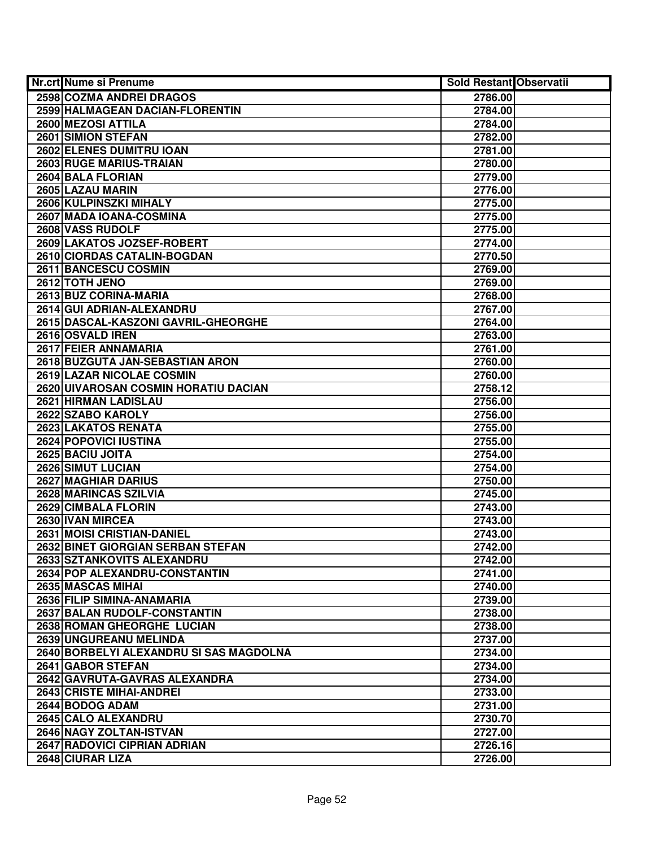| <b>Nr.crt Nume si Prenume</b>           | <b>Sold Restant Observatii</b> |  |
|-----------------------------------------|--------------------------------|--|
| <b>2598 COZMA ANDREI DRAGOS</b>         | 2786.00                        |  |
| 2599 HALMAGEAN DACIAN-FLORENTIN         | 2784.00                        |  |
| 2600 MEZOSI ATTILA                      | 2784.00                        |  |
| 2601 SIMION STEFAN                      | 2782.00                        |  |
| 2602 ELENES DUMITRU IOAN                | 2781.00                        |  |
| 2603 RUGE MARIUS-TRAIAN                 | 2780.00                        |  |
| 2604 BALA FLORIAN                       | 2779.00                        |  |
| 2605 LAZAU MARIN                        | 2776.00                        |  |
| <b>2606 KULPINSZKI MIHALY</b>           | 2775.00                        |  |
| 2607 MADA IOANA-COSMINA                 | 2775.00                        |  |
| 2608 VASS RUDOLF                        | 2775.00                        |  |
| 2609 LAKATOS JOZSEF-ROBERT              | 2774.00                        |  |
| 2610 CIORDAS CATALIN-BOGDAN             | 2770.50                        |  |
| 2611 BANCESCU COSMIN                    | 2769.00                        |  |
| 2612 TOTH JENO                          | 2769.00                        |  |
| 2613 BUZ CORINA-MARIA                   | 2768.00                        |  |
| 2614 GUI ADRIAN-ALEXANDRU               | 2767.00                        |  |
| 2615 DASCAL-KASZONI GAVRIL-GHEORGHE     | 2764.00                        |  |
| 2616 OSVALD IREN                        | 2763.00                        |  |
| 2617 FEIER ANNAMARIA                    | 2761.00                        |  |
| 2618 BUZGUTA JAN-SEBASTIAN ARON         | 2760.00                        |  |
| 2619 LAZAR NICOLAE COSMIN               | 2760.00                        |  |
| 2620 UIVAROSAN COSMIN HORATIU DACIAN    | 2758.12                        |  |
| 2621 HIRMAN LADISLAU                    | 2756.00                        |  |
| 2622 SZABO KAROLY                       | 2756.00                        |  |
| 2623 LAKATOS RENATA                     | 2755.00                        |  |
| 2624 POPOVICI IUSTINA                   | 2755.00                        |  |
| 2625 BACIU JOITA                        | 2754.00                        |  |
| 2626 SIMUT LUCIAN                       | 2754.00                        |  |
| 2627 MAGHIAR DARIUS                     | 2750.00                        |  |
| 2628 MARINCAS SZILVIA                   | 2745.00                        |  |
| 2629 CIMBALA FLORIN                     | 2743.00                        |  |
| 2630 IVAN MIRCEA                        | 2743.00                        |  |
| 2631 MOISI CRISTIAN-DANIEL              | 2743.00                        |  |
| 2632 BINET GIORGIAN SERBAN STEFAN       | 2742.00                        |  |
| 2633 SZTANKOVITS ALEXANDRU              | 2742.00                        |  |
| 2634 POP ALEXANDRU-CONSTANTIN           | 2741.00                        |  |
| 2635 MASCAS MIHAI                       | 2740.00                        |  |
| 2636 FILIP SIMINA-ANAMARIA              | 2739.00                        |  |
| 2637 BALAN RUDOLF-CONSTANTIN            | 2738.00                        |  |
| 2638 ROMAN GHEORGHE LUCIAN              | 2738.00                        |  |
| 2639 UNGUREANU MELINDA                  | 2737.00                        |  |
| 2640 BORBELYI ALEXANDRU SI SAS MAGDOLNA | 2734.00                        |  |
| 2641 GABOR STEFAN                       | 2734.00                        |  |
| 2642 GAVRUTA-GAVRAS ALEXANDRA           | 2734.00                        |  |
| 2643 CRISTE MIHAI-ANDREI                | 2733.00                        |  |
| 2644 BODOG ADAM                         | 2731.00                        |  |
| 2645 CALO ALEXANDRU                     | 2730.70                        |  |
| 2646 NAGY ZOLTAN-ISTVAN                 | 2727.00                        |  |
| 2647 RADOVICI CIPRIAN ADRIAN            | 2726.16                        |  |
| 2648 CIURAR LIZA                        | 2726.00                        |  |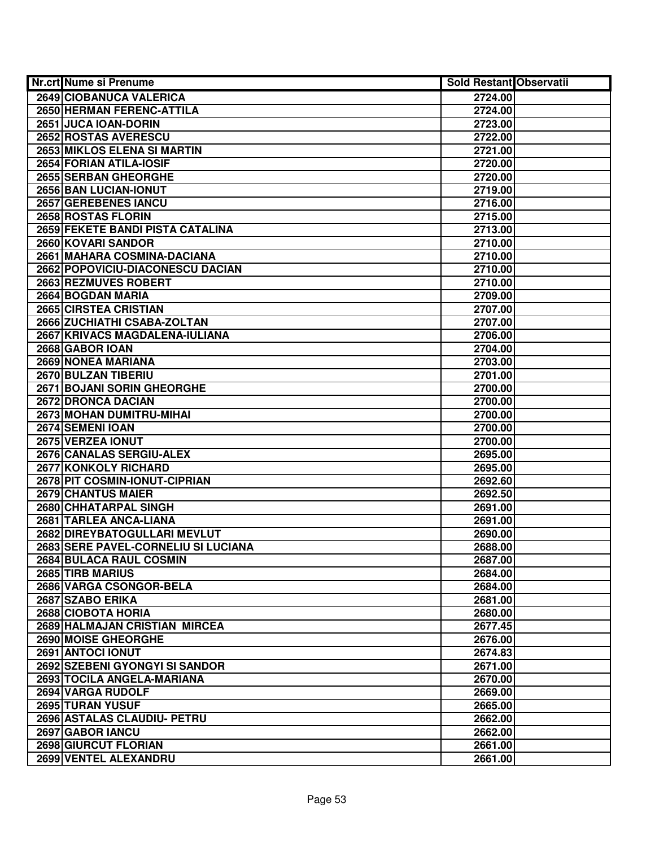| Nr.crt Nume si Prenume              | <b>Sold Restant Observatii</b> |  |
|-------------------------------------|--------------------------------|--|
| 2649 CIOBANUCA VALERICA             | 2724.00                        |  |
| 2650 HERMAN FERENC-ATTILA           | 2724.00                        |  |
| 2651 JUCA IOAN-DORIN                | 2723.00                        |  |
| 2652 ROSTAS AVERESCU                | 2722.00                        |  |
| 2653 MIKLOS ELENA SI MARTIN         | 2721.00                        |  |
| 2654 FORIAN ATILA-IOSIF             | 2720.00                        |  |
| 2655 SERBAN GHEORGHE                | 2720.00                        |  |
| 2656 BAN LUCIAN-IONUT               | 2719.00                        |  |
| <b>2657 GEREBENES IANCU</b>         | 2716.00                        |  |
| 2658 ROSTAS FLORIN                  | 2715.00                        |  |
| 2659 FEKETE BANDI PISTA CATALINA    | 2713.00                        |  |
| 2660 KOVARI SANDOR                  | 2710.00                        |  |
| 2661 MAHARA COSMINA-DACIANA         | 2710.00                        |  |
| 2662 POPOVICIU-DIACONESCU DACIAN    | 2710.00                        |  |
| 2663 REZMUVES ROBERT                | 2710.00                        |  |
| 2664 BOGDAN MARIA                   | 2709.00                        |  |
| 2665 CIRSTEA CRISTIAN               | 2707.00                        |  |
| 2666 ZUCHIATHI CSABA-ZOLTAN         | 2707.00                        |  |
| 2667 KRIVACS MAGDALENA-IULIANA      | 2706.00                        |  |
| 2668 GABOR IOAN                     | 2704.00                        |  |
| 2669 NONEA MARIANA                  | 2703.00                        |  |
| 2670 BULZAN TIBERIU                 | 2701.00                        |  |
| 2671 BOJANI SORIN GHEORGHE          | 2700.00                        |  |
| 2672 DRONCA DACIAN                  | 2700.00                        |  |
| 2673 MOHAN DUMITRU-MIHAI            | 2700.00                        |  |
| 2674 SEMENI IOAN                    | 2700.00                        |  |
| 2675 VERZEA IONUT                   | 2700.00                        |  |
| 2676 CANALAS SERGIU-ALEX            | 2695.00                        |  |
| 2677 KONKOLY RICHARD                | 2695.00                        |  |
| 2678 PIT COSMIN-IONUT-CIPRIAN       | 2692.60                        |  |
| 2679 CHANTUS MAIER                  | 2692.50                        |  |
| 2680 CHHATARPAL SINGH               | 2691.00                        |  |
| 2681 TARLEA ANCA-LIANA              | 2691.00                        |  |
| 2682 DIREYBATOGULLARI MEVLUT        | 2690.00                        |  |
| 2683 SERE PAVEL-CORNELIU SI LUCIANA | 2688.00                        |  |
| 2684 BULACA RAUL COSMIN             | 2687.00                        |  |
| 2685 TIRB MARIUS                    | 2684.00                        |  |
| 2686 VARGA CSONGOR-BELA             | 2684.00                        |  |
| 2687 SZABO ERIKA                    | 2681.00                        |  |
| 2688 CIOBOTA HORIA                  | 2680.00                        |  |
| 2689 HALMAJAN CRISTIAN MIRCEA       | 2677.45                        |  |
| 2690 MOISE GHEORGHE                 | 2676.00                        |  |
| 2691 ANTOCI IONUT                   | 2674.83                        |  |
| 2692 SZEBENI GYONGYI SI SANDOR      | 2671.00                        |  |
| 2693 TOCILA ANGELA-MARIANA          | 2670.00                        |  |
| 2694 VARGA RUDOLF                   | 2669.00                        |  |
| 2695 TURAN YUSUF                    | 2665.00                        |  |
| 2696 ASTALAS CLAUDIU- PETRU         | 2662.00                        |  |
| 2697 GABOR IANCU                    | 2662.00                        |  |
| 2698 GIURCUT FLORIAN                | 2661.00                        |  |
| 2699 VENTEL ALEXANDRU               | 2661.00                        |  |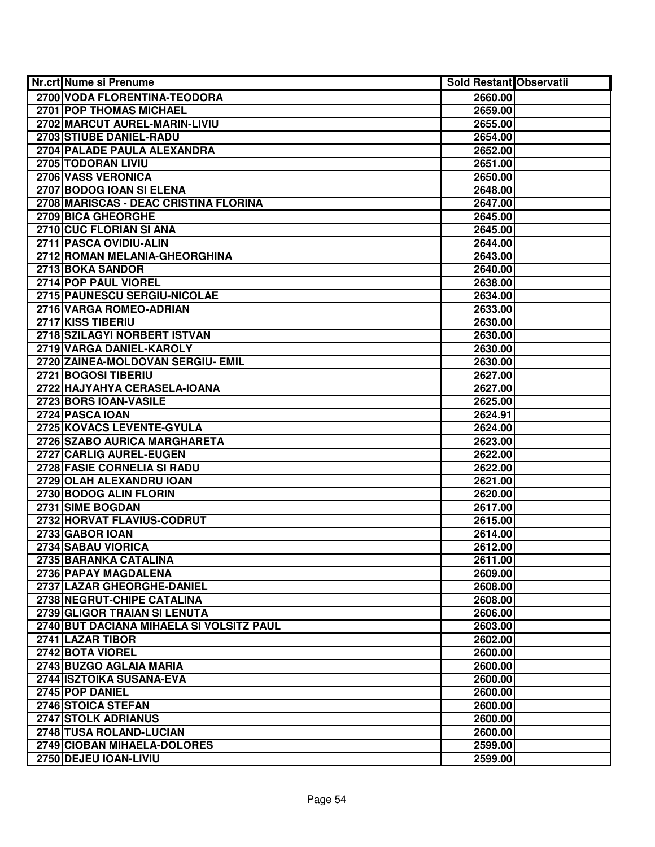| <b>Nr.crt Nume si Prenume</b>            | Sold Restant Observatii |  |
|------------------------------------------|-------------------------|--|
| 2700 VODA FLORENTINA-TEODORA             | 2660.00                 |  |
| 2701 POP THOMAS MICHAEL                  | 2659.00                 |  |
| 2702 MARCUT AUREL-MARIN-LIVIU            | 2655.00                 |  |
| 2703 STIUBE DANIEL-RADU                  | 2654.00                 |  |
| 2704 PALADE PAULA ALEXANDRA              | 2652.00                 |  |
| 2705 TODORAN LIVIU                       | 2651.00                 |  |
| 2706 VASS VERONICA                       | 2650.00                 |  |
| 2707 BODOG IOAN SI ELENA                 | 2648.00                 |  |
| 2708 MARISCAS - DEAC CRISTINA FLORINA    | 2647.00                 |  |
| 2709 BICA GHEORGHE                       | 2645.00                 |  |
| 2710 CUC FLORIAN SI ANA                  | 2645.00                 |  |
| 2711 PASCA OVIDIU-ALIN                   | 2644.00                 |  |
| 2712 ROMAN MELANIA-GHEORGHINA            | 2643.00                 |  |
| 2713 BOKA SANDOR                         | 2640.00                 |  |
| 2714 POP PAUL VIOREL                     | 2638.00                 |  |
| 2715 PAUNESCU SERGIU-NICOLAE             | 2634.00                 |  |
| 2716 VARGA ROMEO-ADRIAN                  | 2633.00                 |  |
| 2717 KISS TIBERIU                        | 2630.00                 |  |
| 2718 SZILAGYI NORBERT ISTVAN             | 2630.00                 |  |
| 2719 VARGA DANIEL-KAROLY                 | 2630.00                 |  |
| 2720 ZAINEA-MOLDOVAN SERGIU- EMIL        | 2630.00                 |  |
| 2721 BOGOSI TIBERIU                      | 2627.00                 |  |
| 2722 HAJYAHYA CERASELA-IOANA             | 2627.00                 |  |
| 2723 BORS IOAN-VASILE                    | 2625.00                 |  |
| 2724 PASCA IOAN                          | 2624.91                 |  |
| 2725 KOVACS LEVENTE-GYULA                | 2624.00                 |  |
| 2726 SZABO AURICA MARGHARETA             | 2623.00                 |  |
| 2727 CARLIG AUREL-EUGEN                  | 2622.00                 |  |
| 2728 FASIE CORNELIA SI RADU              | 2622.00                 |  |
| 2729 OLAH ALEXANDRU IOAN                 | 2621.00                 |  |
| 2730 BODOG ALIN FLORIN                   | 2620.00                 |  |
| 2731 SIME BOGDAN                         | 2617.00                 |  |
| 2732 HORVAT FLAVIUS-CODRUT               | 2615.00                 |  |
| 2733 GABOR IOAN                          | 2614.00                 |  |
| 2734 SABAU VIORICA                       | 2612.00                 |  |
| 2735 BARANKA CATALINA                    | 2611.00                 |  |
| 2736 PAPAY MAGDALENA                     | 2609.00                 |  |
| 2737 LAZAR GHEORGHE-DANIEL               | 2608.00                 |  |
| 2738 NEGRUT-CHIPE CATALINA               | 2608.00                 |  |
| 2739 GLIGOR TRAIAN SI LENUTA             | 2606.00                 |  |
| 2740 BUT DACIANA MIHAELA SI VOLSITZ PAUL | 2603.00                 |  |
| 2741 LAZAR TIBOR                         | 2602.00                 |  |
| 2742 BOTA VIOREL                         | 2600.00                 |  |
| 2743 BUZGO AGLAIA MARIA                  | 2600.00                 |  |
| 2744 ISZTOIKA SUSANA-EVA                 | 2600.00                 |  |
| 2745 POP DANIEL                          | 2600.00                 |  |
| 2746 STOICA STEFAN                       | 2600.00                 |  |
| 2747 STOLK ADRIANUS                      | 2600.00                 |  |
| 2748 TUSA ROLAND-LUCIAN                  | 2600.00                 |  |
| 2749 CIOBAN MIHAELA-DOLORES              | 2599.00                 |  |
| 2750 DEJEU IOAN-LIVIU                    | 2599.00                 |  |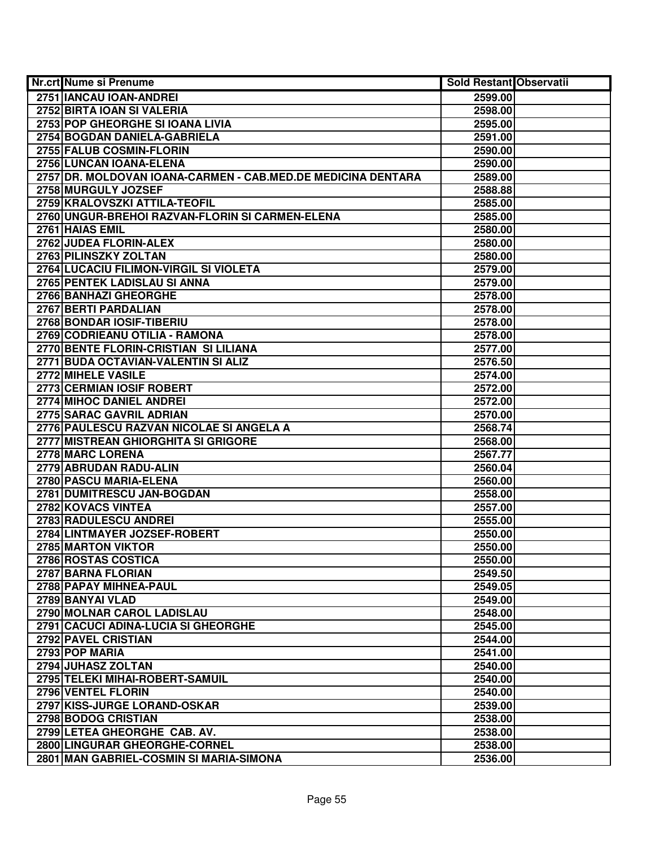| Nr.crt Nume si Prenume                                       | Sold Restant Observatii |  |
|--------------------------------------------------------------|-------------------------|--|
| 2751 IANCAU IOAN-ANDREI                                      | 2599.00                 |  |
| 2752 BIRTA IOAN SI VALERIA                                   | 2598.00                 |  |
| 2753 POP GHEORGHE SI IOANA LIVIA                             | 2595.00                 |  |
| 2754 BOGDAN DANIELA-GABRIELA                                 | 2591.00                 |  |
| 2755 FALUB COSMIN-FLORIN                                     | 2590.00                 |  |
| 2756 LUNCAN IOANA-ELENA                                      | 2590.00                 |  |
| 2757 DR. MOLDOVAN IOANA-CARMEN - CAB.MED.DE MEDICINA DENTARA | 2589.00                 |  |
| 2758 MURGULY JOZSEF                                          | 2588.88                 |  |
| 2759 KRALOVSZKI ATTILA-TEOFIL                                | 2585.00                 |  |
| 2760 UNGUR-BREHOI RAZVAN-FLORIN SI CARMEN-ELENA              | 2585.00                 |  |
| 2761 HAIAS EMIL                                              | 2580.00                 |  |
| 2762 JUDEA FLORIN-ALEX                                       | 2580.00                 |  |
| 2763 PILINSZKY ZOLTAN                                        | 2580.00                 |  |
| 2764 LUCACIU FILIMON-VIRGIL SI VIOLETA                       | 2579.00                 |  |
| 2765 PENTEK LADISLAU SI ANNA                                 | 2579.00                 |  |
| 2766 BANHAZI GHEORGHE                                        | 2578.00                 |  |
| 2767 BERTI PARDALIAN                                         | 2578.00                 |  |
| 2768 BONDAR IOSIF-TIBERIU                                    | 2578.00                 |  |
| 2769 CODRIEANU OTILIA - RAMONA                               | 2578.00                 |  |
| 2770 BENTE FLORIN-CRISTIAN SI LILIANA                        | 2577.00                 |  |
| 2771 BUDA OCTAVIAN-VALENTIN SI ALIZ                          | 2576.50                 |  |
| 2772 MIHELE VASILE                                           | 2574.00                 |  |
| 2773 CERMIAN IOSIF ROBERT                                    | 2572.00                 |  |
| 2774 MIHOC DANIEL ANDREI                                     | 2572.00                 |  |
| 2775 SARAC GAVRIL ADRIAN                                     | 2570.00                 |  |
| 2776 PAULESCU RAZVAN NICOLAE SI ANGELA A                     | 2568.74                 |  |
| 2777 MISTREAN GHIORGHITA SI GRIGORE                          | 2568.00                 |  |
| 2778 MARC LORENA                                             | 2567.77                 |  |
| 2779 ABRUDAN RADU-ALIN                                       | 2560.04                 |  |
| 2780 PASCU MARIA-ELENA                                       | 2560.00                 |  |
| 2781 DUMITRESCU JAN-BOGDAN                                   | 2558.00                 |  |
| 2782 KOVACS VINTEA                                           | 2557.00                 |  |
| 2783 RADULESCU ANDREI                                        | 2555.00                 |  |
| 2784 LINTMAYER JOZSEF-ROBERT                                 | 2550.00                 |  |
| 2785 MARTON VIKTOR                                           | 2550.00                 |  |
| 2786 ROSTAS COSTICA                                          | 2550.00                 |  |
| 2787 BARNA FLORIAN                                           | 2549.50                 |  |
| 2788 PAPAY MIHNEA-PAUL                                       | 2549.05                 |  |
| 2789 BANYAI VLAD                                             | 2549.00                 |  |
| 2790 MOLNAR CAROL LADISLAU                                   | 2548.00                 |  |
| 2791 CACUCI ADINA-LUCIA SI GHEORGHE                          | 2545.00                 |  |
| 2792 PAVEL CRISTIAN                                          | 2544.00                 |  |
| 2793 POP MARIA                                               | 2541.00                 |  |
| 2794 JUHASZ ZOLTAN                                           | 2540.00                 |  |
| 2795 TELEKI MIHAI-ROBERT-SAMUIL                              | 2540.00                 |  |
| 2796 VENTEL FLORIN                                           | 2540.00                 |  |
| 2797 KISS-JURGE LORAND-OSKAR                                 | 2539.00                 |  |
| 2798 BODOG CRISTIAN                                          | 2538.00                 |  |
| 2799 LETEA GHEORGHE CAB. AV.                                 | 2538.00                 |  |
| 2800 LINGURAR GHEORGHE-CORNEL                                | 2538.00                 |  |
| 2801 MAN GABRIEL-COSMIN SI MARIA-SIMONA                      | 2536.00                 |  |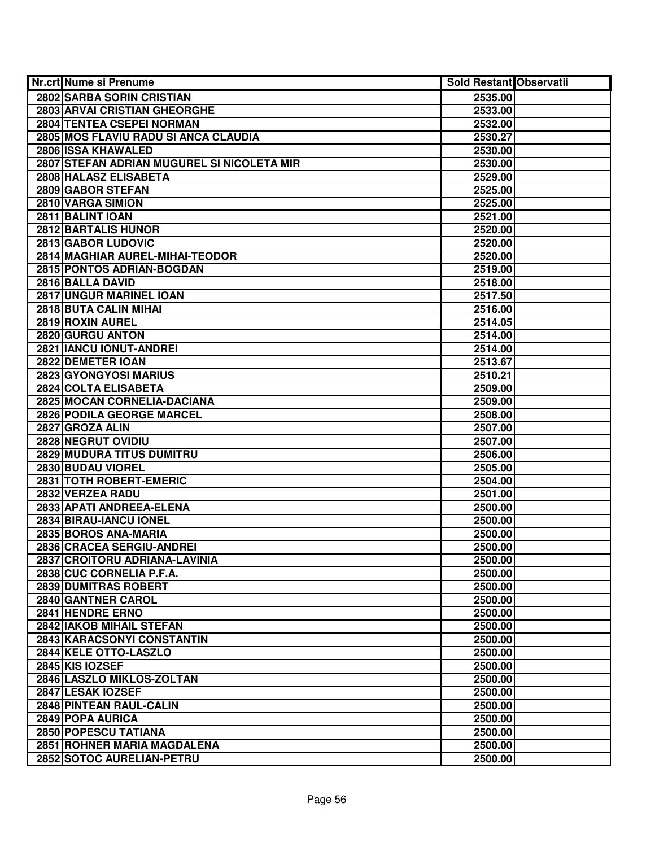| <b>Nr.crt Nume si Prenume</b>              | <b>Sold Restant Observatii</b> |  |
|--------------------------------------------|--------------------------------|--|
| <b>2802 SARBA SORIN CRISTIAN</b>           | 2535.00                        |  |
| 2803 ARVAI CRISTIAN GHEORGHE               | 2533.00                        |  |
| <b>2804 TENTEA CSEPEI NORMAN</b>           | 2532.00                        |  |
| 2805 MOS FLAVIU RADU SI ANCA CLAUDIA       | 2530.27                        |  |
| 2806 ISSA KHAWALED                         | 2530.00                        |  |
| 2807 STEFAN ADRIAN MUGUREL SI NICOLETA MIR | 2530.00                        |  |
| 2808 HALASZ ELISABETA                      | 2529.00                        |  |
| 2809 GABOR STEFAN                          | 2525.00                        |  |
| 2810 VARGA SIMION                          | 2525.00                        |  |
| 2811 BALINT IOAN                           | 2521.00                        |  |
| <b>2812 BARTALIS HUNOR</b>                 | 2520.00                        |  |
| 2813 GABOR LUDOVIC                         | 2520.00                        |  |
| 2814 MAGHIAR AUREL-MIHAI-TEODOR            | 2520.00                        |  |
| 2815 PONTOS ADRIAN-BOGDAN                  | 2519.00                        |  |
| 2816 BALLA DAVID                           | 2518.00                        |  |
| 2817 UNGUR MARINEL IOAN                    | 2517.50                        |  |
| 2818 BUTA CALIN MIHAI                      | 2516.00                        |  |
| 2819 ROXIN AUREL                           | 2514.05                        |  |
| 2820 GURGU ANTON                           | 2514.00                        |  |
| 2821 IANCU IONUT-ANDREI                    | 2514.00                        |  |
| 2822 DEMETER IOAN                          | 2513.67                        |  |
| 2823 GYONGYOSI MARIUS                      | 2510.21                        |  |
| 2824 COLTA ELISABETA                       | 2509.00                        |  |
| 2825 MOCAN CORNELIA-DACIANA                | 2509.00                        |  |
| 2826 PODILA GEORGE MARCEL                  | 2508.00                        |  |
| 2827 GROZA ALIN                            | 2507.00                        |  |
| 2828 NEGRUT OVIDIU                         | 2507.00                        |  |
| 2829 MUDURA TITUS DUMITRU                  | 2506.00                        |  |
| 2830 BUDAU VIOREL                          | 2505.00                        |  |
| 2831 TOTH ROBERT-EMERIC                    | 2504.00                        |  |
| 2832 VERZEA RADU                           | 2501.00                        |  |
| 2833 APATI ANDREEA-ELENA                   | 2500.00                        |  |
| 2834 BIRAU-IANCU IONEL                     | 2500.00                        |  |
| 2835 BOROS ANA-MARIA                       | 2500.00                        |  |
| 2836 CRACEA SERGIU-ANDREI                  | 2500.00                        |  |
| 2837 CROITORU ADRIANA-LAVINIA              | 2500.00                        |  |
| 2838 CUC CORNELIA P.F.A.                   | 2500.00                        |  |
| 2839 DUMITRAS ROBERT                       | 2500.00                        |  |
| <b>2840 GANTNER CAROL</b>                  | 2500.00                        |  |
| 2841 HENDRE ERNO                           | 2500.00                        |  |
| 2842 IAKOB MIHAIL STEFAN                   | 2500.00                        |  |
| 2843 KARACSONYI CONSTANTIN                 | 2500.00                        |  |
| 2844 KELE OTTO-LASZLO                      | 2500.00                        |  |
| 2845 KIS IOZSEF                            | 2500.00                        |  |
| 2846 LASZLO MIKLOS-ZOLTAN                  | 2500.00                        |  |
| 2847 LESAK IOZSEF                          | 2500.00                        |  |
| 2848 PINTEAN RAUL-CALIN                    | 2500.00                        |  |
| 2849 POPA AURICA                           | 2500.00                        |  |
| 2850 POPESCU TATIANA                       | 2500.00                        |  |
| 2851 ROHNER MARIA MAGDALENA                | 2500.00                        |  |
| 2852 SOTOC AURELIAN-PETRU                  | 2500.00                        |  |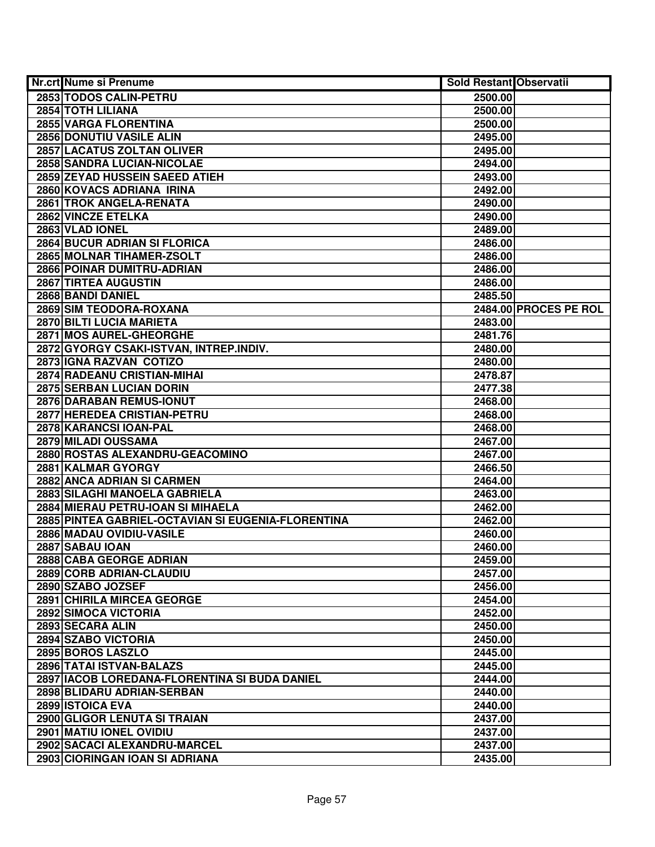| <b>Nr.crt Nume si Prenume</b>                      | <b>Sold Restant Observatii</b> |                       |
|----------------------------------------------------|--------------------------------|-----------------------|
| 2853 TODOS CALIN-PETRU                             | 2500.00                        |                       |
| 2854 TOTH LILIANA                                  | 2500.00                        |                       |
| 2855 VARGA FLORENTINA                              | 2500.00                        |                       |
| 2856 DONUTIU VASILE ALIN                           | 2495.00                        |                       |
| 2857 LACATUS ZOLTAN OLIVER                         | 2495.00                        |                       |
| 2858 SANDRA LUCIAN-NICOLAE                         | 2494.00                        |                       |
| 2859 ZEYAD HUSSEIN SAEED ATIEH                     | 2493.00                        |                       |
| 2860 KOVACS ADRIANA IRINA                          | 2492.00                        |                       |
| 2861 TROK ANGELA-RENATA                            | 2490.00                        |                       |
| 2862 VINCZE ETELKA                                 | 2490.00                        |                       |
| 2863 VLAD IONEL                                    | 2489.00                        |                       |
| <b>2864 BUCUR ADRIAN SI FLORICA</b>                | 2486.00                        |                       |
| 2865 MOLNAR TIHAMER-ZSOLT                          | 2486.00                        |                       |
| 2866 POINAR DUMITRU-ADRIAN                         | 2486.00                        |                       |
| 2867 TIRTEA AUGUSTIN                               | 2486.00                        |                       |
| 2868 BANDI DANIEL                                  | 2485.50                        |                       |
| 2869 SIM TEODORA-ROXANA                            |                                | 2484.00 PROCES PE ROL |
| 2870 BILTI LUCIA MARIETA                           | 2483.00                        |                       |
| 2871 MOS AUREL-GHEORGHE                            | 2481.76                        |                       |
| 2872 GYORGY CSAKI-ISTVAN, INTREP.INDIV.            | 2480.00                        |                       |
| 2873 IGNA RAZVAN COTIZO                            | 2480.00                        |                       |
| <b>2874 RADEANU CRISTIAN-MIHAI</b>                 | 2478.87                        |                       |
| 2875 SERBAN LUCIAN DORIN                           | 2477.38                        |                       |
| 2876 DARABAN REMUS-IONUT                           | 2468.00                        |                       |
| 2877 HEREDEA CRISTIAN-PETRU                        | 2468.00                        |                       |
| 2878 KARANCSI IOAN-PAL                             | 2468.00                        |                       |
| 2879 MILADI OUSSAMA                                | 2467.00                        |                       |
| 2880 ROSTAS ALEXANDRU-GEACOMINO                    | 2467.00                        |                       |
| 2881 KALMAR GYORGY                                 | 2466.50                        |                       |
| 2882 ANCA ADRIAN SI CARMEN                         | 2464.00                        |                       |
| 2883 SILAGHI MANOELA GABRIELA                      | 2463.00                        |                       |
| 2884 MIERAU PETRU-IOAN SI MIHAELA                  | 2462.00                        |                       |
| 2885 PINTEA GABRIEL-OCTAVIAN SI EUGENIA-FLORENTINA | 2462.00                        |                       |
| 2886 MADAU OVIDIU-VASILE                           | 2460.00                        |                       |
| 2887 SABAU IOAN                                    | 2460.00                        |                       |
| 2888 CABA GEORGE ADRIAN                            | 2459.00                        |                       |
| 2889 CORB ADRIAN-CLAUDIU                           | 2457.00                        |                       |
| 2890 SZABO JOZSEF                                  | 2456.00                        |                       |
| 2891 CHIRILA MIRCEA GEORGE                         | 2454.00                        |                       |
| 2892 SIMOCA VICTORIA                               | 2452.00                        |                       |
| 2893 SECARA ALIN                                   | 2450.00                        |                       |
| 2894 SZABO VICTORIA                                | 2450.00                        |                       |
| 2895 BOROS LASZLO                                  | 2445.00                        |                       |
| 2896 TATAI ISTVAN-BALAZS                           | 2445.00                        |                       |
| 2897   IACOB LOREDANA-FLORENTINA SI BUDA DANIEL    | 2444.00                        |                       |
| 2898 BLIDARU ADRIAN-SERBAN                         | 2440.00                        |                       |
| 2899 ISTOICA EVA                                   | 2440.00                        |                       |
| 2900 GLIGOR LENUTA SI TRAIAN                       | 2437.00                        |                       |
| 2901 MATIU IONEL OVIDIU                            | 2437.00                        |                       |
| 2902 SACACI ALEXANDRU-MARCEL                       | 2437.00                        |                       |
| 2903 CIORINGAN IOAN SI ADRIANA                     | 2435.00                        |                       |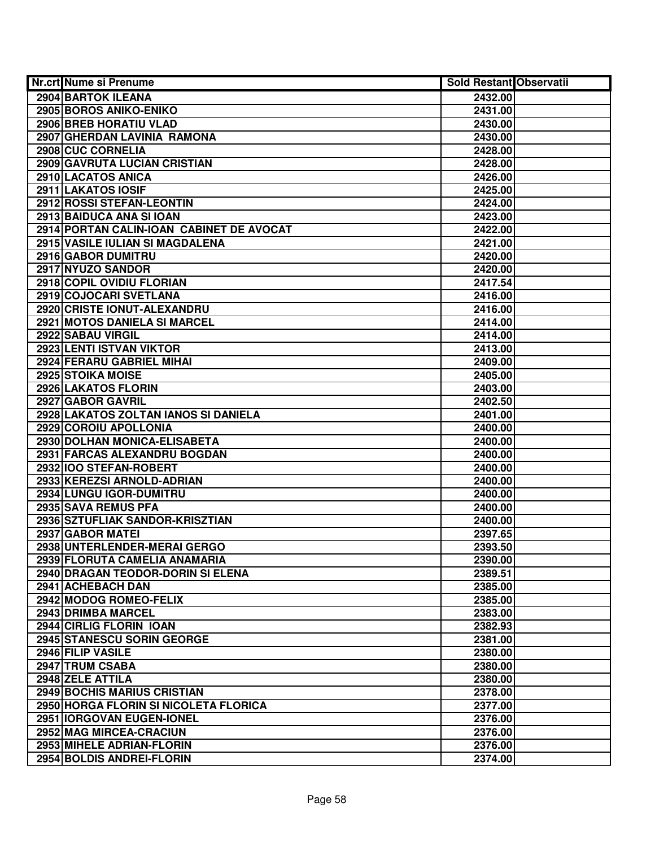| <b>Nr.crt Nume si Prenume</b>            | Sold Restant Observatii |  |
|------------------------------------------|-------------------------|--|
| 2904 BARTOK ILEANA                       | 2432.00                 |  |
| 2905 BOROS ANIKO-ENIKO                   | 2431.00                 |  |
| 2906 BREB HORATIU VLAD                   | 2430.00                 |  |
| 2907 GHERDAN LAVINIA RAMONA              | 2430.00                 |  |
| 2908 CUC CORNELIA                        | 2428.00                 |  |
| 2909 GAVRUTA LUCIAN CRISTIAN             | 2428.00                 |  |
| 2910 LACATOS ANICA                       | 2426.00                 |  |
| 2911 LAKATOS IOSIF                       | 2425.00                 |  |
| 2912 ROSSI STEFAN-LEONTIN                | 2424.00                 |  |
| 2913 BAIDUCA ANA SI IOAN                 | 2423.00                 |  |
| 2914 PORTAN CALIN-IOAN CABINET DE AVOCAT | 2422.00                 |  |
| 2915 VASILE IULIAN SI MAGDALENA          | 2421.00                 |  |
| 2916 GABOR DUMITRU                       | 2420.00                 |  |
| 2917 NYUZO SANDOR                        | 2420.00                 |  |
| 2918 COPIL OVIDIU FLORIAN                | 2417.54                 |  |
| 2919 COJOCARI SVETLANA                   | 2416.00                 |  |
| 2920 CRISTE IONUT-ALEXANDRU              | 2416.00                 |  |
| 2921 MOTOS DANIELA SI MARCEL             | 2414.00                 |  |
| 2922 SABAU VIRGIL                        | 2414.00                 |  |
| 2923 LENTI ISTVAN VIKTOR                 | 2413.00                 |  |
| 2924 FERARU GABRIEL MIHAI                | 2409.00                 |  |
| 2925 STOIKA MOISE                        | 2405.00                 |  |
| 2926 LAKATOS FLORIN                      | 2403.00                 |  |
| 2927 GABOR GAVRIL                        | 2402.50                 |  |
| 2928 LAKATOS ZOLTAN IANOS SI DANIELA     | 2401.00                 |  |
| 2929 COROIU APOLLONIA                    | 2400.00                 |  |
| 2930 DOLHAN MONICA-ELISABETA             | 2400.00                 |  |
| 2931 FARCAS ALEXANDRU BOGDAN             | 2400.00                 |  |
| 2932 IOO STEFAN-ROBERT                   | 2400.00                 |  |
| 2933 KEREZSI ARNOLD-ADRIAN               | 2400.00                 |  |
| 2934 LUNGU IGOR-DUMITRU                  | 2400.00                 |  |
| 2935 SAVA REMUS PFA                      | 2400.00                 |  |
| 2936 SZTUFLIAK SANDOR-KRISZTIAN          | 2400.00                 |  |
| 2937 GABOR MATEI                         | 2397.65                 |  |
| 2938 UNTERLENDER-MERAI GERGO             | 2393.50                 |  |
| 2939 FLORUTA CAMELIA ANAMARIA            | 2390.00                 |  |
| 2940 DRAGAN TEODOR-DORIN SI ELENA        | 2389.51                 |  |
| 2941 ACHEBACH DAN                        | 2385.00                 |  |
| 2942 MODOG ROMEO-FELIX                   | 2385.00                 |  |
| 2943 DRIMBA MARCEL                       | 2383.00                 |  |
| 2944 CIRLIG FLORIN IOAN                  | 2382.93                 |  |
| <b>2945 STANESCU SORIN GEORGE</b>        | 2381.00                 |  |
| 2946 FILIP VASILE                        | 2380.00                 |  |
| 2947 TRUM CSABA                          | 2380.00                 |  |
| 2948 ZELE ATTILA                         | 2380.00                 |  |
| 2949 BOCHIS MARIUS CRISTIAN              | 2378.00                 |  |
| 2950 HORGA FLORIN SI NICOLETA FLORICA    | 2377.00                 |  |
| 2951 IORGOVAN EUGEN-IONEL                | 2376.00                 |  |
| 2952 MAG MIRCEA-CRACIUN                  | 2376.00                 |  |
| 2953 MIHELE ADRIAN-FLORIN                | 2376.00                 |  |
| 2954 BOLDIS ANDREI-FLORIN                | 2374.00                 |  |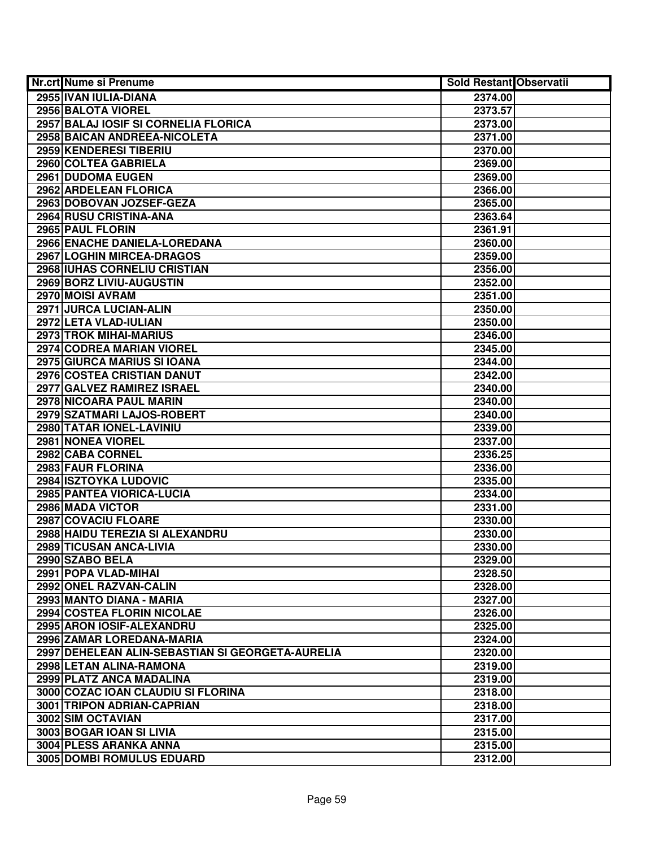|                 | <b>Nr.crt Nume si Prenume</b>                    | <b>Sold Restant Observatii</b> |  |
|-----------------|--------------------------------------------------|--------------------------------|--|
|                 | 2955 IVAN IULIA-DIANA                            | 2374.00                        |  |
|                 | 2956 BALOTA VIOREL                               | 2373.57                        |  |
|                 | 2957 BALAJ IOSIF SI CORNELIA FLORICA             | 2373.00                        |  |
|                 | 2958 BAICAN ANDREEA-NICOLETA                     | 2371.00                        |  |
|                 | 2959 KENDERESI TIBERIU                           | 2370.00                        |  |
|                 | 2960 COLTEA GABRIELA                             | 2369.00                        |  |
|                 | 2961 DUDOMA EUGEN                                | 2369.00                        |  |
|                 | 2962 ARDELEAN FLORICA                            | 2366.00                        |  |
|                 | 2963 DOBOVAN JOZSEF-GEZA                         | 2365.00                        |  |
|                 | 2964 RUSU CRISTINA-ANA                           | 2363.64                        |  |
|                 | 2965 PAUL FLORIN                                 | 2361.91                        |  |
|                 | 2966 ENACHE DANIELA-LOREDANA                     | 2360.00                        |  |
|                 | 2967 LOGHIN MIRCEA-DRAGOS                        | 2359.00                        |  |
|                 | 2968 IUHAS CORNELIU CRISTIAN                     | 2356.00                        |  |
|                 | 2969 BORZ LIVIU-AUGUSTIN                         | 2352.00                        |  |
|                 | 2970 MOISI AVRAM                                 | 2351.00                        |  |
|                 | <b>2971 JURCA LUCIAN-ALIN</b>                    | 2350.00                        |  |
|                 | 2972 LETA VLAD-IULIAN                            | 2350.00                        |  |
|                 | 2973 TROK MIHAI-MARIUS                           | 2346.00                        |  |
|                 | 2974 CODREA MARIAN VIOREL                        | 2345.00                        |  |
|                 | 2975 GIURCA MARIUS SI IOANA                      | 2344.00                        |  |
|                 | <b>2976 COSTEA CRISTIAN DANUT</b>                | 2342.00                        |  |
|                 | 2977 GALVEZ RAMIREZ ISRAEL                       | 2340.00                        |  |
|                 | 2978 NICOARA PAUL MARIN                          | 2340.00                        |  |
|                 | 2979 SZATMARI LAJOS-ROBERT                       | 2340.00                        |  |
|                 | 2980 TATAR IONEL-LAVINIU                         | 2339.00                        |  |
|                 | 2981 NONEA VIOREL                                | 2337.00                        |  |
|                 | 2982 CABA CORNEL                                 | 2336.25                        |  |
|                 | 2983 FAUR FLORINA                                | 2336.00                        |  |
|                 | 2984 ISZTOYKA LUDOVIC                            | 2335.00                        |  |
|                 | 2985 PANTEA VIORICA-LUCIA                        | 2334.00                        |  |
|                 | 2986 MADA VICTOR                                 | 2331.00                        |  |
|                 | 2987 COVACIU FLOARE                              | 2330.00                        |  |
|                 | 2988 HAIDU TEREZIA SI ALEXANDRU                  | 2330.00                        |  |
|                 | 2989 TICUSAN ANCA-LIVIA                          | 2330.00                        |  |
| 2990 SZABO BELA |                                                  | 2329.00                        |  |
|                 | 2991 POPA VLAD-MIHAI                             | 2328.50                        |  |
|                 | 2992 ONEL RAZVAN-CALIN                           | 2328.00                        |  |
|                 | 2993 MANTO DIANA - MARIA                         | 2327.00                        |  |
|                 | 2994 COSTEA FLORIN NICOLAE                       | 2326.00                        |  |
|                 | 2995 ARON IOSIF-ALEXANDRU                        | 2325.00                        |  |
|                 | 2996 ZAMAR LOREDANA-MARIA                        | 2324.00                        |  |
|                 | 2997 DEHELEAN ALIN-SEBASTIAN SI GEORGETA-AURELIA | 2320.00                        |  |
|                 | 2998 LETAN ALINA-RAMONA                          | 2319.00                        |  |
|                 | 2999 PLATZ ANCA MADALINA                         | 2319.00                        |  |
|                 | 3000 COZAC IOAN CLAUDIU SI FLORINA               | 2318.00                        |  |
|                 | 3001 TRIPON ADRIAN-CAPRIAN                       | 2318.00                        |  |
|                 | 3002 SIM OCTAVIAN                                | 2317.00                        |  |
|                 | 3003 BOGAR IOAN SI LIVIA                         | 2315.00                        |  |
|                 | 3004 PLESS ARANKA ANNA                           | 2315.00                        |  |
|                 | 3005 DOMBI ROMULUS EDUARD                        | 2312.00                        |  |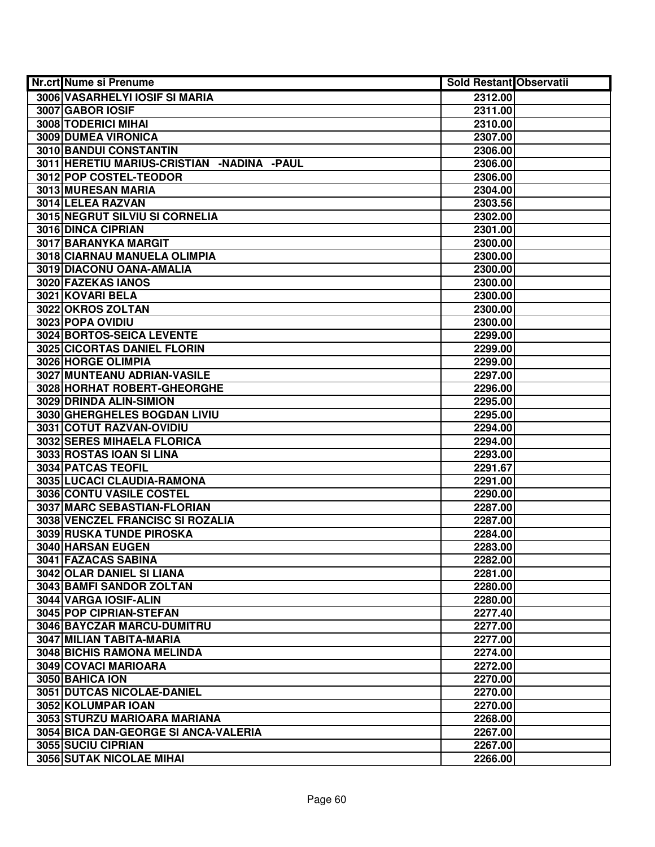| <b>Nr.crt Nume si Prenume</b>              | <b>Sold Restant Observatii</b> |  |
|--------------------------------------------|--------------------------------|--|
| 3006 VASARHELYI IOSIF SI MARIA             | 2312.00                        |  |
| 3007 GABOR IOSIF                           | 2311.00                        |  |
| 3008 TODERICI MIHAI                        | 2310.00                        |  |
| 3009 DUMEA VIRONICA                        | 2307.00                        |  |
| 3010 BANDUI CONSTANTIN                     | 2306.00                        |  |
| 3011 HERETIU MARIUS-CRISTIAN -NADINA -PAUL | 2306.00                        |  |
| 3012 POP COSTEL-TEODOR                     | 2306.00                        |  |
| 3013 MURESAN MARIA                         | 2304.00                        |  |
| 3014 LELEA RAZVAN                          | 2303.56                        |  |
| 3015 NEGRUT SILVIU SI CORNELIA             | 2302.00                        |  |
| <b>3016 DINCA CIPRIAN</b>                  | 2301.00                        |  |
| 3017 BARANYKA MARGIT                       | 2300.00                        |  |
| 3018 CIARNAU MANUELA OLIMPIA               | 2300.00                        |  |
| 3019 DIACONU OANA-AMALIA                   | 2300.00                        |  |
| 3020 FAZEKAS IANOS                         | 2300.00                        |  |
| 3021 KOVARI BELA                           | 2300.00                        |  |
| 3022 OKROS ZOLTAN                          | 2300.00                        |  |
| 3023 POPA OVIDIU                           | 2300.00                        |  |
| 3024 BORTOS-SEICA LEVENTE                  | 2299.00                        |  |
| 3025 CICORTAS DANIEL FLORIN                | 2299.00                        |  |
| 3026 HORGE OLIMPIA                         | 2299.00                        |  |
| 3027 MUNTEANU ADRIAN-VASILE                | 2297.00                        |  |
| 3028 HORHAT ROBERT-GHEORGHE                | 2296.00                        |  |
| 3029 DRINDA ALIN-SIMION                    | 2295.00                        |  |
| 3030 GHERGHELES BOGDAN LIVIU               | 2295.00                        |  |
| 3031 COTUT RAZVAN-OVIDIU                   | 2294.00                        |  |
| 3032 SERES MIHAELA FLORICA                 | 2294.00                        |  |
| 3033 ROSTAS IOAN SI LINA                   | 2293.00                        |  |
| 3034 PATCAS TEOFIL                         | 2291.67                        |  |
| 3035 LUCACI CLAUDIA-RAMONA                 | 2291.00                        |  |
| 3036 CONTU VASILE COSTEL                   | 2290.00                        |  |
| 3037 MARC SEBASTIAN-FLORIAN                | 2287.00                        |  |
| 3038 VENCZEL FRANCISC SI ROZALIA           | 2287.00                        |  |
| <b>3039 RUSKA TUNDE PIROSKA</b>            | 2284.00                        |  |
| 3040 HARSAN EUGEN                          | 2283.00                        |  |
| 3041 FAZACAS SABINA                        | 2282.00                        |  |
| 3042 OLAR DANIEL SI LIANA                  | 2281.00                        |  |
| 3043 BAMFI SANDOR ZOLTAN                   | 2280.00                        |  |
| 3044 VARGA IOSIF-ALIN                      | 2280.00                        |  |
| 3045 POP CIPRIAN-STEFAN                    | 2277.40                        |  |
| 3046 BAYCZAR MARCU-DUMITRU                 | 2277.00                        |  |
| 3047 MILIAN TABITA-MARIA                   | 2277.00                        |  |
| <b>3048 BICHIS RAMONA MELINDA</b>          | 2274.00                        |  |
| 3049 COVACI MARIOARA                       | 2272.00                        |  |
| 3050 BAHICA ION                            | 2270.00                        |  |
| 3051 DUTCAS NICOLAE-DANIEL                 | 2270.00                        |  |
| 3052 KOLUMPAR IOAN                         | 2270.00                        |  |
| 3053 STURZU MARIOARA MARIANA               | 2268.00                        |  |
| 3054 BICA DAN-GEORGE SI ANCA-VALERIA       | 2267.00                        |  |
| 3055 SUCIU CIPRIAN                         | 2267.00                        |  |
| <b>3056 SUTAK NICOLAE MIHAI</b>            | 2266.00                        |  |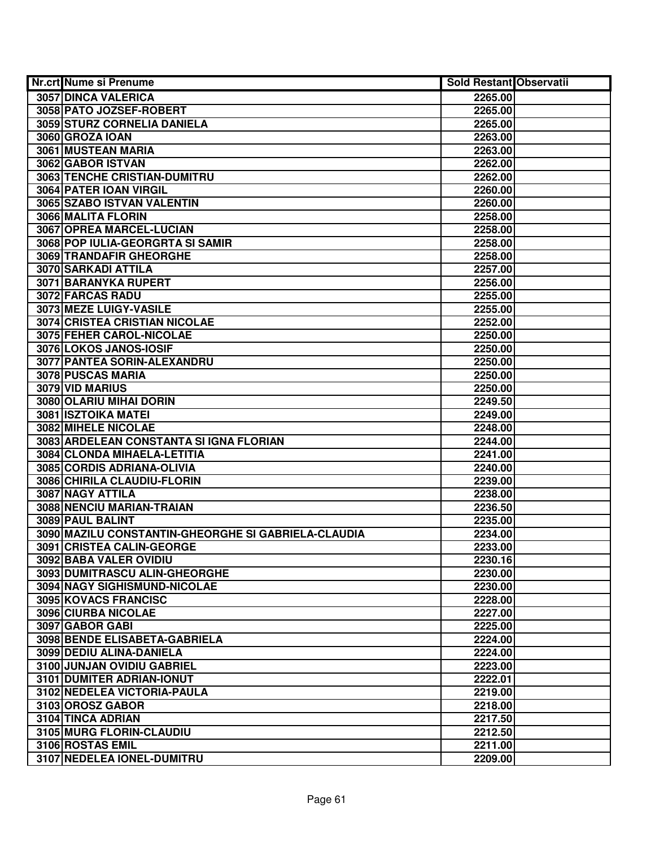| <b>Nr.crt Nume si Prenume</b>                       | Sold Restant Observatii |  |
|-----------------------------------------------------|-------------------------|--|
| 3057 DINCA VALERICA                                 | 2265.00                 |  |
| 3058 PATO JOZSEF-ROBERT                             | 2265.00                 |  |
| 3059 STURZ CORNELIA DANIELA                         | 2265.00                 |  |
| 3060 GROZA IOAN                                     | 2263.00                 |  |
| 3061 MUSTEAN MARIA                                  | 2263.00                 |  |
| 3062 GABOR ISTVAN                                   | 2262.00                 |  |
| 3063 TENCHE CRISTIAN-DUMITRU                        | 2262.00                 |  |
| 3064 PATER IOAN VIRGIL                              | 2260.00                 |  |
| 3065 SZABO ISTVAN VALENTIN                          | 2260.00                 |  |
| 3066 MALITA FLORIN                                  | 2258.00                 |  |
| 3067 OPREA MARCEL-LUCIAN                            | 2258.00                 |  |
| 3068 POP IULIA-GEORGRTA SI SAMIR                    | 2258.00                 |  |
| 3069 TRANDAFIR GHEORGHE                             | 2258.00                 |  |
| 3070 SARKADI ATTILA                                 | 2257.00                 |  |
| 3071 BARANYKA RUPERT                                | 2256.00                 |  |
| 3072 FARCAS RADU                                    | 2255.00                 |  |
| 3073 MEZE LUIGY-VASILE                              | 2255.00                 |  |
| <b>3074 CRISTEA CRISTIAN NICOLAE</b>                | 2252.00                 |  |
| 3075 FEHER CAROL-NICOLAE                            | 2250.00                 |  |
| 3076 LOKOS JANOS-IOSIF                              | 2250.00                 |  |
| 3077 PANTEA SORIN-ALEXANDRU                         | 2250.00                 |  |
| 3078 PUSCAS MARIA                                   | 2250.00                 |  |
| 3079 VID MARIUS                                     | 2250.00                 |  |
| 3080 OLARIU MIHAI DORIN                             | 2249.50                 |  |
| <b>3081 ISZTOIKA MATEI</b>                          | 2249.00                 |  |
| 3082 MIHELE NICOLAE                                 | 2248.00                 |  |
| 3083 ARDELEAN CONSTANTA SI IGNA FLORIAN             | 2244.00                 |  |
| 3084 CLONDA MIHAELA-LETITIA                         | 2241.00                 |  |
| 3085 CORDIS ADRIANA-OLIVIA                          | 2240.00                 |  |
| 3086 CHIRILA CLAUDIU-FLORIN                         | 2239.00                 |  |
| 3087 NAGY ATTILA                                    | 2238.00                 |  |
| 3088 NENCIU MARIAN-TRAIAN                           | 2236.50                 |  |
| 3089 PAUL BALINT                                    | 2235.00                 |  |
| 3090 MAZILU CONSTANTIN-GHEORGHE SI GABRIELA-CLAUDIA | 2234.00                 |  |
| 3091 CRISTEA CALIN-GEORGE                           | 2233.00                 |  |
| 3092 BABA VALER OVIDIU                              | 2230.16                 |  |
| 3093 DUMITRASCU ALIN-GHEORGHE                       | 2230.00                 |  |
| 3094 NAGY SIGHISMUND-NICOLAE                        | 2230.00                 |  |
| <b>3095 KOVACS FRANCISC</b>                         | 2228.00                 |  |
| 3096 CIURBA NICOLAE                                 | 2227.00                 |  |
| 3097 GABOR GABI                                     | 2225.00                 |  |
| 3098 BENDE ELISABETA-GABRIELA                       | 2224.00                 |  |
| 3099 DEDIU ALINA-DANIELA                            | 2224.00                 |  |
| 3100 JUNJAN OVIDIU GABRIEL                          | 2223.00                 |  |
| 3101 DUMITER ADRIAN-IONUT                           | 2222.01                 |  |
| 3102 NEDELEA VICTORIA-PAULA                         | 2219.00                 |  |
| 3103 OROSZ GABOR                                    | 2218.00                 |  |
| 3104 TINCA ADRIAN                                   | 2217.50                 |  |
| 3105 MURG FLORIN-CLAUDIU                            | 2212.50                 |  |
| 3106 ROSTAS EMIL                                    | 2211.00                 |  |
| 3107 NEDELEA IONEL-DUMITRU                          | 2209.00                 |  |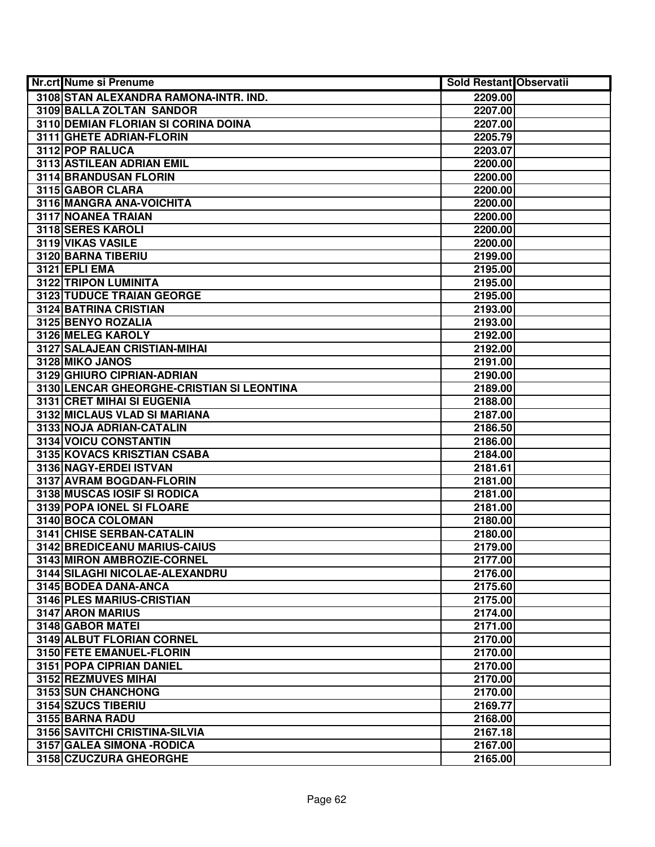| <b>Nr.crt Nume si Prenume</b>             | <b>Sold Restant Observatii</b> |  |
|-------------------------------------------|--------------------------------|--|
| 3108 STAN ALEXANDRA RAMONA-INTR. IND.     | 2209.00                        |  |
| 3109 BALLA ZOLTAN SANDOR                  | 2207.00                        |  |
| 3110 DEMIAN FLORIAN SI CORINA DOINA       | 2207.00                        |  |
| 3111 GHETE ADRIAN-FLORIN                  | 2205.79                        |  |
| 3112 POP RALUCA                           | 2203.07                        |  |
| 3113 ASTILEAN ADRIAN EMIL                 | 2200.00                        |  |
| 3114 BRANDUSAN FLORIN                     | 2200.00                        |  |
| 3115 GABOR CLARA                          | 2200.00                        |  |
| 3116 MANGRA ANA-VOICHITA                  | 2200.00                        |  |
| 3117 NOANEA TRAIAN                        | 2200.00                        |  |
| 3118 SERES KAROLI                         | 2200.00                        |  |
| 3119 VIKAS VASILE                         | 2200.00                        |  |
| 3120 BARNA TIBERIU                        | 2199.00                        |  |
| <b>3121 EPLI EMA</b>                      | 2195.00                        |  |
| 3122 TRIPON LUMINITA                      | 2195.00                        |  |
| 3123 TUDUCE TRAIAN GEORGE                 | 2195.00                        |  |
| <b>3124 BATRINA CRISTIAN</b>              | 2193.00                        |  |
| 3125 BENYO ROZALIA                        | 2193.00                        |  |
| 3126 MELEG KAROLY                         | 2192.00                        |  |
| 3127 SALAJEAN CRISTIAN-MIHAI              | 2192.00                        |  |
| 3128 MIKO JANOS                           | 2191.00                        |  |
| 3129 GHIURO CIPRIAN-ADRIAN                | 2190.00                        |  |
| 3130 LENCAR GHEORGHE-CRISTIAN SI LEONTINA | 2189.00                        |  |
| 3131 CRET MIHAI SI EUGENIA                | 2188.00                        |  |
| 3132 MICLAUS VLAD SI MARIANA              | 2187.00                        |  |
| 3133 NOJA ADRIAN-CATALIN                  | 2186.50                        |  |
| 3134 VOICU CONSTANTIN                     | 2186.00                        |  |
| 3135 KOVACS KRISZTIAN CSABA               | 2184.00                        |  |
| 3136 NAGY-ERDEI ISTVAN                    | 2181.61                        |  |
| 3137 AVRAM BOGDAN-FLORIN                  | 2181.00                        |  |
| 3138 MUSCAS IOSIF SI RODICA               | 2181.00                        |  |
| 3139 POPA IONEL SI FLOARE                 | 2181.00                        |  |
| 3140 BOCA COLOMAN                         | 2180.00                        |  |
| 3141 CHISE SERBAN-CATALIN                 | 2180.00                        |  |
| 3142 BREDICEANU MARIUS-CAIUS              | 2179.00                        |  |
| 3143 MIRON AMBROZIE-CORNEL                | 2177.00                        |  |
| 3144 SILAGHI NICOLAE-ALEXANDRU            | 2176.00                        |  |
| 3145 BODEA DANA-ANCA                      | 2175.60                        |  |
| 3146 PLES MARIUS-CRISTIAN                 | 2175.00                        |  |
| 3147 ARON MARIUS                          | 2174.00                        |  |
| 3148 GABOR MATEL                          | 2171.00                        |  |
| 3149 ALBUT FLORIAN CORNEL                 | 2170.00                        |  |
| 3150 FETE EMANUEL-FLORIN                  | 2170.00                        |  |
| 3151 POPA CIPRIAN DANIEL                  | 2170.00                        |  |
| 3152 REZMUVES MIHAI                       | 2170.00                        |  |
| 3153 SUN CHANCHONG                        | 2170.00                        |  |
| 3154 SZUCS TIBERIU                        | 2169.77                        |  |
| 3155 BARNA RADU                           | 2168.00                        |  |
| 3156 SAVITCHI CRISTINA-SILVIA             | 2167.18                        |  |
| 3157 GALEA SIMONA - RODICA                | 2167.00                        |  |
| 3158 CZUCZURA GHEORGHE                    | 2165.00                        |  |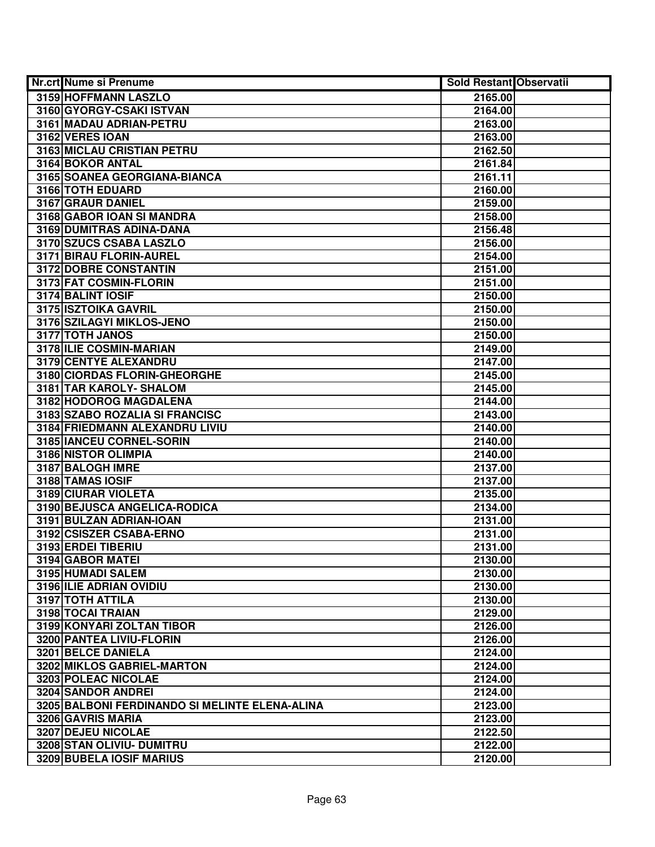| <b>Nr.crt Nume si Prenume</b>                  | <b>Sold Restant Observatii</b> |  |
|------------------------------------------------|--------------------------------|--|
| 3159 HOFFMANN LASZLO                           | 2165.00                        |  |
| 3160 GYORGY-CSAKI ISTVAN                       | 2164.00                        |  |
| 3161 MADAU ADRIAN-PETRU                        | 2163.00                        |  |
| 3162 VERES IOAN                                | 2163.00                        |  |
| 3163 MICLAU CRISTIAN PETRU                     | 2162.50                        |  |
| 3164 BOKOR ANTAL                               | 2161.84                        |  |
| 3165 SOANEA GEORGIANA-BIANCA                   | 2161.11                        |  |
| 3166 TOTH EDUARD                               | 2160.00                        |  |
| 3167 GRAUR DANIEL                              | 2159.00                        |  |
| 3168 GABOR IOAN SI MANDRA                      | 2158.00                        |  |
| 3169 DUMITRAS ADINA-DANA                       | 2156.48                        |  |
| 3170 SZUCS CSABA LASZLO                        | 2156.00                        |  |
| 3171 BIRAU FLORIN-AUREL                        | 2154.00                        |  |
| <b>3172 DOBRE CONSTANTIN</b>                   | 2151.00                        |  |
| 3173 FAT COSMIN-FLORIN                         | 2151.00                        |  |
| 3174 BALINT IOSIF                              | 2150.00                        |  |
| 3175 ISZTOIKA GAVRIL                           | 2150.00                        |  |
| 3176 SZILAGYI MIKLOS-JENO                      | 2150.00                        |  |
| 3177 TOTH JANOS                                | 2150.00                        |  |
| 3178 ILIE COSMIN-MARIAN                        | 2149.00                        |  |
| 3179 CENTYE ALEXANDRU                          | 2147.00                        |  |
| 3180 CIORDAS FLORIN-GHEORGHE                   | 2145.00                        |  |
| 3181 TAR KAROLY- SHALOM                        | 2145.00                        |  |
| 3182 HODOROG MAGDALENA                         | 2144.00                        |  |
| 3183 SZABO ROZALIA SI FRANCISC                 | 2143.00                        |  |
| 3184 FRIEDMANN ALEXANDRU LIVIU                 | 2140.00                        |  |
| 3185 IANCEU CORNEL-SORIN                       | 2140.00                        |  |
| 3186 NISTOR OLIMPIA                            | 2140.00                        |  |
| 3187 BALOGH IMRE                               | 2137.00                        |  |
| 3188 TAMAS IOSIF                               | 2137.00                        |  |
| 3189 CIURAR VIOLETA                            | 2135.00                        |  |
| 3190 BEJUSCA ANGELICA-RODICA                   | 2134.00                        |  |
| 3191 BULZAN ADRIAN-IOAN                        | 2131.00                        |  |
| 3192 CSISZER CSABA-ERNO                        | 2131.00                        |  |
| 3193 ERDEI TIBERIU                             | 2131.00                        |  |
| 3194 GABOR MATEI                               | 2130.00                        |  |
| 3195 HUMADI SALEM                              | 2130.00                        |  |
| 3196 ILIE ADRIAN OVIDIU                        | 2130.00                        |  |
| 3197 TOTH ATTILA                               | 2130.00                        |  |
| 3198 TOCAI TRAIAN                              | 2129.00                        |  |
| 3199 KONYARI ZOLTAN TIBOR                      | 2126.00                        |  |
| 3200 PANTEA LIVIU-FLORIN                       | 2126.00                        |  |
| 3201 BELCE DANIELA                             | 2124.00                        |  |
| 3202 MIKLOS GABRIEL-MARTON                     | 2124.00                        |  |
| 3203 POLEAC NICOLAE                            | 2124.00                        |  |
| 3204 SANDOR ANDREI                             | 2124.00                        |  |
| 3205 BALBONI FERDINANDO SI MELINTE ELENA-ALINA | 2123.00                        |  |
| 3206 GAVRIS MARIA                              | 2123.00                        |  |
| 3207 DEJEU NICOLAE                             | 2122.50                        |  |
| 3208 STAN OLIVIU- DUMITRU                      | 2122.00                        |  |
| 3209 BUBELA IOSIF MARIUS                       | 2120.00                        |  |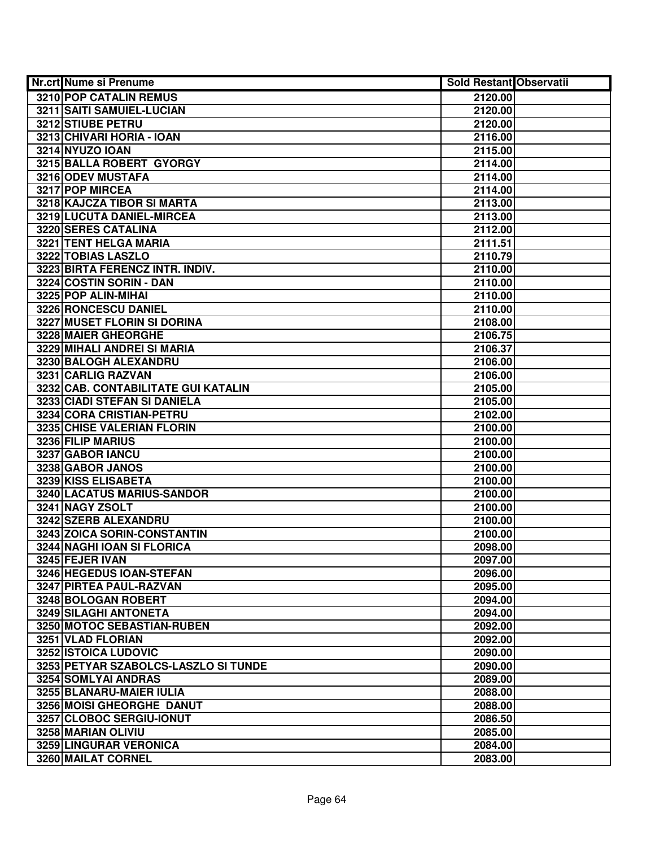| Nr.crt Nume si Prenume                                       | <b>Sold Restant Observatii</b> |  |
|--------------------------------------------------------------|--------------------------------|--|
| <b>3210 POP CATALIN REMUS</b>                                | 2120.00                        |  |
| 3211 SAITI SAMUIEL-LUCIAN                                    | 2120.00                        |  |
| 3212 STIUBE PETRU                                            | 2120.00                        |  |
| 3213 CHIVARI HORIA - IOAN                                    | 2116.00                        |  |
| <b>3214 NYUZO IOAN</b>                                       | 2115.00                        |  |
| 3215 BALLA ROBERT GYORGY                                     | 2114.00                        |  |
| 3216 ODEV MUSTAFA                                            | 2114.00                        |  |
| 3217 POP MIRCEA                                              | 2114.00                        |  |
| 3218 KAJCZA TIBOR SI MARTA                                   | 2113.00                        |  |
| 3219 LUCUTA DANIEL-MIRCEA                                    | 2113.00                        |  |
| 3220 SERES CATALINA                                          | 2112.00                        |  |
| 3221 TENT HELGA MARIA                                        | 2111.51                        |  |
| 3222 TOBIAS LASZLO                                           | 2110.79                        |  |
| 3223 BIRTA FERENCZ INTR. INDIV.                              | 2110.00                        |  |
| 3224 COSTIN SORIN - DAN                                      | 2110.00                        |  |
| 3225 POP ALIN-MIHAI                                          | 2110.00                        |  |
| 3226 RONCESCU DANIEL                                         | 2110.00                        |  |
| 3227 MUSET FLORIN SI DORINA                                  | 2108.00                        |  |
| 3228 MAIER GHEORGHE                                          | 2106.75                        |  |
| 3229 MIHALI ANDREI SI MARIA                                  | 2106.37                        |  |
| 3230 BALOGH ALEXANDRU                                        | 2106.00                        |  |
| 3231 CARLIG RAZVAN                                           | 2106.00                        |  |
| 3232 CAB. CONTABILITATE GUI KATALIN                          | 2105.00                        |  |
| 3233 CIADI STEFAN SI DANIELA                                 | 2105.00                        |  |
| 3234 CORA CRISTIAN-PETRU                                     | 2102.00                        |  |
| 3235 CHISE VALERIAN FLORIN                                   | 2100.00                        |  |
| 3236 FILIP MARIUS                                            | 2100.00                        |  |
| 3237 GABOR IANCU                                             | 2100.00                        |  |
| 3238 GABOR JANOS                                             | 2100.00                        |  |
| 3239 KISS ELISABETA                                          | 2100.00                        |  |
| 3240 LACATUS MARIUS-SANDOR                                   | 2100.00                        |  |
| 3241 NAGY ZSOLT                                              | 2100.00                        |  |
| 3242 SZERB ALEXANDRU                                         | 2100.00                        |  |
| 3243 ZOICA SORIN-CONSTANTIN                                  | 2100.00                        |  |
| 3244 NAGHI IOAN SI FLORICA                                   | 2098.00                        |  |
| 3245 FEJER IVAN                                              | 2097.00                        |  |
| 3246 HEGEDUS IOAN-STEFAN                                     | 2096.00                        |  |
| 3247 PIRTEA PAUL-RAZVAN                                      | 2095.00                        |  |
| 3248 BOLOGAN ROBERT                                          | 2094.00                        |  |
| 3249 SILAGHI ANTONETA<br>3250 MOTOC SEBASTIAN-RUBEN          | 2094.00                        |  |
|                                                              | 2092.00<br>2092.00             |  |
| 3251 VLAD FLORIAN                                            |                                |  |
| 3252 ISTOICA LUDOVIC<br>3253 PETYAR SZABOLCS-LASZLO SI TUNDE | 2090.00                        |  |
| 3254 SOMLYAI ANDRAS                                          | 2090.00                        |  |
| 3255 BLANARU-MAIER IULIA                                     | 2089.00<br>2088.00             |  |
| 3256 MOISI GHEORGHE DANUT                                    | 2088.00                        |  |
| 3257 CLOBOC SERGIU-IONUT                                     | 2086.50                        |  |
| 3258 MARIAN OLIVIU                                           | 2085.00                        |  |
| 3259 LINGURAR VERONICA                                       | 2084.00                        |  |
| 3260 MAILAT CORNEL                                           | 2083.00                        |  |
|                                                              |                                |  |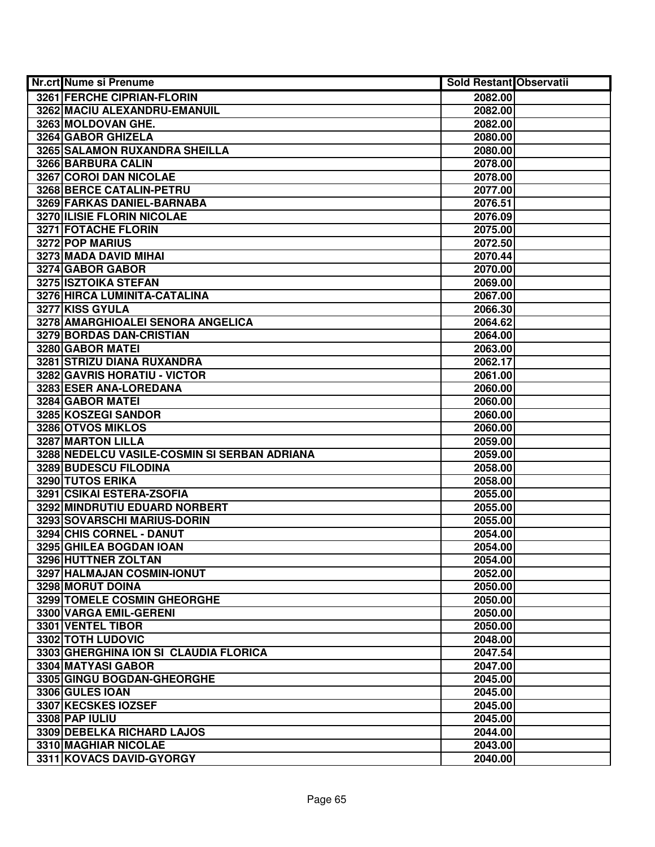| <b>Nr.crt Nume si Prenume</b>                | <b>Sold Restant Observatii</b> |  |
|----------------------------------------------|--------------------------------|--|
| 3261 FERCHE CIPRIAN-FLORIN                   | 2082.00                        |  |
| 3262 MACIU ALEXANDRU-EMANUIL                 | 2082.00                        |  |
| 3263 MOLDOVAN GHE.                           | 2082.00                        |  |
| 3264 GABOR GHIZELA                           | 2080.00                        |  |
| 3265 SALAMON RUXANDRA SHEILLA                | 2080.00                        |  |
| 3266 BARBURA CALIN                           | 2078.00                        |  |
| 3267 COROI DAN NICOLAE                       | 2078.00                        |  |
| 3268 BERCE CATALIN-PETRU                     | 2077.00                        |  |
| 3269 FARKAS DANIEL-BARNABA                   | 2076.51                        |  |
| 3270 ILISIE FLORIN NICOLAE                   | 2076.09                        |  |
| <b>3271 FOTACHE FLORIN</b>                   | 2075.00                        |  |
| 3272 POP MARIUS                              | 2072.50                        |  |
| 3273 MADA DAVID MIHAI                        | 2070.44                        |  |
| 3274 GABOR GABOR                             | 2070.00                        |  |
| 3275 ISZTOIKA STEFAN                         | 2069.00                        |  |
| 3276 HIRCA LUMINITA-CATALINA                 | 2067.00                        |  |
| <b>3277 KISS GYULA</b>                       | 2066.30                        |  |
| 3278 AMARGHIOALEI SENORA ANGELICA            | 2064.62                        |  |
| 3279 BORDAS DAN-CRISTIAN                     | 2064.00                        |  |
| 3280 GABOR MATEI                             | 2063.00                        |  |
| 3281 STRIZU DIANA RUXANDRA                   | 2062.17                        |  |
| 3282 GAVRIS HORATIU - VICTOR                 | 2061.00                        |  |
| 3283 ESER ANA-LOREDANA                       | 2060.00                        |  |
| 3284 GABOR MATEI                             | 2060.00                        |  |
| 3285 KOSZEGI SANDOR                          | 2060.00                        |  |
| 3286 OTVOS MIKLOS                            | 2060.00                        |  |
| 3287 MARTON LILLA                            | 2059.00                        |  |
| 3288 NEDELCU VASILE-COSMIN SI SERBAN ADRIANA | 2059.00                        |  |
| 3289 BUDESCU FILODINA                        | 2058.00                        |  |
| 3290 TUTOS ERIKA                             | 2058.00                        |  |
| 3291 CSIKAI ESTERA-ZSOFIA                    | 2055.00                        |  |
| 3292 MINDRUTIU EDUARD NORBERT                | 2055.00                        |  |
| 3293 SOVARSCHI MARIUS-DORIN                  | 2055.00                        |  |
| 3294 CHIS CORNEL - DANUT                     | 2054.00                        |  |
| 3295 GHILEA BOGDAN IOAN                      | 2054.00                        |  |
| 3296 HUTTNER ZOLTAN                          | 2054.00                        |  |
| 3297 HALMAJAN COSMIN-IONUT                   | 2052.00                        |  |
| <b>3298 MORUT DOINA</b>                      | 2050.00                        |  |
| 3299 TOMELE COSMIN GHEORGHE                  | 2050.00                        |  |
| 3300 VARGA EMIL-GERENI                       | 2050.00                        |  |
| 3301 VENTEL TIBOR                            | 2050.00                        |  |
| 3302 TOTH LUDOVIC                            | 2048.00                        |  |
| 3303 GHERGHINA ION SI CLAUDIA FLORICA        | 2047.54                        |  |
| 3304 MATYASI GABOR                           | 2047.00                        |  |
| 3305 GINGU BOGDAN-GHEORGHE                   | 2045.00                        |  |
| 3306 GULES IOAN                              | 2045.00                        |  |
| 3307 KECSKES IOZSEF                          | 2045.00                        |  |
| 3308 PAP IULIU                               | 2045.00                        |  |
| 3309 DEBELKA RICHARD LAJOS                   | 2044.00                        |  |
| 3310 MAGHIAR NICOLAE                         | 2043.00                        |  |
| 3311 KOVACS DAVID-GYORGY                     | 2040.00                        |  |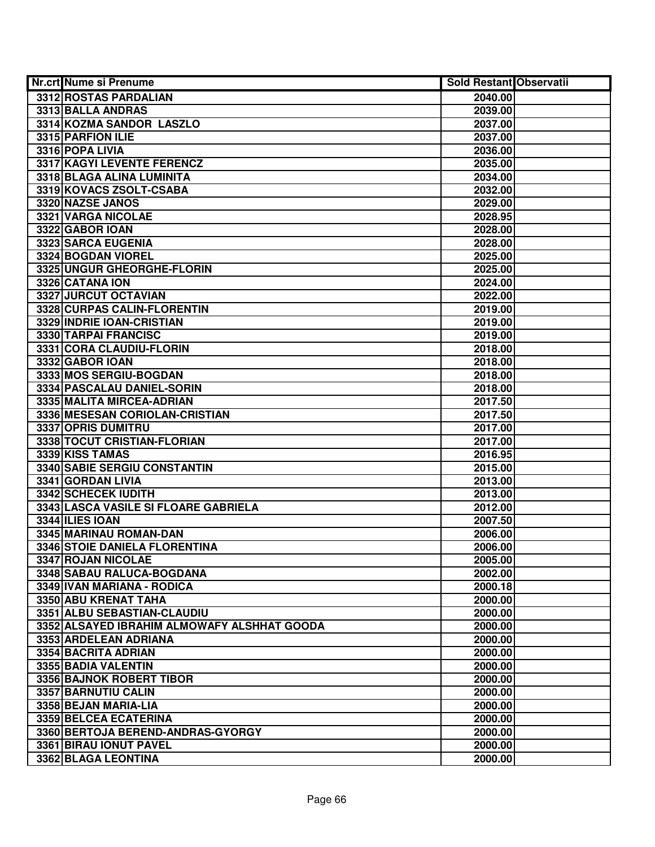| <b>Nr.crt Nume si Prenume</b>               | <b>Sold Restant Observatii</b> |  |
|---------------------------------------------|--------------------------------|--|
| 3312 ROSTAS PARDALIAN                       | 2040.00                        |  |
| 3313 BALLA ANDRAS                           | 2039.00                        |  |
| 3314 KOZMA SANDOR LASZLO                    | 2037.00                        |  |
| 3315 PARFION ILIE                           | 2037.00                        |  |
| 3316 POPA LIVIA                             | 2036.00                        |  |
| 3317 KAGYI LEVENTE FERENCZ                  | 2035.00                        |  |
| 3318 BLAGA ALINA LUMINITA                   | 2034.00                        |  |
| 3319 KOVACS ZSOLT-CSABA                     | 2032.00                        |  |
| 3320 NAZSE JANOS                            | 2029.00                        |  |
| 3321 VARGA NICOLAE                          | 2028.95                        |  |
| 3322 GABOR IOAN                             | 2028.00                        |  |
| 3323 SARCA EUGENIA                          | 2028.00                        |  |
| 3324 BOGDAN VIOREL                          | 2025.00                        |  |
| 3325 UNGUR GHEORGHE-FLORIN                  | 2025.00                        |  |
| 3326 CATANA ION                             | 2024.00                        |  |
| 3327 JURCUT OCTAVIAN                        | 2022.00                        |  |
| 3328 CURPAS CALIN-FLORENTIN                 | 2019.00                        |  |
| 3329 INDRIE IOAN-CRISTIAN                   | 2019.00                        |  |
| 3330 TARPAI FRANCISC                        | 2019.00                        |  |
| 3331 CORA CLAUDIU-FLORIN                    | 2018.00                        |  |
| 3332 GABOR IOAN                             | 2018.00                        |  |
| 3333 MOS SERGIU-BOGDAN                      | 2018.00                        |  |
| 3334 PASCALAU DANIEL-SORIN                  | 2018.00                        |  |
| 3335 MALITA MIRCEA-ADRIAN                   | 2017.50                        |  |
| 3336 MESESAN CORIOLAN-CRISTIAN              | 2017.50                        |  |
| 3337 OPRIS DUMITRU                          | 2017.00                        |  |
| 3338 TOCUT CRISTIAN-FLORIAN                 | 2017.00                        |  |
| 3339 KISS TAMAS                             | 2016.95                        |  |
| 3340 SABIE SERGIU CONSTANTIN                | 2015.00                        |  |
| 3341 GORDAN LIVIA                           | 2013.00                        |  |
| 3342 SCHECEK IUDITH                         | 2013.00                        |  |
| 3343 LASCA VASILE SI FLOARE GABRIELA        | 2012.00                        |  |
| 3344 ILIES IOAN                             | 2007.50                        |  |
| 3345 MARINAU ROMAN-DAN                      | 2006.00                        |  |
| 3346 STOIE DANIELA FLORENTINA               | 2006.00                        |  |
| 3347 ROJAN NICOLAE                          | 2005.00                        |  |
| 3348 SABAU RALUCA-BOGDANA                   | 2002.00                        |  |
| 3349 IVAN MARIANA - RODICA                  | 2000.18                        |  |
| 3350 ABU KRENAT TAHA                        | 2000.00                        |  |
| 3351 ALBU SEBASTIAN-CLAUDIU                 | 2000.00                        |  |
| 3352 ALSAYED IBRAHIM ALMOWAFY ALSHHAT GOODA | 2000.00                        |  |
| 3353 ARDELEAN ADRIANA                       | 2000.00                        |  |
| 3354 BACRITA ADRIAN                         | 2000.00                        |  |
| 3355 BADIA VALENTIN                         | 2000.00                        |  |
| 3356 BAJNOK ROBERT TIBOR                    | 2000.00                        |  |
| 3357 BARNUTIU CALIN                         | 2000.00                        |  |
| 3358 BEJAN MARIA-LIA                        | 2000.00                        |  |
| 3359 BELCEA ECATERINA                       | 2000.00                        |  |
| 3360 BERTOJA BEREND-ANDRAS-GYORGY           | 2000.00                        |  |
| 3361 BIRAU IONUT PAVEL                      | 2000.00                        |  |
| 3362 BLAGA LEONTINA                         | 2000.00                        |  |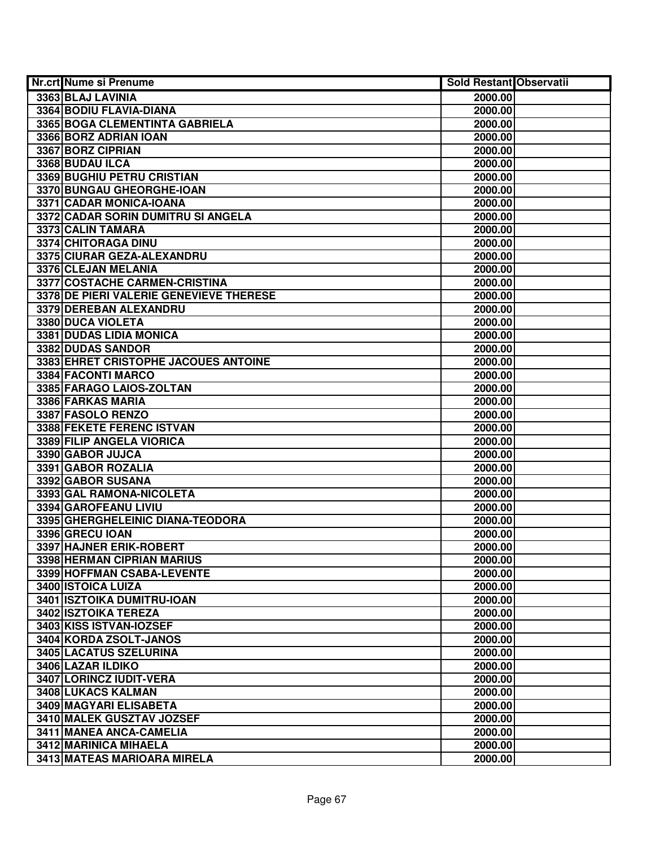| Nr.crt Nume si Prenume                  | <b>Sold Restant Observatii</b> |  |
|-----------------------------------------|--------------------------------|--|
| 3363 BLAJ LAVINIA                       | 2000.00                        |  |
| 3364 BODIU FLAVIA-DIANA                 | 2000.00                        |  |
| 3365 BOGA CLEMENTINTA GABRIELA          | 2000.00                        |  |
| 3366 BORZ ADRIAN IOAN                   | 2000.00                        |  |
| 3367 BORZ CIPRIAN                       | 2000.00                        |  |
| 3368 BUDAU ILCA                         | 2000.00                        |  |
| 3369 BUGHIU PETRU CRISTIAN              | 2000.00                        |  |
| 3370 BUNGAU GHEORGHE-IOAN               | 2000.00                        |  |
| 3371 CADAR MONICA-IOANA                 | 2000.00                        |  |
| 3372 CADAR SORIN DUMITRU SI ANGELA      | 2000.00                        |  |
| 3373 CALIN TAMARA                       | 2000.00                        |  |
| 3374 CHITORAGA DINU                     | 2000.00                        |  |
| 3375 CIURAR GEZA-ALEXANDRU              | 2000.00                        |  |
| 3376 CLEJAN MELANIA                     | 2000.00                        |  |
| 3377 COSTACHE CARMEN-CRISTINA           | 2000.00                        |  |
| 3378 DE PIERI VALERIE GENEVIEVE THERESE | 2000.00                        |  |
| 3379 DEREBAN ALEXANDRU                  | 2000.00                        |  |
| 3380 DUCA VIOLETA                       | 2000.00                        |  |
| 3381 DUDAS LIDIA MONICA                 | 2000.00                        |  |
| 3382 DUDAS SANDOR                       | 2000.00                        |  |
| 3383 EHRET CRISTOPHE JACOUES ANTOINE    | 2000.00                        |  |
| 3384 FACONTI MARCO                      | 2000.00                        |  |
| 3385 FARAGO LAIOS-ZOLTAN                | 2000.00                        |  |
| 3386 FARKAS MARIA                       | 2000.00                        |  |
| 3387 FASOLO RENZO                       | 2000.00                        |  |
| 3388 FEKETE FERENC ISTVAN               | 2000.00                        |  |
| 3389 FILIP ANGELA VIORICA               | 2000.00                        |  |
| 3390 GABOR JUJCA                        | 2000.00                        |  |
| 3391 GABOR ROZALIA                      | 2000.00                        |  |
| 3392 GABOR SUSANA                       | 2000.00                        |  |
| 3393 GAL RAMONA-NICOLETA                | 2000.00                        |  |
| 3394 GAROFEANU LIVIU                    | 2000.00                        |  |
| 3395 GHERGHELEINIC DIANA-TEODORA        | 2000.00                        |  |
| 3396 GRECU IOAN                         | 2000.00                        |  |
| 3397 HAJNER ERIK-ROBERT                 | 2000.00                        |  |
| 3398 HERMAN CIPRIAN MARIUS              | 2000.00                        |  |
| 3399 HOFFMAN CSABA-LEVENTE              | 2000.00                        |  |
| 3400 ISTOICA LUIZA                      | 2000.00                        |  |
| 3401 ISZTOIKA DUMITRU-IOAN              | 2000.00                        |  |
| 3402 ISZTOIKA TEREZA                    | 2000.00                        |  |
| 3403 KISS ISTVAN-IOZSEF                 | 2000.00                        |  |
| 3404 KORDA ZSOLT-JANOS                  | 2000.00                        |  |
| 3405 LACATUS SZELURINA                  | 2000.00                        |  |
| 3406 LAZAR ILDIKO                       | 2000.00                        |  |
| 3407 LORINCZ IUDIT-VERA                 | 2000.00                        |  |
| 3408 LUKACS KALMAN                      | 2000.00                        |  |
| 3409 MAGYARI ELISABETA                  | 2000.00                        |  |
| 3410 MALEK GUSZTAV JOZSEF               | 2000.00                        |  |
| 3411 MANEA ANCA-CAMELIA                 | 2000.00                        |  |
| 3412 MARINICA MIHAELA                   | 2000.00                        |  |
| 3413 MATEAS MARIOARA MIRELA             | 2000.00                        |  |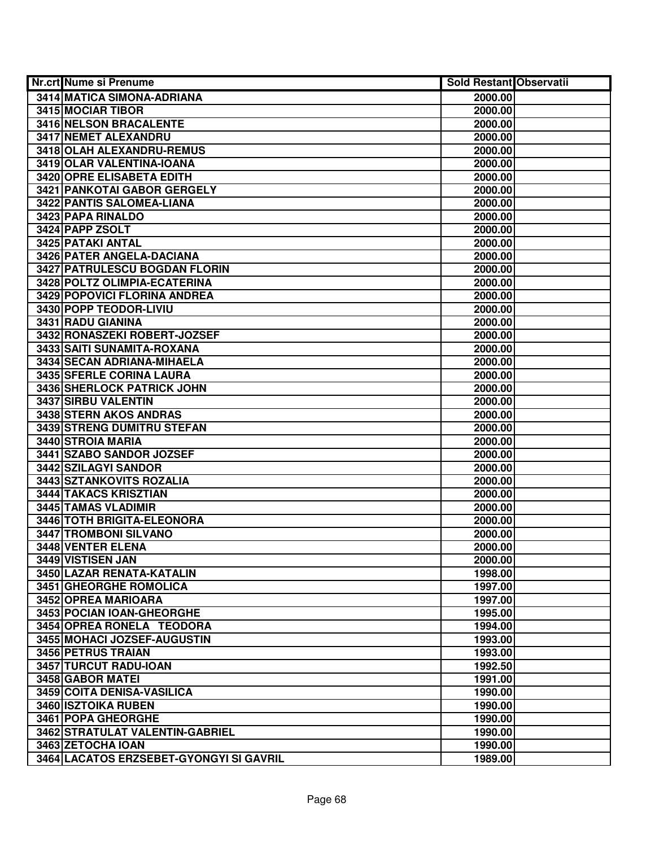| <b>Nr.crt Nume si Prenume</b>           | <b>Sold Restant Observatii</b> |  |
|-----------------------------------------|--------------------------------|--|
| 3414 MATICA SIMONA-ADRIANA              | 2000.00                        |  |
| <b>3415 MOCIAR TIBOR</b>                | 2000.00                        |  |
| 3416 NELSON BRACALENTE                  | 2000.00                        |  |
| <b>3417 NEMET ALEXANDRU</b>             | 2000.00                        |  |
| 3418 OLAH ALEXANDRU-REMUS               | 2000.00                        |  |
| 3419 OLAR VALENTINA-IOANA               | 2000.00                        |  |
| 3420 OPRE ELISABETA EDITH               | 2000.00                        |  |
| 3421 PANKOTAI GABOR GERGELY             | 2000.00                        |  |
| 3422 PANTIS SALOMEA-LIANA               | 2000.00                        |  |
| 3423 PAPA RINALDO                       | 2000.00                        |  |
| 3424 PAPP ZSOLT                         | 2000.00                        |  |
| 3425 PATAKI ANTAL                       | 2000.00                        |  |
| 3426 PATER ANGELA-DACIANA               | 2000.00                        |  |
| 3427 PATRULESCU BOGDAN FLORIN           | 2000.00                        |  |
| 3428 POLTZ OLIMPIA-ECATERINA            | 2000.00                        |  |
| 3429 POPOVICI FLORINA ANDREA            | 2000.00                        |  |
| 3430 POPP TEODOR-LIVIU                  | 2000.00                        |  |
| 3431 RADU GIANINA                       | 2000.00                        |  |
| 3432 RONASZEKI ROBERT-JOZSEF            | 2000.00                        |  |
| 3433 SAITI SUNAMITA-ROXANA              | 2000.00                        |  |
| 3434 SECAN ADRIANA-MIHAELA              | 2000.00                        |  |
| 3435 SFERLE CORINA LAURA                | 2000.00                        |  |
| 3436 SHERLOCK PATRICK JOHN              | 2000.00                        |  |
| 3437 SIRBU VALENTIN                     | 2000.00                        |  |
| 3438 STERN AKOS ANDRAS                  | 2000.00                        |  |
| 3439 STRENG DUMITRU STEFAN              | 2000.00                        |  |
| 3440 STROIA MARIA                       | 2000.00                        |  |
| 3441 SZABO SANDOR JOZSEF                | 2000.00                        |  |
| 3442 SZILAGYI SANDOR                    | 2000.00                        |  |
| 3443 SZTANKOVITS ROZALIA                | 2000.00                        |  |
| 3444 TAKACS KRISZTIAN                   | 2000.00                        |  |
| 3445 TAMAS VLADIMIR                     | 2000.00                        |  |
| 3446 TOTH BRIGITA-ELEONORA              | 2000.00                        |  |
| 3447 TROMBONI SILVANO                   | 2000.00                        |  |
| <b>3448 VENTER ELENA</b>                | 2000.00                        |  |
| 3449 VISTISEN JAN                       | 2000.00                        |  |
| 3450 LAZAR RENATA-KATALIN               | 1998.00                        |  |
| 3451 GHEORGHE ROMOLICA                  | 1997.00                        |  |
| 3452 OPREA MARIOARA                     | 1997.00                        |  |
| 3453 POCIAN IOAN-GHEORGHE               | 1995.00                        |  |
| 3454 OPREA RONELA TEODORA               | 1994.00                        |  |
| 3455 MOHACI JOZSEF-AUGUSTIN             | 1993.00                        |  |
| 3456 PETRUS TRAIAN                      | 1993.00                        |  |
| 3457 TURCUT RADU-IOAN                   | 1992.50                        |  |
| 3458 GABOR MATEI                        | 1991.00                        |  |
| 3459 COITA DENISA-VASILICA              | 1990.00                        |  |
| 3460 ISZTOIKA RUBEN                     | 1990.00                        |  |
| 3461 POPA GHEORGHE                      | 1990.00                        |  |
| 3462 STRATULAT VALENTIN-GABRIEL         | 1990.00                        |  |
| 3463 ZETOCHA IOAN                       | 1990.00                        |  |
| 3464 LACATOS ERZSEBET-GYONGYI SI GAVRIL | 1989.00                        |  |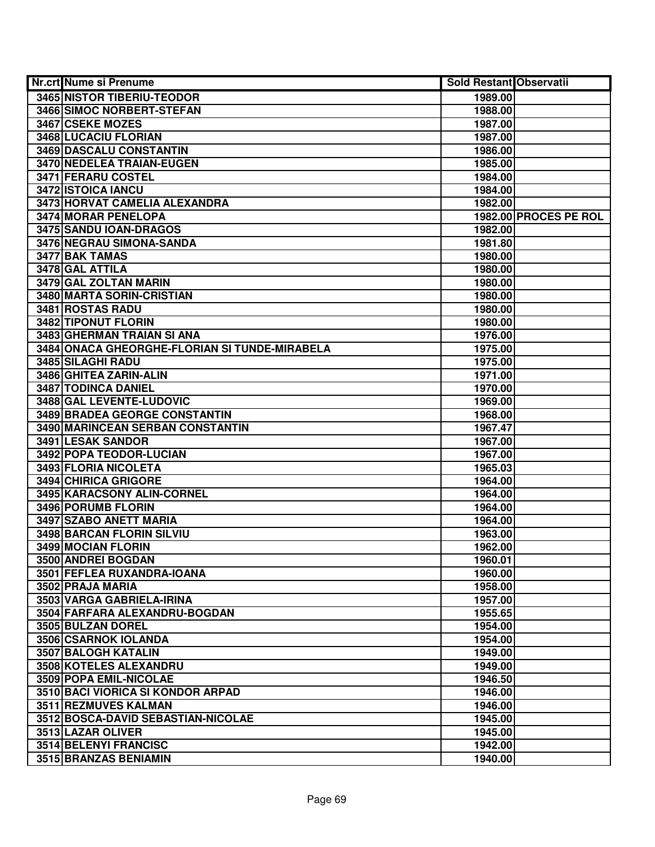| Nr.crt Nume si Prenume                        | <b>Sold Restant Observatii</b> |                       |
|-----------------------------------------------|--------------------------------|-----------------------|
| <b>3465 NISTOR TIBERIU-TEODOR</b>             | 1989.00                        |                       |
| 3466 SIMOC NORBERT-STEFAN                     | 1988.00                        |                       |
| 3467 CSEKE MOZES                              | 1987.00                        |                       |
| 3468 LUCACIU FLORIAN                          | 1987.00                        |                       |
| 3469 DASCALU CONSTANTIN                       | 1986.00                        |                       |
| 3470 NEDELEA TRAIAN-EUGEN                     | 1985.00                        |                       |
| 3471 FERARU COSTEL                            | 1984.00                        |                       |
| 3472 ISTOICA IANCU                            | 1984.00                        |                       |
| 3473 HORVAT CAMELIA ALEXANDRA                 | 1982.00                        |                       |
| <b>3474 MORAR PENELOPA</b>                    |                                | 1982.00 PROCES PE ROL |
| 3475 SANDU IOAN-DRAGOS                        | 1982.00                        |                       |
| 3476 NEGRAU SIMONA-SANDA                      | 1981.80                        |                       |
| 3477 BAK TAMAS                                | 1980.00                        |                       |
| 3478 GAL ATTILA                               | 1980.00                        |                       |
| 3479 GAL ZOLTAN MARIN                         | 1980.00                        |                       |
| 3480 MARTA SORIN-CRISTIAN                     | 1980.00                        |                       |
| 3481 ROSTAS RADU                              | 1980.00                        |                       |
| 3482 TIPONUT FLORIN                           | 1980.00                        |                       |
| 3483 GHERMAN TRAIAN SI ANA                    | 1976.00                        |                       |
| 3484 ONACA GHEORGHE-FLORIAN SI TUNDE-MIRABELA | 1975.00                        |                       |
| 3485 SILAGHI RADU                             | 1975.00                        |                       |
| 3486 GHITEA ZARIN-ALIN                        | 1971.00                        |                       |
| 3487 TODINCA DANIEL                           | 1970.00                        |                       |
| 3488 GAL LEVENTE-LUDOVIC                      | 1969.00                        |                       |
| 3489 BRADEA GEORGE CONSTANTIN                 | 1968.00                        |                       |
| 3490 MARINCEAN SERBAN CONSTANTIN              | 1967.47                        |                       |
| 3491 LESAK SANDOR                             | 1967.00                        |                       |
| 3492 POPA TEODOR-LUCIAN                       | 1967.00                        |                       |
| 3493 FLORIA NICOLETA                          | 1965.03                        |                       |
| 3494 CHIRICA GRIGORE                          | 1964.00                        |                       |
| 3495 KARACSONY ALIN-CORNEL                    | 1964.00                        |                       |
| 3496 PORUMB FLORIN                            | 1964.00                        |                       |
| 3497 SZABO ANETT MARIA                        | 1964.00                        |                       |
| <b>3498 BARCAN FLORIN SILVIU</b>              | 1963.00                        |                       |
| 3499 MOCIAN FLORIN                            | 1962.00                        |                       |
| 3500 ANDREI BOGDAN                            | 1960.01                        |                       |
| 3501 FEFLEA RUXANDRA-IOANA                    | 1960.00                        |                       |
| 3502 PRAJA MARIA                              | 1958.00                        |                       |
| 3503 VARGA GABRIELA-IRINA                     | 1957.00                        |                       |
| 3504 FARFARA ALEXANDRU-BOGDAN                 | 1955.65                        |                       |
| 3505 BULZAN DOREL                             | 1954.00                        |                       |
| 3506 CSARNOK IOLANDA                          | 1954.00                        |                       |
| 3507 BALOGH KATALIN                           | 1949.00                        |                       |
| 3508 KOTELES ALEXANDRU                        | 1949.00                        |                       |
| 3509 POPA EMIL-NICOLAE                        | 1946.50                        |                       |
| 3510 BACI VIORICA SI KONDOR ARPAD             | 1946.00                        |                       |
| 3511 REZMUVES KALMAN                          | 1946.00                        |                       |
| 3512 BOSCA-DAVID SEBASTIAN-NICOLAE            | 1945.00                        |                       |
| 3513 LAZAR OLIVER                             | 1945.00                        |                       |
| 3514 BELENYI FRANCISC                         | 1942.00                        |                       |
| 3515 BRANZAS BENIAMIN                         | 1940.00                        |                       |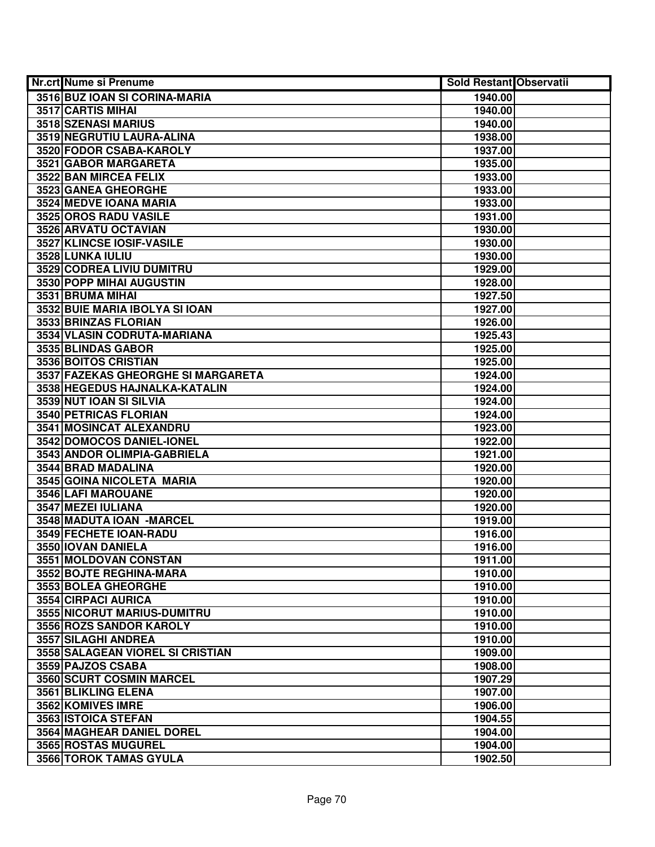| <b>Nr.crt Nume si Prenume</b>                    | <b>Sold Restant Observatii</b> |  |
|--------------------------------------------------|--------------------------------|--|
| 3516 BUZ IOAN SI CORINA-MARIA                    | 1940.00                        |  |
| 3517 CARTIS MIHAI                                | 1940.00                        |  |
| 3518 SZENASI MARIUS                              | 1940.00                        |  |
| 3519 NEGRUTIU LAURA-ALINA                        | 1938.00                        |  |
| 3520 FODOR CSABA-KAROLY                          | 1937.00                        |  |
| 3521 GABOR MARGARETA                             | 1935.00                        |  |
| 3522 BAN MIRCEA FELIX                            | 1933.00                        |  |
| 3523 GANEA GHEORGHE                              | 1933.00                        |  |
| <b>3524 MEDVE IOANA MARIA</b>                    | 1933.00                        |  |
| 3525 OROS RADU VASILE                            | 1931.00                        |  |
| 3526 ARVATU OCTAVIAN                             | 1930.00                        |  |
| 3527 KLINCSE IOSIF-VASILE                        | 1930.00                        |  |
| 3528 LUNKA IULIU                                 | 1930.00                        |  |
| 3529 CODREA LIVIU DUMITRU                        | 1929.00                        |  |
| 3530 POPP MIHAI AUGUSTIN                         | 1928.00                        |  |
| 3531 BRUMA MIHAI                                 | 1927.50                        |  |
| 3532 BUIE MARIA IBOLYA SI IOAN                   | 1927.00                        |  |
| 3533 BRINZAS FLORIAN                             | 1926.00                        |  |
| 3534 VLASIN CODRUTA-MARIANA                      | 1925.43                        |  |
| 3535 BLINDAS GABOR                               | 1925.00                        |  |
| 3536 BOITOS CRISTIAN                             | 1925.00                        |  |
| 3537 FAZEKAS GHEORGHE SI MARGARETA               | 1924.00                        |  |
| 3538 HEGEDUS HAJNALKA-KATALIN                    | 1924.00                        |  |
| 3539 NUT IOAN SI SILVIA                          | 1924.00                        |  |
| <b>3540 PETRICAS FLORIAN</b>                     | 1924.00                        |  |
| 3541 MOSINCAT ALEXANDRU                          | 1923.00                        |  |
| 3542 DOMOCOS DANIEL-IONEL                        | 1922.00                        |  |
| 3543 ANDOR OLIMPIA-GABRIELA                      | 1921.00                        |  |
| 3544 BRAD MADALINA                               | 1920.00                        |  |
| 3545 GOINA NICOLETA MARIA                        | 1920.00                        |  |
| 3546 LAFI MAROUANE                               | 1920.00                        |  |
| 3547 MEZEI IULIANA                               | 1920.00                        |  |
| 3548 MADUTA IOAN - MARCEL                        | 1919.00                        |  |
| 3549 FECHETE IOAN-RADU                           | 1916.00                        |  |
| 3550 IOVAN DANIELA                               | 1916.00                        |  |
| 3551 MOLDOVAN CONSTAN<br>3552 BOJTE REGHINA-MARA | 1911.00                        |  |
| 3553 BOLEA GHEORGHE                              | 1910.00<br>1910.00             |  |
| 3554 CIRPACI AURICA                              | 1910.00                        |  |
| 3555 NICORUT MARIUS-DUMITRU                      | 1910.00                        |  |
| 3556 ROZS SANDOR KAROLY                          | 1910.00                        |  |
| 3557 SILAGHI ANDREA                              | 1910.00                        |  |
| 3558 SALAGEAN VIOREL SI CRISTIAN                 | 1909.00                        |  |
| 3559 PAJZOS CSABA                                | 1908.00                        |  |
| 3560 SCURT COSMIN MARCEL                         | 1907.29                        |  |
| 3561 BLIKLING ELENA                              | 1907.00                        |  |
| 3562 KOMIVES IMRE                                | 1906.00                        |  |
| 3563 ISTOICA STEFAN                              | 1904.55                        |  |
| 3564 MAGHEAR DANIEL DOREL                        | 1904.00                        |  |
| 3565 ROSTAS MUGUREL                              | 1904.00                        |  |
| 3566 TOROK TAMAS GYULA                           | 1902.50                        |  |
|                                                  |                                |  |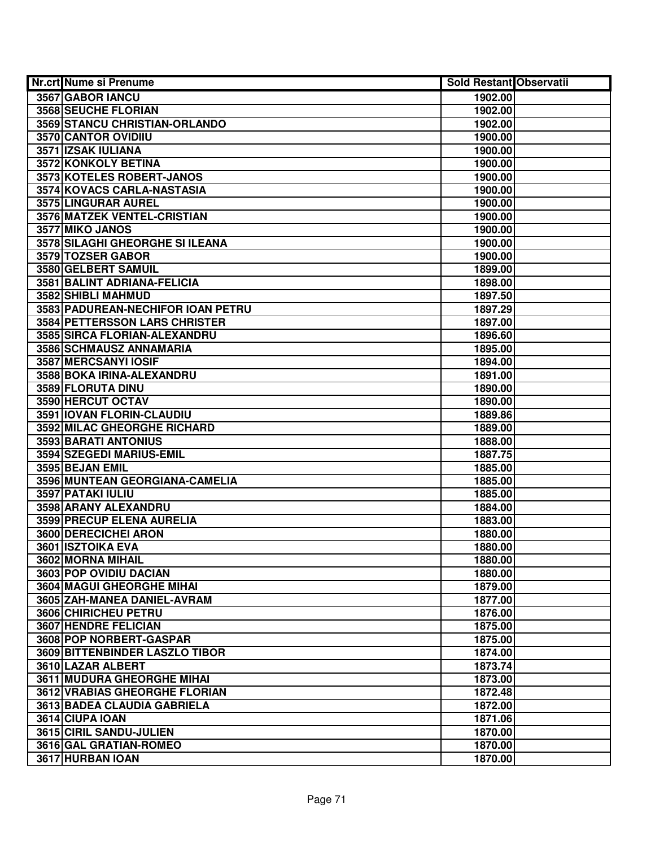| <b>Nr.crt Nume si Prenume</b>        | <b>Sold Restant Observatii</b> |  |
|--------------------------------------|--------------------------------|--|
| 3567 GABOR IANCU                     | 1902.00                        |  |
| 3568 SEUCHE FLORIAN                  | 1902.00                        |  |
| 3569 STANCU CHRISTIAN-ORLANDO        | 1902.00                        |  |
| 3570 CANTOR OVIDIIU                  | 1900.00                        |  |
| 3571 IZSAK IULIANA                   | 1900.00                        |  |
| 3572 KONKOLY BETINA                  | 1900.00                        |  |
| 3573 KOTELES ROBERT-JANOS            | 1900.00                        |  |
| 3574 KOVACS CARLA-NASTASIA           | 1900.00                        |  |
| 3575 LINGURAR AUREL                  | 1900.00                        |  |
| 3576 MATZEK VENTEL-CRISTIAN          | 1900.00                        |  |
| 3577 MIKO JANOS                      | 1900.00                        |  |
| 3578 SILAGHI GHEORGHE SI ILEANA      | 1900.00                        |  |
| 3579 TOZSER GABOR                    | 1900.00                        |  |
| 3580 GELBERT SAMUIL                  | 1899.00                        |  |
| 3581 BALINT ADRIANA-FELICIA          | 1898.00                        |  |
| 3582 SHIBLI MAHMUD                   | 1897.50                        |  |
| 3583 PADUREAN-NECHIFOR IOAN PETRU    | 1897.29                        |  |
| <b>3584 PETTERSSON LARS CHRISTER</b> | 1897.00                        |  |
| 3585 SIRCA FLORIAN-ALEXANDRU         | 1896.60                        |  |
| 3586 SCHMAUSZ ANNAMARIA              | 1895.00                        |  |
| 3587 MERCSANYI IOSIF                 | 1894.00                        |  |
| 3588 BOKA IRINA-ALEXANDRU            | 1891.00                        |  |
| 3589 FLORUTA DINU                    | 1890.00                        |  |
| 3590 HERCUT OCTAV                    | 1890.00                        |  |
| 3591 IOVAN FLORIN-CLAUDIU            | 1889.86                        |  |
| 3592 MILAC GHEORGHE RICHARD          | 1889.00                        |  |
| 3593 BARATI ANTONIUS                 | 1888.00                        |  |
| 3594 SZEGEDI MARIUS-EMIL             | 1887.75                        |  |
| 3595 BEJAN EMIL                      | 1885.00                        |  |
| 3596 MUNTEAN GEORGIANA-CAMELIA       | 1885.00                        |  |
| 3597 PATAKI IULIU                    | 1885.00                        |  |
| 3598 ARANY ALEXANDRU                 | 1884.00                        |  |
| <b>3599 PRECUP ELENA AURELIA</b>     | 1883.00                        |  |
| 3600 DERECICHEI ARON                 | 1880.00                        |  |
| 3601 ISZTOIKA EVA                    | 1880.00                        |  |
| 3602 MORNA MIHAIL                    | 1880.00                        |  |
| 3603 POP OVIDIU DACIAN               | 1880.00                        |  |
| <b>3604 MAGUI GHEORGHE MIHAI</b>     | 1879.00                        |  |
| 3605 ZAH-MANEA DANIEL-AVRAM          | 1877.00                        |  |
| 3606 CHIRICHEU PETRU                 | 1876.00                        |  |
| <b>3607 HENDRE FELICIAN</b>          | 1875.00                        |  |
| 3608 POP NORBERT-GASPAR              | 1875.00                        |  |
| 3609 BITTENBINDER LASZLO TIBOR       | 1874.00                        |  |
| 3610 LAZAR ALBERT                    | 1873.74                        |  |
| <b>3611 MUDURA GHEORGHE MIHAI</b>    | 1873.00                        |  |
| 3612 VRABIAS GHEORGHE FLORIAN        | 1872.48                        |  |
| 3613 BADEA CLAUDIA GABRIELA          | 1872.00                        |  |
| 3614 CIUPA IOAN                      | 1871.06                        |  |
| 3615 CIRIL SANDU-JULIEN              | 1870.00                        |  |
| 3616 GAL GRATIAN-ROMEO               | 1870.00                        |  |
| 3617 HURBAN IOAN                     | 1870.00                        |  |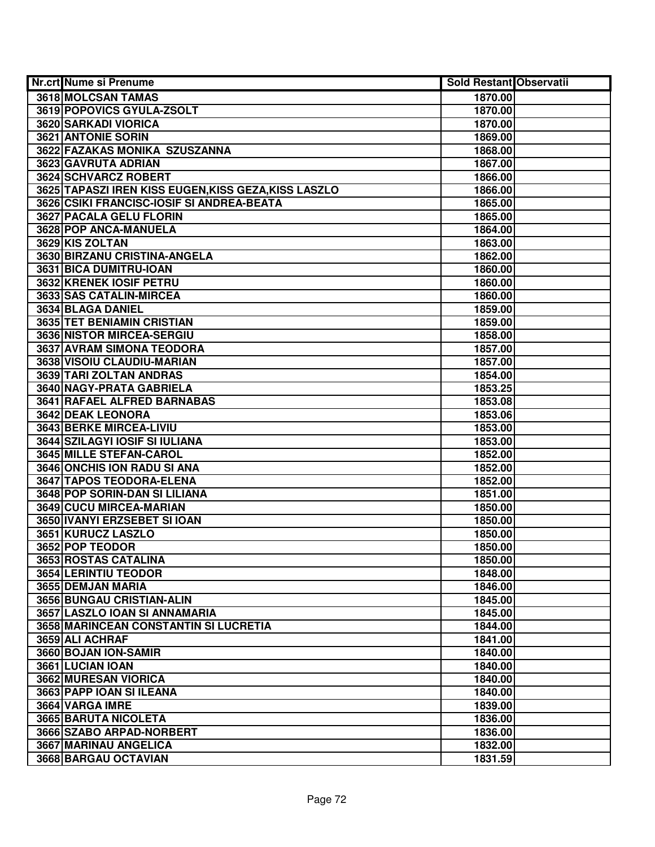| Nr.crt Nume si Prenume                               | <b>Sold Restant Observatii</b> |  |
|------------------------------------------------------|--------------------------------|--|
| 3618 MOLCSAN TAMAS                                   | 1870.00                        |  |
| 3619 POPOVICS GYULA-ZSOLT                            | 1870.00                        |  |
| 3620 SARKADI VIORICA                                 | 1870.00                        |  |
| 3621 ANTONIE SORIN                                   | 1869.00                        |  |
| 3622 FAZAKAS MONIKA SZUSZANNA                        | 1868.00                        |  |
| 3623 GAVRUTA ADRIAN                                  | 1867.00                        |  |
| 3624 SCHVARCZ ROBERT                                 | 1866.00                        |  |
| 3625 TAPASZI IREN KISS EUGEN, KISS GEZA, KISS LASZLO | 1866.00                        |  |
| 3626 CSIKI FRANCISC-IOSIF SI ANDREA-BEATA            | 1865.00                        |  |
| 3627 PACALA GELU FLORIN                              | 1865.00                        |  |
| 3628 POP ANCA-MANUELA                                | 1864.00                        |  |
| 3629 KIS ZOLTAN                                      | 1863.00                        |  |
| 3630 BIRZANU CRISTINA-ANGELA                         | 1862.00                        |  |
| 3631 BICA DUMITRU-IOAN                               | 1860.00                        |  |
| 3632 KRENEK IOSIF PETRU                              | 1860.00                        |  |
| 3633 SAS CATALIN-MIRCEA                              | 1860.00                        |  |
| 3634 BLAGA DANIEL                                    | 1859.00                        |  |
| 3635 TET BENIAMIN CRISTIAN                           | 1859.00                        |  |
| 3636 NISTOR MIRCEA-SERGIU                            | 1858.00                        |  |
| <b>3637 AVRAM SIMONA TEODORA</b>                     | 1857.00                        |  |
| 3638 VISOIU CLAUDIU-MARIAN                           | 1857.00                        |  |
| 3639 TARI ZOLTAN ANDRAS                              | 1854.00                        |  |
| 3640 NAGY-PRATA GABRIELA                             | 1853.25                        |  |
| 3641 RAFAEL ALFRED BARNABAS                          | 1853.08                        |  |
| 3642 DEAK LEONORA                                    | 1853.06                        |  |
| 3643 BERKE MIRCEA-LIVIU                              | 1853.00                        |  |
| 3644 SZILAGYI IOSIF SI IULIANA                       | 1853.00                        |  |
| 3645 MILLE STEFAN-CAROL                              | 1852.00                        |  |
| 3646 ONCHIS ION RADU SI ANA                          | 1852.00                        |  |
| 3647 TAPOS TEODORA-ELENA                             | 1852.00                        |  |
| 3648 POP SORIN-DAN SI LILIANA                        | 1851.00                        |  |
| 3649 CUCU MIRCEA-MARIAN                              | 1850.00                        |  |
| 3650 IVANYI ERZSEBET SI IOAN                         | 1850.00                        |  |
| 3651 KURUCZ LASZLO                                   | 1850.00                        |  |
| 3652 POP TEODOR                                      | 1850.00                        |  |
| 3653 ROSTAS CATALINA                                 | 1850.00                        |  |
| 3654 LERINTIU TEODOR                                 | 1848.00                        |  |
| 3655 DEMJAN MARIA                                    | 1846.00                        |  |
| 3656 BUNGAU CRISTIAN-ALIN                            | 1845.00                        |  |
| 3657 LASZLO IOAN SI ANNAMARIA                        | 1845.00                        |  |
| 3658 MARINCEAN CONSTANTIN SI LUCRETIA                | 1844.00                        |  |
| 3659 ALI ACHRAF                                      | 1841.00                        |  |
| 3660 BOJAN ION-SAMIR                                 | 1840.00                        |  |
| 3661 LUCIAN IOAN                                     | 1840.00                        |  |
| 3662 MURESAN VIORICA                                 | 1840.00                        |  |
| 3663 PAPP IOAN SI ILEANA                             | 1840.00                        |  |
| 3664 VARGA IMRE                                      | 1839.00                        |  |
| 3665 BARUTA NICOLETA                                 | 1836.00                        |  |
| 3666 SZABO ARPAD-NORBERT                             | 1836.00                        |  |
| 3667 MARINAU ANGELICA                                | 1832.00                        |  |
| 3668 BARGAU OCTAVIAN                                 | 1831.59                        |  |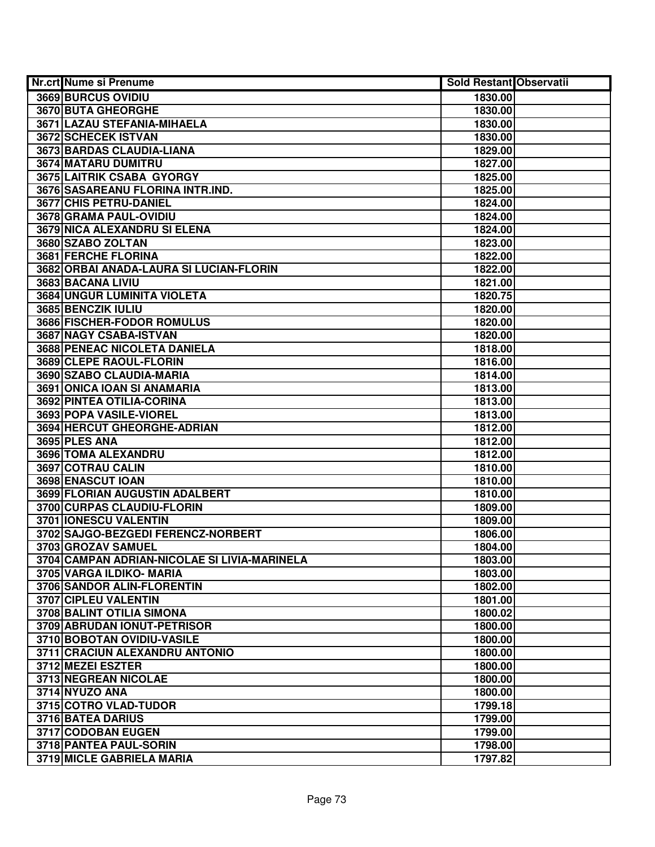| Nr.crt Nume si Prenume                       | <b>Sold Restant Observatii</b> |  |
|----------------------------------------------|--------------------------------|--|
| 3669 BURCUS OVIDIU                           | 1830.00                        |  |
| 3670 BUTA GHEORGHE                           | 1830.00                        |  |
| 3671 LAZAU STEFANIA-MIHAELA                  | 1830.00                        |  |
| 3672 SCHECEK ISTVAN                          | 1830.00                        |  |
| 3673 BARDAS CLAUDIA-LIANA                    | 1829.00                        |  |
| 3674 MATARU DUMITRU                          | 1827.00                        |  |
| 3675 LAITRIK CSABA GYORGY                    | 1825.00                        |  |
| 3676 SASAREANU FLORINA INTR.IND.             | 1825.00                        |  |
| 3677 CHIS PETRU-DANIEL                       | 1824.00                        |  |
| 3678 GRAMA PAUL-OVIDIU                       | 1824.00                        |  |
| <b>3679 NICA ALEXANDRU SI ELENA</b>          | 1824.00                        |  |
| 3680 SZABO ZOLTAN                            | 1823.00                        |  |
| 3681 FERCHE FLORINA                          | 1822.00                        |  |
| 3682 ORBAI ANADA-LAURA SI LUCIAN-FLORIN      | 1822.00                        |  |
| 3683 BACANA LIVIU                            | 1821.00                        |  |
| 3684 UNGUR LUMINITA VIOLETA                  | 1820.75                        |  |
| 3685 BENCZIK IULIU                           | 1820.00                        |  |
| 3686 FISCHER-FODOR ROMULUS                   | 1820.00                        |  |
| 3687 NAGY CSABA-ISTVAN                       | 1820.00                        |  |
| 3688 PENEAC NICOLETA DANIELA                 | 1818.00                        |  |
| 3689 CLEPE RAOUL-FLORIN                      | 1816.00                        |  |
| 3690 SZABO CLAUDIA-MARIA                     | 1814.00                        |  |
| 3691 ONICA IOAN SI ANAMARIA                  | 1813.00                        |  |
| 3692 PINTEA OTILIA-CORINA                    | 1813.00                        |  |
| 3693 POPA VASILE-VIOREL                      | 1813.00                        |  |
| 3694 HERCUT GHEORGHE-ADRIAN                  | 1812.00                        |  |
| 3695 PLES ANA                                | 1812.00                        |  |
| 3696 TOMA ALEXANDRU                          | 1812.00                        |  |
| 3697 COTRAU CALIN                            | 1810.00                        |  |
| 3698 ENASCUT IOAN                            | 1810.00                        |  |
| 3699 FLORIAN AUGUSTIN ADALBERT               | 1810.00                        |  |
| 3700 CURPAS CLAUDIU-FLORIN                   | 1809.00                        |  |
| 3701 IONESCU VALENTIN                        | 1809.00                        |  |
| 3702 SAJGO-BEZGEDI FERENCZ-NORBERT           | 1806.00                        |  |
| 3703 GROZAV SAMUEL                           | 1804.00                        |  |
| 3704 CAMPAN ADRIAN-NICOLAE SI LIVIA-MARINELA | 1803.00                        |  |
| 3705 VARGA ILDIKO- MARIA                     | 1803.00                        |  |
| <b>3706 SANDOR ALIN-FLORENTIN</b>            | 1802.00                        |  |
| 3707 CIPLEU VALENTIN                         | 1801.00                        |  |
| 3708 BALINT OTILIA SIMONA                    | 1800.02                        |  |
| 3709 ABRUDAN IONUT-PETRISOR                  | 1800.00                        |  |
| 3710 BOBOTAN OVIDIU-VASILE                   | 1800.00                        |  |
| 3711 CRACIUN ALEXANDRU ANTONIO               | 1800.00                        |  |
| 3712 MEZEI ESZTER                            | 1800.00                        |  |
| 3713 NEGREAN NICOLAE                         | 1800.00                        |  |
| 3714 NYUZO ANA                               | 1800.00                        |  |
| 3715 COTRO VLAD-TUDOR                        | 1799.18                        |  |
| 3716 BATEA DARIUS                            | 1799.00                        |  |
| 3717 CODOBAN EUGEN                           | 1799.00                        |  |
| 3718 PANTEA PAUL-SORIN                       | 1798.00                        |  |
| 3719 MICLE GABRIELA MARIA                    | 1797.82                        |  |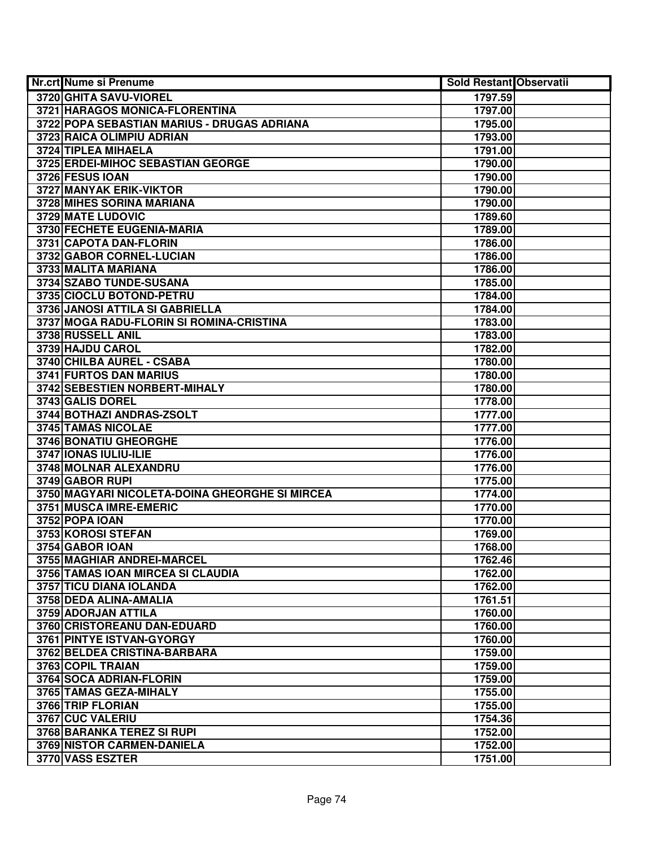| <b>Nr.crt Nume si Prenume</b>                  | <b>Sold Restant Observatii</b> |  |
|------------------------------------------------|--------------------------------|--|
| 3720 GHITA SAVU-VIOREL                         | 1797.59                        |  |
| 3721 HARAGOS MONICA-FLORENTINA                 | 1797.00                        |  |
| 3722 POPA SEBASTIAN MARIUS - DRUGAS ADRIANA    | 1795.00                        |  |
| 3723 RAICA OLIMPIU ADRIAN                      | 1793.00                        |  |
| 3724 TIPLEA MIHAELA                            | 1791.00                        |  |
| 3725 ERDEI-MIHOC SEBASTIAN GEORGE              | 1790.00                        |  |
| 3726 FESUS IOAN                                | 1790.00                        |  |
| <b>3727 MANYAK ERIK-VIKTOR</b>                 | 1790.00                        |  |
| 3728 MIHES SORINA MARIANA                      | 1790.00                        |  |
| 3729 MATE LUDOVIC                              | 1789.60                        |  |
| 3730 FECHETE EUGENIA-MARIA                     | 1789.00                        |  |
| 3731 CAPOTA DAN-FLORIN                         | 1786.00                        |  |
| 3732 GABOR CORNEL-LUCIAN                       | 1786.00                        |  |
| 3733 MALITA MARIANA                            | 1786.00                        |  |
| 3734 SZABO TUNDE-SUSANA                        | 1785.00                        |  |
| 3735 CIOCLU BOTOND-PETRU                       | 1784.00                        |  |
| 3736 JANOSI ATTILA SI GABRIELLA                | 1784.00                        |  |
| 3737 MOGA RADU-FLORIN SI ROMINA-CRISTINA       | 1783.00                        |  |
| 3738 RUSSELL ANIL                              | 1783.00                        |  |
| 3739 HAJDU CAROL                               | 1782.00                        |  |
| 3740 CHILBA AUREL - CSABA                      | 1780.00                        |  |
| 3741 FURTOS DAN MARIUS                         | 1780.00                        |  |
| 3742 SEBESTIEN NORBERT-MIHALY                  | 1780.00                        |  |
| 3743 GALIS DOREL                               | 1778.00                        |  |
| 3744 BOTHAZI ANDRAS-ZSOLT                      | 1777.00                        |  |
| 3745 TAMAS NICOLAE                             | 1777.00                        |  |
| 3746 BONATIU GHEORGHE                          | 1776.00                        |  |
| 3747 IONAS IULIU-ILIE                          | 1776.00                        |  |
| 3748 MOLNAR ALEXANDRU                          | 1776.00                        |  |
| 3749 GABOR RUPI                                | 1775.00                        |  |
| 3750 MAGYARI NICOLETA-DOINA GHEORGHE SI MIRCEA | 1774.00                        |  |
| 3751 MUSCA IMRE-EMERIC                         | 1770.00                        |  |
| 3752 POPA IOAN                                 | 1770.00                        |  |
| 3753 KOROSI STEFAN                             | 1769.00                        |  |
| 3754 GABOR IOAN                                | 1768.00                        |  |
| 3755 MAGHIAR ANDREI-MARCEL                     | 1762.46                        |  |
| 3756 TAMAS IOAN MIRCEA SI CLAUDIA              | 1762.00                        |  |
| 3757 TICU DIANA IOLANDA                        | 1762.00                        |  |
| 3758 DEDA ALINA-AMALIA                         | 1761.51                        |  |
| 3759 ADORJAN ATTILA                            | 1760.00                        |  |
| 3760 CRISTOREANU DAN-EDUARD                    | 1760.00                        |  |
| 3761 PINTYE ISTVAN-GYORGY                      | 1760.00                        |  |
| 3762 BELDEA CRISTINA-BARBARA                   | 1759.00                        |  |
| 3763 COPIL TRAIAN                              | 1759.00                        |  |
| 3764 SOCA ADRIAN-FLORIN                        | 1759.00                        |  |
| 3765 TAMAS GEZA-MIHALY                         | 1755.00                        |  |
| 3766 TRIP FLORIAN                              | 1755.00                        |  |
| 3767 CUC VALERIU                               | 1754.36                        |  |
| 3768 BARANKA TEREZ SI RUPI                     | 1752.00                        |  |
| 3769 NISTOR CARMEN-DANIELA                     | 1752.00                        |  |
| 3770 VASS ESZTER                               | 1751.00                        |  |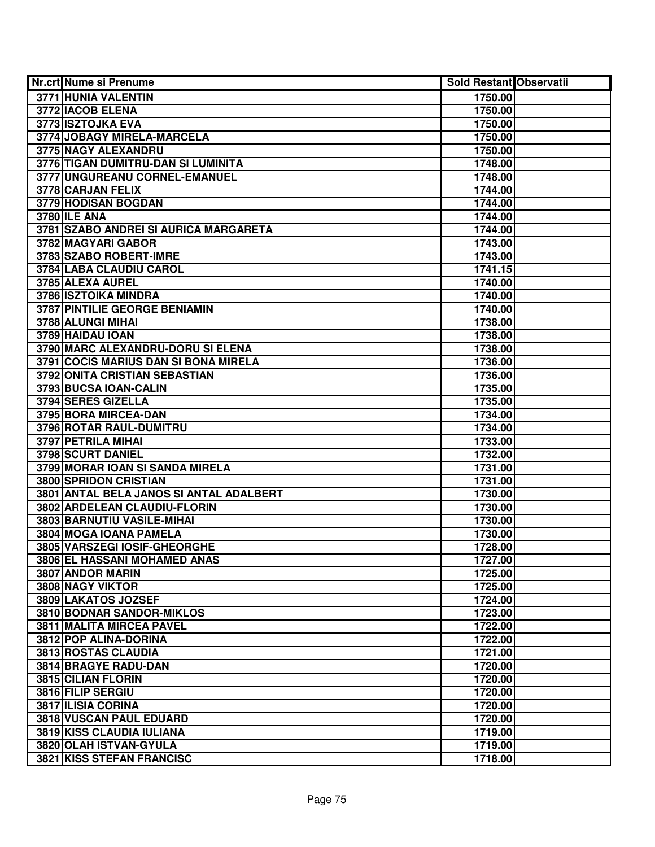| Nr.crt Nume si Prenume                  | <b>Sold Restant Observatii</b> |  |
|-----------------------------------------|--------------------------------|--|
| 3771 HUNIA VALENTIN                     | 1750.00                        |  |
| 3772 IACOB ELENA                        | 1750.00                        |  |
| 3773 ISZTOJKA EVA                       | 1750.00                        |  |
| 3774 JOBAGY MIRELA-MARCELA              | 1750.00                        |  |
| 3775 NAGY ALEXANDRU                     | 1750.00                        |  |
| 3776 TIGAN DUMITRU-DAN SI LUMINITA      | 1748.00                        |  |
| 3777 UNGUREANU CORNEL-EMANUEL           | 1748.00                        |  |
| 3778 CARJAN FELIX                       | 1744.00                        |  |
| 3779 HODISAN BOGDAN                     | 1744.00                        |  |
| <b>3780 ILE ANA</b>                     | 1744.00                        |  |
| 3781 SZABO ANDREI SI AURICA MARGARETA   | 1744.00                        |  |
| 3782 MAGYARI GABOR                      | 1743.00                        |  |
| 3783 SZABO ROBERT-IMRE                  | 1743.00                        |  |
| 3784 LABA CLAUDIU CAROL                 | 1741.15                        |  |
| 3785 ALEXA AUREL                        | 1740.00                        |  |
| 3786 ISZTOIKA MINDRA                    | 1740.00                        |  |
| 3787 PINTILIE GEORGE BENIAMIN           | 1740.00                        |  |
| 3788 ALUNGI MIHAI                       | 1738.00                        |  |
| 3789 HAIDAU IOAN                        | 1738.00                        |  |
| 3790 MARC ALEXANDRU-DORU SI ELENA       | 1738.00                        |  |
| 3791 COCIS MARIUS DAN SI BONA MIRELA    | 1736.00                        |  |
| 3792 ONITA CRISTIAN SEBASTIAN           | 1736.00                        |  |
| 3793 BUCSA IOAN-CALIN                   | 1735.00                        |  |
| 3794 SERES GIZELLA                      | 1735.00                        |  |
| 3795 BORA MIRCEA-DAN                    | 1734.00                        |  |
| 3796 ROTAR RAUL-DUMITRU                 | 1734.00                        |  |
| 3797 PETRILA MIHAI                      | 1733.00                        |  |
| 3798 SCURT DANIEL                       | 1732.00                        |  |
| 3799 MORAR IOAN SI SANDA MIRELA         | 1731.00                        |  |
| 3800 SPRIDON CRISTIAN                   | 1731.00                        |  |
| 3801 ANTAL BELA JANOS SI ANTAL ADALBERT | 1730.00                        |  |
| 3802 ARDELEAN CLAUDIU-FLORIN            | 1730.00                        |  |
| <b>3803 BARNUTIU VASILE-MIHAI</b>       | 1730.00                        |  |
| 3804 MOGA IOANA PAMELA                  | 1730.00                        |  |
| 3805 VARSZEGI IOSIF-GHEORGHE            | 1728.00                        |  |
| 3806 EL HASSANI MOHAMED ANAS            | 1727.00                        |  |
| 3807 ANDOR MARIN                        | 1725.00                        |  |
| <b>3808 NAGY VIKTOR</b>                 | 1725.00                        |  |
| 3809 LAKATOS JOZSEF                     | 1724.00                        |  |
| 3810 BODNAR SANDOR-MIKLOS               | 1723.00                        |  |
| 3811 MALITA MIRCEA PAVEL                | 1722.00                        |  |
| 3812 POP ALINA-DORINA                   | 1722.00                        |  |
| 3813 ROSTAS CLAUDIA                     | 1721.00                        |  |
| 3814 BRAGYE RADU-DAN                    | 1720.00                        |  |
| 3815 CILIAN FLORIN                      | 1720.00                        |  |
| 3816 FILIP SERGIU                       | 1720.00                        |  |
| 3817 ILISIA CORINA                      | 1720.00                        |  |
| 3818 VUSCAN PAUL EDUARD                 | 1720.00                        |  |
| 3819 KISS CLAUDIA IULIANA               | 1719.00                        |  |
| 3820 OLAH ISTVAN-GYULA                  | 1719.00                        |  |
| 3821 KISS STEFAN FRANCISC               | 1718.00                        |  |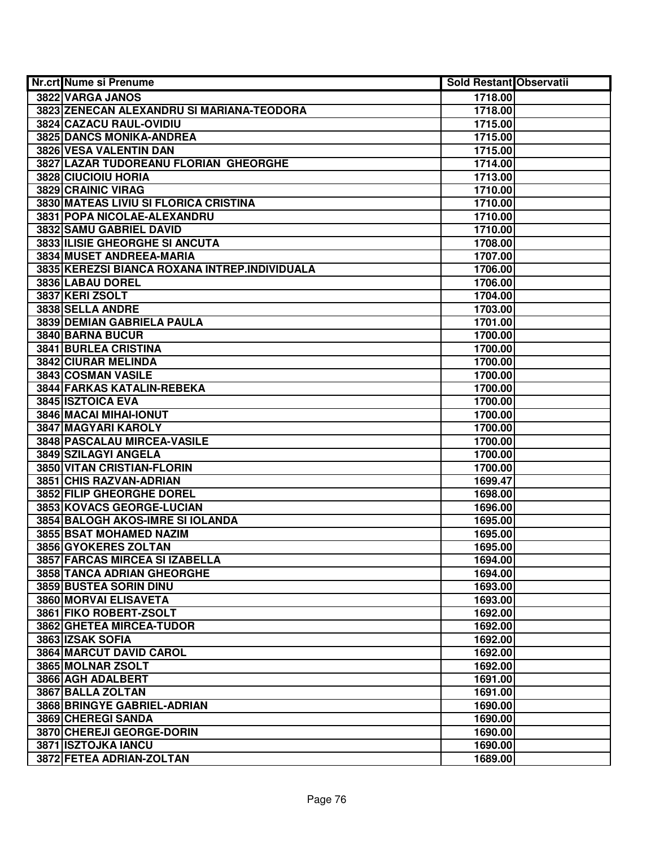| Nr.crt Nume si Prenume                        | <b>Sold Restant Observatii</b> |  |
|-----------------------------------------------|--------------------------------|--|
| 3822 VARGA JANOS                              | 1718.00                        |  |
| 3823 ZENECAN ALEXANDRU SI MARIANA-TEODORA     | 1718.00                        |  |
| 3824 CAZACU RAUL-OVIDIU                       | 1715.00                        |  |
| <b>3825 DANCS MONIKA-ANDREA</b>               | 1715.00                        |  |
| 3826 VESA VALENTIN DAN                        | 1715.00                        |  |
| 3827 LAZAR TUDOREANU FLORIAN GHEORGHE         | 1714.00                        |  |
| 3828 CIUCIOIU HORIA                           | 1713.00                        |  |
| 3829 CRAINIC VIRAG                            | 1710.00                        |  |
| 3830 MATEAS LIVIU SI FLORICA CRISTINA         | 1710.00                        |  |
| 3831 POPA NICOLAE-ALEXANDRU                   | 1710.00                        |  |
| 3832 SAMU GABRIEL DAVID                       | 1710.00                        |  |
| 3833 ILISIE GHEORGHE SI ANCUTA                | 1708.00                        |  |
| 3834 MUSET ANDREEA-MARIA                      | 1707.00                        |  |
| 3835 KEREZSI BIANCA ROXANA INTREP.INDIVIDUALA | 1706.00                        |  |
| 3836 LABAU DOREL                              | 1706.00                        |  |
| 3837 KERI ZSOLT                               | 1704.00                        |  |
| 3838 SELLA ANDRE                              | 1703.00                        |  |
| 3839 DEMIAN GABRIELA PAULA                    | 1701.00                        |  |
| 3840 BARNA BUCUR                              | 1700.00                        |  |
| 3841 BURLEA CRISTINA                          | 1700.00                        |  |
| 3842 CIURAR MELINDA                           | 1700.00                        |  |
| 3843 COSMAN VASILE                            | 1700.00                        |  |
| 3844 FARKAS KATALIN-REBEKA                    | 1700.00                        |  |
| 3845 ISZTOICA EVA                             | 1700.00                        |  |
| 3846 MACAI MIHAI-IONUT                        | 1700.00                        |  |
| 3847 MAGYARI KAROLY                           | 1700.00                        |  |
| 3848 PASCALAU MIRCEA-VASILE                   | 1700.00                        |  |
| 3849 SZILAGYI ANGELA                          | 1700.00                        |  |
| 3850 VITAN CRISTIAN-FLORIN                    | 1700.00                        |  |
| 3851 CHIS RAZVAN-ADRIAN                       | 1699.47                        |  |
| 3852 FILIP GHEORGHE DOREL                     | 1698.00                        |  |
| 3853 KOVACS GEORGE-LUCIAN                     | 1696.00                        |  |
| 3854 BALOGH AKOS-IMRE SI IOLANDA              | 1695.00                        |  |
| 3855 BSAT MOHAMED NAZIM                       | 1695.00                        |  |
| 3856 GYOKERES ZOLTAN                          | 1695.00                        |  |
| 3857 FARCAS MIRCEA SI IZABELLA                | 1694.00                        |  |
| 3858 TANCA ADRIAN GHEORGHE                    | 1694.00                        |  |
| 3859 BUSTEA SORIN DINU                        | 1693.00                        |  |
| 3860 MORVAI ELISAVETA                         | 1693.00                        |  |
| 3861 FIKO ROBERT-ZSOLT                        | 1692.00                        |  |
| 3862 GHETEA MIRCEA-TUDOR                      | 1692.00                        |  |
| 3863 IZSAK SOFIA                              | 1692.00                        |  |
| 3864 MARCUT DAVID CAROL                       | 1692.00                        |  |
| 3865 MOLNAR ZSOLT                             | 1692.00                        |  |
| 3866 AGH ADALBERT                             | 1691.00                        |  |
| 3867 BALLA ZOLTAN                             | 1691.00                        |  |
| 3868 BRINGYE GABRIEL-ADRIAN                   | 1690.00                        |  |
| 3869 CHEREGI SANDA                            | 1690.00                        |  |
| 3870 CHEREJI GEORGE-DORIN                     | 1690.00                        |  |
| 3871 ISZTOJKA IANCU                           | 1690.00                        |  |
| 3872 FETEA ADRIAN-ZOLTAN                      | 1689.00                        |  |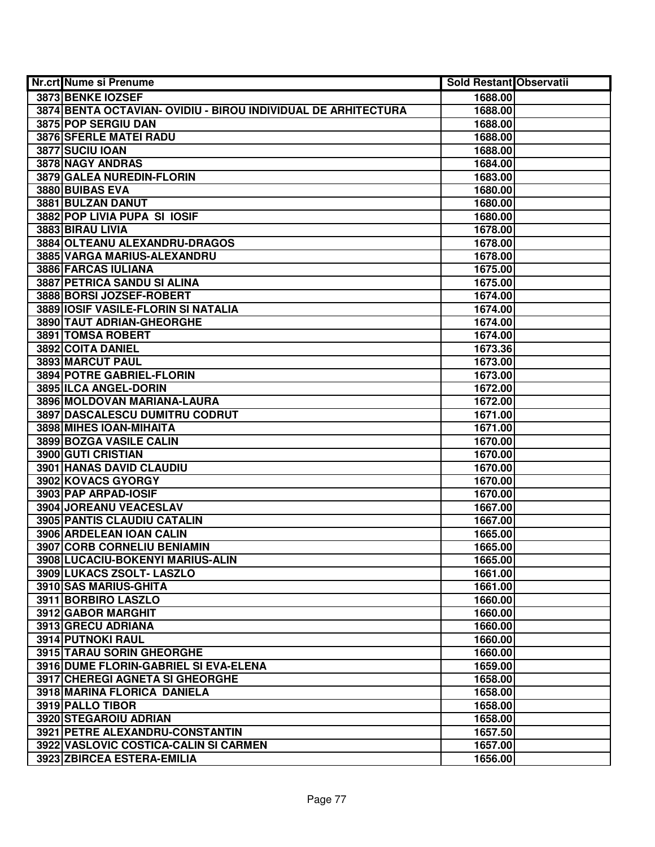| <b>Nr.crt Nume si Prenume</b>                                 | Sold Restant Observatii |  |
|---------------------------------------------------------------|-------------------------|--|
| 3873 BENKE IOZSEF                                             | 1688.00                 |  |
| 3874 BENTA OCTAVIAN- OVIDIU - BIROU INDIVIDUAL DE ARHITECTURA | 1688.00                 |  |
| 3875 POP SERGIU DAN                                           | 1688.00                 |  |
| 3876 SFERLE MATEI RADU                                        | 1688.00                 |  |
| 3877 SUCIU IOAN                                               | 1688.00                 |  |
| 3878 NAGY ANDRAS                                              | 1684.00                 |  |
| 3879 GALEA NUREDIN-FLORIN                                     | 1683.00                 |  |
| 3880 BUIBAS EVA                                               | 1680.00                 |  |
| 3881 BULZAN DANUT                                             | 1680.00                 |  |
| 3882 POP LIVIA PUPA SI IOSIF                                  | 1680.00                 |  |
| 3883 BIRAU LIVIA                                              | 1678.00                 |  |
| 3884 OLTEANU ALEXANDRU-DRAGOS                                 | 1678.00                 |  |
| 3885 VARGA MARIUS-ALEXANDRU                                   | 1678.00                 |  |
| 3886 FARCAS IULIANA                                           | 1675.00                 |  |
| 3887 PETRICA SANDU SI ALINA                                   | 1675.00                 |  |
| 3888 BORSI JOZSEF-ROBERT                                      | 1674.00                 |  |
| 3889 IOSIF VASILE-FLORIN SI NATALIA                           | 1674.00                 |  |
| 3890 TAUT ADRIAN-GHEORGHE                                     | 1674.00                 |  |
| 3891 TOMSA ROBERT                                             | 1674.00                 |  |
| 3892 COITA DANIEL                                             | 1673.36                 |  |
| 3893 MARCUT PAUL                                              | 1673.00                 |  |
| 3894 POTRE GABRIEL-FLORIN                                     | 1673.00                 |  |
| 3895 ILCA ANGEL-DORIN                                         | 1672.00                 |  |
| 3896 MOLDOVAN MARIANA-LAURA                                   | 1672.00                 |  |
| 3897 DASCALESCU DUMITRU CODRUT                                | 1671.00                 |  |
| 3898 MIHES IOAN-MIHAITA                                       | 1671.00                 |  |
| 3899 BOZGA VASILE CALIN                                       | 1670.00                 |  |
| 3900 GUTI CRISTIAN                                            | 1670.00                 |  |
| 3901 HANAS DAVID CLAUDIU                                      | 1670.00                 |  |
| 3902 KOVACS GYORGY                                            | 1670.00                 |  |
| 3903 PAP ARPAD-IOSIF                                          | 1670.00                 |  |
| 3904 JOREANU VEACESLAV                                        | 1667.00                 |  |
| 3905 PANTIS CLAUDIU CATALIN                                   | 1667.00                 |  |
| 3906 ARDELEAN IOAN CALIN                                      | 1665.00                 |  |
| 3907 CORB CORNELIU BENIAMIN                                   | 1665.00                 |  |
| 3908 LUCACIU-BOKENYI MARIUS-ALIN                              | 1665.00                 |  |
| 3909 LUKACS ZSOLT- LASZLO                                     | 1661.00                 |  |
| 3910 SAS MARIUS-GHITA                                         | 1661.00                 |  |
| 3911 BORBIRO LASZLO                                           | 1660.00                 |  |
| 3912 GABOR MARGHIT                                            | 1660.00                 |  |
| 3913 GRECU ADRIANA                                            | 1660.00                 |  |
| 3914 PUTNOKI RAUL                                             | 1660.00                 |  |
| 3915 TARAU SORIN GHEORGHE                                     | 1660.00                 |  |
| 3916 DUME FLORIN-GABRIEL SI EVA-ELENA                         | 1659.00                 |  |
| 3917 CHEREGI AGNETA SI GHEORGHE                               | 1658.00                 |  |
| 3918 MARINA FLORICA DANIELA                                   | 1658.00                 |  |
| 3919 PALLO TIBOR                                              | 1658.00                 |  |
| 3920 STEGAROIU ADRIAN                                         | 1658.00                 |  |
| 3921 PETRE ALEXANDRU-CONSTANTIN                               | 1657.50                 |  |
| 3922 VASLOVIC COSTICA-CALIN SI CARMEN                         | 1657.00                 |  |
| 3923 ZBIRCEA ESTERA-EMILIA                                    | 1656.00                 |  |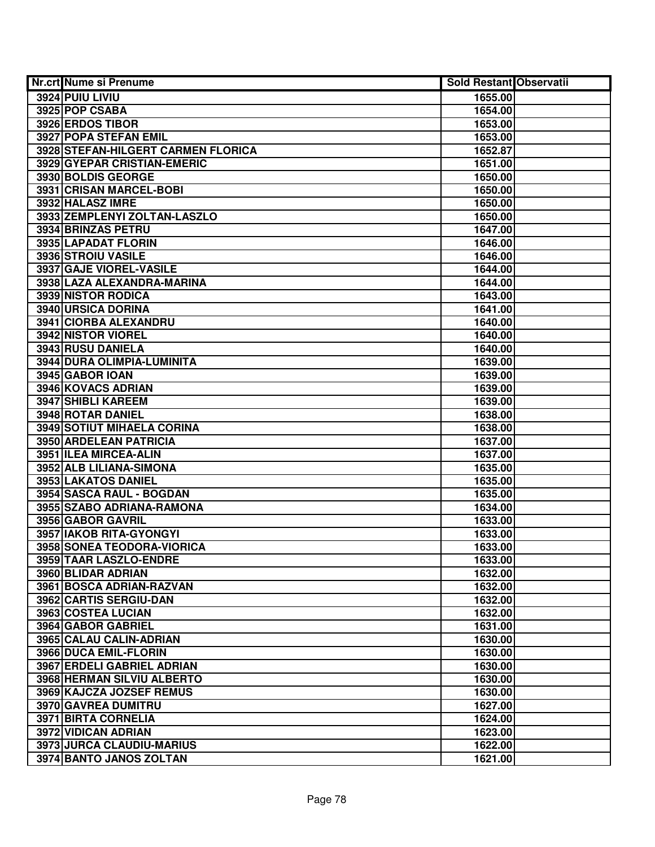| Nr.crt Nume si Prenume             | Sold Restant Observatii |  |
|------------------------------------|-------------------------|--|
| 3924 PUIU LIVIU                    | 1655.00                 |  |
| 3925 POP CSABA                     | 1654.00                 |  |
| 3926 ERDOS TIBOR                   | 1653.00                 |  |
| <b>3927 POPA STEFAN EMIL</b>       | 1653.00                 |  |
| 3928 STEFAN-HILGERT CARMEN FLORICA | 1652.87                 |  |
| 3929 GYEPAR CRISTIAN-EMERIC        | 1651.00                 |  |
| 3930 BOLDIS GEORGE                 | 1650.00                 |  |
| 3931 CRISAN MARCEL-BOBI            | 1650.00                 |  |
| 3932 HALASZ IMRE                   | 1650.00                 |  |
| 3933 ZEMPLENYI ZOLTAN-LASZLO       | 1650.00                 |  |
| 3934 BRINZAS PETRU                 | 1647.00                 |  |
| 3935 LAPADAT FLORIN                | 1646.00                 |  |
| 3936 STROIU VASILE                 | 1646.00                 |  |
| 3937 GAJE VIOREL-VASILE            | 1644.00                 |  |
| 3938 LAZA ALEXANDRA-MARINA         | 1644.00                 |  |
| 3939 NISTOR RODICA                 | 1643.00                 |  |
| 3940 URSICA DORINA                 | 1641.00                 |  |
| 3941 CIORBA ALEXANDRU              | 1640.00                 |  |
| 3942 NISTOR VIOREL                 | 1640.00                 |  |
| 3943 RUSU DANIELA                  | 1640.00                 |  |
| 3944 DURA OLIMPIA-LUMINITA         | 1639.00                 |  |
| 3945 GABOR IOAN                    | 1639.00                 |  |
| 3946 KOVACS ADRIAN                 | 1639.00                 |  |
| 3947 SHIBLI KAREEM                 | 1639.00                 |  |
| 3948 ROTAR DANIEL                  | 1638.00                 |  |
| 3949 SOTIUT MIHAELA CORINA         | 1638.00                 |  |
| 3950 ARDELEAN PATRICIA             | 1637.00                 |  |
| 3951 ILEA MIRCEA-ALIN              | 1637.00                 |  |
| 3952 ALB LILIANA-SIMONA            | 1635.00                 |  |
| 3953 LAKATOS DANIEL                | 1635.00                 |  |
| 3954 SASCA RAUL - BOGDAN           | 1635.00                 |  |
| 3955 SZABO ADRIANA-RAMONA          | 1634.00                 |  |
| 3956 GABOR GAVRIL                  | 1633.00                 |  |
| 3957 IAKOB RITA-GYONGYI            | 1633.00                 |  |
| 3958 SONEA TEODORA-VIORICA         | 1633.00                 |  |
| 3959 TAAR LASZLO-ENDRE             | 1633.00                 |  |
| 3960 BLIDAR ADRIAN                 | 1632.00                 |  |
| 3961 BOSCA ADRIAN-RAZVAN           | 1632.00                 |  |
| 3962 CARTIS SERGIU-DAN             | 1632.00                 |  |
| 3963 COSTEA LUCIAN                 | 1632.00                 |  |
| 3964 GABOR GABRIEL                 | 1631.00                 |  |
| 3965 CALAU CALIN-ADRIAN            | 1630.00                 |  |
| 3966 DUCA EMIL-FLORIN              | 1630.00                 |  |
| 3967 ERDELI GABRIEL ADRIAN         | 1630.00                 |  |
| 3968 HERMAN SILVIU ALBERTO         | 1630.00                 |  |
| 3969 KAJCZA JOZSEF REMUS           | 1630.00                 |  |
| 3970 GAVREA DUMITRU                | 1627.00                 |  |
| 3971 BIRTA CORNELIA                | 1624.00                 |  |
| 3972 VIDICAN ADRIAN                | 1623.00                 |  |
| 3973 JURCA CLAUDIU-MARIUS          | 1622.00                 |  |
| 3974 BANTO JANOS ZOLTAN            | 1621.00                 |  |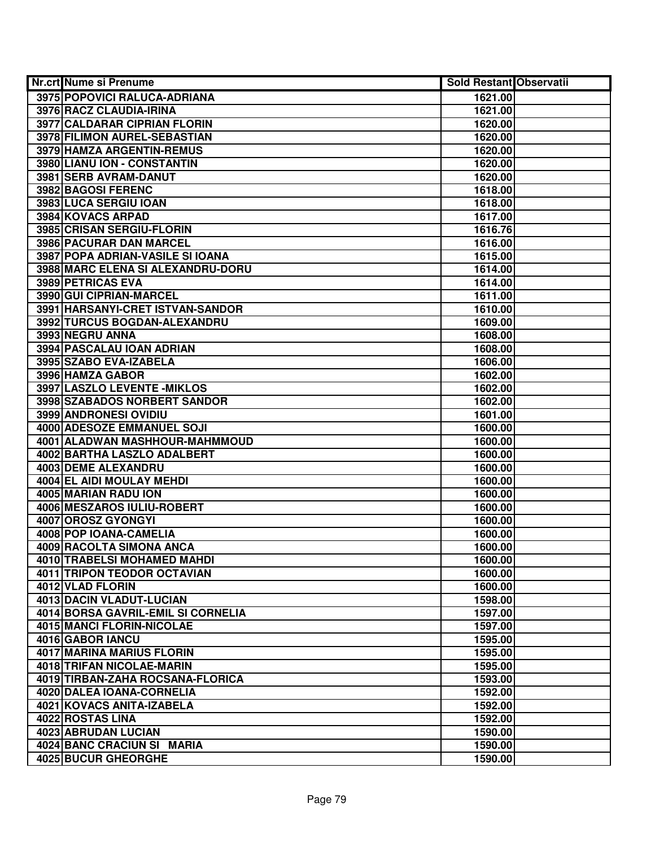| <b>Nr.crt Nume si Prenume</b>      | <b>Sold Restant Observatii</b> |  |
|------------------------------------|--------------------------------|--|
| 3975 POPOVICI RALUCA-ADRIANA       | 1621.00                        |  |
| 3976 RACZ CLAUDIA-IRINA            | 1621.00                        |  |
| 3977 CALDARAR CIPRIAN FLORIN       | 1620.00                        |  |
| 3978 FILIMON AUREL-SEBASTIAN       | 1620.00                        |  |
| <b>3979 HAMZA ARGENTIN-REMUS</b>   | 1620.00                        |  |
| 3980 LIANU ION - CONSTANTIN        | 1620.00                        |  |
| 3981 SERB AVRAM-DANUT              | 1620.00                        |  |
| 3982 BAGOSI FERENC                 | 1618.00                        |  |
| 3983 LUCA SERGIU IOAN              | 1618.00                        |  |
| 3984 KOVACS ARPAD                  | 1617.00                        |  |
| 3985 CRISAN SERGIU-FLORIN          | 1616.76                        |  |
| 3986 PACURAR DAN MARCEL            | 1616.00                        |  |
| 3987 POPA ADRIAN-VASILE SI IOANA   | 1615.00                        |  |
| 3988 MARC ELENA SI ALEXANDRU-DORU  | 1614.00                        |  |
| 3989 PETRICAS EVA                  | 1614.00                        |  |
| 3990 GUI CIPRIAN-MARCEL            | 1611.00                        |  |
| 3991 HARSANYI-CRET ISTVAN-SANDOR   | 1610.00                        |  |
| 3992 TURCUS BOGDAN-ALEXANDRU       | 1609.00                        |  |
| 3993 NEGRU ANNA                    | 1608.00                        |  |
| 3994 PASCALAU IOAN ADRIAN          | 1608.00                        |  |
| 3995 SZABO EVA-IZABELA             | 1606.00                        |  |
| 3996 HAMZA GABOR                   | 1602.00                        |  |
| 3997 LASZLO LEVENTE - MIKLOS       | 1602.00                        |  |
| 3998 SZABADOS NORBERT SANDOR       | 1602.00                        |  |
| 3999 ANDRONESI OVIDIU              | 1601.00                        |  |
| 4000 ADESOZE EMMANUEL SOJI         | 1600.00                        |  |
| 4001 ALADWAN MASHHOUR-MAHMMOUD     | 1600.00                        |  |
| 4002 BARTHA LASZLO ADALBERT        | 1600.00                        |  |
| 4003 DEME ALEXANDRU                | 1600.00                        |  |
| 4004 EL AIDI MOULAY MEHDI          | 1600.00                        |  |
| 4005 MARIAN RADU ION               | 1600.00                        |  |
| 4006 MESZAROS IULIU-ROBERT         | 1600.00                        |  |
| 4007 OROSZ GYONGYI                 | 1600.00                        |  |
| 4008 POP IOANA-CAMELIA             | 1600.00                        |  |
| 4009 RACOLTA SIMONA ANCA           | 1600.00                        |  |
| 4010 TRABELSI MOHAMED MAHDI        | 1600.00                        |  |
| <b>4011 TRIPON TEODOR OCTAVIAN</b> | 1600.00                        |  |
| 4012 VLAD FLORIN                   | 1600.00                        |  |
| 4013 DACIN VLADUT-LUCIAN           | 1598.00                        |  |
| 4014 BORSA GAVRIL-EMIL SI CORNELIA | 1597.00                        |  |
| 4015 MANCI FLORIN-NICOLAE          | 1597.00                        |  |
| 4016 GABOR IANCU                   | 1595.00                        |  |
| 4017 MARINA MARIUS FLORIN          | 1595.00                        |  |
| 4018 TRIFAN NICOLAE-MARIN          | 1595.00                        |  |
| 4019 TIRBAN-ZAHA ROCSANA-FLORICA   | 1593.00                        |  |
| 4020 DALEA IOANA-CORNELIA          | 1592.00                        |  |
| 4021 KOVACS ANITA-IZABELA          | 1592.00                        |  |
| 4022 ROSTAS LINA                   | 1592.00                        |  |
| 4023 ABRUDAN LUCIAN                | 1590.00                        |  |
| 4024 BANC CRACIUN SI MARIA         | 1590.00                        |  |
| 4025 BUCUR GHEORGHE                | 1590.00                        |  |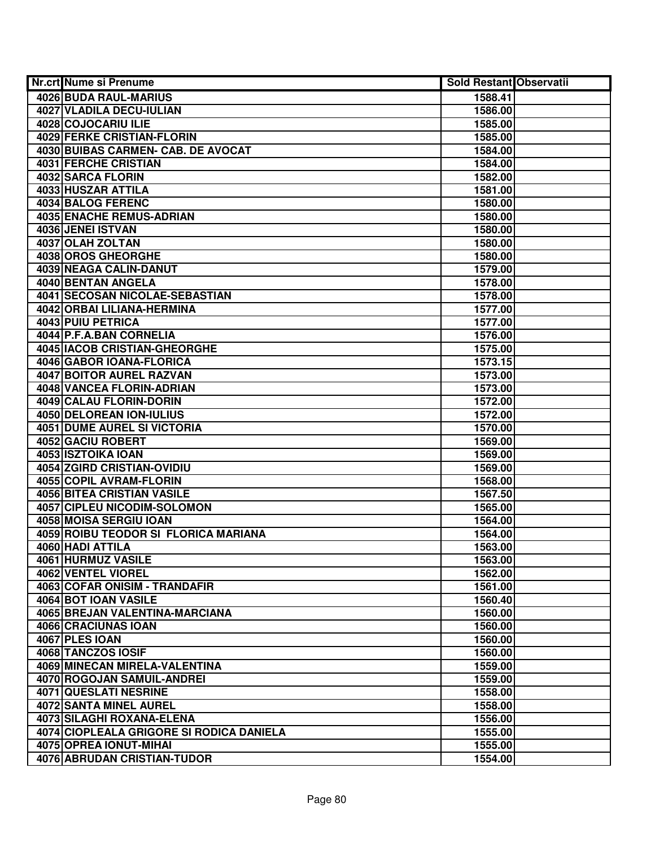| Nr.crt Nume si Prenume                   | <b>Sold Restant Observatii</b> |  |
|------------------------------------------|--------------------------------|--|
| 4026 BUDA RAUL-MARIUS                    | 1588.41                        |  |
| 4027 VLADILA DECU-IULIAN                 | 1586.00                        |  |
| 4028 COJOCARIU ILIE                      | 1585.00                        |  |
| <b>4029 FERKE CRISTIAN-FLORIN</b>        | 1585.00                        |  |
| 4030 BUIBAS CARMEN- CAB. DE AVOCAT       | 1584.00                        |  |
| 4031 FERCHE CRISTIAN                     | 1584.00                        |  |
| 4032 SARCA FLORIN                        | 1582.00                        |  |
| 4033 HUSZAR ATTILA                       | 1581.00                        |  |
| 4034 BALOG FERENC                        | 1580.00                        |  |
| <b>4035 ENACHE REMUS-ADRIAN</b>          | 1580.00                        |  |
| 4036 JENEI ISTVAN                        | 1580.00                        |  |
| 4037 OLAH ZOLTAN                         | 1580.00                        |  |
| 4038 OROS GHEORGHE                       | 1580.00                        |  |
| 4039 NEAGA CALIN-DANUT                   | 1579.00                        |  |
| 4040 BENTAN ANGELA                       | 1578.00                        |  |
| 4041 SECOSAN NICOLAE-SEBASTIAN           | 1578.00                        |  |
| 4042 ORBAI LILIANA-HERMINA               | 1577.00                        |  |
| 4043 PUIU PETRICA                        | 1577.00                        |  |
| 4044 P.F.A.BAN CORNELIA                  | 1576.00                        |  |
| 4045 IACOB CRISTIAN-GHEORGHE             | 1575.00                        |  |
| 4046 GABOR IOANA-FLORICA                 | 1573.15                        |  |
| <b>4047 BOITOR AUREL RAZVAN</b>          | 1573.00                        |  |
| 4048 VANCEA FLORIN-ADRIAN                | 1573.00                        |  |
| 4049 CALAU FLORIN-DORIN                  | 1572.00                        |  |
| 4050 DELOREAN ION-IULIUS                 | 1572.00                        |  |
| <b>4051 DUME AUREL SI VICTORIA</b>       | 1570.00                        |  |
| 4052 GACIU ROBERT                        | 1569.00                        |  |
| 4053 ISZTOIKA IOAN                       | 1569.00                        |  |
| 4054 ZGIRD CRISTIAN-OVIDIU               | 1569.00                        |  |
| 4055 COPIL AVRAM-FLORIN                  | 1568.00                        |  |
| 4056 BITEA CRISTIAN VASILE               | 1567.50                        |  |
| 4057 CIPLEU NICODIM-SOLOMON              | 1565.00                        |  |
| 4058 MOISA SERGIU IOAN                   | 1564.00                        |  |
| 4059 ROIBU TEODOR SI FLORICA MARIANA     | 1564.00                        |  |
| 4060 HADI ATTILA                         | 1563.00                        |  |
| 4061 HURMUZ VASILE                       | 1563.00                        |  |
| <b>4062 VENTEL VIOREL</b>                | 1562.00                        |  |
| <b>4063 COFAR ONISIM - TRANDAFIR</b>     | 1561.00                        |  |
| 4064 BOT IOAN VASILE                     | 1560.40                        |  |
| 4065 BREJAN VALENTINA-MARCIANA           | 1560.00                        |  |
| 4066 CRACIUNAS IOAN                      | 1560.00                        |  |
| 4067 PLES IOAN                           | 1560.00                        |  |
| 4068 TANCZOS IOSIF                       | 1560.00                        |  |
| 4069 MINECAN MIRELA-VALENTINA            | 1559.00                        |  |
| 4070 ROGOJAN SAMUIL-ANDREI               | 1559.00                        |  |
| 4071 QUESLATI NESRINE                    | 1558.00                        |  |
| 4072 SANTA MINEL AUREL                   | 1558.00                        |  |
| 4073 SILAGHI ROXANA-ELENA                | 1556.00                        |  |
| 4074 CIOPLEALA GRIGORE SI RODICA DANIELA | 1555.00                        |  |
| 4075 OPREA IONUT-MIHAI                   | 1555.00                        |  |
| 4076 ABRUDAN CRISTIAN-TUDOR              | 1554.00                        |  |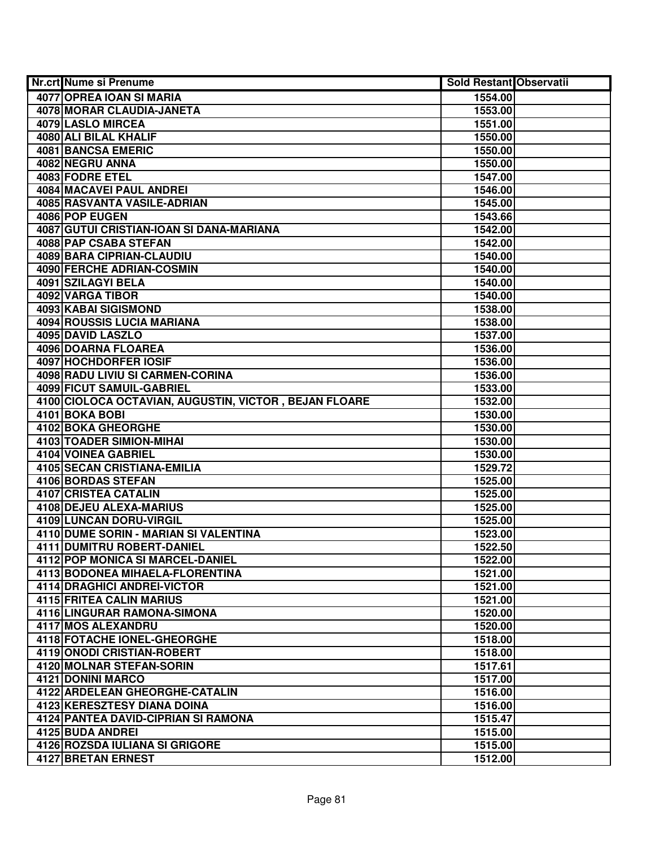| Nr.crt Nume si Prenume                                           | <b>Sold Restant Observatii</b> |  |
|------------------------------------------------------------------|--------------------------------|--|
| 4077 OPREA IOAN SI MARIA                                         | 1554.00                        |  |
| <b>4078 MORAR CLAUDIA-JANETA</b>                                 | 1553.00                        |  |
| 4079 LASLO MIRCEA                                                | 1551.00                        |  |
| 4080 ALI BILAL KHALIF                                            | 1550.00                        |  |
| 4081 BANCSA EMERIC                                               | 1550.00                        |  |
| 4082 NEGRU ANNA                                                  | 1550.00                        |  |
| 4083 FODRE ETEL                                                  | 1547.00                        |  |
| 4084 MACAVEI PAUL ANDREI                                         | 1546.00                        |  |
| 4085 RASVANTA VASILE-ADRIAN                                      | 1545.00                        |  |
| 4086 POP EUGEN                                                   | 1543.66                        |  |
| 4087 GUTUI CRISTIAN-IOAN SI DANA-MARIANA                         | 1542.00                        |  |
| 4088 PAP CSABA STEFAN                                            | 1542.00                        |  |
| 4089 BARA CIPRIAN-CLAUDIU                                        | 1540.00                        |  |
| <b>4090 FERCHE ADRIAN-COSMIN</b>                                 | 1540.00                        |  |
| 4091 SZILAGYI BELA                                               | 1540.00                        |  |
| 4092 VARGA TIBOR                                                 | 1540.00                        |  |
| 4093 KABAI SIGISMOND                                             | 1538.00                        |  |
| 4094 ROUSSIS LUCIA MARIANA                                       | 1538.00                        |  |
| 4095 DAVID LASZLO                                                | 1537.00                        |  |
| 4096 DOARNA FLOAREA                                              | 1536.00                        |  |
| 4097 HOCHDORFER IOSIF                                            | 1536.00                        |  |
| 4098 RADU LIVIU SI CARMEN-CORINA                                 | 1536.00                        |  |
| <b>4099 FICUT SAMUIL-GABRIEL</b>                                 | 1533.00                        |  |
| 4100 CIOLOCA OCTAVIAN, AUGUSTIN, VICTOR, BEJAN FLOARE            | 1532.00                        |  |
| 4101 BOKA BOBI                                                   | 1530.00                        |  |
| 4102 BOKA GHEORGHE                                               | 1530.00                        |  |
| 4103 TOADER SIMION-MIHAI                                         | 1530.00                        |  |
| 4104 VOINEA GABRIEL                                              | 1530.00                        |  |
| 4105 SECAN CRISTIANA-EMILIA                                      | 1529.72                        |  |
| 4106 BORDAS STEFAN                                               | 1525.00                        |  |
| <b>4107 CRISTEA CATALIN</b>                                      | 1525.00                        |  |
| 4108 DEJEU ALEXA-MARIUS                                          | 1525.00                        |  |
| 4109 LUNCAN DORU-VIRGIL<br>4110 DUME SORIN - MARIAN SI VALENTINA | 1525.00<br>1523.00             |  |
| <b>4111 DUMITRU ROBERT-DANIEL</b>                                | 1522.50                        |  |
| 4112 POP MONICA SI MARCEL-DANIEL                                 | 1522.00                        |  |
| 4113 BODONEA MIHAELA-FLORENTINA                                  | 1521.00                        |  |
| <b>4114 DRAGHICI ANDREI-VICTOR</b>                               | 1521.00                        |  |
| 4115 FRITEA CALIN MARIUS                                         | 1521.00                        |  |
| 4116 LINGURAR RAMONA-SIMONA                                      | 1520.00                        |  |
| 4117 MOS ALEXANDRU                                               | 1520.00                        |  |
| 4118 FOTACHE IONEL-GHEORGHE                                      | 1518.00                        |  |
| 4119 ONODI CRISTIAN-ROBERT                                       | 1518.00                        |  |
| 4120 MOLNAR STEFAN-SORIN                                         | 1517.61                        |  |
| 4121 DONINI MARCO                                                | 1517.00                        |  |
| 4122 ARDELEAN GHEORGHE-CATALIN                                   | 1516.00                        |  |
| 4123 KERESZTESY DIANA DOINA                                      | 1516.00                        |  |
| 4124 PANTEA DAVID-CIPRIAN SI RAMONA                              | 1515.47                        |  |
| 4125 BUDA ANDREI                                                 | 1515.00                        |  |
| 4126 ROZSDA IULIANA SI GRIGORE                                   | 1515.00                        |  |
| 4127 BRETAN ERNEST                                               | 1512.00                        |  |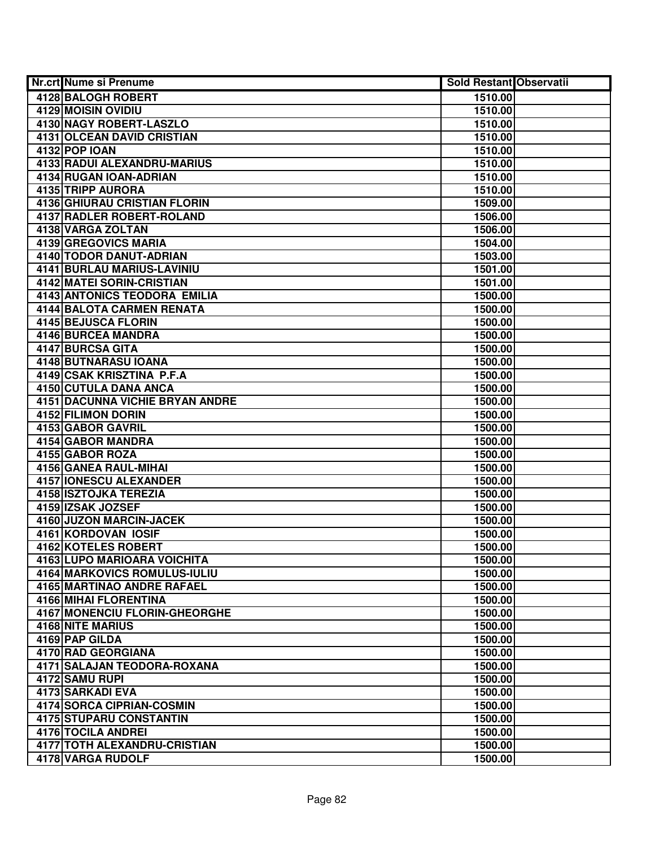| <b>Nr.crt Nume si Prenume</b>          | Sold Restant Observatii |  |
|----------------------------------------|-------------------------|--|
| 4128 BALOGH ROBERT                     | 1510.00                 |  |
| <b>4129 MOISIN OVIDIU</b>              | 1510.00                 |  |
| 4130 NAGY ROBERT-LASZLO                | 1510.00                 |  |
| 4131 OLCEAN DAVID CRISTIAN             | 1510.00                 |  |
| 4132 POP IOAN                          | 1510.00                 |  |
| 4133 RADUI ALEXANDRU-MARIUS            | 1510.00                 |  |
| 4134 RUGAN IOAN-ADRIAN                 | 1510.00                 |  |
| 4135 TRIPP AURORA                      | 1510.00                 |  |
| <b>4136 GHIURAU CRISTIAN FLORIN</b>    | 1509.00                 |  |
| <b>4137 RADLER ROBERT-ROLAND</b>       | 1506.00                 |  |
| 4138 VARGA ZOLTAN                      | 1506.00                 |  |
| 4139 GREGOVICS MARIA                   | 1504.00                 |  |
| 4140 TODOR DANUT-ADRIAN                | 1503.00                 |  |
| 4141 BURLAU MARIUS-LAVINIU             | 1501.00                 |  |
| 4142 MATEI SORIN-CRISTIAN              | 1501.00                 |  |
| 4143 ANTONICS TEODORA EMILIA           | 1500.00                 |  |
| 4144 BALOTA CARMEN RENATA              | 1500.00                 |  |
| 4145 BEJUSCA FLORIN                    | 1500.00                 |  |
| 4146 BURCEA MANDRA                     | 1500.00                 |  |
| 4147 BURCSA GITA                       | 1500.00                 |  |
| 4148 BUTNARASU IOANA                   | 1500.00                 |  |
| 4149 CSAK KRISZTINA P.F.A              | 1500.00                 |  |
| 4150 CUTULA DANA ANCA                  | 1500.00                 |  |
| <b>4151 DACUNNA VICHIE BRYAN ANDRE</b> | 1500.00                 |  |
| <b>4152 FILIMON DORIN</b>              | 1500.00                 |  |
| 4153 GABOR GAVRIL                      | 1500.00                 |  |
| 4154 GABOR MANDRA                      | 1500.00                 |  |
| 4155 GABOR ROZA                        | 1500.00                 |  |
| 4156 GANEA RAUL-MIHAI                  | 1500.00                 |  |
| 4157 IONESCU ALEXANDER                 | 1500.00                 |  |
| 4158 ISZTOJKA TEREZIA                  | 1500.00                 |  |
| 4159 IZSAK JOZSEF                      | 1500.00                 |  |
| 4160 JUZON MARCIN-JACEK                | 1500.00                 |  |
| 4161 KORDOVAN IOSIF                    | 1500.00                 |  |
| <b>4162 KOTELES ROBERT</b>             | 1500.00                 |  |
| 4163 LUPO MARIOARA VOICHITA            | 1500.00                 |  |
| 4164 MARKOVICS ROMULUS-IULIU           | 1500.00                 |  |
| 4165 MARTINAO ANDRE RAFAEL             | 1500.00                 |  |
| <b>4166 MIHAI FLORENTINA</b>           | 1500.00                 |  |
| 4167 MONENCIU FLORIN-GHEORGHE          | 1500.00                 |  |
| 4168 NITE MARIUS                       | 1500.00                 |  |
| 4169 PAP GILDA                         | 1500.00                 |  |
| 4170 RAD GEORGIANA                     | 1500.00                 |  |
| 4171 SALAJAN TEODORA-ROXANA            | 1500.00                 |  |
| 4172 SAMU RUPI                         | 1500.00                 |  |
| 4173 SARKADI EVA                       | 1500.00                 |  |
| 4174 SORCA CIPRIAN-COSMIN              | 1500.00                 |  |
| 4175 STUPARU CONSTANTIN                | 1500.00                 |  |
| 4176 TOCILA ANDREI                     | 1500.00                 |  |
| 4177 TOTH ALEXANDRU-CRISTIAN           | 1500.00                 |  |
| 4178 VARGA RUDOLF                      | 1500.00                 |  |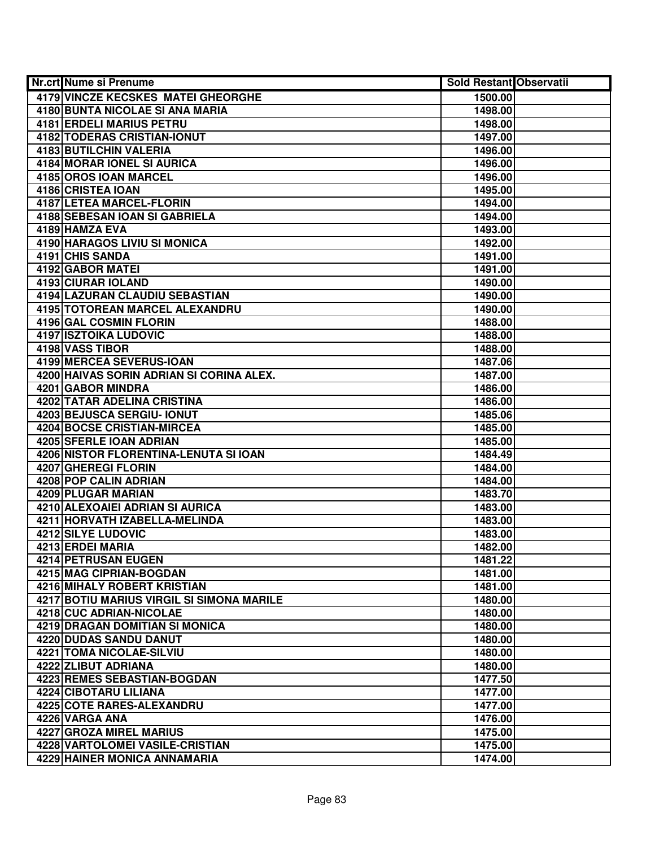| <b>Nr.crt Nume si Prenume</b>                | Sold Restant Observatii |  |
|----------------------------------------------|-------------------------|--|
| 4179 VINCZE KECSKES MATEI GHEORGHE           | 1500.00                 |  |
| 4180 BUNTA NICOLAE SI ANA MARIA              | 1498.00                 |  |
| 4181 ERDELI MARIUS PETRU                     | 1498.00                 |  |
| 4182 TODERAS CRISTIAN-IONUT                  | 1497.00                 |  |
| 4183 BUTILCHIN VALERIA                       | 1496.00                 |  |
| 4184 MORAR IONEL SI AURICA                   | 1496.00                 |  |
| 4185 OROS IOAN MARCEL                        | 1496.00                 |  |
| 4186 CRISTEA IOAN                            | 1495.00                 |  |
| 4187 LETEA MARCEL-FLORIN                     | 1494.00                 |  |
| <b>4188 SEBESAN IOAN SI GABRIELA</b>         | 1494.00                 |  |
| 4189 HAMZA EVA                               | 1493.00                 |  |
| <b>4190 HARAGOS LIVIU SI MONICA</b>          | 1492.00                 |  |
| 4191 CHIS SANDA                              | 1491.00                 |  |
| 4192 GABOR MATEI                             | 1491.00                 |  |
| 4193 CIURAR IOLAND                           | 1490.00                 |  |
| 4194 LAZURAN CLAUDIU SEBASTIAN               | 1490.00                 |  |
| <b>4195 TOTOREAN MARCEL ALEXANDRU</b>        | 1490.00                 |  |
| 4196 GAL COSMIN FLORIN                       | 1488.00                 |  |
| <b>4197 ISZTOIKA LUDOVIC</b>                 | 1488.00                 |  |
| 4198 VASS TIBOR                              | 1488.00                 |  |
| 4199 MERCEA SEVERUS-IOAN                     | 1487.06                 |  |
| 4200 HAIVAS SORIN ADRIAN SI CORINA ALEX.     | 1487.00                 |  |
| 4201 GABOR MINDRA                            | 1486.00                 |  |
| 4202 TATAR ADELINA CRISTINA                  | 1486.00                 |  |
| 4203 BEJUSCA SERGIU- IONUT                   | 1485.06                 |  |
| <b>4204 BOCSE CRISTIAN-MIRCEA</b>            | 1485.00                 |  |
| 4205 SFERLE IOAN ADRIAN                      | 1485.00                 |  |
| 4206 NISTOR FLORENTINA-LENUTA SI IOAN        | 1484.49                 |  |
| 4207 GHEREGI FLORIN<br>4208 POP CALIN ADRIAN | 1484.00                 |  |
| 4209 PLUGAR MARIAN                           | 1484.00<br>1483.70      |  |
| 4210 ALEXOAIEI ADRIAN SI AURICA              | 1483.00                 |  |
| 4211 HORVATH IZABELLA-MELINDA                | 1483.00                 |  |
| 4212 SILYE LUDOVIC                           | 1483.00                 |  |
| 4213 ERDEI MARIA                             | 1482.00                 |  |
| <b>4214 PETRUSAN EUGEN</b>                   | 1481.22                 |  |
| 4215 MAG CIPRIAN-BOGDAN                      | 1481.00                 |  |
| 4216 MIHALY ROBERT KRISTIAN                  | 1481.00                 |  |
| 4217 BOTIU MARIUS VIRGIL SI SIMONA MARILE    | 1480.00                 |  |
| 4218 CUC ADRIAN-NICOLAE                      | 1480.00                 |  |
| 4219 DRAGAN DOMITIAN SI MONICA               | 1480.00                 |  |
| 4220 DUDAS SANDU DANUT                       | 1480.00                 |  |
| 4221 TOMA NICOLAE-SILVIU                     | 1480.00                 |  |
| 4222 ZLIBUT ADRIANA                          | 1480.00                 |  |
| 4223 REMES SEBASTIAN-BOGDAN                  | 1477.50                 |  |
| 4224 CIBOTARU LILIANA                        | 1477.00                 |  |
| 4225 COTE RARES-ALEXANDRU                    | 1477.00                 |  |
| 4226 VARGA ANA                               | 1476.00                 |  |
| 4227 GROZA MIREL MARIUS                      | 1475.00                 |  |
| 4228 VARTOLOMEI VASILE-CRISTIAN              | 1475.00                 |  |
| 4229 HAINER MONICA ANNAMARIA                 | 1474.00                 |  |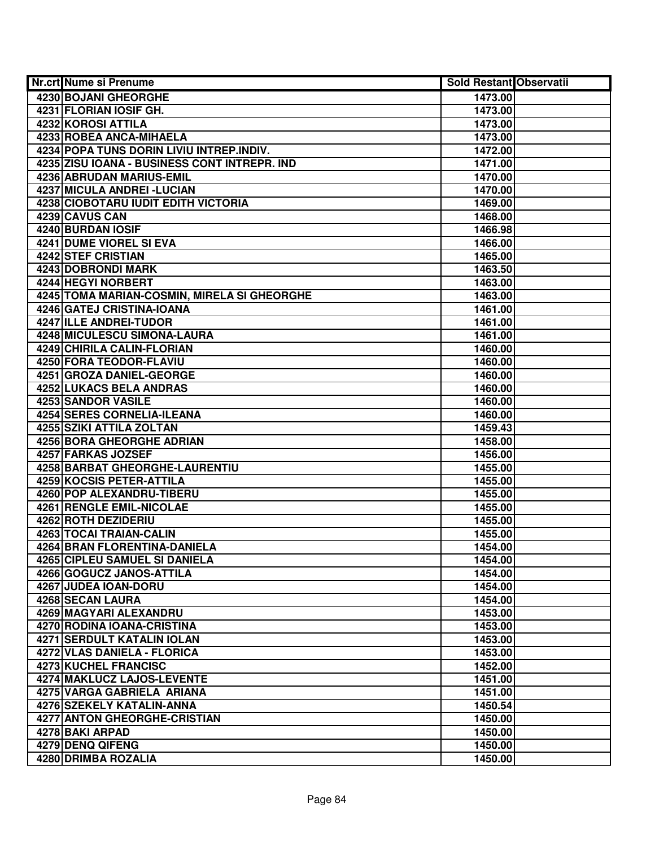| <b>Nr.crt Nume si Prenume</b>                        | Sold Restant Observatii |  |
|------------------------------------------------------|-------------------------|--|
| 4230 BOJANI GHEORGHE                                 | 1473.00                 |  |
| 4231 FLORIAN IOSIF GH.                               | 1473.00                 |  |
| 4232 KOROSI ATTILA                                   | 1473.00                 |  |
| 4233 ROBEA ANCA-MIHAELA                              | 1473.00                 |  |
| 4234 POPA TUNS DORIN LIVIU INTREP.INDIV.             | 1472.00                 |  |
| 4235 ZISU IOANA - BUSINESS CONT INTREPR. IND         | 1471.00                 |  |
| 4236 ABRUDAN MARIUS-EMIL                             | 1470.00                 |  |
| 4237 MICULA ANDREI - LUCIAN                          | 1470.00                 |  |
| <b>4238 CIOBOTARU IUDIT EDITH VICTORIA</b>           | 1469.00                 |  |
| 4239 CAVUS CAN                                       | 1468.00                 |  |
| 4240 BURDAN IOSIF                                    | 1466.98                 |  |
| <b>4241 DUME VIOREL SI EVA</b>                       | 1466.00                 |  |
| 4242 STEF CRISTIAN                                   | 1465.00                 |  |
| <b>4243 DOBRONDI MARK</b>                            | 1463.50                 |  |
| 4244 HEGYI NORBERT                                   | 1463.00                 |  |
| 4245 TOMA MARIAN-COSMIN, MIRELA SI GHEORGHE          | 1463.00                 |  |
| 4246 GATEJ CRISTINA-IOANA                            | 1461.00                 |  |
| 4247 ILLE ANDREI-TUDOR                               | 1461.00                 |  |
| 4248 MICULESCU SIMONA-LAURA                          | 1461.00                 |  |
| 4249 CHIRILA CALIN-FLORIAN                           | 1460.00                 |  |
| 4250 FORA TEODOR-FLAVIU                              | 1460.00                 |  |
| 4251 GROZA DANIEL-GEORGE                             | 1460.00                 |  |
| 4252 LUKACS BELA ANDRAS                              | 1460.00                 |  |
| 4253 SANDOR VASILE                                   | 1460.00                 |  |
| 4254 SERES CORNELIA-ILEANA                           | 1460.00                 |  |
| 4255 SZIKI ATTILA ZOLTAN                             | 1459.43                 |  |
| 4256 BORA GHEORGHE ADRIAN                            | 1458.00                 |  |
| 4257 FARKAS JOZSEF                                   | 1456.00                 |  |
| 4258 BARBAT GHEORGHE-LAURENTIU                       | 1455.00                 |  |
| 4259 KOCSIS PETER-ATTILA                             | 1455.00                 |  |
| 4260 POP ALEXANDRU-TIBERU                            | 1455.00                 |  |
| 4261 RENGLE EMIL-NICOLAE                             | 1455.00                 |  |
| 4262 ROTH DEZIDERIU                                  | 1455.00                 |  |
| 4263 TOCAI TRAIAN-CALIN                              | 1455.00                 |  |
| 4264 BRAN FLORENTINA-DANIELA                         | 1454.00                 |  |
| <b>4265 CIPLEU SAMUEL SI DANIELA</b>                 | 1454.00                 |  |
| 4266 GOGUCZ JANOS-ATTILA                             | 1454.00                 |  |
| 4267 JUDEA IOAN-DORU                                 | 1454.00                 |  |
| 4268 SECAN LAURA                                     | 1454.00                 |  |
| 4269 MAGYARI ALEXANDRU<br>4270 RODINA IOANA-CRISTINA | 1453.00                 |  |
| <b>4271 SERDULT KATALIN IOLAN</b>                    | 1453.00<br>1453.00      |  |
| 4272 VLAS DANIELA - FLORICA                          |                         |  |
| 4273 KUCHEL FRANCISC                                 | 1453.00<br>1452.00      |  |
| 4274 MAKLUCZ LAJOS-LEVENTE                           | 1451.00                 |  |
| 4275 VARGA GABRIELA ARIANA                           | 1451.00                 |  |
| 4276 SZEKELY KATALIN-ANNA                            | 1450.54                 |  |
| 4277 ANTON GHEORGHE-CRISTIAN                         | 1450.00                 |  |
| 4278 BAKI ARPAD                                      | 1450.00                 |  |
| 4279 DENQ QIFENG                                     | 1450.00                 |  |
| 4280 DRIMBA ROZALIA                                  | 1450.00                 |  |
|                                                      |                         |  |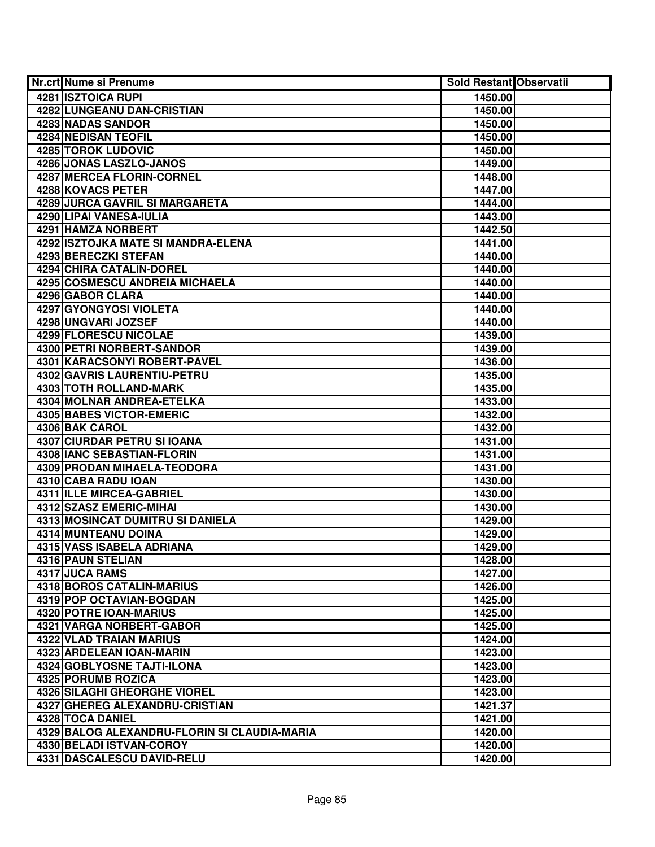| Nr.crt Nume si Prenume           |                                              | <b>Sold Restant Observatii</b> |  |
|----------------------------------|----------------------------------------------|--------------------------------|--|
| <b>4281 ISZTOICA RUPI</b>        |                                              | 1450.00                        |  |
|                                  | <b>4282 LUNGEANU DAN-CRISTIAN</b>            | 1450.00                        |  |
| 4283 NADAS SANDOR                |                                              | 1450.00                        |  |
| 4284 NEDISAN TEOFIL              |                                              | 1450.00                        |  |
| 4285 TOROK LUDOVIC               |                                              | 1450.00                        |  |
| 4286 JONAS LASZLO-JANOS          |                                              | 1449.00                        |  |
| 4287 MERCEA FLORIN-CORNEL        |                                              | 1448.00                        |  |
| 4288 KOVACS PETER                |                                              | 1447.00                        |  |
|                                  | 4289 JURCA GAVRIL SI MARGARETA               | 1444.00                        |  |
| 4290 LIPAI VANESA-IULIA          |                                              | 1443.00                        |  |
| 4291 HAMZA NORBERT               |                                              | 1442.50                        |  |
|                                  | 4292 ISZTOJKA MATE SI MANDRA-ELENA           | 1441.00                        |  |
| 4293 BERECZKI STEFAN             |                                              | 1440.00                        |  |
| 4294 CHIRA CATALIN-DOREL         |                                              | 1440.00                        |  |
|                                  | 4295 COSMESCU ANDREIA MICHAELA               | 1440.00                        |  |
| 4296 GABOR CLARA                 |                                              | 1440.00                        |  |
| 4297 GYONGYOSI VIOLETA           |                                              | 1440.00                        |  |
| 4298 UNGVARI JOZSEF              |                                              | 1440.00                        |  |
| 4299 FLORESCU NICOLAE            |                                              | 1439.00                        |  |
| 4300 PETRI NORBERT-SANDOR        |                                              | 1439.00                        |  |
|                                  | 4301 KARACSONYI ROBERT-PAVEL                 | 1436.00                        |  |
|                                  | 4302 GAVRIS LAURENTIU-PETRU                  | 1435.00                        |  |
| 4303 TOTH ROLLAND-MARK           |                                              | 1435.00                        |  |
|                                  | 4304 MOLNAR ANDREA-ETELKA                    | 1433.00                        |  |
| 4305 BABES VICTOR-EMERIC         |                                              | 1432.00                        |  |
| 4306 BAK CAROL                   |                                              | 1432.00                        |  |
| 4307 CIURDAR PETRU SI IOANA      |                                              | 1431.00                        |  |
| 4308 IANC SEBASTIAN-FLORIN       |                                              | 1431.00                        |  |
|                                  | 4309 PRODAN MIHAELA-TEODORA                  | 1431.00                        |  |
| 4310 CABA RADU IOAN              |                                              | 1430.00                        |  |
| 4311 ILLE MIRCEA-GABRIEL         |                                              | 1430.00                        |  |
| 4312 SZASZ EMERIC-MIHAI          |                                              | 1430.00                        |  |
|                                  | 4313 MOSINCAT DUMITRU SI DANIELA             | 1429.00                        |  |
| 4314 MUNTEANU DOINA              |                                              | 1429.00                        |  |
| 4315 VASS ISABELA ADRIANA        |                                              | 1429.00                        |  |
| <b>4316 PAUN STELIAN</b>         |                                              | 1428.00                        |  |
| 4317 JUCA RAMS                   |                                              | 1427.00                        |  |
| <b>4318 BOROS CATALIN-MARIUS</b> |                                              | 1426.00                        |  |
| 4319 POP OCTAVIAN-BOGDAN         |                                              | 1425.00                        |  |
| 4320 POTRE IOAN-MARIUS           |                                              | 1425.00                        |  |
| 4321 VARGA NORBERT-GABOR         |                                              | 1425.00                        |  |
| 4322 VLAD TRAIAN MARIUS          |                                              | 1424.00                        |  |
| 4323 ARDELEAN IOAN-MARIN         |                                              | 1423.00                        |  |
| 4324 GOBLYOSNE TAJTI-ILONA       |                                              | 1423.00                        |  |
| 4325 PORUMB ROZICA               |                                              | 1423.00                        |  |
|                                  | <b>4326 SILAGHI GHEORGHE VIOREL</b>          | 1423.00                        |  |
|                                  | 4327 GHEREG ALEXANDRU-CRISTIAN               | 1421.37                        |  |
| 4328 TOCA DANIEL                 |                                              | 1421.00                        |  |
|                                  | 4329 BALOG ALEXANDRU-FLORIN SI CLAUDIA-MARIA | 1420.00                        |  |
| 4330 BELADI ISTVAN-COROY         |                                              | 1420.00                        |  |
|                                  | 4331 DASCALESCU DAVID-RELU                   | 1420.00                        |  |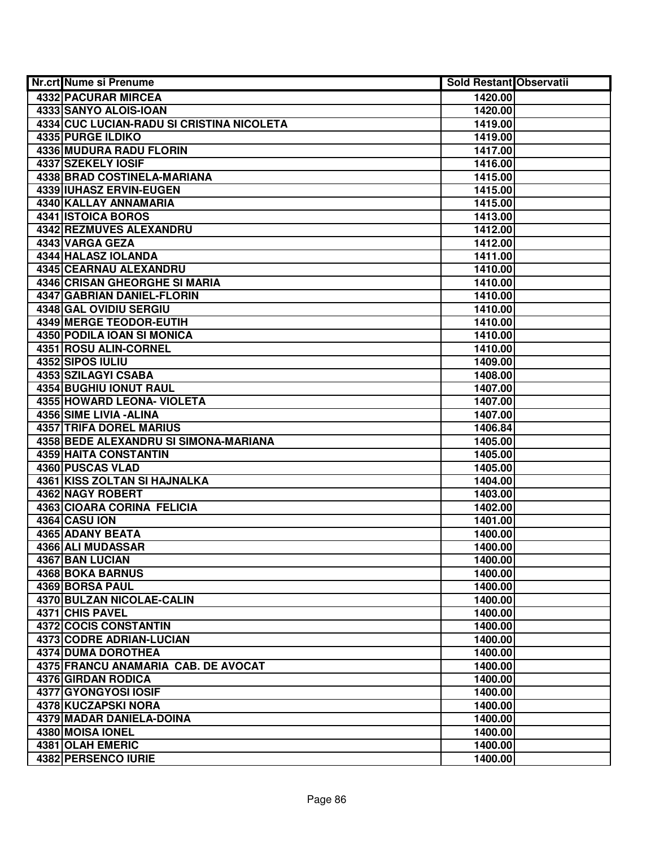| <b>Nr.crt Nume si Prenume</b>             | Sold Restant Observatii |  |
|-------------------------------------------|-------------------------|--|
| 4332 PACURAR MIRCEA                       | 1420.00                 |  |
| 4333 SANYO ALOIS-IOAN                     | 1420.00                 |  |
| 4334 CUC LUCIAN-RADU SI CRISTINA NICOLETA | 1419.00                 |  |
| 4335 PURGE ILDIKO                         | 1419.00                 |  |
| 4336 MUDURA RADU FLORIN                   | 1417.00                 |  |
| 4337 SZEKELY IOSIF                        | 1416.00                 |  |
| 4338 BRAD COSTINELA-MARIANA               | 1415.00                 |  |
| 4339 IUHASZ ERVIN-EUGEN                   | 1415.00                 |  |
| 4340 KALLAY ANNAMARIA                     | 1415.00                 |  |
| 4341 ISTOICA BOROS                        | 1413.00                 |  |
| 4342 REZMUVES ALEXANDRU                   | 1412.00                 |  |
| 4343 VARGA GEZA                           | 1412.00                 |  |
| 4344 HALASZ IOLANDA                       | 1411.00                 |  |
| <b>4345 CEARNAU ALEXANDRU</b>             | 1410.00                 |  |
| 4346 CRISAN GHEORGHE SI MARIA             | 1410.00                 |  |
| 4347 GABRIAN DANIEL-FLORIN                | 1410.00                 |  |
| 4348 GAL OVIDIU SERGIU                    | 1410.00                 |  |
| 4349 MERGE TEODOR-EUTIH                   | 1410.00                 |  |
| <b>4350 PODILA IOAN SI MONICA</b>         | 1410.00                 |  |
| 4351 ROSU ALIN-CORNEL                     | 1410.00                 |  |
| 4352 SIPOS IULIU                          | 1409.00                 |  |
| 4353 SZILAGYI CSABA                       | 1408.00                 |  |
| 4354 BUGHIU IONUT RAUL                    | 1407.00                 |  |
| 4355 HOWARD LEONA- VIOLETA                | 1407.00                 |  |
| 4356 SIME LIVIA - ALINA                   | 1407.00                 |  |
| <b>4357 TRIFA DOREL MARIUS</b>            | 1406.84                 |  |
| 4358 BEDE ALEXANDRU SI SIMONA-MARIANA     | 1405.00                 |  |
| 4359 HAITA CONSTANTIN                     | 1405.00                 |  |
| 4360 PUSCAS VLAD                          | 1405.00                 |  |
| 4361 KISS ZOLTAN SI HAJNALKA              | 1404.00                 |  |
| 4362 NAGY ROBERT                          | 1403.00                 |  |
| 4363 CIOARA CORINA FELICIA                | 1402.00                 |  |
| 4364 CASU ION                             | 1401.00                 |  |
| 4365 ADANY BEATA                          | 1400.00                 |  |
| 4366 ALI MUDASSAR                         | 1400.00                 |  |
| 4367 BAN LUCIAN                           | 1400.00                 |  |
| <b>4368 BOKA BARNUS</b>                   | 1400.00                 |  |
| 4369 BORSA PAUL                           | 1400.00                 |  |
| 4370 BULZAN NICOLAE-CALIN                 | 1400.00                 |  |
| 4371 CHIS PAVEL                           | 1400.00                 |  |
| 4372 COCIS CONSTANTIN                     | 1400.00                 |  |
| 4373 CODRE ADRIAN-LUCIAN                  | 1400.00                 |  |
| <b>4374 DUMA DOROTHEA</b>                 | 1400.00                 |  |
| 4375 FRANCU ANAMARIA CAB. DE AVOCAT       | 1400.00                 |  |
| 4376 GIRDAN RODICA                        | 1400.00                 |  |
| 4377 GYONGYOSI IOSIF                      | 1400.00                 |  |
| 4378 KUCZAPSKI NORA                       | 1400.00                 |  |
| 4379 MADAR DANIELA-DOINA                  | 1400.00                 |  |
| 4380 MOISA IONEL                          | 1400.00                 |  |
| 4381 OLAH EMERIC                          | 1400.00                 |  |
| 4382 PERSENCO IURIE                       | 1400.00                 |  |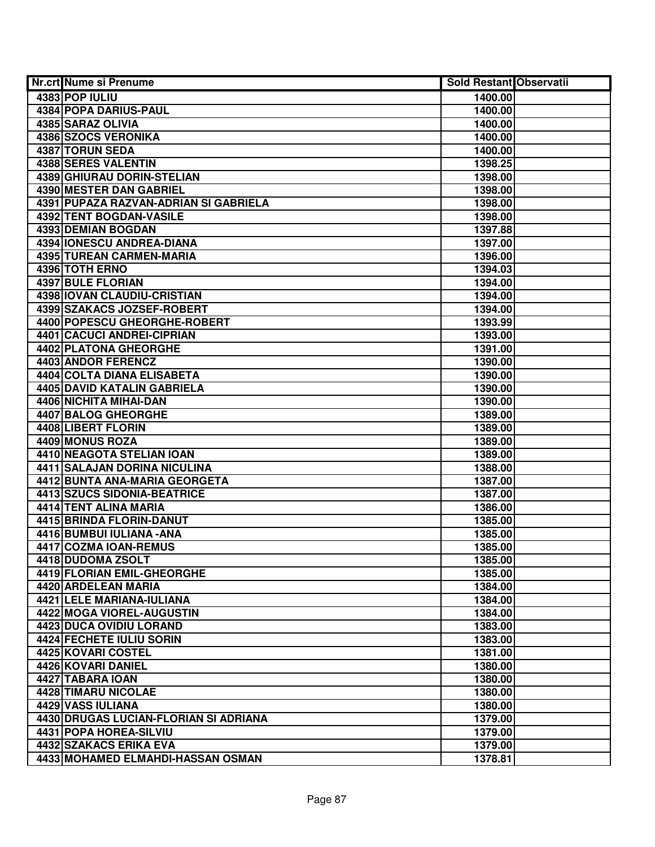| Nr.crt Nume si Prenume                | Sold Restant Observatii |  |
|---------------------------------------|-------------------------|--|
| 4383 POP IULIU                        | 1400.00                 |  |
| <b>4384 POPA DARIUS-PAUL</b>          | 1400.00                 |  |
| 4385 SARAZ OLIVIA                     | 1400.00                 |  |
| 4386 SZOCS VERONIKA                   | 1400.00                 |  |
| 4387 TORUN SEDA                       | 1400.00                 |  |
| 4388 SERES VALENTIN                   | 1398.25                 |  |
| 4389 GHIURAU DORIN-STELIAN            | 1398.00                 |  |
| 4390 MESTER DAN GABRIEL               | 1398.00                 |  |
| 4391 PUPAZA RAZVAN-ADRIAN SI GABRIELA | 1398.00                 |  |
| 4392 TENT BOGDAN-VASILE               | 1398.00                 |  |
| <b>4393 DEMIAN BOGDAN</b>             | 1397.88                 |  |
| 4394 IONESCU ANDREA-DIANA             | 1397.00                 |  |
| 4395 TUREAN CARMEN-MARIA              | 1396.00                 |  |
| 4396 TOTH ERNO                        | 1394.03                 |  |
| 4397 BULE FLORIAN                     | 1394.00                 |  |
| 4398 IOVAN CLAUDIU-CRISTIAN           | 1394.00                 |  |
| 4399 SZAKACS JOZSEF-ROBERT            | 1394.00                 |  |
| 4400 POPESCU GHEORGHE-ROBERT          | 1393.99                 |  |
| 4401 CACUCI ANDREI-CIPRIAN            | 1393.00                 |  |
| 4402 PLATONA GHEORGHE                 | 1391.00                 |  |
| 4403 ANDOR FERENCZ                    | 1390.00                 |  |
| 4404 COLTA DIANA ELISABETA            | 1390.00                 |  |
| 4405 DAVID KATALIN GABRIELA           | 1390.00                 |  |
| 4406 NICHITA MIHAI-DAN                | 1390.00                 |  |
| 4407 BALOG GHEORGHE                   | 1389.00                 |  |
| 4408 LIBERT FLORIN                    | 1389.00                 |  |
| 4409 MONUS ROZA                       | 1389.00                 |  |
| 4410 NEAGOTA STELIAN IOAN             | 1389.00                 |  |
| 4411 SALAJAN DORINA NICULINA          | 1388.00                 |  |
| 4412 BUNTA ANA-MARIA GEORGETA         | 1387.00                 |  |
| 4413 SZUCS SIDONIA-BEATRICE           | 1387.00                 |  |
| 4414 TENT ALINA MARIA                 | 1386.00                 |  |
| 4415 BRINDA FLORIN-DANUT              | 1385.00                 |  |
| 4416 BUMBUI IULIANA - ANA             | 1385.00                 |  |
| 4417 COZMA IOAN-REMUS                 | 1385.00                 |  |
| 4418 DUDOMA ZSOLT                     | 1385.00                 |  |
| 4419 FLORIAN EMIL-GHEORGHE            | 1385.00                 |  |
| 4420 ARDELEAN MARIA                   | 1384.00                 |  |
| 4421 LELE MARIANA-IULIANA             | 1384.00                 |  |
| 4422 MOGA VIOREL-AUGUSTIN             | 1384.00                 |  |
| 4423 DUCA OVIDIU LORAND               | 1383.00                 |  |
| 4424 FECHETE IULIU SORIN              | 1383.00                 |  |
| 4425 KOVARI COSTEL                    | 1381.00                 |  |
| 4426 KOVARI DANIEL                    | 1380.00                 |  |
| 4427 TABARA IOAN                      | 1380.00                 |  |
| 4428 TIMARU NICOLAE                   | 1380.00                 |  |
| 4429 VASS IULIANA                     | 1380.00                 |  |
| 4430 DRUGAS LUCIAN-FLORIAN SI ADRIANA | 1379.00                 |  |
| 4431 POPA HOREA-SILVIU                | 1379.00                 |  |
| 4432 SZAKACS ERIKA EVA                | 1379.00                 |  |
| 4433 MOHAMED ELMAHDI-HASSAN OSMAN     | 1378.81                 |  |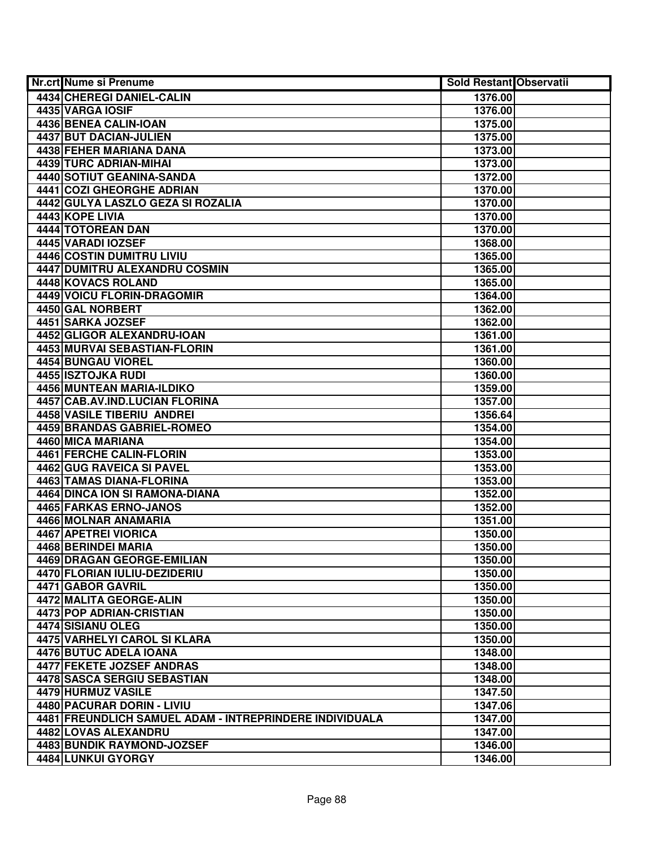| Nr.crt Nume si Prenume                                  | <b>Sold Restant Observatii</b> |
|---------------------------------------------------------|--------------------------------|
| 4434 CHEREGI DANIEL-CALIN                               | 1376.00                        |
| 4435 VARGA IOSIF                                        | 1376.00                        |
| 4436 BENEA CALIN-IOAN                                   | 1375.00                        |
| 4437 BUT DACIAN-JULIEN                                  | 1375.00                        |
| 4438 FEHER MARIANA DANA                                 | 1373.00                        |
| 4439 TURC ADRIAN-MIHAI                                  | 1373.00                        |
| 4440 SOTIUT GEANINA-SANDA                               | 1372.00                        |
| <b>4441 COZI GHEORGHE ADRIAN</b>                        | 1370.00                        |
| 4442 GULYA LASZLO GEZA SI ROZALIA                       | 1370.00                        |
| 4443 KOPE LIVIA                                         | 1370.00                        |
| 4444 TOTOREAN DAN                                       | 1370.00                        |
| 4445 VARADI IOZSEF                                      | 1368.00                        |
| 4446 COSTIN DUMITRU LIVIU                               | 1365.00                        |
| 4447 DUMITRU ALEXANDRU COSMIN                           | 1365.00                        |
| 4448 KOVACS ROLAND                                      | 1365.00                        |
| 4449 VOICU FLORIN-DRAGOMIR                              | 1364.00                        |
| <b>4450 GAL NORBERT</b>                                 | 1362.00                        |
| 4451 SARKA JOZSEF                                       | 1362.00                        |
| 4452 GLIGOR ALEXANDRU-IOAN                              | 1361.00                        |
| 4453 MURVAI SEBASTIAN-FLORIN                            | 1361.00                        |
| 4454 BUNGAU VIOREL                                      | 1360.00                        |
| 4455 ISZTOJKA RUDI                                      | 1360.00                        |
| 4456 MUNTEAN MARIA-ILDIKO                               | 1359.00                        |
| 4457 CAB.AV.IND.LUCIAN FLORINA                          | 1357.00                        |
| 4458 VASILE TIBERIU ANDREI                              | 1356.64                        |
| 4459 BRANDAS GABRIEL-ROMEO                              | 1354.00                        |
| 4460 MICA MARIANA                                       | 1354.00                        |
| 4461 FERCHE CALIN-FLORIN                                | 1353.00                        |
| 4462 GUG RAVEICA SI PAVEL                               | 1353.00                        |
| 4463 TAMAS DIANA-FLORINA                                | 1353.00                        |
| 4464 DINCA ION SI RAMONA-DIANA                          | 1352.00                        |
| 4465 FARKAS ERNO-JANOS                                  | 1352.00                        |
| 4466 MOLNAR ANAMARIA                                    | 1351.00                        |
| <b>4467 APETREI VIORICA</b>                             | 1350.00                        |
| <b>4468 BERINDEI MARIA</b>                              | 1350.00                        |
| 4469 DRAGAN GEORGE-EMILIAN                              | 1350.00                        |
| 4470 FLORIAN IULIU-DEZIDERIU                            | 1350.00                        |
| 4471 GABOR GAVRIL                                       | 1350.00                        |
| 4472 MALITA GEORGE-ALIN                                 | 1350.00                        |
| 4473 POP ADRIAN-CRISTIAN                                | 1350.00                        |
| 4474 SISIANU OLEG                                       | 1350.00                        |
| 4475 VARHELYI CAROL SI KLARA                            | 1350.00                        |
| 4476 BUTUC ADELA IOANA                                  | 1348.00                        |
| 4477 FEKETE JOZSEF ANDRAS                               | 1348.00                        |
| 4478 SASCA SERGIU SEBASTIAN                             | 1348.00                        |
| 4479 HURMUZ VASILE                                      | 1347.50                        |
| 4480 PACURAR DORIN - LIVIU                              | 1347.06                        |
| 4481 FREUNDLICH SAMUEL ADAM - INTREPRINDERE INDIVIDUALA | 1347.00                        |
| 4482 LOVAS ALEXANDRU                                    | 1347.00                        |
| 4483 BUNDIK RAYMOND-JOZSEF                              | 1346.00                        |
| 4484 LUNKUI GYORGY                                      | 1346.00                        |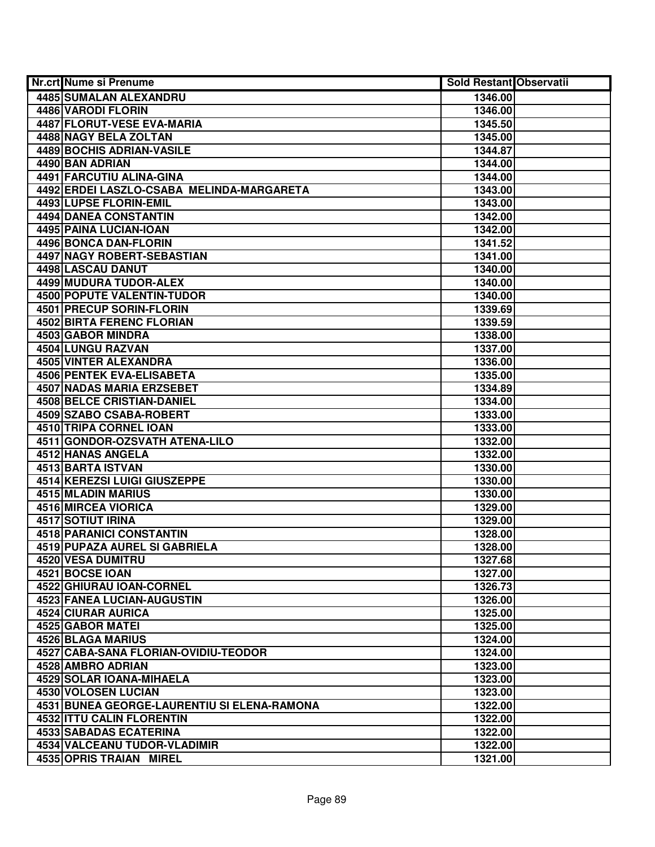| <b>Nr.crt Nume si Prenume</b>               | Sold Restant Observatii |  |
|---------------------------------------------|-------------------------|--|
| 4485 SUMALAN ALEXANDRU                      | 1346.00                 |  |
| 4486 VARODI FLORIN                          | 1346.00                 |  |
| 4487 FLORUT-VESE EVA-MARIA                  | 1345.50                 |  |
| 4488 NAGY BELA ZOLTAN                       | 1345.00                 |  |
| 4489 BOCHIS ADRIAN-VASILE                   | 1344.87                 |  |
| 4490 BAN ADRIAN                             | 1344.00                 |  |
| 4491 FARCUTIU ALINA-GINA                    | 1344.00                 |  |
| 4492 ERDEI LASZLO-CSABA MELINDA-MARGARETA   | 1343.00                 |  |
| 4493 LUPSE FLORIN-EMIL                      | 1343.00                 |  |
| <b>4494 DANEA CONSTANTIN</b>                | 1342.00                 |  |
| 4495 PAINA LUCIAN-IOAN                      | 1342.00                 |  |
| 4496 BONCA DAN-FLORIN                       | 1341.52                 |  |
| 4497 NAGY ROBERT-SEBASTIAN                  | 1341.00                 |  |
| 4498 LASCAU DANUT                           | 1340.00                 |  |
| 4499 MUDURA TUDOR-ALEX                      | 1340.00                 |  |
| 4500 POPUTE VALENTIN-TUDOR                  | 1340.00                 |  |
| 4501 PRECUP SORIN-FLORIN                    | 1339.69                 |  |
| 4502 BIRTA FERENC FLORIAN                   | 1339.59                 |  |
| 4503 GABOR MINDRA                           | 1338.00                 |  |
| 4504 LUNGU RAZVAN                           | 1337.00                 |  |
| 4505 VINTER ALEXANDRA                       | 1336.00                 |  |
| 4506 PENTEK EVA-ELISABETA                   | 1335.00                 |  |
| <b>4507 NADAS MARIA ERZSEBET</b>            | 1334.89                 |  |
| 4508 BELCE CRISTIAN-DANIEL                  | 1334.00                 |  |
| 4509 SZABO CSABA-ROBERT                     | 1333.00                 |  |
| 4510 TRIPA CORNEL IOAN                      | 1333.00                 |  |
| 4511 GONDOR-OZSVATH ATENA-LILO              | 1332.00                 |  |
| 4512 HANAS ANGELA                           | 1332.00                 |  |
| 4513 BARTA ISTVAN                           | 1330.00                 |  |
| 4514 KEREZSI LUIGI GIUSZEPPE                | 1330.00                 |  |
| 4515 MLADIN MARIUS                          | 1330.00                 |  |
| 4516 MIRCEA VIORICA                         | 1329.00                 |  |
| <b>4517 SOTIUT IRINA</b>                    | 1329.00                 |  |
| 4518 PARANICI CONSTANTIN                    | 1328.00                 |  |
| 4519 PUPAZA AUREL SI GABRIELA               | 1328.00                 |  |
| 4520 VESA DUMITRU                           | 1327.68                 |  |
| 4521 BOCSE IOAN                             | 1327.00                 |  |
| 4522 GHIURAU IOAN-CORNEL                    | 1326.73                 |  |
| <b>4523 FANEA LUCIAN-AUGUSTIN</b>           | 1326.00                 |  |
| 4524 CIURAR AURICA                          | 1325.00                 |  |
| 4525 GABOR MATEI                            | 1325.00                 |  |
| 4526 BLAGA MARIUS                           | 1324.00                 |  |
| 4527 CABA-SANA FLORIAN-OVIDIU-TEODOR        | 1324.00                 |  |
| 4528 AMBRO ADRIAN                           | 1323.00                 |  |
| 4529 SOLAR IOANA-MIHAELA                    | 1323.00                 |  |
| 4530 VOLOSEN LUCIAN                         | 1323.00                 |  |
| 4531 BUNEA GEORGE-LAURENTIU SI ELENA-RAMONA | 1322.00                 |  |
| 4532 ITTU CALIN FLORENTIN                   | 1322.00                 |  |
| 4533 SABADAS ECATERINA                      | 1322.00                 |  |
| 4534 VALCEANU TUDOR-VLADIMIR                | 1322.00                 |  |
| 4535 OPRIS TRAIAN MIREL                     | 1321.00                 |  |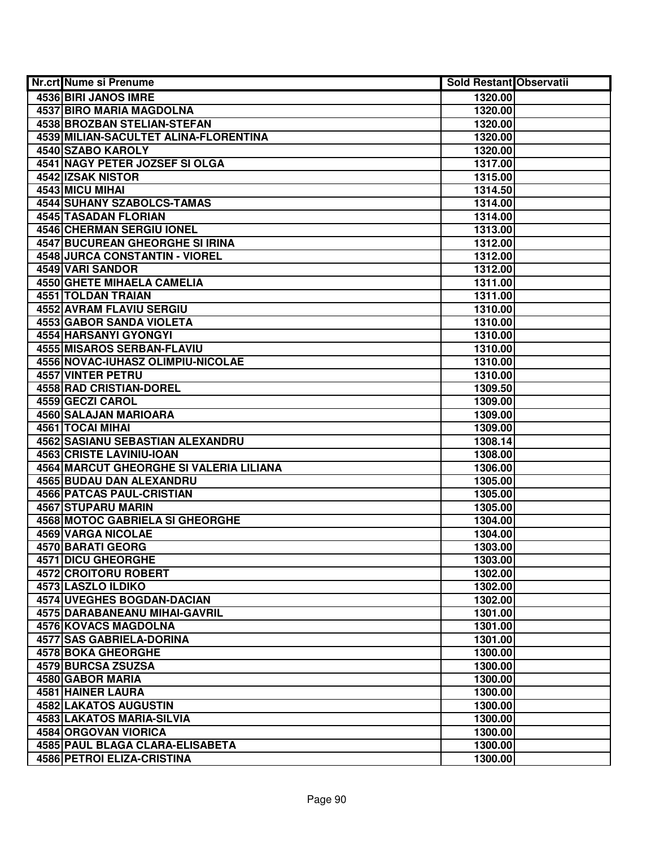| <b>Nr.crt Nume si Prenume</b>           | Sold Restant Observatii |  |
|-----------------------------------------|-------------------------|--|
| 4536 BIRI JANOS IMRE                    | 1320.00                 |  |
| <b>4537 BIRO MARIA MAGDOLNA</b>         | 1320.00                 |  |
| 4538 BROZBAN STELIAN-STEFAN             | 1320.00                 |  |
| 4539 MILIAN-SACULTET ALINA-FLORENTINA   | 1320.00                 |  |
| 4540 SZABO KAROLY                       | 1320.00                 |  |
| 4541 NAGY PETER JOZSEF SI OLGA          | 1317.00                 |  |
| 4542 IZSAK NISTOR                       | 1315.00                 |  |
| 4543 MICU MIHAI                         | 1314.50                 |  |
| 4544 SUHANY SZABOLCS-TAMAS              | 1314.00                 |  |
| <b>4545 TASADAN FLORIAN</b>             | 1314.00                 |  |
| <b>4546 CHERMAN SERGIU IONEL</b>        | 1313.00                 |  |
| <b>4547 BUCUREAN GHEORGHE SI IRINA</b>  | 1312.00                 |  |
| 4548 JURCA CONSTANTIN - VIOREL          | 1312.00                 |  |
| 4549 VARI SANDOR                        | 1312.00                 |  |
| <b>4550 GHETE MIHAELA CAMELIA</b>       | 1311.00                 |  |
| 4551 TOLDAN TRAIAN                      | 1311.00                 |  |
| 4552 AVRAM FLAVIU SERGIU                | 1310.00                 |  |
| 4553 GABOR SANDA VIOLETA                | 1310.00                 |  |
| 4554 HARSANYI GYONGYI                   | 1310.00                 |  |
| <b>4555 MISAROS SERBAN-FLAVIU</b>       | 1310.00                 |  |
| 4556 NOVAC-IUHASZ OLIMPIU-NICOLAE       | 1310.00                 |  |
| 4557 VINTER PETRU                       | 1310.00                 |  |
| 4558 RAD CRISTIAN-DOREL                 | 1309.50                 |  |
| 4559 GECZI CAROL                        | 1309.00                 |  |
| 4560 SALAJAN MARIOARA                   | 1309.00                 |  |
| 4561 TOCAI MIHAI                        | 1309.00                 |  |
| 4562 SASIANU SEBASTIAN ALEXANDRU        | 1308.14                 |  |
| 4563 CRISTE LAVINIU-IOAN                | 1308.00                 |  |
| 4564 MARCUT GHEORGHE SI VALERIA LILIANA | 1306.00                 |  |
| 4565 BUDAU DAN ALEXANDRU                | 1305.00                 |  |
| <b>4566 PATCAS PAUL-CRISTIAN</b>        | 1305.00                 |  |
| 4567 STUPARU MARIN                      | 1305.00                 |  |
| <b>4568 MOTOC GABRIELA SI GHEORGHE</b>  | 1304.00                 |  |
| 4569 VARGA NICOLAE                      | 1304.00                 |  |
| <b>4570 BARATI GEORG</b>                | 1303.00                 |  |
| <b>4571 DICU GHEORGHE</b>               | 1303.00                 |  |
| 4572 CROITORU ROBERT                    | 1302.00                 |  |
| 4573 LASZLO ILDIKO                      | 1302.00                 |  |
| <b>4574 UVEGHES BOGDAN-DACIAN</b>       | 1302.00                 |  |
| <b>4575 DARABANEANU MIHAI-GAVRIL</b>    | 1301.00                 |  |
| 4576 KOVACS MAGDOLNA                    | 1301.00                 |  |
| 4577 SAS GABRIELA-DORINA                | 1301.00                 |  |
| <b>4578 BOKA GHEORGHE</b>               | 1300.00                 |  |
| 4579 BURCSA ZSUZSA                      | 1300.00                 |  |
| 4580 GABOR MARIA                        | 1300.00                 |  |
| 4581 HAINER LAURA                       | 1300.00                 |  |
| 4582 LAKATOS AUGUSTIN                   | 1300.00                 |  |
| 4583 LAKATOS MARIA-SILVIA               | 1300.00                 |  |
| 4584 ORGOVAN VIORICA                    | 1300.00                 |  |
| 4585 PAUL BLAGA CLARA-ELISABETA         | 1300.00                 |  |
| 4586 PETROI ELIZA-CRISTINA              | 1300.00                 |  |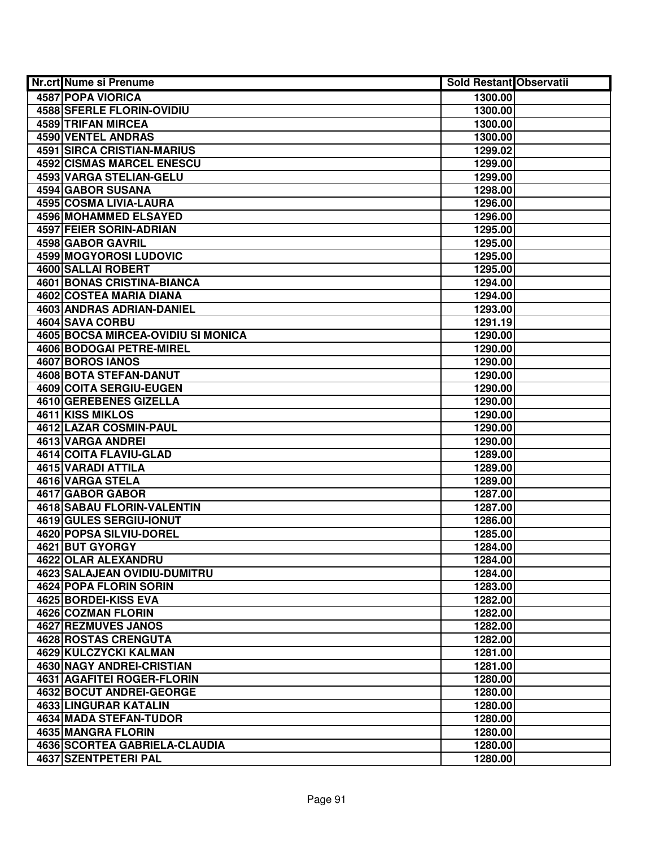| Nr.crt Nume si Prenume              | <b>Sold Restant Observatii</b> |  |
|-------------------------------------|--------------------------------|--|
| <b>4587 POPA VIORICA</b>            | 1300.00                        |  |
| <b>4588 SFERLE FLORIN-OVIDIU</b>    | 1300.00                        |  |
| 4589 TRIFAN MIRCEA                  | 1300.00                        |  |
| 4590 VENTEL ANDRAS                  | 1300.00                        |  |
| 4591 SIRCA CRISTIAN-MARIUS          | 1299.02                        |  |
| 4592 CISMAS MARCEL ENESCU           | 1299.00                        |  |
| 4593 VARGA STELIAN-GELU             | 1299.00                        |  |
| 4594 GABOR SUSANA                   | 1298.00                        |  |
| 4595 COSMA LIVIA-LAURA              | 1296.00                        |  |
| 4596 MOHAMMED ELSAYED               | 1296.00                        |  |
| 4597 FEIER SORIN-ADRIAN             | 1295.00                        |  |
| 4598 GABOR GAVRIL                   | 1295.00                        |  |
| 4599 MOGYOROSI LUDOVIC              | 1295.00                        |  |
| 4600 SALLAI ROBERT                  | 1295.00                        |  |
| 4601 BONAS CRISTINA-BIANCA          | 1294.00                        |  |
| 4602 COSTEA MARIA DIANA             | 1294.00                        |  |
| 4603 ANDRAS ADRIAN-DANIEL           | 1293.00                        |  |
| 4604 SAVA CORBU                     | 1291.19                        |  |
| 4605 BOCSA MIRCEA-OVIDIU SI MONICA  | 1290.00                        |  |
| 4606 BODOGAI PETRE-MIREL            | 1290.00                        |  |
| <b>4607 BOROS IANOS</b>             | 1290.00                        |  |
| 4608 BOTA STEFAN-DANUT              | 1290.00                        |  |
| 4609 COITA SERGIU-EUGEN             | 1290.00                        |  |
| 4610 GEREBENES GIZELLA              | 1290.00                        |  |
| 4611 KISS MIKLOS                    | 1290.00                        |  |
| 4612 LAZAR COSMIN-PAUL              | 1290.00                        |  |
| 4613 VARGA ANDREI                   | 1290.00                        |  |
| <b>4614 COITA FLAVIU-GLAD</b>       | 1289.00                        |  |
| 4615 VARADI ATTILA                  | 1289.00                        |  |
| 4616 VARGA STELA                    | 1289.00                        |  |
| 4617 GABOR GABOR                    | 1287.00                        |  |
| <b>4618 SABAU FLORIN-VALENTIN</b>   | 1287.00                        |  |
| 4619 GULES SERGIU-IONUT             | 1286.00                        |  |
| 4620 POPSA SILVIU-DOREL             | 1285.00                        |  |
| 4621 BUT GYORGY                     | 1284.00                        |  |
| 4622 OLAR ALEXANDRU                 | 1284.00                        |  |
| <b>4623 SALAJEAN OVIDIU-DUMITRU</b> | 1284.00                        |  |
| 4624 POPA FLORIN SORIN              | 1283.00                        |  |
| 4625 BORDEI-KISS EVA                | 1282.00                        |  |
| 4626 COZMAN FLORIN                  | 1282.00                        |  |
| <b>4627 REZMUVES JANOS</b>          | 1282.00                        |  |
| 4628 ROSTAS CRENGUTA                | 1282.00                        |  |
| 4629 KULCZYCKI KALMAN               | 1281.00                        |  |
| 4630 NAGY ANDREI-CRISTIAN           | 1281.00                        |  |
| 4631 AGAFITEI ROGER-FLORIN          | 1280.00                        |  |
| 4632 BOCUT ANDREI-GEORGE            | 1280.00                        |  |
| 4633 LINGURAR KATALIN               | 1280.00                        |  |
| 4634 MADA STEFAN-TUDOR              | 1280.00                        |  |
| 4635 MANGRA FLORIN                  | 1280.00                        |  |
| 4636 SCORTEA GABRIELA-CLAUDIA       | 1280.00                        |  |
| <b>4637 SZENTPETERI PAL</b>         | 1280.00                        |  |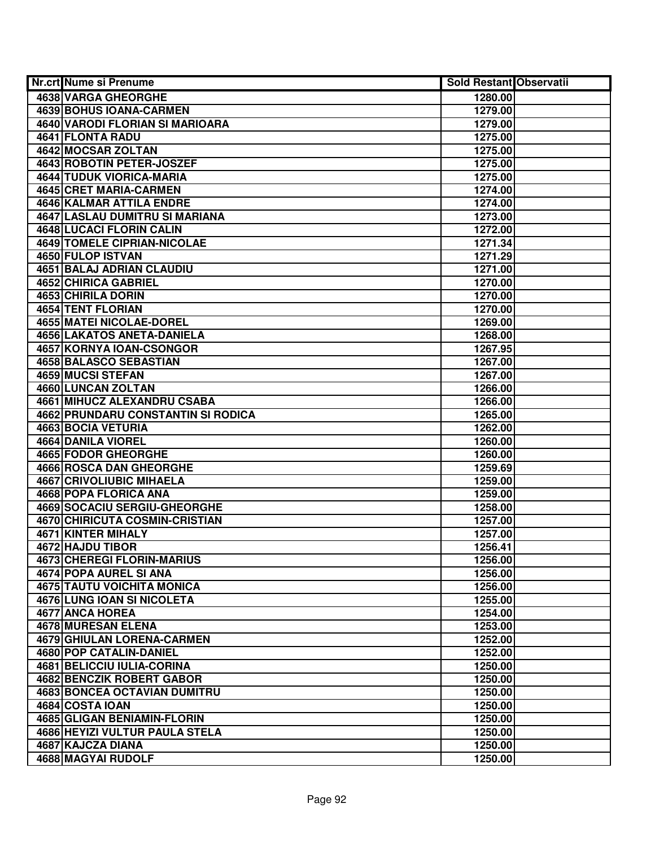| Nr.crt Nume si Prenume                                               | <b>Sold Restant Observatii</b> |  |
|----------------------------------------------------------------------|--------------------------------|--|
| <b>4638 VARGA GHEORGHE</b>                                           | 1280.00                        |  |
| 4639 BOHUS IOANA-CARMEN                                              | 1279.00                        |  |
| <b>4640 VARODI FLORIAN SI MARIOARA</b>                               | 1279.00                        |  |
| 4641 FLONTA RADU                                                     | 1275.00                        |  |
| 4642 MOCSAR ZOLTAN                                                   | 1275.00                        |  |
| 4643 ROBOTIN PETER-JOSZEF                                            | 1275.00                        |  |
| 4644 TUDUK VIORICA-MARIA                                             | 1275.00                        |  |
| 4645 CRET MARIA-CARMEN                                               | 1274.00                        |  |
| <b>4646 KALMAR ATTILA ENDRE</b>                                      | 1274.00                        |  |
| <b>4647 LASLAU DUMITRU SI MARIANA</b>                                | 1273.00                        |  |
| <b>4648 LUCACI FLORIN CALIN</b>                                      | 1272.00                        |  |
| <b>4649 TOMELE CIPRIAN-NICOLAE</b>                                   | 1271.34                        |  |
| 4650 FULOP ISTVAN                                                    | 1271.29                        |  |
| 4651 BALAJ ADRIAN CLAUDIU                                            | 1271.00                        |  |
| 4652 CHIRICA GABRIEL                                                 | 1270.00                        |  |
| 4653 CHIRILA DORIN                                                   | 1270.00                        |  |
| 4654 TENT FLORIAN                                                    | 1270.00                        |  |
| <b>4655 MATEI NICOLAE-DOREL</b>                                      | 1269.00                        |  |
| 4656 LAKATOS ANETA-DANIELA                                           | 1268.00                        |  |
| 4657 KORNYA IOAN-CSONGOR                                             | 1267.95                        |  |
| 4658 BALASCO SEBASTIAN                                               | 1267.00                        |  |
| 4659 MUCSI STEFAN                                                    | 1267.00                        |  |
| 4660 LUNCAN ZOLTAN                                                   | 1266.00                        |  |
| 4661 MIHUCZ ALEXANDRU CSABA                                          | 1266.00                        |  |
| 4662 PRUNDARU CONSTANTIN SI RODICA                                   | 1265.00                        |  |
| 4663 BOCIA VETURIA                                                   | 1262.00                        |  |
| 4664 DANILA VIOREL                                                   | 1260.00                        |  |
| 4665 FODOR GHEORGHE                                                  | 1260.00                        |  |
| <b>4666 ROSCA DAN GHEORGHE</b>                                       | 1259.69                        |  |
| 4667 CRIVOLIUBIC MIHAELA                                             | 1259.00                        |  |
| 4668 POPA FLORICA ANA                                                | 1259.00                        |  |
| <b>4669 SOCACIU SERGIU-GHEORGHE</b>                                  | 1258.00                        |  |
| 4670 CHIRICUTA COSMIN-CRISTIAN                                       | 1257.00                        |  |
| <b>4671 KINTER MIHALY</b>                                            | 1257.00                        |  |
| 4672 HAJDU TIBOR                                                     | 1256.41                        |  |
| <b>4673 CHEREGI FLORIN-MARIUS</b>                                    | 1256.00                        |  |
| 4674 POPA AUREL SI ANA                                               | 1256.00                        |  |
| <b>4675 TAUTU VOICHITA MONICA</b>                                    | 1256.00                        |  |
| 4676 LUNG IOAN SI NICOLETA                                           | 1255.00                        |  |
| 4677 ANCA HOREA                                                      | 1254.00                        |  |
| 4678 MURESAN ELENA<br><b>4679 GHIULAN LORENA-CARMEN</b>              | 1253.00                        |  |
| 4680 POP CATALIN-DANIEL                                              | 1252.00                        |  |
| 4681 BELICCIU IULIA-CORINA                                           | 1252.00                        |  |
|                                                                      | 1250.00                        |  |
| 4682 BENCZIK ROBERT GABOR                                            | 1250.00                        |  |
| <b>4683 BONCEA OCTAVIAN DUMITRU</b>                                  | 1250.00                        |  |
| 4684 COSTA IOAN                                                      | 1250.00                        |  |
| 4685 GLIGAN BENIAMIN-FLORIN<br><b>4686 HEYIZI VULTUR PAULA STELA</b> | 1250.00                        |  |
| 4687 KAJCZA DIANA                                                    | 1250.00                        |  |
|                                                                      | 1250.00                        |  |
| 4688 MAGYAI RUDOLF                                                   | 1250.00                        |  |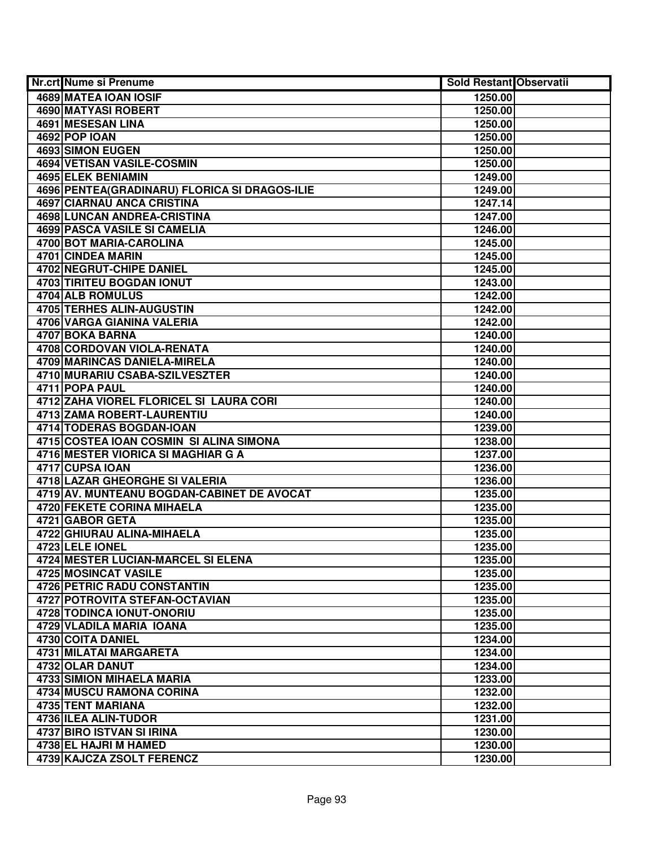| <b>Nr.crt Nume si Prenume</b>                  | Sold Restant Observatii |  |
|------------------------------------------------|-------------------------|--|
| 4689 MATEA IOAN IOSIF                          | 1250.00                 |  |
| <b>4690 MATYASI ROBERT</b>                     | 1250.00                 |  |
| <b>4691 MESESAN LINA</b>                       | 1250.00                 |  |
| 4692 POP IOAN                                  | 1250.00                 |  |
| 4693 SIMON EUGEN                               | 1250.00                 |  |
| 4694 VETISAN VASILE-COSMIN                     | 1250.00                 |  |
| 4695 ELEK BENIAMIN                             | 1249.00                 |  |
| 4696 PENTEA (GRADINARU) FLORICA SI DRAGOS-ILIE | 1249.00                 |  |
| <b>4697 CIARNAU ANCA CRISTINA</b>              | 1247.14                 |  |
| <b>4698 LUNCAN ANDREA-CRISTINA</b>             | 1247.00                 |  |
| <b>4699 PASCA VASILE SI CAMELIA</b>            | 1246.00                 |  |
| 4700 BOT MARIA-CAROLINA                        | 1245.00                 |  |
| 4701 CINDEA MARIN                              | 1245.00                 |  |
| <b>4702 NEGRUT-CHIPE DANIEL</b>                | 1245.00                 |  |
| 4703 TIRITEU BOGDAN IONUT                      | 1243.00                 |  |
| 4704 ALB ROMULUS                               | 1242.00                 |  |
| 4705 TERHES ALIN-AUGUSTIN                      | 1242.00                 |  |
| 4706 VARGA GIANINA VALERIA                     | 1242.00                 |  |
| 4707 BOKA BARNA                                | 1240.00                 |  |
| 4708 CORDOVAN VIOLA-RENATA                     | 1240.00                 |  |
| 4709 MARINCAS DANIELA-MIRELA                   | 1240.00                 |  |
| 4710 MURARIU CSABA-SZILVESZTER                 | 1240.00                 |  |
| 4711 POPA PAUL                                 | 1240.00                 |  |
| 4712 ZAHA VIOREL FLORICEL SI LAURA CORI        | 1240.00                 |  |
| 4713 ZAMA ROBERT-LAURENTIU                     | 1240.00                 |  |
| 4714 TODERAS BOGDAN-IOAN                       | 1239.00                 |  |
| 4715 COSTEA IOAN COSMIN SI ALINA SIMONA        | 1238.00                 |  |
| 4716 MESTER VIORICA SI MAGHIAR G A             | 1237.00                 |  |
| 4717 CUPSA IOAN                                | 1236.00                 |  |
| 4718 LAZAR GHEORGHE SI VALERIA                 | 1236.00                 |  |
| 4719 AV. MUNTEANU BOGDAN-CABINET DE AVOCAT     | 1235.00                 |  |
| 4720 FEKETE CORINA MIHAELA                     | 1235.00                 |  |
| 4721 GABOR GETA                                | 1235.00                 |  |
| <b>4722 GHIURAU ALINA-MIHAELA</b>              | 1235.00                 |  |
| 4723 LELE IONEL                                | 1235.00                 |  |
| 4724 MESTER LUCIAN-MARCEL SI ELENA             | 1235.00                 |  |
| <b>4725 MOSINCAT VASILE</b>                    | 1235.00                 |  |
| <b>4726 PETRIC RADU CONSTANTIN</b>             | 1235.00                 |  |
| 4727 POTROVITA STEFAN-OCTAVIAN                 | 1235.00                 |  |
| 4728 TODINCA IONUT-ONORIU                      | 1235.00                 |  |
| 4729 VLADILA MARIA IOANA                       | 1235.00                 |  |
| 4730 COITA DANIEL                              | 1234.00                 |  |
| 4731 MILATAI MARGARETA                         | 1234.00                 |  |
| 4732 OLAR DANUT                                | 1234.00                 |  |
| 4733 SIMION MIHAELA MARIA                      | 1233.00                 |  |
| 4734 MUSCU RAMONA CORINA                       | 1232.00                 |  |
| 4735 TENT MARIANA                              | 1232.00                 |  |
| 4736 ILEA ALIN-TUDOR                           | 1231.00                 |  |
| 4737 BIRO ISTVAN SI IRINA                      | 1230.00                 |  |
| 4738 EL HAJRI M HAMED                          | 1230.00                 |  |
| 4739 KAJCZA ZSOLT FERENCZ                      | 1230.00                 |  |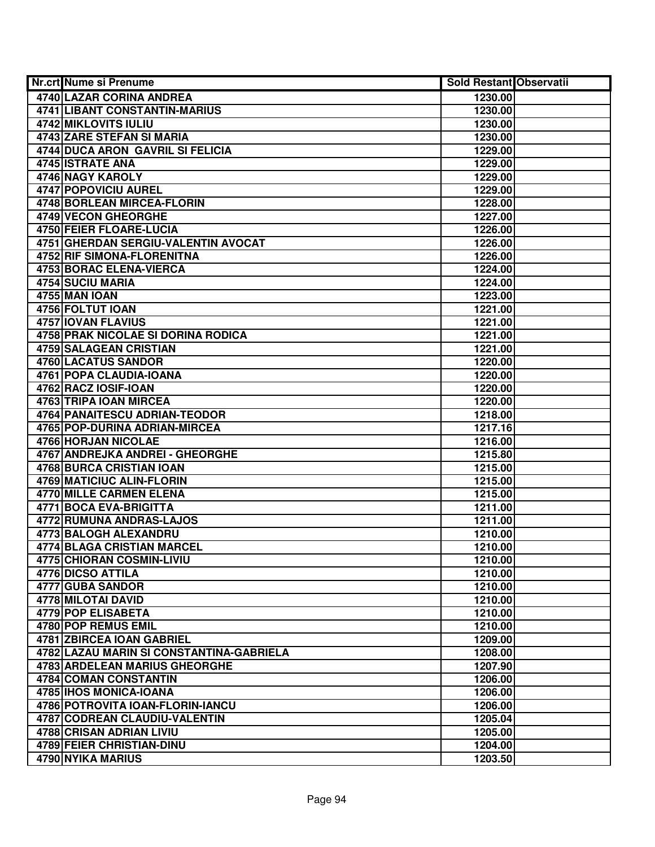| <b>Nr.crt Nume si Prenume</b>            | <b>Sold Restant Observatii</b> |  |
|------------------------------------------|--------------------------------|--|
| 4740 LAZAR CORINA ANDREA                 | 1230.00                        |  |
| 4741 LIBANT CONSTANTIN-MARIUS            | 1230.00                        |  |
| 4742 MIKLOVITS IULIU                     | 1230.00                        |  |
| 4743 ZARE STEFAN SI MARIA                | 1230.00                        |  |
| 4744 DUCA ARON GAVRIL SI FELICIA         | 1229.00                        |  |
| 4745 ISTRATE ANA                         | 1229.00                        |  |
| 4746 NAGY KAROLY                         | 1229.00                        |  |
| <b>4747 POPOVICIU AUREL</b>              | 1229.00                        |  |
| <b>4748 BORLEAN MIRCEA-FLORIN</b>        | 1228.00                        |  |
| <b>4749 VECON GHEORGHE</b>               | 1227.00                        |  |
| <b>4750 FEIER FLOARE-LUCIA</b>           | 1226.00                        |  |
| 4751 GHERDAN SERGIU-VALENTIN AVOCAT      | 1226.00                        |  |
| <b>4752 RIF SIMONA-FLORENITNA</b>        | 1226.00                        |  |
| 4753 BORAC ELENA-VIERCA                  | 1224.00                        |  |
| 4754 SUCIU MARIA                         | 1224.00                        |  |
| <b>4755 MAN IOAN</b>                     | 1223.00                        |  |
| 4756 FOLTUT IOAN                         | 1221.00                        |  |
| 4757 IOVAN FLAVIUS                       | 1221.00                        |  |
| 4758 PRAK NICOLAE SI DORINA RODICA       | 1221.00                        |  |
| 4759 SALAGEAN CRISTIAN                   | 1221.00                        |  |
| 4760 LACATUS SANDOR                      | 1220.00                        |  |
| 4761 POPA CLAUDIA-IOANA                  | 1220.00                        |  |
| 4762 RACZ IOSIF-IOAN                     | 1220.00                        |  |
| 4763 TRIPA IOAN MIRCEA                   | 1220.00                        |  |
| 4764 PANAITESCU ADRIAN-TEODOR            | 1218.00                        |  |
| 4765 POP-DURINA ADRIAN-MIRCEA            | 1217.16                        |  |
| 4766 HORJAN NICOLAE                      | 1216.00                        |  |
| 4767 ANDREJKA ANDREI - GHEORGHE          | 1215.80                        |  |
| 4768 BURCA CRISTIAN IOAN                 | 1215.00                        |  |
| 4769 MATICIUC ALIN-FLORIN                | 1215.00                        |  |
| 4770 MILLE CARMEN ELENA                  | 1215.00                        |  |
| 4771 BOCA EVA-BRIGITTA                   | 1211.00                        |  |
| 4772 RUMUNA ANDRAS-LAJOS                 | 1211.00                        |  |
| 4773 BALOGH ALEXANDRU                    | 1210.00                        |  |
| <b>4774 BLAGA CRISTIAN MARCEL</b>        | 1210.00                        |  |
| 4775 CHIORAN COSMIN-LIVIU                | 1210.00                        |  |
| 4776 DICSO ATTILA                        | 1210.00                        |  |
| 4777 GUBA SANDOR                         | 1210.00                        |  |
| <b>4778 MILOTAI DAVID</b>                | 1210.00                        |  |
| 4779 POP ELISABETA                       | 1210.00                        |  |
| 4780 POP REMUS EMIL                      | 1210.00                        |  |
| 4781 ZBIRCEA IOAN GABRIEL                | 1209.00                        |  |
| 4782 LAZAU MARIN SI CONSTANTINA-GABRIELA | 1208.00                        |  |
| 4783 ARDELEAN MARIUS GHEORGHE            | 1207.90                        |  |
| 4784 COMAN CONSTANTIN                    | 1206.00                        |  |
| 4785 IHOS MONICA-IOANA                   | 1206.00                        |  |
| 4786 POTROVITA IOAN-FLORIN-IANCU         | 1206.00                        |  |
| 4787 CODREAN CLAUDIU-VALENTIN            | 1205.04                        |  |
| 4788 CRISAN ADRIAN LIVIU                 | 1205.00                        |  |
| 4789 FEIER CHRISTIAN-DINU                | 1204.00                        |  |
| 4790 NYIKA MARIUS                        | 1203.50                        |  |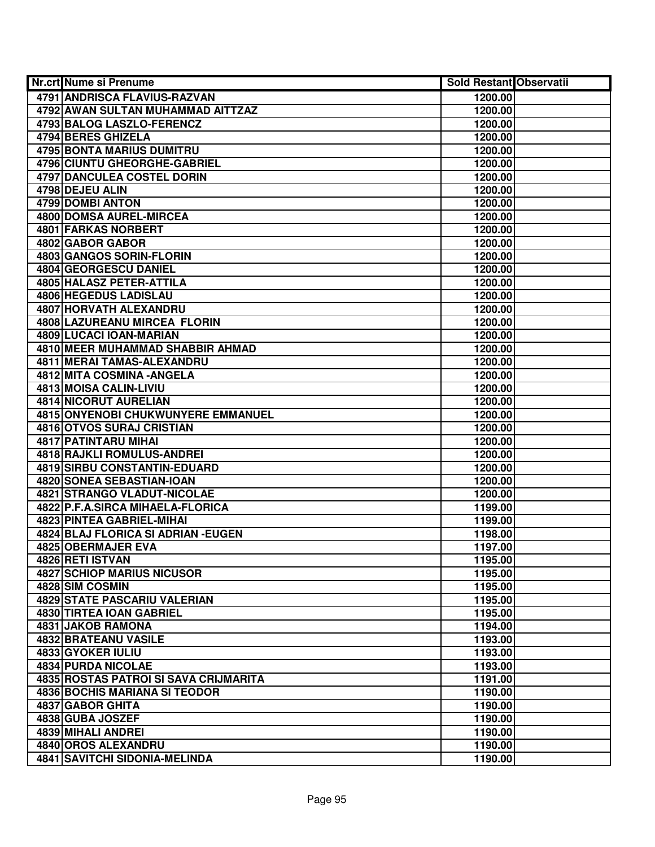| <b>Nr.crt Nume si Prenume</b>             | Sold Restant Observatii |  |
|-------------------------------------------|-------------------------|--|
| <b>4791 ANDRISCA FLAVIUS-RAZVAN</b>       | 1200.00                 |  |
| 4792 AWAN SULTAN MUHAMMAD AITTZAZ         | 1200.00                 |  |
| 4793 BALOG LASZLO-FERENCZ                 | 1200.00                 |  |
| <b>4794 BERES GHIZELA</b>                 | 1200.00                 |  |
| <b>4795 BONTA MARIUS DUMITRU</b>          | 1200.00                 |  |
| 4796 CIUNTU GHEORGHE-GABRIEL              | 1200.00                 |  |
| 4797 DANCULEA COSTEL DORIN                | 1200.00                 |  |
| 4798 DEJEU ALIN                           | 1200.00                 |  |
| 4799 DOMBI ANTON                          | 1200.00                 |  |
| <b>4800 DOMSA AUREL-MIRCEA</b>            | 1200.00                 |  |
| <b>4801 FARKAS NORBERT</b>                | 1200.00                 |  |
| 4802 GABOR GABOR                          | 1200.00                 |  |
| 4803 GANGOS SORIN-FLORIN                  | 1200.00                 |  |
| 4804 GEORGESCU DANIEL                     | 1200.00                 |  |
| 4805 HALASZ PETER-ATTILA                  | 1200.00                 |  |
| 4806 HEGEDUS LADISLAU                     | 1200.00                 |  |
| <b>4807 HORVATH ALEXANDRU</b>             | 1200.00                 |  |
| 4808 LAZUREANU MIRCEA FLORIN              | 1200.00                 |  |
| 4809 LUCACI IOAN-MARIAN                   | 1200.00                 |  |
| 4810 MEER MUHAMMAD SHABBIR AHMAD          | 1200.00                 |  |
| 4811 MERAI TAMAS-ALEXANDRU                | 1200.00                 |  |
| 4812 MITA COSMINA - ANGELA                | 1200.00                 |  |
| 4813 MOISA CALIN-LIVIU                    | 1200.00                 |  |
| <b>4814 NICORUT AURELIAN</b>              | 1200.00                 |  |
| <b>4815 ONYENOBI CHUKWUNYERE EMMANUEL</b> | 1200.00                 |  |
| 4816 OTVOS SURAJ CRISTIAN                 | 1200.00                 |  |
| <b>4817 PATINTARU MIHAI</b>               | 1200.00                 |  |
| 4818 RAJKLI ROMULUS-ANDREI                | 1200.00                 |  |
| 4819 SIRBU CONSTANTIN-EDUARD              | 1200.00                 |  |
| 4820 SONEA SEBASTIAN-IOAN                 | 1200.00                 |  |
| 4821 STRANGO VLADUT-NICOLAE               | 1200.00                 |  |
| 4822 P.F.A.SIRCA MIHAELA-FLORICA          | 1199.00                 |  |
| 4823 PINTEA GABRIEL-MIHAI                 | 1199.00                 |  |
| 4824 BLAJ FLORICA SI ADRIAN - EUGEN       | 1198.00                 |  |
| 4825 OBERMAJER EVA                        | 1197.00                 |  |
| 4826 RETI ISTVAN                          | 1195.00                 |  |
| <b>4827 SCHIOP MARIUS NICUSOR</b>         | 1195.00                 |  |
| 4828 SIM COSMIN                           | 1195.00                 |  |
| <b>4829 STATE PASCARIU VALERIAN</b>       | 1195.00                 |  |
| 4830 TIRTEA IOAN GABRIEL                  | 1195.00                 |  |
| 4831 JAKOB RAMONA                         | 1194.00                 |  |
| <b>4832 BRATEANU VASILE</b>               | 1193.00                 |  |
| 4833 GYOKER IULIU                         | 1193.00                 |  |
| 4834 PURDA NICOLAE                        | 1193.00                 |  |
| 4835 ROSTAS PATROI SI SAVA CRIJMARITA     | 1191.00                 |  |
| 4836 BOCHIS MARIANA SI TEODOR             | 1190.00                 |  |
| 4837 GABOR GHITA                          | 1190.00                 |  |
| 4838 GUBA JOSZEF                          | 1190.00                 |  |
| 4839 MIHALI ANDREI                        | 1190.00                 |  |
| 4840 OROS ALEXANDRU                       | 1190.00                 |  |
| 4841 SAVITCHI SIDONIA-MELINDA             | 1190.00                 |  |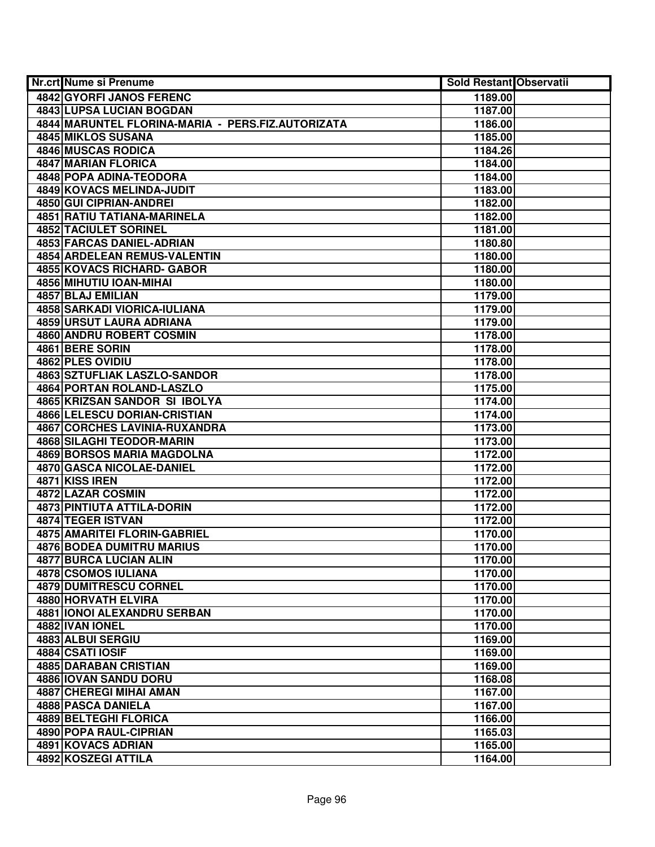| <b>Nr.crt Nume si Prenume</b>                     | <b>Sold Restant Observatii</b> |  |
|---------------------------------------------------|--------------------------------|--|
| 4842 GYORFI JANOS FERENC                          | 1189.00                        |  |
| <b>4843 LUPSA LUCIAN BOGDAN</b>                   | 1187.00                        |  |
| 4844 MARUNTEL FLORINA-MARIA - PERS.FIZ.AUTORIZATA | 1186.00                        |  |
| 4845 MIKLOS SUSANA                                | 1185.00                        |  |
| 4846 MUSCAS RODICA                                | 1184.26                        |  |
| 4847 MARIAN FLORICA                               | 1184.00                        |  |
| 4848 POPA ADINA-TEODORA                           | 1184.00                        |  |
| 4849 KOVACS MELINDA-JUDIT                         | 1183.00                        |  |
| 4850 GUI CIPRIAN-ANDREI                           | 1182.00                        |  |
| <b>4851 RATIU TATIANA-MARINELA</b>                | 1182.00                        |  |
| <b>4852 TACIULET SORINEL</b>                      | 1181.00                        |  |
| 4853 FARCAS DANIEL-ADRIAN                         | 1180.80                        |  |
| <b>4854 ARDELEAN REMUS-VALENTIN</b>               | 1180.00                        |  |
| 4855 KOVACS RICHARD- GABOR                        | 1180.00                        |  |
| 4856 MIHUTIU IOAN-MIHAI                           | 1180.00                        |  |
| 4857 BLAJ EMILIAN                                 | 1179.00                        |  |
| 4858 SARKADI VIORICA-IULIANA                      | 1179.00                        |  |
| 4859 URSUT LAURA ADRIANA                          | 1179.00                        |  |
| <b>4860 ANDRU ROBERT COSMIN</b>                   | 1178.00                        |  |
| 4861 BERE SORIN                                   | 1178.00                        |  |
| 4862 PLES OVIDIU                                  | 1178.00                        |  |
| 4863 SZTUFLIAK LASZLO-SANDOR                      | 1178.00                        |  |
| 4864 PORTAN ROLAND-LASZLO                         | 1175.00                        |  |
| 4865 KRIZSAN SANDOR SI IBOLYA                     | 1174.00                        |  |
| <b>4866 LELESCU DORIAN-CRISTIAN</b>               | 1174.00                        |  |
| <b>4867 CORCHES LAVINIA-RUXANDRA</b>              | 1173.00                        |  |
| 4868 SILAGHI TEODOR-MARIN                         | 1173.00                        |  |
| 4869 BORSOS MARIA MAGDOLNA                        | 1172.00                        |  |
| 4870 GASCA NICOLAE-DANIEL                         | 1172.00                        |  |
| 4871 KISS IREN                                    | 1172.00                        |  |
| 4872 LAZAR COSMIN                                 | 1172.00                        |  |
| 4873 PINTIUTA ATTILA-DORIN                        | 1172.00                        |  |
| 4874 TEGER ISTVAN                                 | 1172.00                        |  |
| <b>4875 AMARITEI FLORIN-GABRIEL</b>               | 1170.00                        |  |
| <b>4876 BODEA DUMITRU MARIUS</b>                  | 1170.00                        |  |
| <b>4877 BURCA LUCIAN ALIN</b>                     | 1170.00                        |  |
| 4878 CSOMOS IULIANA                               | 1170.00                        |  |
| <b>4879 DUMITRESCU CORNEL</b>                     | 1170.00                        |  |
| <b>4880 HORVATH ELVIRA</b>                        | 1170.00                        |  |
| 4881 IONOI ALEXANDRU SERBAN                       | 1170.00                        |  |
| 4882 IVAN IONEL                                   | 1170.00                        |  |
| 4883 ALBUI SERGIU                                 | 1169.00                        |  |
| 4884 CSATI IOSIF                                  | 1169.00                        |  |
| 4885 DARABAN CRISTIAN                             | 1169.00                        |  |
| 4886 IOVAN SANDU DORU                             | 1168.08                        |  |
| 4887 CHEREGI MIHAI AMAN                           | 1167.00                        |  |
| 4888 PASCA DANIELA                                | 1167.00                        |  |
| 4889 BELTEGHI FLORICA                             | 1166.00                        |  |
| 4890 POPA RAUL-CIPRIAN                            | 1165.03                        |  |
| 4891 KOVACS ADRIAN                                | 1165.00                        |  |
| 4892 KOSZEGI ATTILA                               | 1164.00                        |  |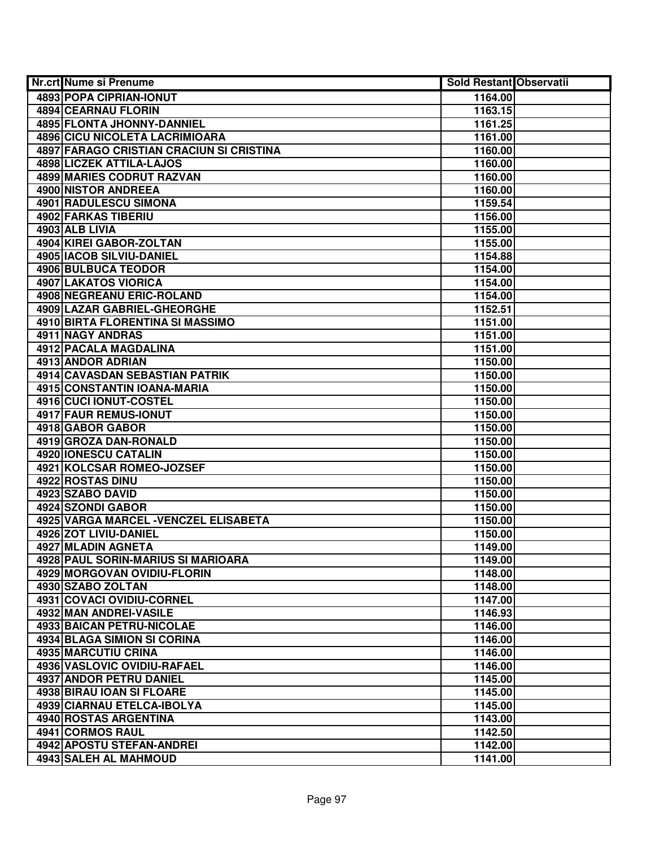| Nr.crt Nume si Prenume                   | <b>Sold Restant Observatii</b> |  |
|------------------------------------------|--------------------------------|--|
| 4893 POPA CIPRIAN-IONUT                  | 1164.00                        |  |
| <b>4894 CEARNAU FLORIN</b>               | 1163.15                        |  |
| <b>4895 FLONTA JHONNY-DANNIEL</b>        | 1161.25                        |  |
| 4896 CICU NICOLETA LACRIMIOARA           | 1161.00                        |  |
| 4897 FARAGO CRISTIAN CRACIUN SI CRISTINA | 1160.00                        |  |
| 4898 LICZEK ATTILA-LAJOS                 | 1160.00                        |  |
| 4899 MARIES CODRUT RAZVAN                | 1160.00                        |  |
| 4900 NISTOR ANDREEA                      | 1160.00                        |  |
| <b>4901 RADULESCU SIMONA</b>             | 1159.54                        |  |
| <b>4902 FARKAS TIBERIU</b>               | 1156.00                        |  |
| 4903 ALB LIVIA                           | 1155.00                        |  |
| 4904 KIREI GABOR-ZOLTAN                  | 1155.00                        |  |
| 4905 IACOB SILVIU-DANIEL                 | 1154.88                        |  |
| 4906 BULBUCA TEODOR                      | 1154.00                        |  |
| 4907 LAKATOS VIORICA                     | 1154.00                        |  |
| <b>4908 NEGREANU ERIC-ROLAND</b>         | 1154.00                        |  |
| 4909 LAZAR GABRIEL-GHEORGHE              | 1152.51                        |  |
| 4910 BIRTA FLORENTINA SI MASSIMO         | 1151.00                        |  |
| 4911 NAGY ANDRAS                         | 1151.00                        |  |
| 4912 PACALA MAGDALINA                    | 1151.00                        |  |
| 4913 ANDOR ADRIAN                        | 1150.00                        |  |
| 4914 CAVASDAN SEBASTIAN PATRIK           | 1150.00                        |  |
| 4915 CONSTANTIN IOANA-MARIA              | 1150.00                        |  |
| 4916 CUCI IONUT-COSTEL                   | 1150.00                        |  |
| 4917 FAUR REMUS-IONUT                    | 1150.00                        |  |
| 4918 GABOR GABOR                         | 1150.00                        |  |
| 4919 GROZA DAN-RONALD                    | 1150.00                        |  |
| 4920 IONESCU CATALIN                     | 1150.00                        |  |
| 4921 KOLCSAR ROMEO-JOZSEF                | 1150.00                        |  |
| 4922 ROSTAS DINU                         | 1150.00                        |  |
| 4923 SZABO DAVID                         | 1150.00                        |  |
| 4924 SZONDI GABOR                        | 1150.00                        |  |
| 4925 VARGA MARCEL - VENCZEL ELISABETA    | 1150.00                        |  |
| 4926 ZOT LIVIU-DANIEL                    | 1150.00                        |  |
| 4927 MLADIN AGNETA                       | 1149.00                        |  |
| 4928 PAUL SORIN-MARIUS SI MARIOARA       | 1149.00                        |  |
| 4929 MORGOVAN OVIDIU-FLORIN              | 1148.00                        |  |
| 4930 SZABO ZOLTAN                        | 1148.00                        |  |
| 4931 COVACI OVIDIU-CORNEL                | 1147.00                        |  |
| 4932 MAN ANDREI-VASILE                   | 1146.93                        |  |
| 4933 BAICAN PETRU-NICOLAE                | 1146.00                        |  |
| 4934 BLAGA SIMION SI CORINA              | 1146.00                        |  |
| 4935 MARCUTIU CRINA                      | 1146.00                        |  |
| 4936 VASLOVIC OVIDIU-RAFAEL              | 1146.00                        |  |
| 4937 ANDOR PETRU DANIEL                  | 1145.00                        |  |
| 4938 BIRAU IOAN SI FLOARE                | 1145.00                        |  |
| 4939 CIARNAU ETELCA-IBOLYA               | 1145.00                        |  |
| 4940 ROSTAS ARGENTINA                    | 1143.00                        |  |
| 4941 CORMOS RAUL                         | 1142.50                        |  |
| 4942 APOSTU STEFAN-ANDREI                | 1142.00                        |  |
| 4943 SALEH AL MAHMOUD                    | 1141.00                        |  |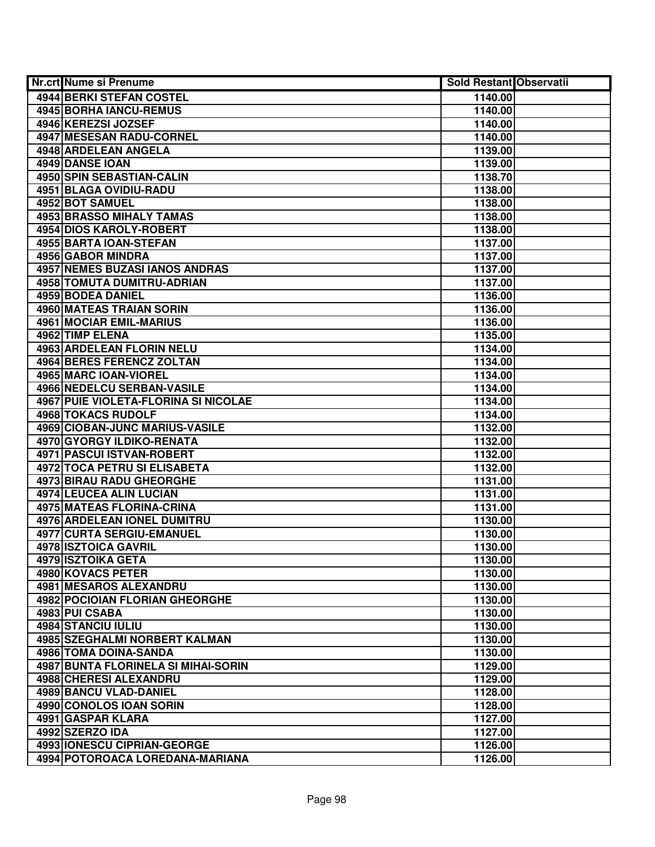| Nr.crt Nume si Prenume                      | <b>Sold Restant Observatii</b> |  |
|---------------------------------------------|--------------------------------|--|
| 4944 BERKI STEFAN COSTEL                    | 1140.00                        |  |
| 4945 BORHA IANCU-REMUS                      | 1140.00                        |  |
| 4946 KEREZSI JOZSEF                         | 1140.00                        |  |
| <b>4947 MESESAN RADU-CORNEL</b>             | 1140.00                        |  |
| 4948 ARDELEAN ANGELA                        | 1139.00                        |  |
| 4949 DANSE IOAN                             | 1139.00                        |  |
| <b>4950 SPIN SEBASTIAN-CALIN</b>            | 1138.70                        |  |
| 4951 BLAGA OVIDIU-RADU                      | 1138.00                        |  |
| 4952 BOT SAMUEL                             | 1138.00                        |  |
| <b>4953 BRASSO MIHALY TAMAS</b>             | 1138.00                        |  |
| 4954 DIOS KAROLY-ROBERT                     | 1138.00                        |  |
| 4955 BARTA IOAN-STEFAN                      | 1137.00                        |  |
| 4956 GABOR MINDRA                           | 1137.00                        |  |
| <b>4957 NEMES BUZASI IANOS ANDRAS</b>       | 1137.00                        |  |
| 4958 TOMUTA DUMITRU-ADRIAN                  | 1137.00                        |  |
| 4959 BODEA DANIEL                           | 1136.00                        |  |
| <b>4960 MATEAS TRAIAN SORIN</b>             | 1136.00                        |  |
| <b>4961 MOCIAR EMIL-MARIUS</b>              | 1136.00                        |  |
| 4962 TIMP ELENA                             | 1135.00                        |  |
| 4963 ARDELEAN FLORIN NELU                   | 1134.00                        |  |
| <b>4964 BERES FERENCZ ZOLTAN</b>            | 1134.00                        |  |
| 4965 MARC IOAN-VIOREL                       | 1134.00                        |  |
| 4966 NEDELCU SERBAN-VASILE                  | 1134.00                        |  |
| <b>4967 PUIE VIOLETA-FLORINA SI NICOLAE</b> | 1134.00                        |  |
| <b>4968 TOKACS RUDOLF</b>                   | 1134.00                        |  |
| 4969 CIOBAN-JUNC MARIUS-VASILE              | 1132.00                        |  |
| 4970 GYORGY ILDIKO-RENATA                   | 1132.00                        |  |
| 4971 PASCUI ISTVAN-ROBERT                   | 1132.00                        |  |
| 4972 TOCA PETRU SI ELISABETA                | 1132.00                        |  |
| 4973 BIRAU RADU GHEORGHE                    | 1131.00                        |  |
| 4974 LEUCEA ALIN LUCIAN                     | 1131.00                        |  |
| 4975 MATEAS FLORINA-CRINA                   | 1131.00                        |  |
| 4976 ARDELEAN IONEL DUMITRU                 | 1130.00                        |  |
| <b>4977 CURTA SERGIU-EMANUEL</b>            | 1130.00                        |  |
| 4978 ISZTOICA GAVRIL                        | 1130.00                        |  |
| 4979 ISZTOIKA GETA                          | 1130.00                        |  |
| <b>4980 KOVACS PETER</b>                    | 1130.00                        |  |
| <b>4981 MESAROS ALEXANDRU</b>               | 1130.00                        |  |
| <b>4982 POCIOIAN FLORIAN GHEORGHE</b>       | 1130.00                        |  |
| 4983 PUI CSABA                              | 1130.00                        |  |
| 4984 STANCIU IULIU                          | 1130.00                        |  |
| 4985 SZEGHALMI NORBERT KALMAN               | 1130.00                        |  |
| 4986 TOMA DOINA-SANDA                       | 1130.00                        |  |
| 4987 BUNTA FLORINELA SI MIHAI-SORIN         | 1129.00                        |  |
| 4988 CHERESI ALEXANDRU                      | 1129.00                        |  |
| 4989 BANCU VLAD-DANIEL                      | 1128.00                        |  |
| 4990 CONOLOS IOAN SORIN                     | 1128.00                        |  |
| 4991 GASPAR KLARA                           | 1127.00                        |  |
| 4992 SZERZO IDA                             | 1127.00                        |  |
| 4993 IONESCU CIPRIAN-GEORGE                 | 1126.00                        |  |
| 4994 POTOROACA LOREDANA-MARIANA             | 1126.00                        |  |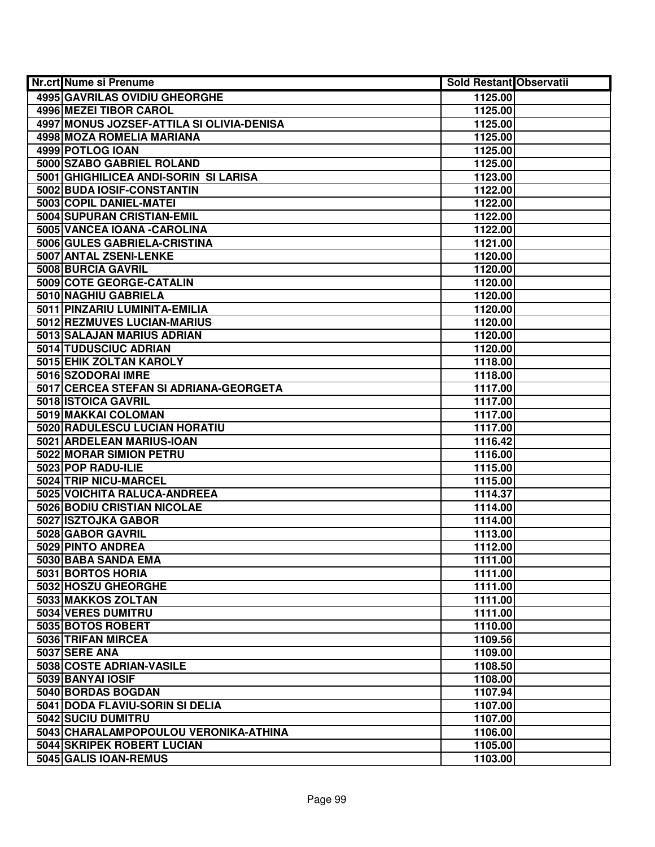| <b>Nr.crt Nume si Prenume</b>             | <b>Sold Restant Observatii</b> |  |
|-------------------------------------------|--------------------------------|--|
| 4995 GAVRILAS OVIDIU GHEORGHE             | 1125.00                        |  |
| 4996 MEZEI TIBOR CAROL                    | 1125.00                        |  |
| 4997 MONUS JOZSEF-ATTILA SI OLIVIA-DENISA | 1125.00                        |  |
| 4998 MOZA ROMELIA MARIANA                 | 1125.00                        |  |
| 4999 POTLOG IOAN                          | 1125.00                        |  |
| 5000 SZABO GABRIEL ROLAND                 | 1125.00                        |  |
| 5001 GHIGHILICEA ANDI-SORIN SI LARISA     | 1123.00                        |  |
| 5002 BUDA IOSIF-CONSTANTIN                | 1122.00                        |  |
| 5003 COPIL DANIEL-MATEI                   | 1122.00                        |  |
| <b>5004 SUPURAN CRISTIAN-EMIL</b>         | 1122.00                        |  |
| 5005 VANCEA IOANA - CAROLINA              | 1122.00                        |  |
| 5006 GULES GABRIELA-CRISTINA              | 1121.00                        |  |
| 5007 ANTAL ZSENI-LENKE                    | 1120.00                        |  |
| 5008 BURCIA GAVRIL                        | 1120.00                        |  |
| 5009 COTE GEORGE-CATALIN                  | 1120.00                        |  |
| 5010 NAGHIU GABRIELA                      | 1120.00                        |  |
| 5011 PINZARIU LUMINITA-EMILIA             | 1120.00                        |  |
| 5012 REZMUVES LUCIAN-MARIUS               | 1120.00                        |  |
| 5013 SALAJAN MARIUS ADRIAN                | 1120.00                        |  |
| 5014 TUDUSCIUC ADRIAN                     | 1120.00                        |  |
| 5015 EHIK ZOLTAN KAROLY                   | 1118.00                        |  |
| 5016 SZODORAI IMRE                        | 1118.00                        |  |
| 5017 CERCEA STEFAN SI ADRIANA-GEORGETA    | 1117.00                        |  |
| 5018 ISTOICA GAVRIL                       | 1117.00                        |  |
| 5019 MAKKAI COLOMAN                       | 1117.00                        |  |
| 5020 RADULESCU LUCIAN HORATIU             | 1117.00                        |  |
| 5021 ARDELEAN MARIUS-IOAN                 | 1116.42                        |  |
| 5022 MORAR SIMION PETRU                   | 1116.00                        |  |
| 5023 POP RADU-ILIE                        | 1115.00                        |  |
| 5024 TRIP NICU-MARCEL                     | 1115.00                        |  |
| 5025 VOICHITA RALUCA-ANDREEA              | 1114.37                        |  |
| 5026 BODIU CRISTIAN NICOLAE               | 1114.00                        |  |
| 5027 ISZTOJKA GABOR                       | 1114.00                        |  |
| 5028 GABOR GAVRIL                         | 1113.00                        |  |
| 5029 PINTO ANDREA                         | 1112.00                        |  |
| 5030 BABA SANDA EMA                       | 1111.00                        |  |
| 5031 BORTOS HORIA                         | 1111.00                        |  |
| 5032 HOSZU GHEORGHE                       | 1111.00                        |  |
| 5033 MAKKOS ZOLTAN<br>5034 VERES DUMITRU  | 1111.00                        |  |
| 5035 BOTOS ROBERT                         | 1111.00                        |  |
| 5036 TRIFAN MIRCEA                        | 1110.00                        |  |
| 5037 SERE ANA                             | 1109.56                        |  |
| 5038 COSTE ADRIAN-VASILE                  | 1109.00                        |  |
| 5039 BANYAI IOSIF                         | 1108.50<br>1108.00             |  |
| 5040 BORDAS BOGDAN                        | 1107.94                        |  |
| 5041 DODA FLAVIU-SORIN SI DELIA           | 1107.00                        |  |
| 5042 SUCIU DUMITRU                        | 1107.00                        |  |
| 5043 CHARALAMPOPOULOU VERONIKA-ATHINA     | 1106.00                        |  |
| 5044 SKRIPEK ROBERT LUCIAN                | 1105.00                        |  |
| 5045 GALIS IOAN-REMUS                     | 1103.00                        |  |
|                                           |                                |  |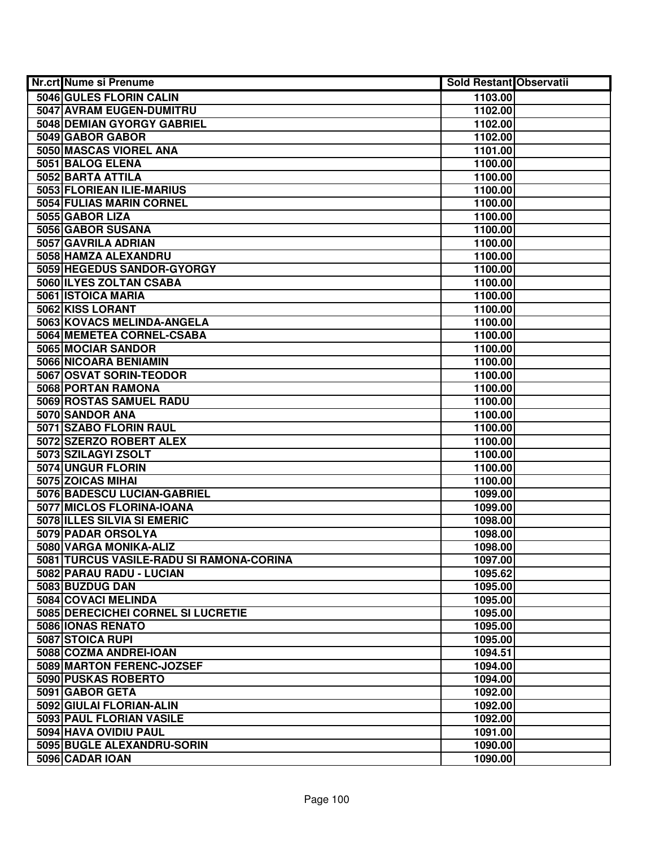| Nr.crt Nume si Prenume                   | <b>Sold Restant Observatii</b> |  |
|------------------------------------------|--------------------------------|--|
| 5046 GULES FLORIN CALIN                  | 1103.00                        |  |
| 5047 AVRAM EUGEN-DUMITRU                 | 1102.00                        |  |
| 5048 DEMIAN GYORGY GABRIEL               | 1102.00                        |  |
| 5049 GABOR GABOR                         | 1102.00                        |  |
| 5050 MASCAS VIOREL ANA                   | 1101.00                        |  |
| 5051 BALOG ELENA                         | 1100.00                        |  |
| 5052 BARTA ATTILA                        | 1100.00                        |  |
| 5053 FLORIEAN ILIE-MARIUS                | 1100.00                        |  |
| 5054 FULIAS MARIN CORNEL                 | 1100.00                        |  |
| 5055 GABOR LIZA                          | 1100.00                        |  |
| 5056 GABOR SUSANA                        | 1100.00                        |  |
| 5057 GAVRILA ADRIAN                      | 1100.00                        |  |
| 5058 HAMZA ALEXANDRU                     | 1100.00                        |  |
| 5059 HEGEDUS SANDOR-GYORGY               | 1100.00                        |  |
| 5060 ILYES ZOLTAN CSABA                  | 1100.00                        |  |
| 5061 ISTOICA MARIA                       | 1100.00                        |  |
| 5062 KISS LORANT                         | 1100.00                        |  |
| 5063 KOVACS MELINDA-ANGELA               | 1100.00                        |  |
| 5064 MEMETEA CORNEL-CSABA                | 1100.00                        |  |
| 5065 MOCIAR SANDOR                       | 1100.00                        |  |
| 5066 NICOARA BENIAMIN                    | 1100.00                        |  |
| 5067 OSVAT SORIN-TEODOR                  | 1100.00                        |  |
| 5068 PORTAN RAMONA                       | 1100.00                        |  |
| 5069 ROSTAS SAMUEL RADU                  | 1100.00                        |  |
| 5070 SANDOR ANA                          | 1100.00                        |  |
| 5071 SZABO FLORIN RAUL                   | 1100.00                        |  |
| 5072 SZERZO ROBERT ALEX                  | 1100.00                        |  |
| 5073 SZILAGYI ZSOLT                      | 1100.00                        |  |
| 5074 UNGUR FLORIN                        | 1100.00                        |  |
| 5075 ZOICAS MIHAI                        | 1100.00                        |  |
| 5076 BADESCU LUCIAN-GABRIEL              | 1099.00                        |  |
| 5077 MICLOS FLORINA-IOANA                | 1099.00                        |  |
| 5078 ILLES SILVIA SI EMERIC              | 1098.00                        |  |
| 5079 PADAR ORSOLYA                       | 1098.00                        |  |
| 5080 VARGA MONIKA-ALIZ                   | 1098.00                        |  |
| 5081 TURCUS VASILE-RADU SI RAMONA-CORINA | 1097.00                        |  |
| 5082 PARAU RADU - LUCIAN                 | 1095.62                        |  |
| 5083 BUZDUG DAN                          | 1095.00                        |  |
| 5084 COVACI MELINDA                      | 1095.00                        |  |
| 5085 DERECICHEI CORNEL SI LUCRETIE       | 1095.00                        |  |
| 5086 IONAS RENATO                        | 1095.00                        |  |
| 5087 STOICA RUPI                         | 1095.00                        |  |
| 5088 COZMA ANDREI-IOAN                   | 1094.51                        |  |
| 5089 MARTON FERENC-JOZSEF                | 1094.00                        |  |
| 5090 PUSKAS ROBERTO                      | 1094.00                        |  |
| 5091 GABOR GETA                          | 1092.00                        |  |
| 5092 GIULAI FLORIAN-ALIN                 | 1092.00                        |  |
| 5093 PAUL FLORIAN VASILE                 | 1092.00                        |  |
| 5094 HAVA OVIDIU PAUL                    | 1091.00                        |  |
| 5095 BUGLE ALEXANDRU-SORIN               | 1090.00                        |  |
| 5096 CADAR IOAN                          | 1090.00                        |  |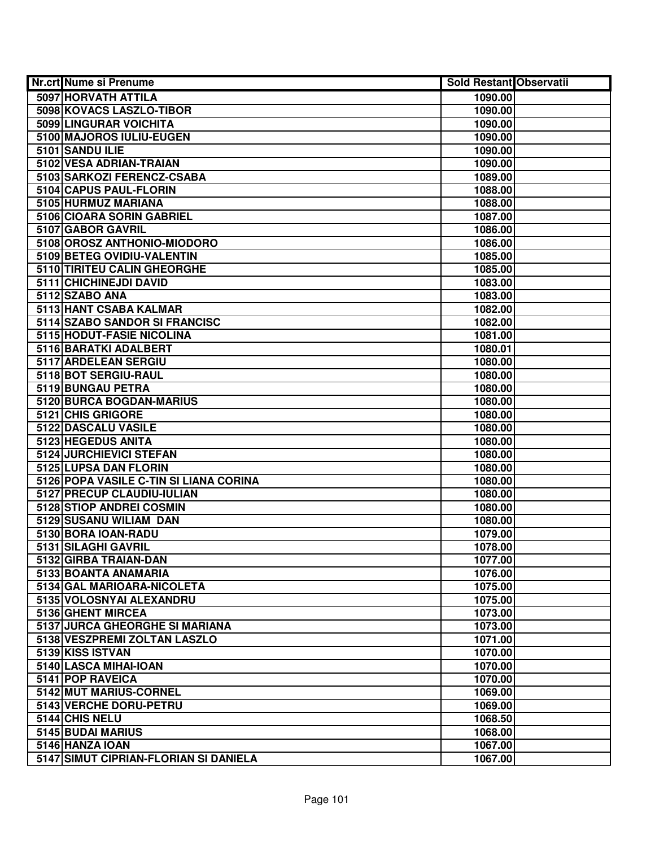| <b>Nr.crt Nume si Prenume</b>                                   | <b>Sold Restant Observatii</b> |  |
|-----------------------------------------------------------------|--------------------------------|--|
| 5097 HORVATH ATTILA                                             | 1090.00                        |  |
| 5098 KOVACS LASZLO-TIBOR                                        | 1090.00                        |  |
| 5099 LINGURAR VOICHITA                                          | 1090.00                        |  |
| 5100 MAJOROS IULIU-EUGEN                                        | 1090.00                        |  |
| 5101 SANDU ILIE                                                 | 1090.00                        |  |
| 5102 VESA ADRIAN-TRAIAN                                         | 1090.00                        |  |
| 5103 SARKOZI FERENCZ-CSABA                                      | 1089.00                        |  |
| 5104 CAPUS PAUL-FLORIN                                          | 1088.00                        |  |
| 5105 HURMUZ MARIANA                                             | 1088.00                        |  |
| 5106 CIOARA SORIN GABRIEL                                       | 1087.00                        |  |
| 5107 GABOR GAVRIL                                               | 1086.00                        |  |
| 5108 OROSZ ANTHONIO-MIODORO                                     | 1086.00                        |  |
| 5109 BETEG OVIDIU-VALENTIN                                      | 1085.00                        |  |
| 5110 TIRITEU CALIN GHEORGHE                                     | 1085.00                        |  |
| 5111 CHICHINEJDI DAVID                                          | 1083.00                        |  |
| 5112 SZABO ANA                                                  | 1083.00                        |  |
| 5113 HANT CSABA KALMAR                                          | 1082.00                        |  |
| 5114 SZABO SANDOR SI FRANCISC                                   | 1082.00                        |  |
| 5115 HODUT-FASIE NICOLINA                                       | 1081.00                        |  |
| 5116 BARATKI ADALBERT                                           | 1080.01                        |  |
| 5117 ARDELEAN SERGIU                                            | 1080.00                        |  |
| 5118 BOT SERGIU-RAUL                                            | 1080.00                        |  |
| 5119 BUNGAU PETRA                                               | 1080.00                        |  |
| 5120 BURCA BOGDAN-MARIUS                                        | 1080.00                        |  |
| 5121 CHIS GRIGORE                                               | 1080.00                        |  |
| 5122 DASCALU VASILE                                             | 1080.00                        |  |
| 5123 HEGEDUS ANITA                                              | 1080.00                        |  |
| 5124 JURCHIEVICI STEFAN                                         | 1080.00                        |  |
| 5125 LUPSA DAN FLORIN<br>5126 POPA VASILE C-TIN SI LIANA CORINA | 1080.00<br>1080.00             |  |
| 5127 PRECUP CLAUDIU-IULIAN                                      | 1080.00                        |  |
| 5128 STIOP ANDREI COSMIN                                        | 1080.00                        |  |
| 5129 SUSANU WILIAM DAN                                          | 1080.00                        |  |
| 5130 BORA IOAN-RADU                                             | 1079.00                        |  |
| 5131 SILAGHI GAVRIL                                             | 1078.00                        |  |
| 5132 GIRBA TRAIAN-DAN                                           | 1077.00                        |  |
| 5133 BOANTA ANAMARIA                                            | 1076.00                        |  |
| 5134 GAL MARIOARA-NICOLETA                                      | 1075.00                        |  |
| 5135 VOLOSNYAI ALEXANDRU                                        | 1075.00                        |  |
| 5136 GHENT MIRCEA                                               | 1073.00                        |  |
| 5137 JURCA GHEORGHE SI MARIANA                                  | 1073.00                        |  |
| 5138 VESZPREMI ZOLTAN LASZLO                                    | 1071.00                        |  |
| 5139 KISS ISTVAN                                                | 1070.00                        |  |
| 5140 LASCA MIHAI-IOAN                                           | 1070.00                        |  |
| 5141 POP RAVEICA                                                | 1070.00                        |  |
| 5142 MUT MARIUS-CORNEL                                          | 1069.00                        |  |
| 5143 VERCHE DORU-PETRU                                          | 1069.00                        |  |
| 5144 CHIS NELU                                                  | 1068.50                        |  |
| 5145 BUDAI MARIUS                                               | 1068.00                        |  |
| 5146 HANZA IOAN                                                 | 1067.00                        |  |
| 5147 SIMUT CIPRIAN-FLORIAN SI DANIELA                           | 1067.00                        |  |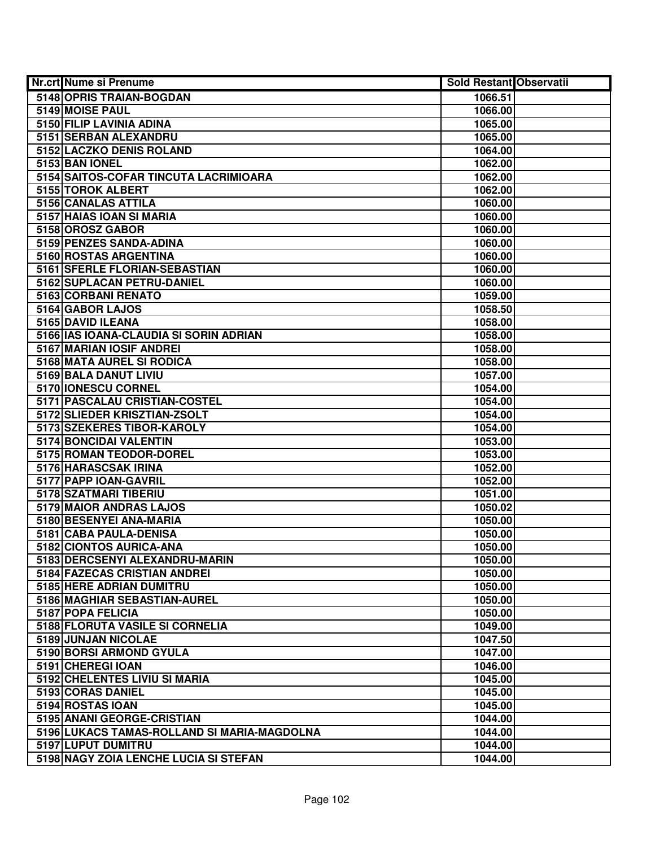| <b>Nr.crt Nume si Prenume</b>                            | Sold Restant Observatii |  |
|----------------------------------------------------------|-------------------------|--|
| 5148 OPRIS TRAIAN-BOGDAN                                 | 1066.51                 |  |
| 5149 MOISE PAUL                                          | 1066.00                 |  |
| 5150 FILIP LAVINIA ADINA                                 | 1065.00                 |  |
| 5151 SERBAN ALEXANDRU                                    | 1065.00                 |  |
| 5152 LACZKO DENIS ROLAND                                 | 1064.00                 |  |
| 5153 BAN IONEL                                           | 1062.00                 |  |
| 5154 SAITOS-COFAR TINCUTA LACRIMIOARA                    | 1062.00                 |  |
| 5155 TOROK ALBERT                                        | 1062.00                 |  |
| 5156 CANALAS ATTILA                                      | 1060.00                 |  |
| 5157 HAIAS IOAN SI MARIA                                 | 1060.00                 |  |
| 5158 OROSZ GABOR                                         | 1060.00                 |  |
| 5159 PENZES SANDA-ADINA                                  | 1060.00                 |  |
| 5160 ROSTAS ARGENTINA                                    | 1060.00                 |  |
| 5161 SFERLE FLORIAN-SEBASTIAN                            | 1060.00                 |  |
| 5162 SUPLACAN PETRU-DANIEL                               | 1060.00                 |  |
| 5163 CORBANI RENATO                                      | 1059.00                 |  |
| 5164 GABOR LAJOS                                         | 1058.50                 |  |
| 5165 DAVID ILEANA                                        | 1058.00                 |  |
| 5166 IAS IOANA-CLAUDIA SI SORIN ADRIAN                   | 1058.00                 |  |
| 5167 MARIAN IOSIF ANDREI                                 | 1058.00                 |  |
| 5168 MATA AUREL SI RODICA                                | 1058.00                 |  |
| 5169 BALA DANUT LIVIU                                    | 1057.00                 |  |
| 5170 IONESCU CORNEL                                      | 1054.00                 |  |
| 5171 PASCALAU CRISTIAN-COSTEL                            | 1054.00                 |  |
| 5172 SLIEDER KRISZTIAN-ZSOLT                             | 1054.00                 |  |
| 5173 SZEKERES TIBOR-KAROLY                               | 1054.00                 |  |
| 5174 BONCIDAI VALENTIN                                   | 1053.00                 |  |
| 5175 ROMAN TEODOR-DOREL                                  | 1053.00                 |  |
| 5176 HARASCSAK IRINA                                     | 1052.00                 |  |
| 5177 PAPP IOAN-GAVRIL                                    | 1052.00                 |  |
| 5178 SZATMARI TIBERIU                                    | 1051.00                 |  |
| 5179 MAIOR ANDRAS LAJOS                                  | 1050.02                 |  |
| 5180 BESENYEI ANA-MARIA                                  | 1050.00                 |  |
| 5181 CABA PAULA-DENISA                                   | 1050.00                 |  |
| 5182 CIONTOS AURICA-ANA                                  | 1050.00                 |  |
| 5183 DERCSENYI ALEXANDRU-MARIN                           | 1050.00                 |  |
| 5184 FAZECAS CRISTIAN ANDREI<br>5185 HERE ADRIAN DUMITRU | 1050.00                 |  |
|                                                          | 1050.00                 |  |
| 5186 MAGHIAR SEBASTIAN-AUREL                             | 1050.00                 |  |
| 5187 POPA FELICIA                                        | 1050.00                 |  |
| 5188 FLORUTA VASILE SI CORNELIA                          | 1049.00                 |  |
| 5189 JUNJAN NICOLAE                                      | 1047.50                 |  |
| 5190 BORSI ARMOND GYULA<br>5191 CHEREGI IOAN             | 1047.00<br>1046.00      |  |
| 5192 CHELENTES LIVIU SI MARIA                            | 1045.00                 |  |
| 5193 CORAS DANIEL                                        | 1045.00                 |  |
| 5194 ROSTAS IOAN                                         | 1045.00                 |  |
| 5195 ANANI GEORGE-CRISTIAN                               | 1044.00                 |  |
| 5196 LUKACS TAMAS-ROLLAND SI MARIA-MAGDOLNA              | 1044.00                 |  |
| 5197 LUPUT DUMITRU                                       | 1044.00                 |  |
| 5198 NAGY ZOIA LENCHE LUCIA SI STEFAN                    | 1044.00                 |  |
|                                                          |                         |  |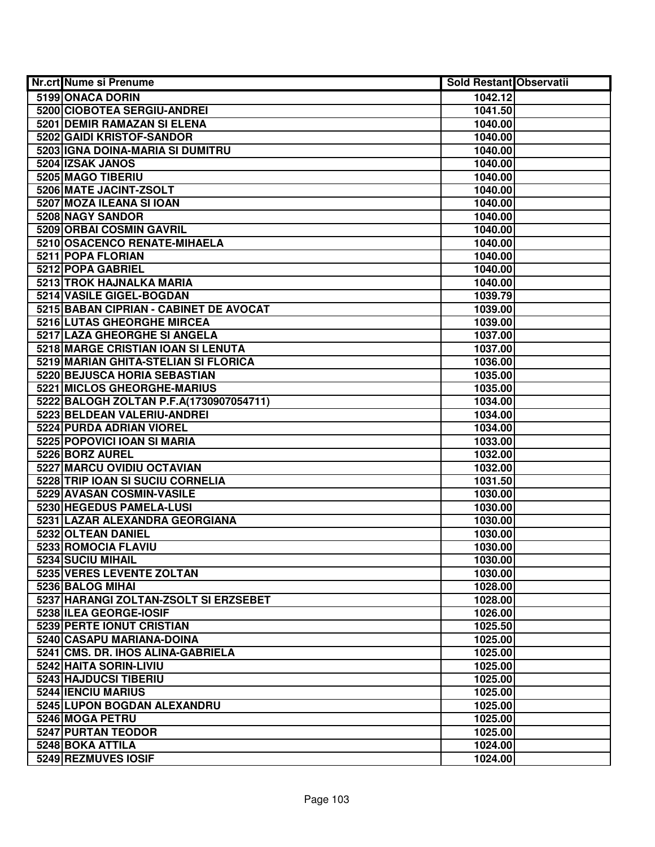| Nr.crt Nume si Prenume                  | <b>Sold Restant Observatii</b> |  |
|-----------------------------------------|--------------------------------|--|
| 5199 ONACA DORIN                        | 1042.12                        |  |
| 5200 CIOBOTEA SERGIU-ANDREI             | 1041.50                        |  |
| 5201 DEMIR RAMAZAN SI ELENA             | 1040.00                        |  |
| 5202 GAIDI KRISTOF-SANDOR               | 1040.00                        |  |
| 5203 IGNA DOINA-MARIA SI DUMITRU        | 1040.00                        |  |
| 5204 IZSAK JANOS                        | 1040.00                        |  |
| 5205 MAGO TIBERIU                       | 1040.00                        |  |
| 5206 MATE JACINT-ZSOLT                  | 1040.00                        |  |
| 5207 MOZA ILEANA SI IOAN                | 1040.00                        |  |
| 5208 NAGY SANDOR                        | 1040.00                        |  |
| <b>5209 ORBAI COSMIN GAVRIL</b>         | 1040.00                        |  |
| 5210 OSACENCO RENATE-MIHAELA            | 1040.00                        |  |
| 5211 POPA FLORIAN                       | 1040.00                        |  |
| 5212 POPA GABRIEL                       | 1040.00                        |  |
| 5213 TROK HAJNALKA MARIA                | 1040.00                        |  |
| 5214 VASILE GIGEL-BOGDAN                | 1039.79                        |  |
| 5215 BABAN CIPRIAN - CABINET DE AVOCAT  | 1039.00                        |  |
| 5216 LUTAS GHEORGHE MIRCEA              | 1039.00                        |  |
| 5217 LAZA GHEORGHE SI ANGELA            | 1037.00                        |  |
| 5218 MARGE CRISTIAN IOAN SI LENUTA      | 1037.00                        |  |
| 5219 MARIAN GHITA-STELIAN SI FLORICA    | 1036.00                        |  |
| 5220 BEJUSCA HORIA SEBASTIAN            | 1035.00                        |  |
| 5221 MICLOS GHEORGHE-MARIUS             | 1035.00                        |  |
| 5222 BALOGH ZOLTAN P.F.A(1730907054711) | 1034.00                        |  |
| 5223 BELDEAN VALERIU-ANDREI             | 1034.00                        |  |
| 5224 PURDA ADRIAN VIOREL                | 1034.00                        |  |
| 5225 POPOVICI IOAN SI MARIA             | 1033.00                        |  |
| 5226 BORZ AUREL                         | 1032.00                        |  |
| 5227 MARCU OVIDIU OCTAVIAN              | 1032.00                        |  |
| 5228 TRIP IOAN SI SUCIU CORNELIA        | 1031.50                        |  |
| 5229 AVASAN COSMIN-VASILE               | 1030.00                        |  |
| 5230 HEGEDUS PAMELA-LUSI                | 1030.00                        |  |
| 5231 LAZAR ALEXANDRA GEORGIANA          | 1030.00                        |  |
| 5232 OLTEAN DANIEL                      | 1030.00                        |  |
| 5233 ROMOCIA FLAVIU                     | 1030.00                        |  |
| 5234 SUCIU MIHAIL                       | 1030.00                        |  |
| 5235 VERES LEVENTE ZOLTAN               | 1030.00                        |  |
| 5236 BALOG MIHAI                        | 1028.00                        |  |
| 5237 HARANGI ZOLTAN-ZSOLT SI ERZSEBET   | 1028.00                        |  |
| 5238 ILEA GEORGE-IOSIF                  | 1026.00                        |  |
| 5239 PERTE IONUT CRISTIAN               | 1025.50                        |  |
| 5240 CASAPU MARIANA-DOINA               | 1025.00                        |  |
| 5241 CMS. DR. IHOS ALINA-GABRIELA       | 1025.00                        |  |
| 5242 HAITA SORIN-LIVIU                  | 1025.00                        |  |
| 5243 HAJDUCSI TIBERIU                   | 1025.00                        |  |
| 5244 IENCIU MARIUS                      | 1025.00                        |  |
| 5245 LUPON BOGDAN ALEXANDRU             | 1025.00                        |  |
| 5246 MOGA PETRU                         | 1025.00                        |  |
| 5247 PURTAN TEODOR                      | 1025.00                        |  |
| 5248 BOKA ATTILA                        | 1024.00                        |  |
| 5249 REZMUVES IOSIF                     | 1024.00                        |  |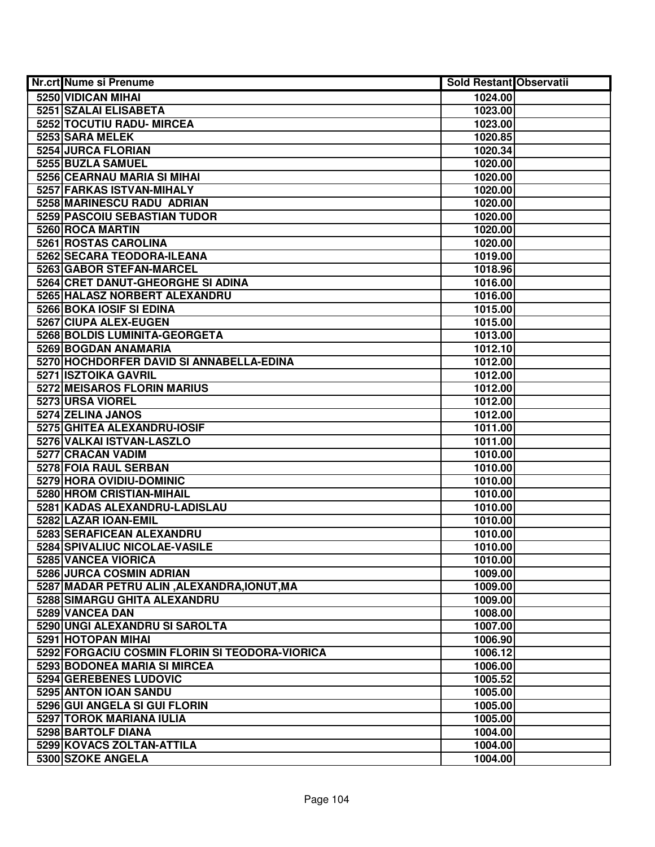| Nr.crt Nume si Prenume                         | <b>Sold Restant Observatii</b> |  |
|------------------------------------------------|--------------------------------|--|
| 5250 VIDICAN MIHAI                             | 1024.00                        |  |
| 5251 SZALAI ELISABETA                          | 1023.00                        |  |
| 5252 TOCUTIU RADU- MIRCEA                      | 1023.00                        |  |
| 5253 SARA MELEK                                | 1020.85                        |  |
| 5254 JURCA FLORIAN                             | 1020.34                        |  |
| 5255 BUZLA SAMUEL                              | 1020.00                        |  |
| 5256 CEARNAU MARIA SI MIHAI                    | 1020.00                        |  |
| 5257 FARKAS ISTVAN-MIHALY                      | 1020.00                        |  |
| 5258 MARINESCU RADU ADRIAN                     | 1020.00                        |  |
| 5259 PASCOIU SEBASTIAN TUDOR                   | 1020.00                        |  |
| 5260 ROCA MARTIN                               | 1020.00                        |  |
| 5261 ROSTAS CAROLINA                           | 1020.00                        |  |
| 5262 SECARA TEODORA-ILEANA                     | 1019.00                        |  |
| 5263 GABOR STEFAN-MARCEL                       | 1018.96                        |  |
| 5264 CRET DANUT-GHEORGHE SI ADINA              | 1016.00                        |  |
| 5265 HALASZ NORBERT ALEXANDRU                  | 1016.00                        |  |
| 5266 BOKA IOSIF SI EDINA                       | 1015.00                        |  |
| 5267 CIUPA ALEX-EUGEN                          | 1015.00                        |  |
| 5268 BOLDIS LUMINITA-GEORGETA                  | 1013.00                        |  |
| 5269 BOGDAN ANAMARIA                           | 1012.10                        |  |
| 5270 HOCHDORFER DAVID SI ANNABELLA-EDINA       | 1012.00                        |  |
| 5271 ISZTOIKA GAVRIL                           | 1012.00                        |  |
| 5272 MEISAROS FLORIN MARIUS                    | 1012.00                        |  |
| 5273 URSA VIOREL                               | 1012.00                        |  |
| 5274 ZELINA JANOS                              | 1012.00                        |  |
| 5275 GHITEA ALEXANDRU-IOSIF                    | 1011.00                        |  |
| 5276 VALKAI ISTVAN-LASZLO                      | 1011.00                        |  |
| 5277 CRACAN VADIM                              | 1010.00                        |  |
| 5278 FOIA RAUL SERBAN                          | 1010.00                        |  |
| 5279 HORA OVIDIU-DOMINIC                       | 1010.00                        |  |
| 5280 HROM CRISTIAN-MIHAIL                      | 1010.00                        |  |
| 5281 KADAS ALEXANDRU-LADISLAU                  | 1010.00                        |  |
| 5282 LAZAR IOAN-EMIL                           | 1010.00                        |  |
| <b>5283 SERAFICEAN ALEXANDRU</b>               | 1010.00                        |  |
| 5284 SPIVALIUC NICOLAE-VASILE                  | 1010.00                        |  |
| 5285 VANCEA VIORICA                            | 1010.00                        |  |
| 5286 JURCA COSMIN ADRIAN                       | 1009.00                        |  |
| 5287 MADAR PETRU ALIN, ALEXANDRA, IONUT, MA    | 1009.00                        |  |
| 5288 SIMARGU GHITA ALEXANDRU                   | 1009.00                        |  |
| 5289 VANCEA DAN                                | 1008.00                        |  |
| 5290 UNGI ALEXANDRU SI SAROLTA                 | 1007.00                        |  |
| 5291 HOTOPAN MIHAI                             | 1006.90                        |  |
| 5292 FORGACIU COSMIN FLORIN SI TEODORA-VIORICA | 1006.12                        |  |
| 5293 BODONEA MARIA SI MIRCEA                   | 1006.00                        |  |
| 5294 GEREBENES LUDOVIC                         | 1005.52                        |  |
| 5295 ANTON IOAN SANDU                          | 1005.00                        |  |
| 5296 GUI ANGELA SI GUI FLORIN                  | 1005.00                        |  |
| 5297 TOROK MARIANA IULIA                       | 1005.00                        |  |
| 5298 BARTOLF DIANA                             | 1004.00                        |  |
| 5299 KOVACS ZOLTAN-ATTILA                      | 1004.00                        |  |
| 5300 SZOKE ANGELA                              | 1004.00                        |  |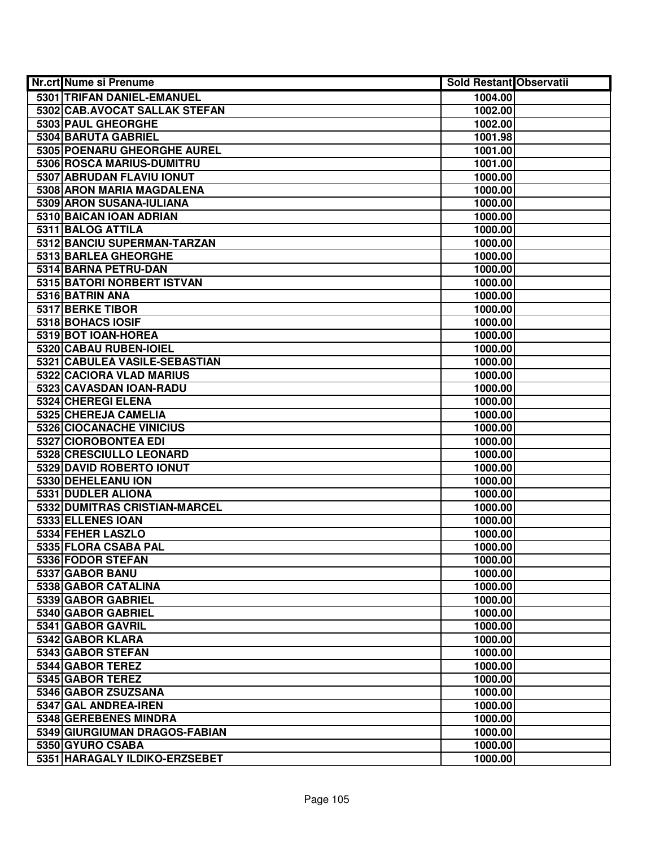| Nr.crt Nume si Prenume        | <b>Sold Restant Observatii</b> |  |
|-------------------------------|--------------------------------|--|
| 5301 TRIFAN DANIEL-EMANUEL    | 1004.00                        |  |
| 5302 CAB.AVOCAT SALLAK STEFAN | 1002.00                        |  |
| 5303 PAUL GHEORGHE            | 1002.00                        |  |
| 5304 BARUTA GABRIEL           | 1001.98                        |  |
| 5305 POENARU GHEORGHE AUREL   | 1001.00                        |  |
| 5306 ROSCA MARIUS-DUMITRU     | 1001.00                        |  |
| 5307 ABRUDAN FLAVIU IONUT     | 1000.00                        |  |
| 5308 ARON MARIA MAGDALENA     | 1000.00                        |  |
| 5309 ARON SUSANA-IULIANA      | 1000.00                        |  |
| 5310 BAICAN IOAN ADRIAN       | 1000.00                        |  |
| 5311 BALOG ATTILA             | 1000.00                        |  |
| 5312 BANCIU SUPERMAN-TARZAN   | 1000.00                        |  |
| 5313 BARLEA GHEORGHE          | 1000.00                        |  |
| 5314 BARNA PETRU-DAN          | 1000.00                        |  |
| 5315 BATORI NORBERT ISTVAN    | 1000.00                        |  |
| 5316 BATRIN ANA               | 1000.00                        |  |
| 5317 BERKE TIBOR              | 1000.00                        |  |
| 5318 BOHACS IOSIF             | 1000.00                        |  |
| 5319 BOT IOAN-HOREA           | 1000.00                        |  |
| 5320 CABAU RUBEN-IOIEL        | 1000.00                        |  |
| 5321 CABULEA VASILE-SEBASTIAN | 1000.00                        |  |
| 5322 CACIORA VLAD MARIUS      | 1000.00                        |  |
| 5323 CAVASDAN IOAN-RADU       | 1000.00                        |  |
| 5324 CHEREGI ELENA            | 1000.00                        |  |
| 5325 CHEREJA CAMELIA          | 1000.00                        |  |
| 5326 CIOCANACHE VINICIUS      | 1000.00                        |  |
| 5327 CIOROBONTEA EDI          | 1000.00                        |  |
| 5328 CRESCIULLO LEONARD       | 1000.00                        |  |
| 5329 DAVID ROBERTO IONUT      | 1000.00                        |  |
| 5330 DEHELEANU ION            | 1000.00                        |  |
| 5331 DUDLER ALIONA            | 1000.00                        |  |
| 5332 DUMITRAS CRISTIAN-MARCEL | 1000.00                        |  |
| 5333 ELLENES IOAN             | 1000.00                        |  |
| 5334 FEHER LASZLO             | 1000.00                        |  |
| 5335 FLORA CSABA PAL          | 1000.00                        |  |
| 5336 FODOR STEFAN             | 1000.00                        |  |
| 5337 GABOR BANU               | 1000.00                        |  |
| 5338 GABOR CATALINA           | 1000.00                        |  |
| 5339 GABOR GABRIEL            | 1000.00                        |  |
| 5340 GABOR GABRIEL            | 1000.00                        |  |
| 5341 GABOR GAVRIL             | 1000.00                        |  |
| 5342 GABOR KLARA              | 1000.00                        |  |
| 5343 GABOR STEFAN             | 1000.00                        |  |
| 5344 GABOR TEREZ              | 1000.00                        |  |
| 5345 GABOR TEREZ              | 1000.00                        |  |
| 5346 GABOR ZSUZSANA           | 1000.00                        |  |
| 5347 GAL ANDREA-IREN          | 1000.00                        |  |
| 5348 GEREBENES MINDRA         | 1000.00                        |  |
| 5349 GIURGIUMAN DRAGOS-FABIAN | 1000.00                        |  |
| 5350 GYURO CSABA              | 1000.00                        |  |
| 5351 HARAGALY ILDIKO-ERZSEBET | 1000.00                        |  |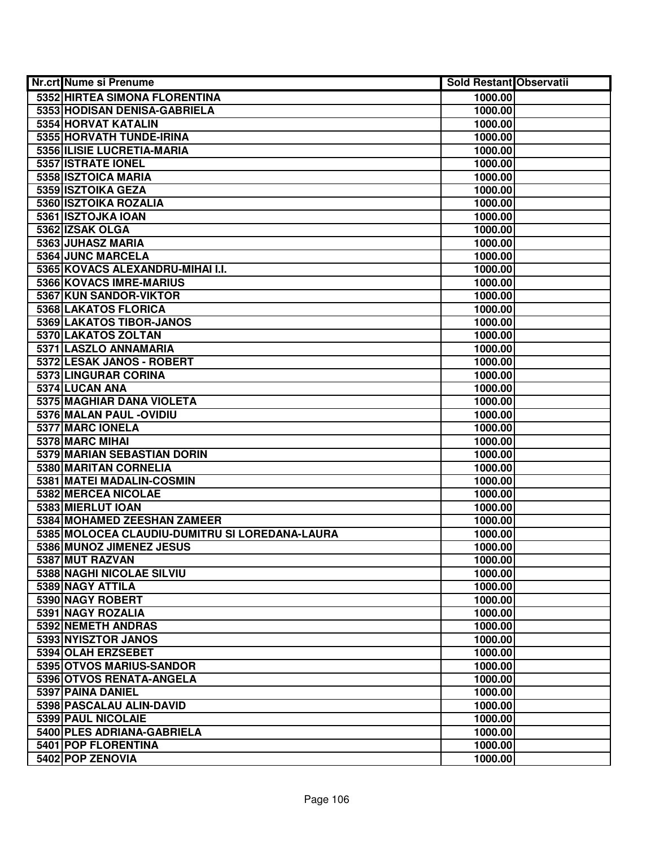| Nr.crt Nume si Prenume                         | <b>Sold Restant Observatii</b> |  |
|------------------------------------------------|--------------------------------|--|
| 5352 HIRTEA SIMONA FLORENTINA                  | 1000.00                        |  |
| 5353 HODISAN DENISA-GABRIELA                   | 1000.00                        |  |
| 5354 HORVAT KATALIN                            | 1000.00                        |  |
| 5355 HORVATH TUNDE-IRINA                       | 1000.00                        |  |
| 5356 ILISIE LUCRETIA-MARIA                     | 1000.00                        |  |
| 5357 ISTRATE IONEL                             | 1000.00                        |  |
| 5358 ISZTOICA MARIA                            | 1000.00                        |  |
| 5359 ISZTOIKA GEZA                             | 1000.00                        |  |
| 5360 ISZTOIKA ROZALIA                          | 1000.00                        |  |
| 5361 ISZTOJKA IOAN                             | 1000.00                        |  |
| 5362 IZSAK OLGA                                | 1000.00                        |  |
| 5363 JUHASZ MARIA                              | 1000.00                        |  |
| 5364 JUNC MARCELA                              | 1000.00                        |  |
| 5365 KOVACS ALEXANDRU-MIHAI I.I.               | 1000.00                        |  |
| 5366 KOVACS IMRE-MARIUS                        | 1000.00                        |  |
| 5367 KUN SANDOR-VIKTOR                         | 1000.00                        |  |
| 5368 LAKATOS FLORICA                           | 1000.00                        |  |
| 5369 LAKATOS TIBOR-JANOS                       | 1000.00                        |  |
| 5370 LAKATOS ZOLTAN                            | 1000.00                        |  |
| 5371 LASZLO ANNAMARIA                          | 1000.00                        |  |
| 5372 LESAK JANOS - ROBERT                      | 1000.00                        |  |
| 5373 LINGURAR CORINA                           | 1000.00                        |  |
| 5374 LUCAN ANA                                 | 1000.00                        |  |
| 5375 MAGHIAR DANA VIOLETA                      | 1000.00                        |  |
| 5376 MALAN PAUL - OVIDIU                       | 1000.00                        |  |
| 5377 MARC IONELA                               | 1000.00                        |  |
| 5378 MARC MIHAI                                | 1000.00                        |  |
| 5379 MARIAN SEBASTIAN DORIN                    | 1000.00                        |  |
| 5380 MARITAN CORNELIA                          | 1000.00                        |  |
| 5381 MATEI MADALIN-COSMIN                      | 1000.00                        |  |
| 5382 MERCEA NICOLAE                            | 1000.00                        |  |
| 5383 MIERLUT IOAN                              | 1000.00                        |  |
| 5384 MOHAMED ZEESHAN ZAMEER                    | 1000.00                        |  |
| 5385 MOLOCEA CLAUDIU-DUMITRU SI LOREDANA-LAURA | 1000.00                        |  |
| 5386 MUNOZ JIMENEZ JESUS                       | 1000.00                        |  |
| 5387 MUT RAZVAN                                | 1000.00                        |  |
| 5388 NAGHI NICOLAE SILVIU                      | 1000.00                        |  |
| 5389 NAGY ATTILA                               | 1000.00                        |  |
| 5390 NAGY ROBERT                               | 1000.00                        |  |
| 5391 NAGY ROZALIA                              | 1000.00                        |  |
| 5392 NEMETH ANDRAS                             | 1000.00                        |  |
| 5393 NYISZTOR JANOS                            | 1000.00                        |  |
| 5394 OLAH ERZSEBET                             | 1000.00                        |  |
| 5395 OTVOS MARIUS-SANDOR                       | 1000.00                        |  |
| 5396 OTVOS RENATA-ANGELA                       | 1000.00                        |  |
| 5397 PAINA DANIEL                              | 1000.00                        |  |
| 5398 PASCALAU ALIN-DAVID                       | 1000.00                        |  |
| 5399 PAUL NICOLAIE                             | 1000.00                        |  |
| 5400 PLES ADRIANA-GABRIELA                     | 1000.00                        |  |
| 5401 POP FLORENTINA                            | 1000.00                        |  |
| 5402 POP ZENOVIA                               | 1000.00                        |  |